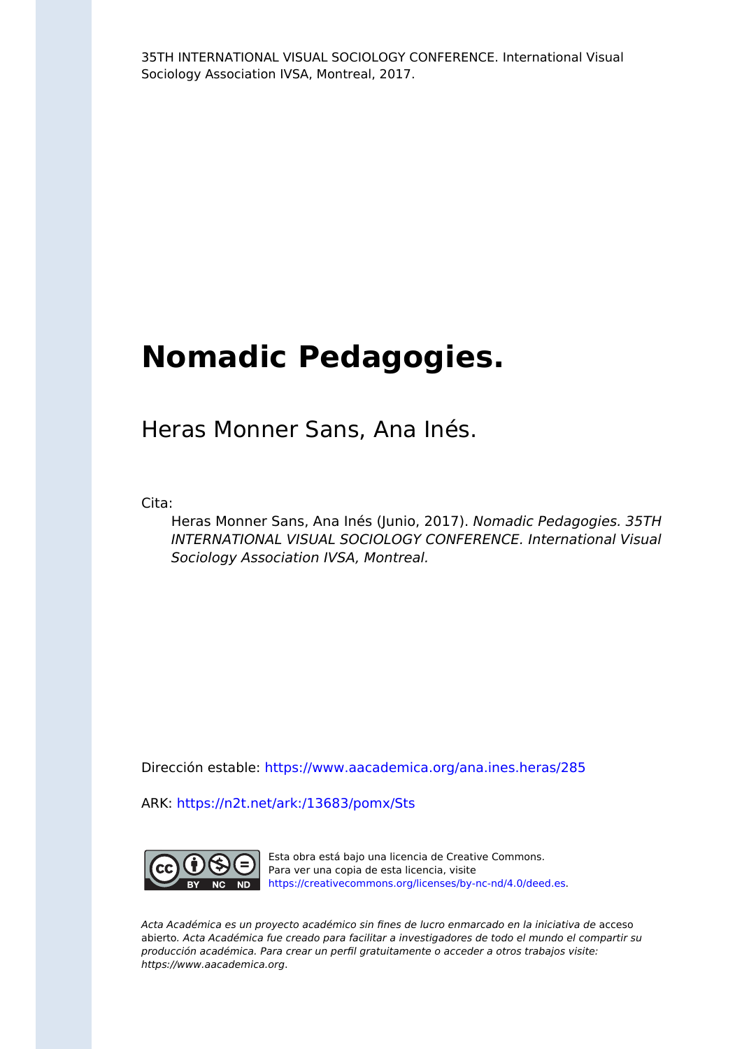35TH INTERNATIONAL VISUAL SOCIOLOGY CONFERENCE. International Visual Sociology Association IVSA, Montreal, 2017.

## **Nomadic Pedagogies.**

### Heras Monner Sans, Ana Inés.

Cita:

Heras Monner Sans, Ana Inés (Junio, 2017). Nomadic Pedagogies. 35TH INTERNATIONAL VISUAL SOCIOLOGY CONFERENCE. International Visual Sociology Association IVSA, Montreal.

Dirección estable:<https://www.aacademica.org/ana.ines.heras/285>

ARK: <https://n2t.net/ark:/13683/pomx/Sts>



Esta obra está bajo una licencia de Creative Commons. Para ver una copia de esta licencia, visite [https://creativecommons.org/licenses/by-nc-nd/4.0/deed.es.](https://creativecommons.org/licenses/by-nc-nd/4.0/deed.es)

Acta Académica es un proyecto académico sin fines de lucro enmarcado en la iniciativa de acceso abierto. Acta Académica fue creado para facilitar a investigadores de todo el mundo el compartir su producción académica. Para crear un perfil gratuitamente o acceder a otros trabajos visite: https://www.aacademica.org.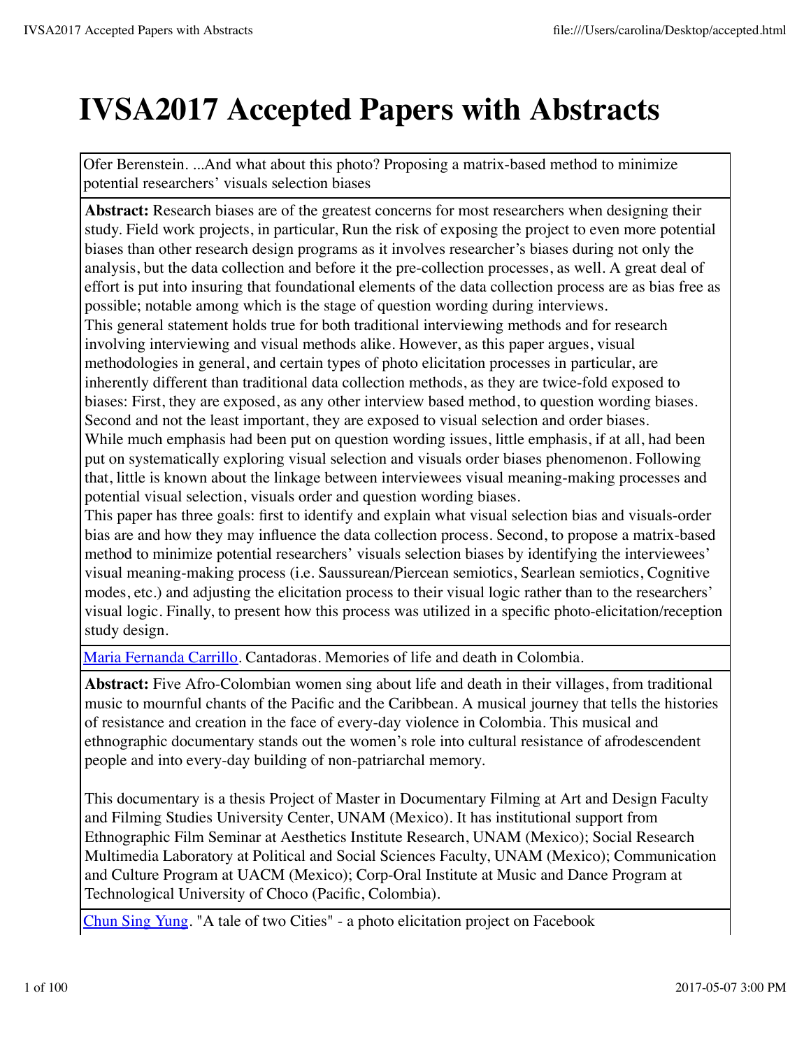# **IVSA2017 Accepted Papers with Abstracts**

Ofer Berenstein. ...And what about this photo? Proposing a matrix-based method to minimize potential researchers' visuals selection biases

**Abstract:** Research biases are of the greatest concerns for most researchers when designing their study. Field work projects, in particular, Run the risk of exposing the project to even more potential biases than other research design programs as it involves researcher's biases during not only the analysis, but the data collection and before it the pre-collection processes, as well. A great deal of effort is put into insuring that foundational elements of the data collection process are as bias free as possible; notable among which is the stage of question wording during interviews. This general statement holds true for both traditional interviewing methods and for research involving interviewing and visual methods alike. However, as this paper argues, visual methodologies in general, and certain types of photo elicitation processes in particular, are inherently different than traditional data collection methods, as they are twice-fold exposed to biases: First, they are exposed, as any other interview based method, to question wording biases. Second and not the least important, they are exposed to visual selection and order biases. While much emphasis had been put on question wording issues, little emphasis, if at all, had been

put on systematically exploring visual selection and visuals order biases phenomenon. Following that, little is known about the linkage between interviewees visual meaning-making processes and potential visual selection, visuals order and question wording biases.

This paper has three goals: first to identify and explain what visual selection bias and visuals-order bias are and how they may influence the data collection process. Second, to propose a matrix-based method to minimize potential researchers' visuals selection biases by identifying the interviewees' visual meaning-making process (i.e. Saussurean/Piercean semiotics, Searlean semiotics, Cognitive modes, etc.) and adjusting the elicitation process to their visual logic rather than to the researchers' visual logic. Finally, to present how this process was utilized in a specific photo-elicitation/reception study design.

Maria Fernanda Carrillo. Cantadoras. Memories of life and death in Colombia.

**Abstract:** Five Afro-Colombian women sing about life and death in their villages, from traditional music to mournful chants of the Pacific and the Caribbean. A musical journey that tells the histories of resistance and creation in the face of every-day violence in Colombia. This musical and ethnographic documentary stands out the women's role into cultural resistance of afrodescendent people and into every-day building of non-patriarchal memory.

This documentary is a thesis Project of Master in Documentary Filming at Art and Design Faculty and Filming Studies University Center, UNAM (Mexico). It has institutional support from Ethnographic Film Seminar at Aesthetics Institute Research, UNAM (Mexico); Social Research Multimedia Laboratory at Political and Social Sciences Faculty, UNAM (Mexico); Communication and Culture Program at UACM (Mexico); Corp-Oral Institute at Music and Dance Program at Technological University of Choco (Pacific, Colombia).

Chun Sing Yung. "A tale of two Cities" - a photo elicitation project on Facebook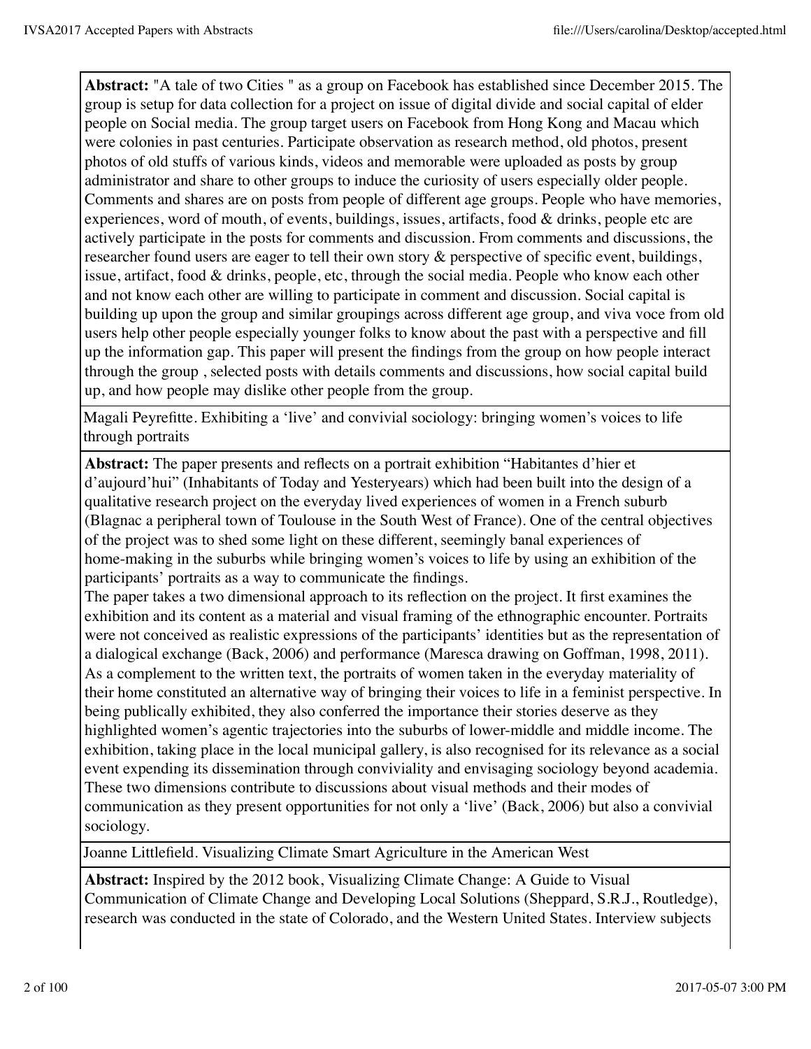**Abstract:** "A tale of two Cities " as a group on Facebook has established since December 2015. The group is setup for data collection for a project on issue of digital divide and social capital of elder people on Social media. The group target users on Facebook from Hong Kong and Macau which were colonies in past centuries. Participate observation as research method, old photos, present photos of old stuffs of various kinds, videos and memorable were uploaded as posts by group administrator and share to other groups to induce the curiosity of users especially older people. Comments and shares are on posts from people of different age groups. People who have memories, experiences, word of mouth, of events, buildings, issues, artifacts, food & drinks, people etc are actively participate in the posts for comments and discussion. From comments and discussions, the researcher found users are eager to tell their own story & perspective of specific event, buildings, issue, artifact, food & drinks, people, etc, through the social media. People who know each other and not know each other are willing to participate in comment and discussion. Social capital is building up upon the group and similar groupings across different age group, and viva voce from old users help other people especially younger folks to know about the past with a perspective and fill up the information gap. This paper will present the findings from the group on how people interact through the group , selected posts with details comments and discussions, how social capital build up, and how people may dislike other people from the group.

Magali Peyrefitte. Exhibiting a 'live' and convivial sociology: bringing women's voices to life through portraits

**Abstract:** The paper presents and reflects on a portrait exhibition "Habitantes d'hier et d'aujourd'hui" (Inhabitants of Today and Yesteryears) which had been built into the design of a qualitative research project on the everyday lived experiences of women in a French suburb (Blagnac a peripheral town of Toulouse in the South West of France). One of the central objectives of the project was to shed some light on these different, seemingly banal experiences of home-making in the suburbs while bringing women's voices to life by using an exhibition of the participants' portraits as a way to communicate the findings.

The paper takes a two dimensional approach to its reflection on the project. It first examines the exhibition and its content as a material and visual framing of the ethnographic encounter. Portraits were not conceived as realistic expressions of the participants' identities but as the representation of a dialogical exchange (Back, 2006) and performance (Maresca drawing on Goffman, 1998, 2011). As a complement to the written text, the portraits of women taken in the everyday materiality of their home constituted an alternative way of bringing their voices to life in a feminist perspective. In being publically exhibited, they also conferred the importance their stories deserve as they highlighted women's agentic trajectories into the suburbs of lower-middle and middle income. The exhibition, taking place in the local municipal gallery, is also recognised for its relevance as a social event expending its dissemination through conviviality and envisaging sociology beyond academia. These two dimensions contribute to discussions about visual methods and their modes of communication as they present opportunities for not only a 'live' (Back, 2006) but also a convivial sociology.

Joanne Littlefield. Visualizing Climate Smart Agriculture in the American West

**Abstract:** Inspired by the 2012 book, Visualizing Climate Change: A Guide to Visual Communication of Climate Change and Developing Local Solutions (Sheppard, S.R.J., Routledge), research was conducted in the state of Colorado, and the Western United States. Interview subjects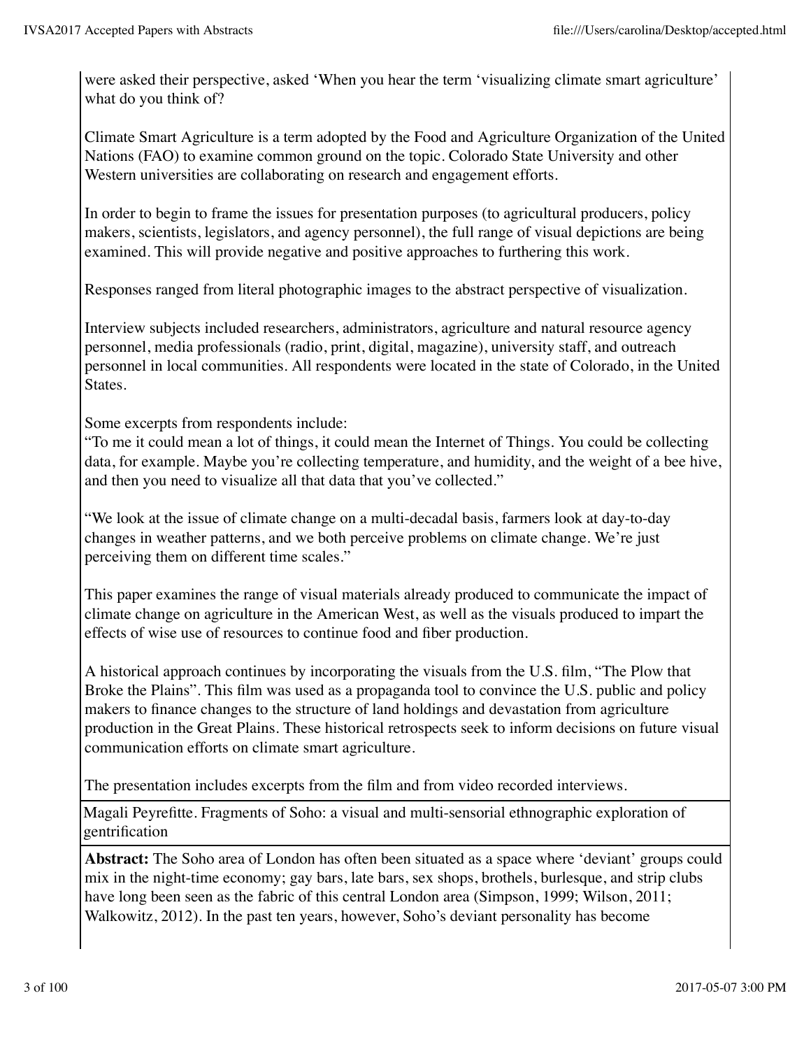were asked their perspective, asked 'When you hear the term 'visualizing climate smart agriculture' what do you think of?

Climate Smart Agriculture is a term adopted by the Food and Agriculture Organization of the United Nations (FAO) to examine common ground on the topic. Colorado State University and other Western universities are collaborating on research and engagement efforts.

In order to begin to frame the issues for presentation purposes (to agricultural producers, policy makers, scientists, legislators, and agency personnel), the full range of visual depictions are being examined. This will provide negative and positive approaches to furthering this work.

Responses ranged from literal photographic images to the abstract perspective of visualization.

Interview subjects included researchers, administrators, agriculture and natural resource agency personnel, media professionals (radio, print, digital, magazine), university staff, and outreach personnel in local communities. All respondents were located in the state of Colorado, in the United States.

Some excerpts from respondents include:

"To me it could mean a lot of things, it could mean the Internet of Things. You could be collecting data, for example. Maybe you're collecting temperature, and humidity, and the weight of a bee hive, and then you need to visualize all that data that you've collected."

"We look at the issue of climate change on a multi-decadal basis, farmers look at day-to-day changes in weather patterns, and we both perceive problems on climate change. We're just perceiving them on different time scales."

This paper examines the range of visual materials already produced to communicate the impact of climate change on agriculture in the American West, as well as the visuals produced to impart the effects of wise use of resources to continue food and fiber production.

A historical approach continues by incorporating the visuals from the U.S. film, "The Plow that Broke the Plains". This film was used as a propaganda tool to convince the U.S. public and policy makers to finance changes to the structure of land holdings and devastation from agriculture production in the Great Plains. These historical retrospects seek to inform decisions on future visual communication efforts on climate smart agriculture.

The presentation includes excerpts from the film and from video recorded interviews.

Magali Peyrefitte. Fragments of Soho: a visual and multi-sensorial ethnographic exploration of gentrification

**Abstract:** The Soho area of London has often been situated as a space where 'deviant' groups could mix in the night-time economy; gay bars, late bars, sex shops, brothels, burlesque, and strip clubs have long been seen as the fabric of this central London area (Simpson, 1999; Wilson, 2011; Walkowitz, 2012). In the past ten years, however, Soho's deviant personality has become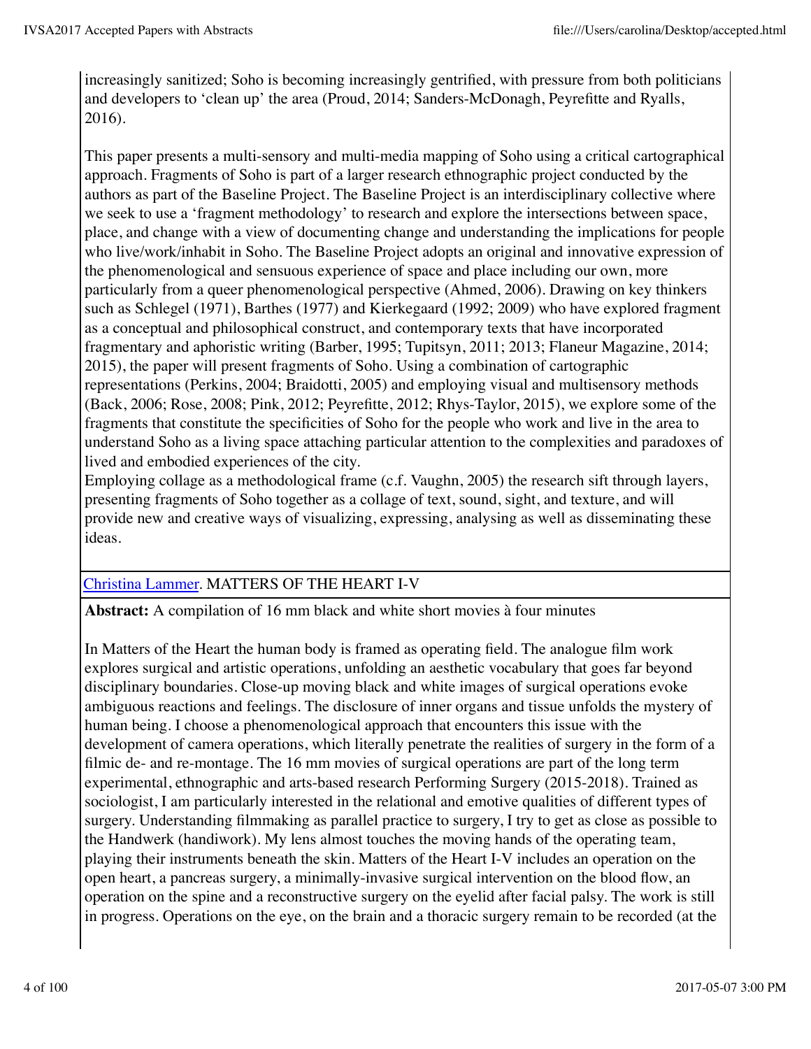increasingly sanitized; Soho is becoming increasingly gentrified, with pressure from both politicians and developers to 'clean up' the area (Proud, 2014; Sanders-McDonagh, Peyrefitte and Ryalls, 2016).

This paper presents a multi-sensory and multi-media mapping of Soho using a critical cartographical approach. Fragments of Soho is part of a larger research ethnographic project conducted by the authors as part of the Baseline Project. The Baseline Project is an interdisciplinary collective where we seek to use a 'fragment methodology' to research and explore the intersections between space, place, and change with a view of documenting change and understanding the implications for people who live/work/inhabit in Soho. The Baseline Project adopts an original and innovative expression of the phenomenological and sensuous experience of space and place including our own, more particularly from a queer phenomenological perspective (Ahmed, 2006). Drawing on key thinkers such as Schlegel (1971), Barthes (1977) and Kierkegaard (1992; 2009) who have explored fragment as a conceptual and philosophical construct, and contemporary texts that have incorporated fragmentary and aphoristic writing (Barber, 1995; Tupitsyn, 2011; 2013; Flaneur Magazine, 2014; 2015), the paper will present fragments of Soho. Using a combination of cartographic representations (Perkins, 2004; Braidotti, 2005) and employing visual and multisensory methods (Back, 2006; Rose, 2008; Pink, 2012; Peyrefitte, 2012; Rhys-Taylor, 2015), we explore some of the fragments that constitute the specificities of Soho for the people who work and live in the area to understand Soho as a living space attaching particular attention to the complexities and paradoxes of lived and embodied experiences of the city.

Employing collage as a methodological frame (c.f. Vaughn, 2005) the research sift through layers, presenting fragments of Soho together as a collage of text, sound, sight, and texture, and will provide new and creative ways of visualizing, expressing, analysing as well as disseminating these ideas.

#### Christina Lammer. MATTERS OF THE HEART I-V

**Abstract:** A compilation of 16 mm black and white short movies à four minutes

In Matters of the Heart the human body is framed as operating field. The analogue film work explores surgical and artistic operations, unfolding an aesthetic vocabulary that goes far beyond disciplinary boundaries. Close-up moving black and white images of surgical operations evoke ambiguous reactions and feelings. The disclosure of inner organs and tissue unfolds the mystery of human being. I choose a phenomenological approach that encounters this issue with the development of camera operations, which literally penetrate the realities of surgery in the form of a filmic de- and re-montage. The 16 mm movies of surgical operations are part of the long term experimental, ethnographic and arts-based research Performing Surgery (2015-2018). Trained as sociologist, I am particularly interested in the relational and emotive qualities of different types of surgery. Understanding filmmaking as parallel practice to surgery, I try to get as close as possible to the Handwerk (handiwork). My lens almost touches the moving hands of the operating team, playing their instruments beneath the skin. Matters of the Heart I-V includes an operation on the open heart, a pancreas surgery, a minimally-invasive surgical intervention on the blood flow, an operation on the spine and a reconstructive surgery on the eyelid after facial palsy. The work is still in progress. Operations on the eye, on the brain and a thoracic surgery remain to be recorded (at the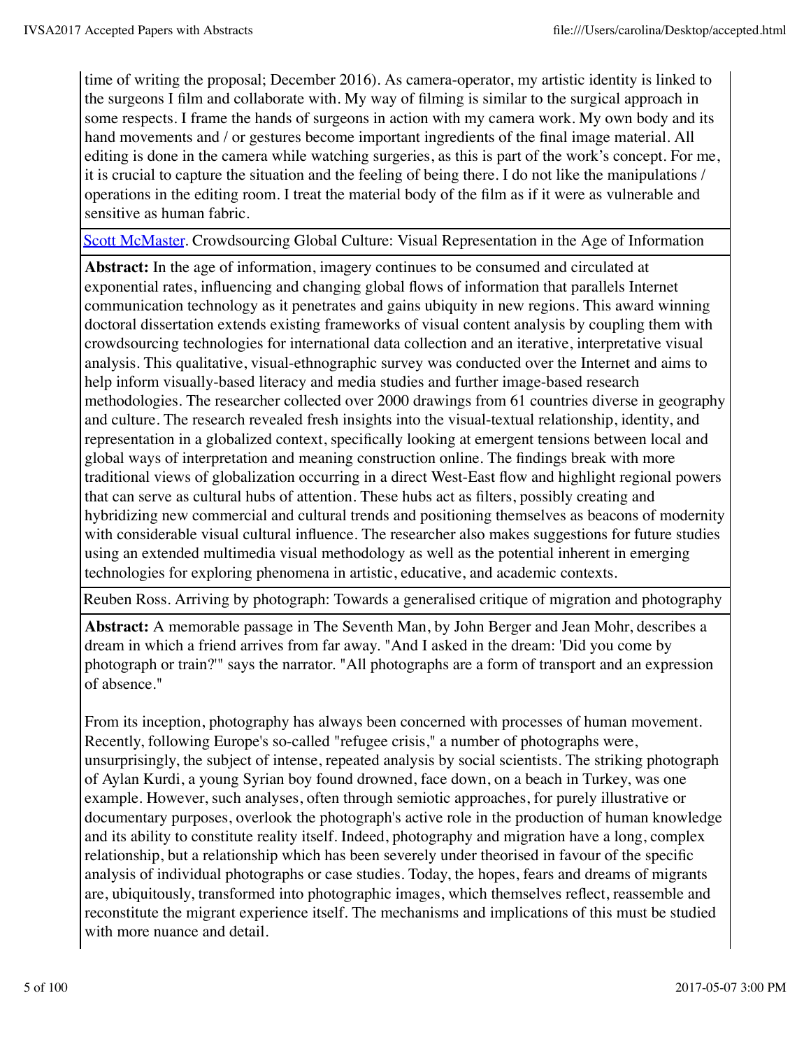time of writing the proposal; December 2016). As camera-operator, my artistic identity is linked to the surgeons I film and collaborate with. My way of filming is similar to the surgical approach in some respects. I frame the hands of surgeons in action with my camera work. My own body and its hand movements and / or gestures become important ingredients of the final image material. All editing is done in the camera while watching surgeries, as this is part of the work's concept. For me, it is crucial to capture the situation and the feeling of being there. I do not like the manipulations / operations in the editing room. I treat the material body of the film as if it were as vulnerable and sensitive as human fabric.

Scott McMaster. Crowdsourcing Global Culture: Visual Representation in the Age of Information

**Abstract:** In the age of information, imagery continues to be consumed and circulated at exponential rates, influencing and changing global flows of information that parallels Internet communication technology as it penetrates and gains ubiquity in new regions. This award winning doctoral dissertation extends existing frameworks of visual content analysis by coupling them with crowdsourcing technologies for international data collection and an iterative, interpretative visual analysis. This qualitative, visual-ethnographic survey was conducted over the Internet and aims to help inform visually-based literacy and media studies and further image-based research methodologies. The researcher collected over 2000 drawings from 61 countries diverse in geography and culture. The research revealed fresh insights into the visual-textual relationship, identity, and representation in a globalized context, specifically looking at emergent tensions between local and global ways of interpretation and meaning construction online. The findings break with more traditional views of globalization occurring in a direct West-East flow and highlight regional powers that can serve as cultural hubs of attention. These hubs act as filters, possibly creating and hybridizing new commercial and cultural trends and positioning themselves as beacons of modernity with considerable visual cultural influence. The researcher also makes suggestions for future studies using an extended multimedia visual methodology as well as the potential inherent in emerging technologies for exploring phenomena in artistic, educative, and academic contexts.

Reuben Ross. Arriving by photograph: Towards a generalised critique of migration and photography

**Abstract:** A memorable passage in The Seventh Man, by John Berger and Jean Mohr, describes a dream in which a friend arrives from far away. "And I asked in the dream: 'Did you come by photograph or train?'" says the narrator. "All photographs are a form of transport and an expression of absence."

From its inception, photography has always been concerned with processes of human movement. Recently, following Europe's so-called "refugee crisis," a number of photographs were, unsurprisingly, the subject of intense, repeated analysis by social scientists. The striking photograph of Aylan Kurdi, a young Syrian boy found drowned, face down, on a beach in Turkey, was one example. However, such analyses, often through semiotic approaches, for purely illustrative or documentary purposes, overlook the photograph's active role in the production of human knowledge and its ability to constitute reality itself. Indeed, photography and migration have a long, complex relationship, but a relationship which has been severely under theorised in favour of the specific analysis of individual photographs or case studies. Today, the hopes, fears and dreams of migrants are, ubiquitously, transformed into photographic images, which themselves reflect, reassemble and reconstitute the migrant experience itself. The mechanisms and implications of this must be studied with more nuance and detail.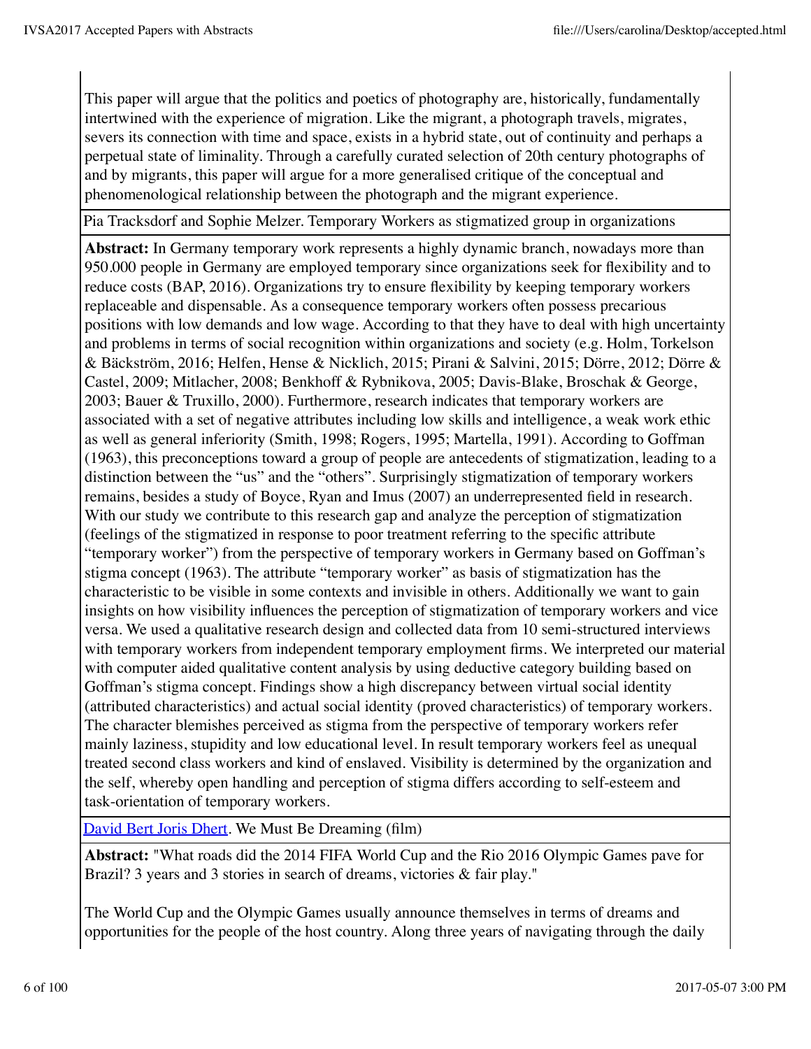This paper will argue that the politics and poetics of photography are, historically, fundamentally intertwined with the experience of migration. Like the migrant, a photograph travels, migrates, severs its connection with time and space, exists in a hybrid state, out of continuity and perhaps a perpetual state of liminality. Through a carefully curated selection of 20th century photographs of and by migrants, this paper will argue for a more generalised critique of the conceptual and phenomenological relationship between the photograph and the migrant experience.

Pia Tracksdorf and Sophie Melzer. Temporary Workers as stigmatized group in organizations

**Abstract:** In Germany temporary work represents a highly dynamic branch, nowadays more than 950.000 people in Germany are employed temporary since organizations seek for flexibility and to reduce costs (BAP, 2016). Organizations try to ensure flexibility by keeping temporary workers replaceable and dispensable. As a consequence temporary workers often possess precarious positions with low demands and low wage. According to that they have to deal with high uncertainty and problems in terms of social recognition within organizations and society (e.g. Holm, Torkelson & Bäckström, 2016; Helfen, Hense & Nicklich, 2015; Pirani & Salvini, 2015; Dörre, 2012; Dörre & Castel, 2009; Mitlacher, 2008; Benkhoff & Rybnikova, 2005; Davis-Blake, Broschak & George, 2003; Bauer & Truxillo, 2000). Furthermore, research indicates that temporary workers are associated with a set of negative attributes including low skills and intelligence, a weak work ethic as well as general inferiority (Smith, 1998; Rogers, 1995; Martella, 1991). According to Goffman (1963), this preconceptions toward a group of people are antecedents of stigmatization, leading to a distinction between the "us" and the "others". Surprisingly stigmatization of temporary workers remains, besides a study of Boyce, Ryan and Imus (2007) an underrepresented field in research. With our study we contribute to this research gap and analyze the perception of stigmatization (feelings of the stigmatized in response to poor treatment referring to the specific attribute "temporary worker") from the perspective of temporary workers in Germany based on Goffman's stigma concept (1963). The attribute "temporary worker" as basis of stigmatization has the characteristic to be visible in some contexts and invisible in others. Additionally we want to gain insights on how visibility influences the perception of stigmatization of temporary workers and vice versa. We used a qualitative research design and collected data from 10 semi-structured interviews with temporary workers from independent temporary employment firms. We interpreted our material with computer aided qualitative content analysis by using deductive category building based on Goffman's stigma concept. Findings show a high discrepancy between virtual social identity (attributed characteristics) and actual social identity (proved characteristics) of temporary workers. The character blemishes perceived as stigma from the perspective of temporary workers refer mainly laziness, stupidity and low educational level. In result temporary workers feel as unequal treated second class workers and kind of enslaved. Visibility is determined by the organization and the self, whereby open handling and perception of stigma differs according to self-esteem and task-orientation of temporary workers.

David Bert Joris Dhert. We Must Be Dreaming (film)

**Abstract:** "What roads did the 2014 FIFA World Cup and the Rio 2016 Olympic Games pave for Brazil? 3 years and 3 stories in search of dreams, victories & fair play."

The World Cup and the Olympic Games usually announce themselves in terms of dreams and opportunities for the people of the host country. Along three years of navigating through the daily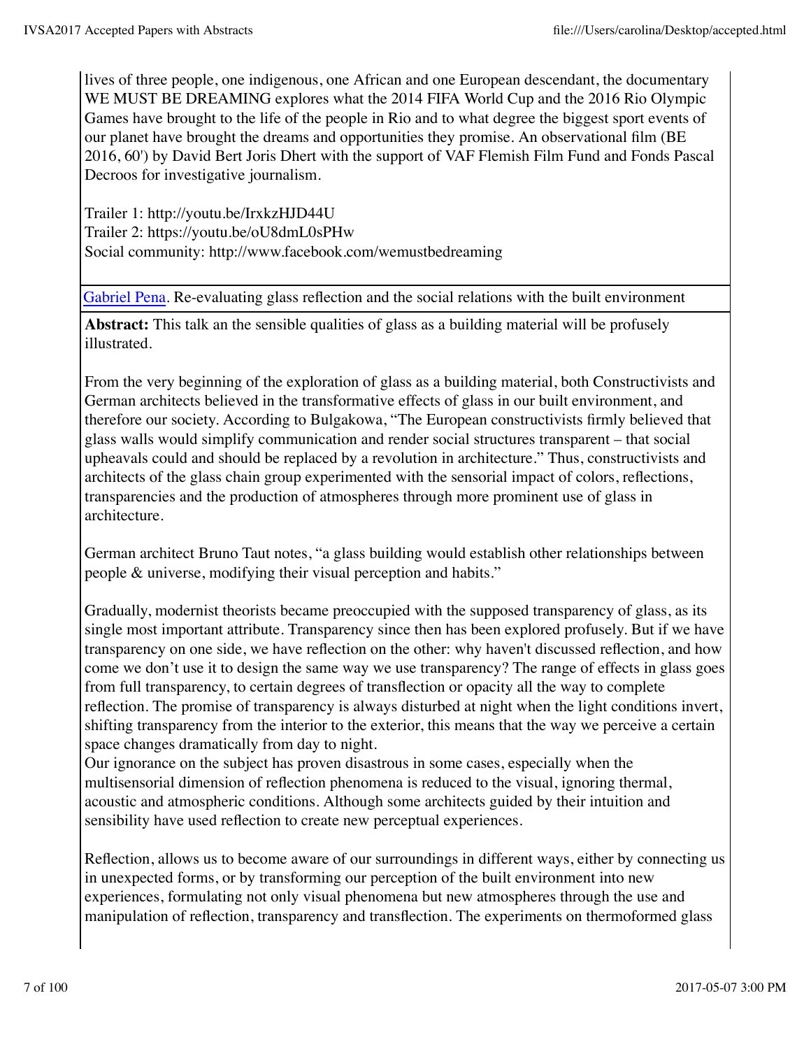lives of three people, one indigenous, one African and one European descendant, the documentary WE MUST BE DREAMING explores what the 2014 FIFA World Cup and the 2016 Rio Olympic Games have brought to the life of the people in Rio and to what degree the biggest sport events of our planet have brought the dreams and opportunities they promise. An observational film (BE 2016, 60') by David Bert Joris Dhert with the support of VAF Flemish Film Fund and Fonds Pascal Decroos for investigative journalism.

Trailer 1: http://youtu.be/IrxkzHJD44U Trailer 2: https://youtu.be/oU8dmL0sPHw Social community: http://www.facebook.com/wemustbedreaming

Gabriel Pena. Re-evaluating glass reflection and the social relations with the built environment

**Abstract:** This talk an the sensible qualities of glass as a building material will be profusely illustrated.

From the very beginning of the exploration of glass as a building material, both Constructivists and German architects believed in the transformative effects of glass in our built environment, and therefore our society. According to Bulgakowa, "The European constructivists firmly believed that glass walls would simplify communication and render social structures transparent – that social upheavals could and should be replaced by a revolution in architecture." Thus, constructivists and architects of the glass chain group experimented with the sensorial impact of colors, reflections, transparencies and the production of atmospheres through more prominent use of glass in architecture.

German architect Bruno Taut notes, "a glass building would establish other relationships between people & universe, modifying their visual perception and habits."

Gradually, modernist theorists became preoccupied with the supposed transparency of glass, as its single most important attribute. Transparency since then has been explored profusely. But if we have transparency on one side, we have reflection on the other: why haven't discussed reflection, and how come we don't use it to design the same way we use transparency? The range of effects in glass goes from full transparency, to certain degrees of transflection or opacity all the way to complete reflection. The promise of transparency is always disturbed at night when the light conditions invert, shifting transparency from the interior to the exterior, this means that the way we perceive a certain space changes dramatically from day to night.

Our ignorance on the subject has proven disastrous in some cases, especially when the multisensorial dimension of reflection phenomena is reduced to the visual, ignoring thermal, acoustic and atmospheric conditions. Although some architects guided by their intuition and sensibility have used reflection to create new perceptual experiences.

Reflection, allows us to become aware of our surroundings in different ways, either by connecting us in unexpected forms, or by transforming our perception of the built environment into new experiences, formulating not only visual phenomena but new atmospheres through the use and manipulation of reflection, transparency and transflection. The experiments on thermoformed glass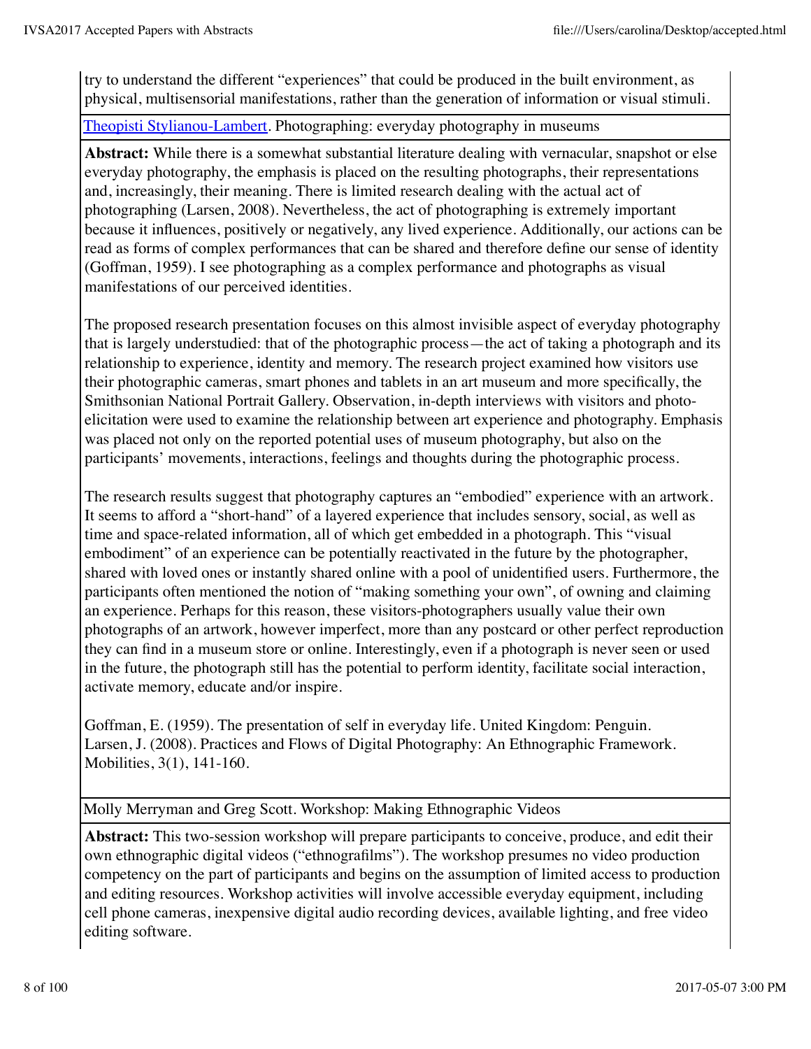try to understand the different "experiences" that could be produced in the built environment, as physical, multisensorial manifestations, rather than the generation of information or visual stimuli.

Theopisti Stylianou-Lambert. Photographing: everyday photography in museums

**Abstract:** While there is a somewhat substantial literature dealing with vernacular, snapshot or else everyday photography, the emphasis is placed on the resulting photographs, their representations and, increasingly, their meaning. There is limited research dealing with the actual act of photographing (Larsen, 2008). Nevertheless, the act of photographing is extremely important because it influences, positively or negatively, any lived experience. Additionally, our actions can be read as forms of complex performances that can be shared and therefore define our sense of identity (Goffman, 1959). I see photographing as a complex performance and photographs as visual manifestations of our perceived identities.

The proposed research presentation focuses on this almost invisible aspect of everyday photography that is largely understudied: that of the photographic process—the act of taking a photograph and its relationship to experience, identity and memory. The research project examined how visitors use their photographic cameras, smart phones and tablets in an art museum and more specifically, the Smithsonian National Portrait Gallery. Observation, in-depth interviews with visitors and photoelicitation were used to examine the relationship between art experience and photography. Emphasis was placed not only on the reported potential uses of museum photography, but also on the participants' movements, interactions, feelings and thoughts during the photographic process.

The research results suggest that photography captures an "embodied" experience with an artwork. It seems to afford a "short-hand" of a layered experience that includes sensory, social, as well as time and space-related information, all of which get embedded in a photograph. This "visual embodiment" of an experience can be potentially reactivated in the future by the photographer, shared with loved ones or instantly shared online with a pool of unidentified users. Furthermore, the participants often mentioned the notion of "making something your own", of owning and claiming an experience. Perhaps for this reason, these visitors-photographers usually value their own photographs of an artwork, however imperfect, more than any postcard or other perfect reproduction they can find in a museum store or online. Interestingly, even if a photograph is never seen or used in the future, the photograph still has the potential to perform identity, facilitate social interaction, activate memory, educate and/or inspire.

Goffman, E. (1959). The presentation of self in everyday life. United Kingdom: Penguin. Larsen, J. (2008). Practices and Flows of Digital Photography: An Ethnographic Framework. Mobilities, 3(1), 141-160.

Molly Merryman and Greg Scott. Workshop: Making Ethnographic Videos

**Abstract:** This two-session workshop will prepare participants to conceive, produce, and edit their own ethnographic digital videos ("ethnografilms"). The workshop presumes no video production competency on the part of participants and begins on the assumption of limited access to production and editing resources. Workshop activities will involve accessible everyday equipment, including cell phone cameras, inexpensive digital audio recording devices, available lighting, and free video editing software.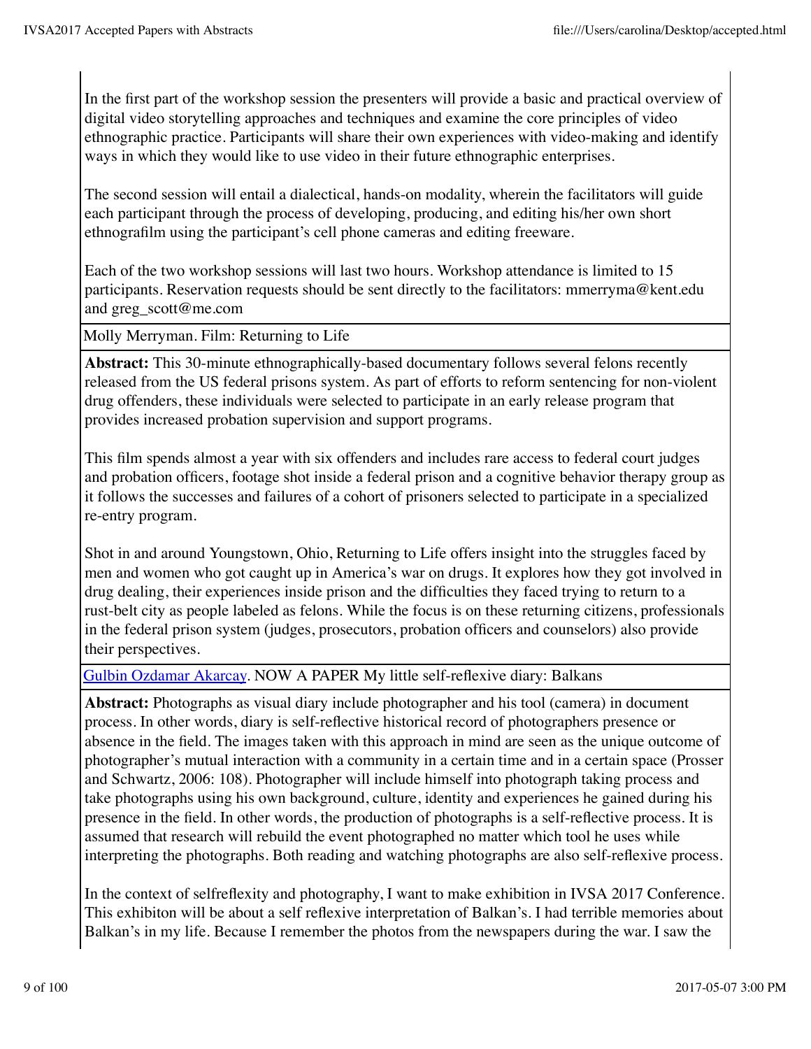In the first part of the workshop session the presenters will provide a basic and practical overview of digital video storytelling approaches and techniques and examine the core principles of video ethnographic practice. Participants will share their own experiences with video-making and identify ways in which they would like to use video in their future ethnographic enterprises.

The second session will entail a dialectical, hands-on modality, wherein the facilitators will guide each participant through the process of developing, producing, and editing his/her own short ethnografilm using the participant's cell phone cameras and editing freeware.

Each of the two workshop sessions will last two hours. Workshop attendance is limited to 15 participants. Reservation requests should be sent directly to the facilitators: mmerryma@kent.edu and greg\_scott@me.com

Molly Merryman. Film: Returning to Life

**Abstract:** This 30-minute ethnographically-based documentary follows several felons recently released from the US federal prisons system. As part of efforts to reform sentencing for non-violent drug offenders, these individuals were selected to participate in an early release program that provides increased probation supervision and support programs.

This film spends almost a year with six offenders and includes rare access to federal court judges and probation officers, footage shot inside a federal prison and a cognitive behavior therapy group as it follows the successes and failures of a cohort of prisoners selected to participate in a specialized re-entry program.

Shot in and around Youngstown, Ohio, Returning to Life offers insight into the struggles faced by men and women who got caught up in America's war on drugs. It explores how they got involved in drug dealing, their experiences inside prison and the difficulties they faced trying to return to a rust-belt city as people labeled as felons. While the focus is on these returning citizens, professionals in the federal prison system (judges, prosecutors, probation officers and counselors) also provide their perspectives.

### Gulbin Ozdamar Akarcay. NOW A PAPER My little self-reflexive diary: Balkans

**Abstract:** Photographs as visual diary include photographer and his tool (camera) in document process. In other words, diary is self-reflective historical record of photographers presence or absence in the field. The images taken with this approach in mind are seen as the unique outcome of photographer's mutual interaction with a community in a certain time and in a certain space (Prosser and Schwartz, 2006: 108). Photographer will include himself into photograph taking process and take photographs using his own background, culture, identity and experiences he gained during his presence in the field. In other words, the production of photographs is a self-reflective process. It is assumed that research will rebuild the event photographed no matter which tool he uses while interpreting the photographs. Both reading and watching photographs are also self-reflexive process.

In the context of selfreflexity and photography, I want to make exhibition in IVSA 2017 Conference. This exhibiton will be about a self reflexive interpretation of Balkan's. I had terrible memories about Balkan's in my life. Because I remember the photos from the newspapers during the war. I saw the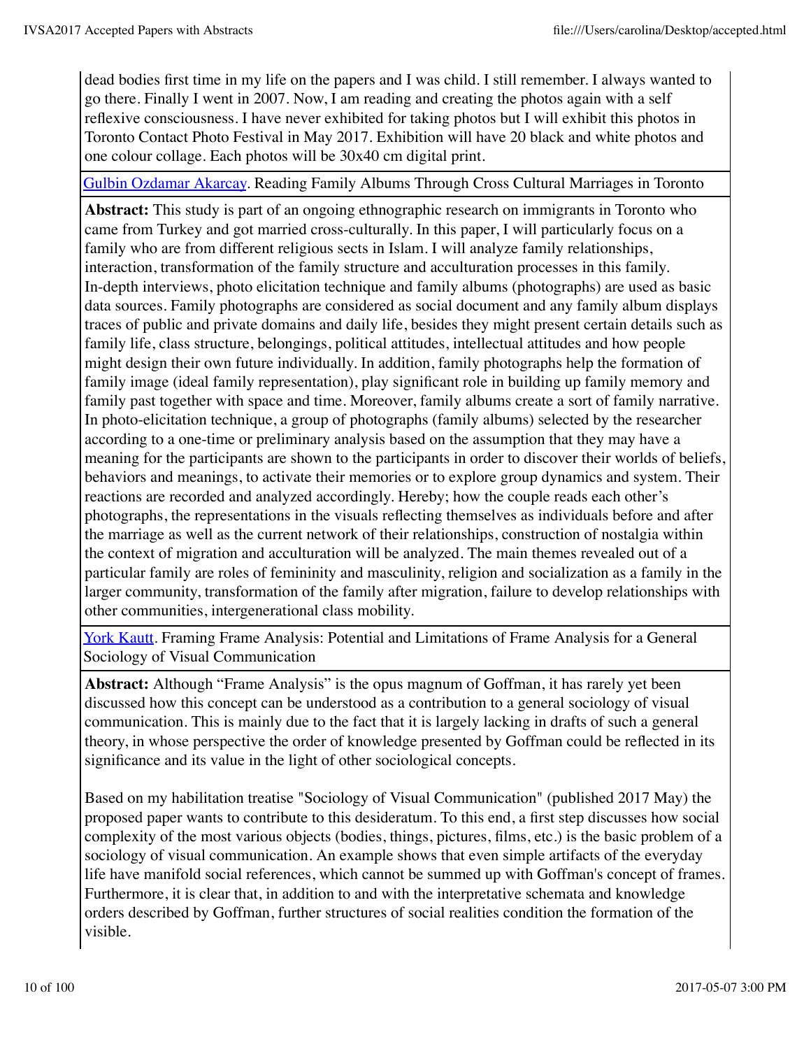dead bodies first time in my life on the papers and I was child. I still remember. I always wanted to go there. Finally I went in 2007. Now, I am reading and creating the photos again with a self reflexive consciousness. I have never exhibited for taking photos but I will exhibit this photos in Toronto Contact Photo Festival in May 2017. Exhibition will have 20 black and white photos and one colour collage. Each photos will be 30x40 cm digital print.

Gulbin Ozdamar Akarcay. Reading Family Albums Through Cross Cultural Marriages in Toronto

**Abstract:** This study is part of an ongoing ethnographic research on immigrants in Toronto who came from Turkey and got married cross-culturally. In this paper, I will particularly focus on a family who are from different religious sects in Islam. I will analyze family relationships, interaction, transformation of the family structure and acculturation processes in this family. In-depth interviews, photo elicitation technique and family albums (photographs) are used as basic data sources. Family photographs are considered as social document and any family album displays traces of public and private domains and daily life, besides they might present certain details such as family life, class structure, belongings, political attitudes, intellectual attitudes and how people might design their own future individually. In addition, family photographs help the formation of family image (ideal family representation), play significant role in building up family memory and family past together with space and time. Moreover, family albums create a sort of family narrative. In photo-elicitation technique, a group of photographs (family albums) selected by the researcher according to a one-time or preliminary analysis based on the assumption that they may have a meaning for the participants are shown to the participants in order to discover their worlds of beliefs, behaviors and meanings, to activate their memories or to explore group dynamics and system. Their reactions are recorded and analyzed accordingly. Hereby; how the couple reads each other's photographs, the representations in the visuals reflecting themselves as individuals before and after the marriage as well as the current network of their relationships, construction of nostalgia within the context of migration and acculturation will be analyzed. The main themes revealed out of a particular family are roles of femininity and masculinity, religion and socialization as a family in the larger community, transformation of the family after migration, failure to develop relationships with other communities, intergenerational class mobility.

York Kautt. Framing Frame Analysis: Potential and Limitations of Frame Analysis for a General Sociology of Visual Communication

**Abstract:** Although "Frame Analysis" is the opus magnum of Goffman, it has rarely yet been discussed how this concept can be understood as a contribution to a general sociology of visual communication. This is mainly due to the fact that it is largely lacking in drafts of such a general theory, in whose perspective the order of knowledge presented by Goffman could be reflected in its significance and its value in the light of other sociological concepts.

Based on my habilitation treatise "Sociology of Visual Communication" (published 2017 May) the proposed paper wants to contribute to this desideratum. To this end, a first step discusses how social complexity of the most various objects (bodies, things, pictures, films, etc.) is the basic problem of a sociology of visual communication. An example shows that even simple artifacts of the everyday life have manifold social references, which cannot be summed up with Goffman's concept of frames. Furthermore, it is clear that, in addition to and with the interpretative schemata and knowledge orders described by Goffman, further structures of social realities condition the formation of the visible.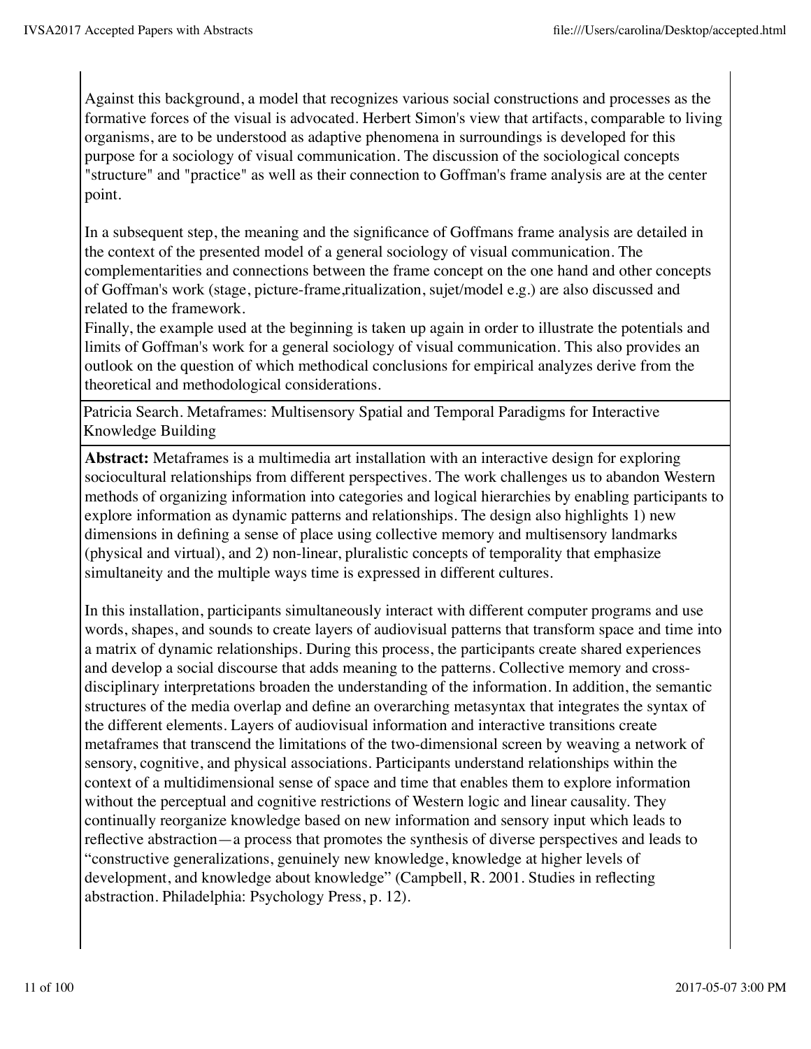Against this background, a model that recognizes various social constructions and processes as the formative forces of the visual is advocated. Herbert Simon's view that artifacts, comparable to living organisms, are to be understood as adaptive phenomena in surroundings is developed for this purpose for a sociology of visual communication. The discussion of the sociological concepts "structure" and "practice" as well as their connection to Goffman's frame analysis are at the center point.

In a subsequent step, the meaning and the significance of Goffmans frame analysis are detailed in the context of the presented model of a general sociology of visual communication. The complementarities and connections between the frame concept on the one hand and other concepts of Goffman's work (stage, picture-frame,ritualization, sujet/model e.g.) are also discussed and related to the framework.

Finally, the example used at the beginning is taken up again in order to illustrate the potentials and limits of Goffman's work for a general sociology of visual communication. This also provides an outlook on the question of which methodical conclusions for empirical analyzes derive from the theoretical and methodological considerations.

Patricia Search. Metaframes: Multisensory Spatial and Temporal Paradigms for Interactive Knowledge Building

**Abstract:** Metaframes is a multimedia art installation with an interactive design for exploring sociocultural relationships from different perspectives. The work challenges us to abandon Western methods of organizing information into categories and logical hierarchies by enabling participants to explore information as dynamic patterns and relationships. The design also highlights 1) new dimensions in defining a sense of place using collective memory and multisensory landmarks (physical and virtual), and 2) non-linear, pluralistic concepts of temporality that emphasize simultaneity and the multiple ways time is expressed in different cultures.

In this installation, participants simultaneously interact with different computer programs and use words, shapes, and sounds to create layers of audiovisual patterns that transform space and time into a matrix of dynamic relationships. During this process, the participants create shared experiences and develop a social discourse that adds meaning to the patterns. Collective memory and crossdisciplinary interpretations broaden the understanding of the information. In addition, the semantic structures of the media overlap and define an overarching metasyntax that integrates the syntax of the different elements. Layers of audiovisual information and interactive transitions create metaframes that transcend the limitations of the two-dimensional screen by weaving a network of sensory, cognitive, and physical associations. Participants understand relationships within the context of a multidimensional sense of space and time that enables them to explore information without the perceptual and cognitive restrictions of Western logic and linear causality. They continually reorganize knowledge based on new information and sensory input which leads to reflective abstraction—a process that promotes the synthesis of diverse perspectives and leads to "constructive generalizations, genuinely new knowledge, knowledge at higher levels of development, and knowledge about knowledge" (Campbell, R. 2001. Studies in reflecting abstraction. Philadelphia: Psychology Press, p. 12).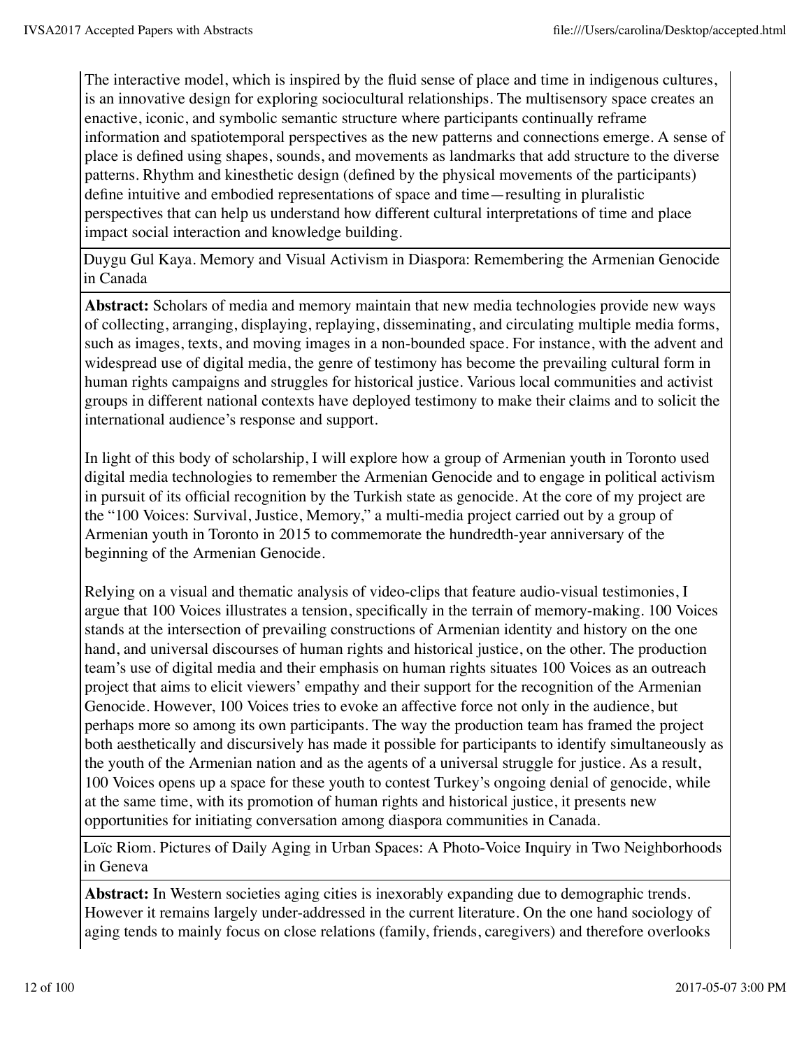The interactive model, which is inspired by the fluid sense of place and time in indigenous cultures, is an innovative design for exploring sociocultural relationships. The multisensory space creates an enactive, iconic, and symbolic semantic structure where participants continually reframe information and spatiotemporal perspectives as the new patterns and connections emerge. A sense of place is defined using shapes, sounds, and movements as landmarks that add structure to the diverse patterns. Rhythm and kinesthetic design (defined by the physical movements of the participants) define intuitive and embodied representations of space and time—resulting in pluralistic perspectives that can help us understand how different cultural interpretations of time and place impact social interaction and knowledge building.

Duygu Gul Kaya. Memory and Visual Activism in Diaspora: Remembering the Armenian Genocide in Canada

**Abstract:** Scholars of media and memory maintain that new media technologies provide new ways of collecting, arranging, displaying, replaying, disseminating, and circulating multiple media forms, such as images, texts, and moving images in a non-bounded space. For instance, with the advent and widespread use of digital media, the genre of testimony has become the prevailing cultural form in human rights campaigns and struggles for historical justice. Various local communities and activist groups in different national contexts have deployed testimony to make their claims and to solicit the international audience's response and support.

In light of this body of scholarship, I will explore how a group of Armenian youth in Toronto used digital media technologies to remember the Armenian Genocide and to engage in political activism in pursuit of its official recognition by the Turkish state as genocide. At the core of my project are the "100 Voices: Survival, Justice, Memory," a multi-media project carried out by a group of Armenian youth in Toronto in 2015 to commemorate the hundredth-year anniversary of the beginning of the Armenian Genocide.

Relying on a visual and thematic analysis of video-clips that feature audio-visual testimonies, I argue that 100 Voices illustrates a tension, specifically in the terrain of memory-making. 100 Voices stands at the intersection of prevailing constructions of Armenian identity and history on the one hand, and universal discourses of human rights and historical justice, on the other. The production team's use of digital media and their emphasis on human rights situates 100 Voices as an outreach project that aims to elicit viewers' empathy and their support for the recognition of the Armenian Genocide. However, 100 Voices tries to evoke an affective force not only in the audience, but perhaps more so among its own participants. The way the production team has framed the project both aesthetically and discursively has made it possible for participants to identify simultaneously as the youth of the Armenian nation and as the agents of a universal struggle for justice. As a result, 100 Voices opens up a space for these youth to contest Turkey's ongoing denial of genocide, while at the same time, with its promotion of human rights and historical justice, it presents new opportunities for initiating conversation among diaspora communities in Canada.

Loïc Riom. Pictures of Daily Aging in Urban Spaces: A Photo-Voice Inquiry in Two Neighborhoods in Geneva

Abstract: In Western societies aging cities is inexorably expanding due to demographic trends. However it remains largely under-addressed in the current literature. On the one hand sociology of aging tends to mainly focus on close relations (family, friends, caregivers) and therefore overlooks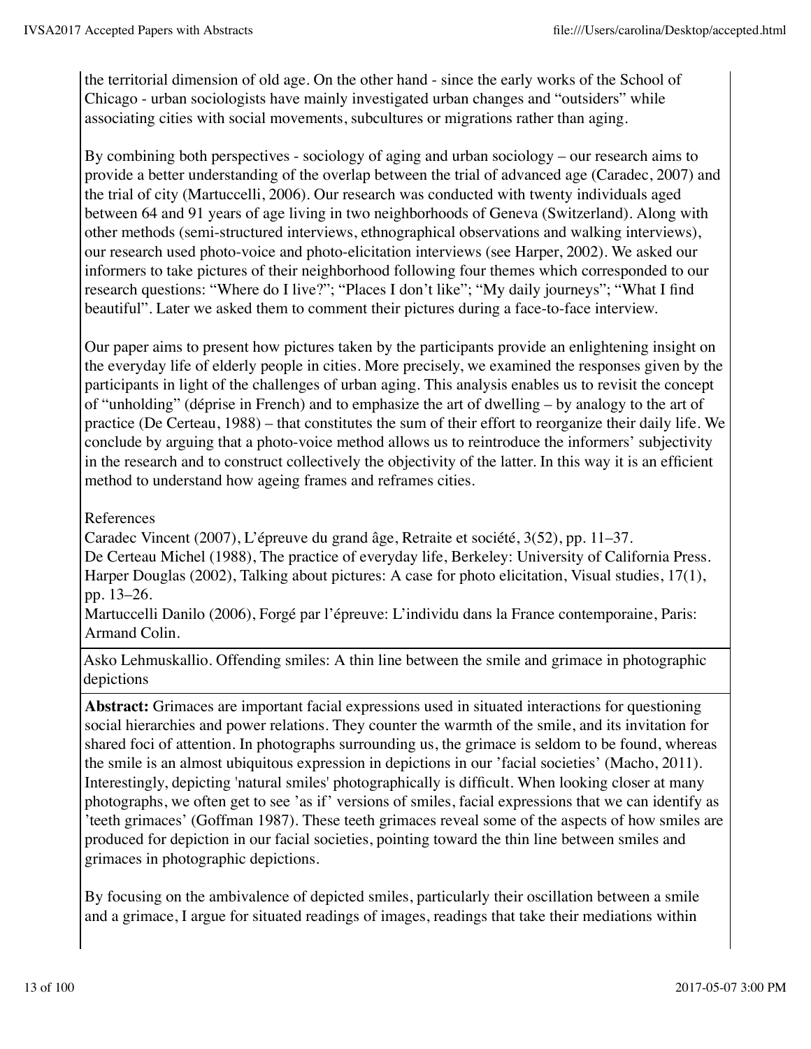the territorial dimension of old age. On the other hand - since the early works of the School of Chicago - urban sociologists have mainly investigated urban changes and "outsiders" while associating cities with social movements, subcultures or migrations rather than aging.

By combining both perspectives - sociology of aging and urban sociology – our research aims to provide a better understanding of the overlap between the trial of advanced age (Caradec, 2007) and the trial of city (Martuccelli, 2006). Our research was conducted with twenty individuals aged between 64 and 91 years of age living in two neighborhoods of Geneva (Switzerland). Along with other methods (semi-structured interviews, ethnographical observations and walking interviews), our research used photo-voice and photo-elicitation interviews (see Harper, 2002). We asked our informers to take pictures of their neighborhood following four themes which corresponded to our research questions: "Where do I live?"; "Places I don't like"; "My daily journeys"; "What I find beautiful". Later we asked them to comment their pictures during a face-to-face interview.

Our paper aims to present how pictures taken by the participants provide an enlightening insight on the everyday life of elderly people in cities. More precisely, we examined the responses given by the participants in light of the challenges of urban aging. This analysis enables us to revisit the concept of "unholding" (déprise in French) and to emphasize the art of dwelling – by analogy to the art of practice (De Certeau, 1988) – that constitutes the sum of their effort to reorganize their daily life. We conclude by arguing that a photo-voice method allows us to reintroduce the informers' subjectivity in the research and to construct collectively the objectivity of the latter. In this way it is an efficient method to understand how ageing frames and reframes cities.

References

Caradec Vincent (2007), L'épreuve du grand âge, Retraite et société, 3(52), pp. 11–37. De Certeau Michel (1988), The practice of everyday life, Berkeley: University of California Press. Harper Douglas (2002), Talking about pictures: A case for photo elicitation, Visual studies, 17(1), pp. 13–26.

Martuccelli Danilo (2006), Forgé par l'épreuve: L'individu dans la France contemporaine, Paris: Armand Colin.

Asko Lehmuskallio. Offending smiles: A thin line between the smile and grimace in photographic depictions

**Abstract:** Grimaces are important facial expressions used in situated interactions for questioning social hierarchies and power relations. They counter the warmth of the smile, and its invitation for shared foci of attention. In photographs surrounding us, the grimace is seldom to be found, whereas the smile is an almost ubiquitous expression in depictions in our 'facial societies' (Macho, 2011). Interestingly, depicting 'natural smiles' photographically is difficult. When looking closer at many photographs, we often get to see 'as if' versions of smiles, facial expressions that we can identify as 'teeth grimaces' (Goffman 1987). These teeth grimaces reveal some of the aspects of how smiles are produced for depiction in our facial societies, pointing toward the thin line between smiles and grimaces in photographic depictions.

By focusing on the ambivalence of depicted smiles, particularly their oscillation between a smile and a grimace, I argue for situated readings of images, readings that take their mediations within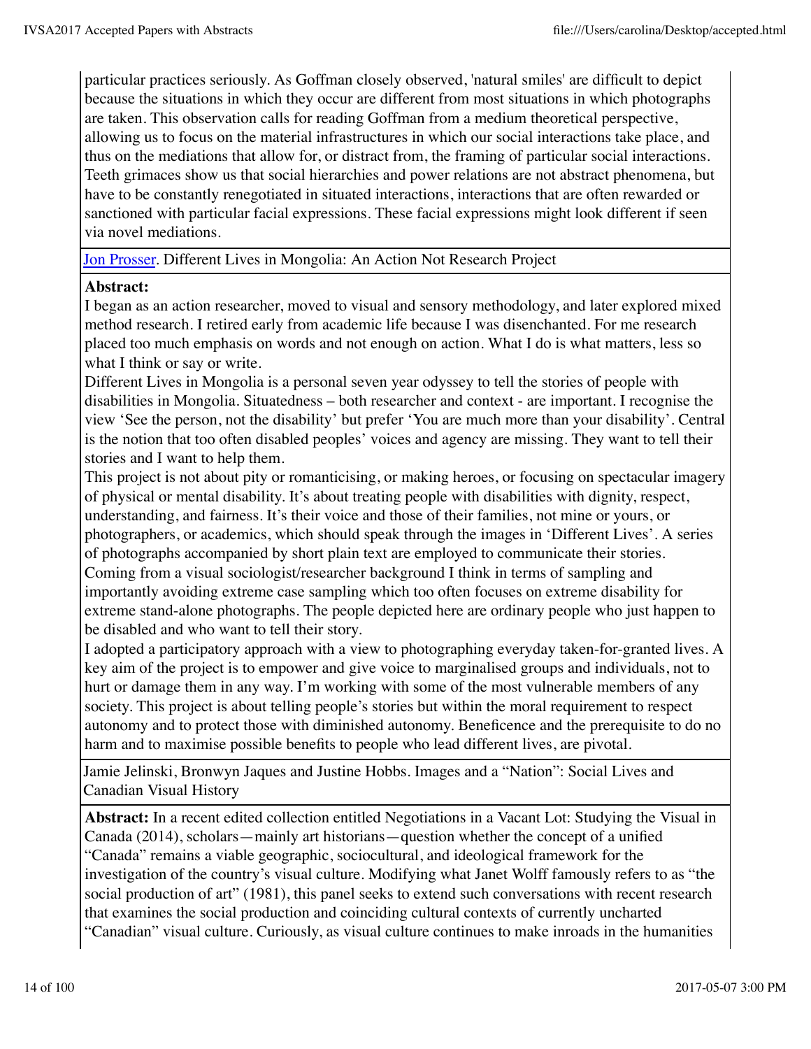particular practices seriously. As Goffman closely observed, 'natural smiles' are difficult to depict because the situations in which they occur are different from most situations in which photographs are taken. This observation calls for reading Goffman from a medium theoretical perspective, allowing us to focus on the material infrastructures in which our social interactions take place, and thus on the mediations that allow for, or distract from, the framing of particular social interactions. Teeth grimaces show us that social hierarchies and power relations are not abstract phenomena, but have to be constantly renegotiated in situated interactions, interactions that are often rewarded or sanctioned with particular facial expressions. These facial expressions might look different if seen via novel mediations.

Jon Prosser. Different Lives in Mongolia: An Action Not Research Project

#### **Abstract:**

I began as an action researcher, moved to visual and sensory methodology, and later explored mixed method research. I retired early from academic life because I was disenchanted. For me research placed too much emphasis on words and not enough on action. What I do is what matters, less so what I think or say or write.

Different Lives in Mongolia is a personal seven year odyssey to tell the stories of people with disabilities in Mongolia. Situatedness – both researcher and context - are important. I recognise the view 'See the person, not the disability' but prefer 'You are much more than your disability'. Central is the notion that too often disabled peoples' voices and agency are missing. They want to tell their stories and I want to help them.

This project is not about pity or romanticising, or making heroes, or focusing on spectacular imagery of physical or mental disability. It's about treating people with disabilities with dignity, respect, understanding, and fairness. It's their voice and those of their families, not mine or yours, or photographers, or academics, which should speak through the images in 'Different Lives'. A series of photographs accompanied by short plain text are employed to communicate their stories. Coming from a visual sociologist/researcher background I think in terms of sampling and importantly avoiding extreme case sampling which too often focuses on extreme disability for extreme stand-alone photographs. The people depicted here are ordinary people who just happen to be disabled and who want to tell their story.

I adopted a participatory approach with a view to photographing everyday taken-for-granted lives. A key aim of the project is to empower and give voice to marginalised groups and individuals, not to hurt or damage them in any way. I'm working with some of the most vulnerable members of any society. This project is about telling people's stories but within the moral requirement to respect autonomy and to protect those with diminished autonomy. Beneficence and the prerequisite to do no harm and to maximise possible benefits to people who lead different lives, are pivotal.

Jamie Jelinski, Bronwyn Jaques and Justine Hobbs. Images and a "Nation": Social Lives and Canadian Visual History

**Abstract:** In a recent edited collection entitled Negotiations in a Vacant Lot: Studying the Visual in Canada (2014), scholars—mainly art historians—question whether the concept of a unified "Canada" remains a viable geographic, sociocultural, and ideological framework for the investigation of the country's visual culture. Modifying what Janet Wolff famously refers to as "the social production of art" (1981), this panel seeks to extend such conversations with recent research that examines the social production and coinciding cultural contexts of currently uncharted "Canadian" visual culture. Curiously, as visual culture continues to make inroads in the humanities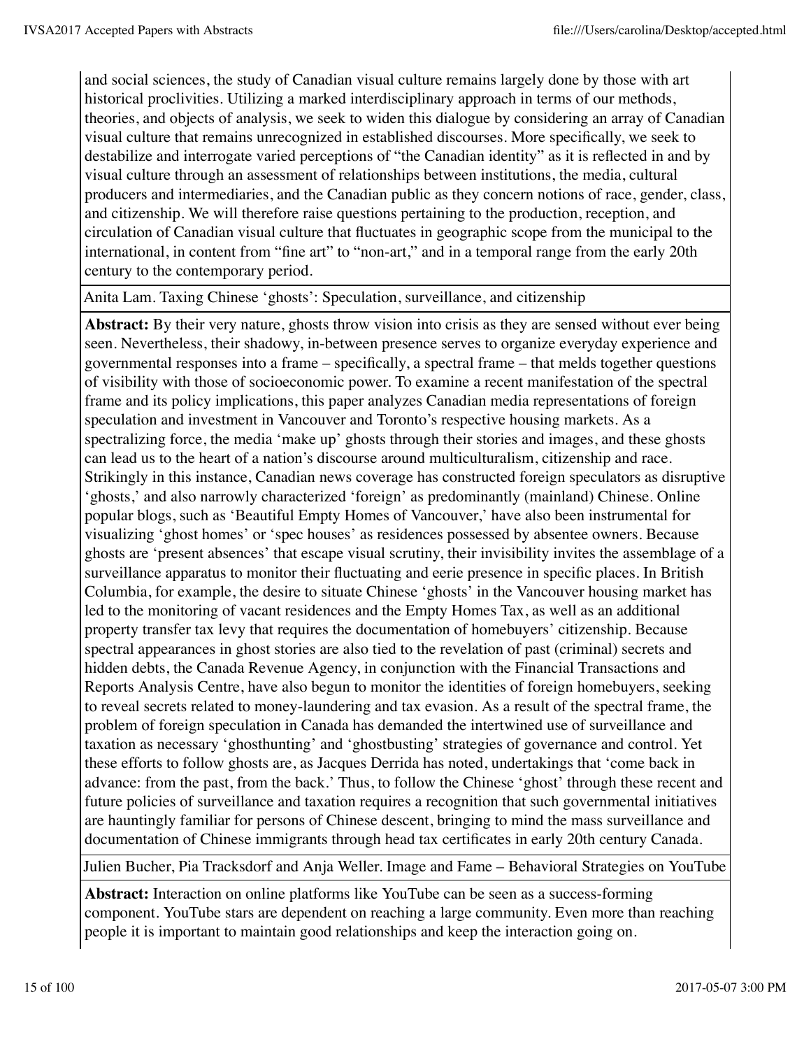and social sciences, the study of Canadian visual culture remains largely done by those with art historical proclivities. Utilizing a marked interdisciplinary approach in terms of our methods, theories, and objects of analysis, we seek to widen this dialogue by considering an array of Canadian visual culture that remains unrecognized in established discourses. More specifically, we seek to destabilize and interrogate varied perceptions of "the Canadian identity" as it is reflected in and by visual culture through an assessment of relationships between institutions, the media, cultural producers and intermediaries, and the Canadian public as they concern notions of race, gender, class, and citizenship. We will therefore raise questions pertaining to the production, reception, and circulation of Canadian visual culture that fluctuates in geographic scope from the municipal to the international, in content from "fine art" to "non-art," and in a temporal range from the early 20th century to the contemporary period.

Anita Lam. Taxing Chinese 'ghosts': Speculation, surveillance, and citizenship

**Abstract:** By their very nature, ghosts throw vision into crisis as they are sensed without ever being seen. Nevertheless, their shadowy, in-between presence serves to organize everyday experience and governmental responses into a frame – specifically, a spectral frame – that melds together questions of visibility with those of socioeconomic power. To examine a recent manifestation of the spectral frame and its policy implications, this paper analyzes Canadian media representations of foreign speculation and investment in Vancouver and Toronto's respective housing markets. As a spectralizing force, the media 'make up' ghosts through their stories and images, and these ghosts can lead us to the heart of a nation's discourse around multiculturalism, citizenship and race. Strikingly in this instance, Canadian news coverage has constructed foreign speculators as disruptive 'ghosts,' and also narrowly characterized 'foreign' as predominantly (mainland) Chinese. Online popular blogs, such as 'Beautiful Empty Homes of Vancouver,' have also been instrumental for visualizing 'ghost homes' or 'spec houses' as residences possessed by absentee owners. Because ghosts are 'present absences' that escape visual scrutiny, their invisibility invites the assemblage of a surveillance apparatus to monitor their fluctuating and eerie presence in specific places. In British Columbia, for example, the desire to situate Chinese 'ghosts' in the Vancouver housing market has led to the monitoring of vacant residences and the Empty Homes Tax, as well as an additional property transfer tax levy that requires the documentation of homebuyers' citizenship. Because spectral appearances in ghost stories are also tied to the revelation of past (criminal) secrets and hidden debts, the Canada Revenue Agency, in conjunction with the Financial Transactions and Reports Analysis Centre, have also begun to monitor the identities of foreign homebuyers, seeking to reveal secrets related to money-laundering and tax evasion. As a result of the spectral frame, the problem of foreign speculation in Canada has demanded the intertwined use of surveillance and taxation as necessary 'ghosthunting' and 'ghostbusting' strategies of governance and control. Yet these efforts to follow ghosts are, as Jacques Derrida has noted, undertakings that 'come back in advance: from the past, from the back.' Thus, to follow the Chinese 'ghost' through these recent and future policies of surveillance and taxation requires a recognition that such governmental initiatives are hauntingly familiar for persons of Chinese descent, bringing to mind the mass surveillance and documentation of Chinese immigrants through head tax certificates in early 20th century Canada.

Julien Bucher, Pia Tracksdorf and Anja Weller. Image and Fame – Behavioral Strategies on YouTube

**Abstract:** Interaction on online platforms like YouTube can be seen as a success-forming component. YouTube stars are dependent on reaching a large community. Even more than reaching people it is important to maintain good relationships and keep the interaction going on.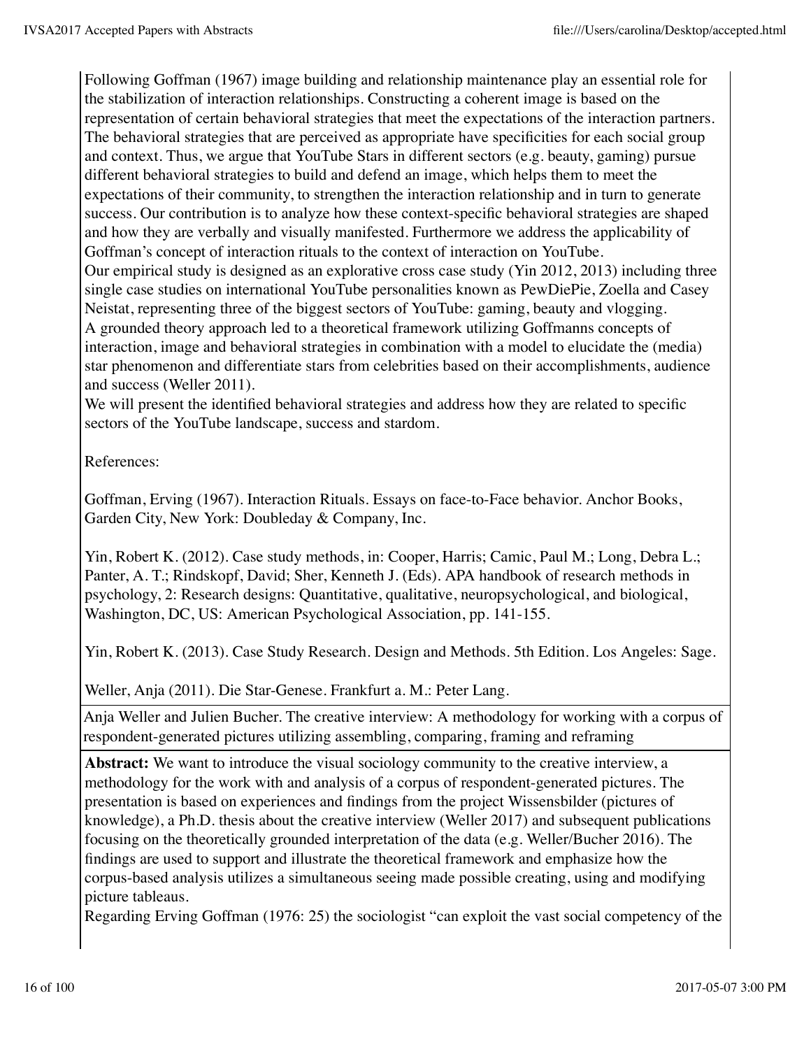Following Goffman (1967) image building and relationship maintenance play an essential role for the stabilization of interaction relationships. Constructing a coherent image is based on the representation of certain behavioral strategies that meet the expectations of the interaction partners. The behavioral strategies that are perceived as appropriate have specificities for each social group and context. Thus, we argue that YouTube Stars in different sectors (e.g. beauty, gaming) pursue different behavioral strategies to build and defend an image, which helps them to meet the expectations of their community, to strengthen the interaction relationship and in turn to generate success. Our contribution is to analyze how these context-specific behavioral strategies are shaped and how they are verbally and visually manifested. Furthermore we address the applicability of Goffman's concept of interaction rituals to the context of interaction on YouTube. Our empirical study is designed as an explorative cross case study (Yin 2012, 2013) including three single case studies on international YouTube personalities known as PewDiePie, Zoella and Casey Neistat, representing three of the biggest sectors of YouTube: gaming, beauty and vlogging. A grounded theory approach led to a theoretical framework utilizing Goffmanns concepts of interaction, image and behavioral strategies in combination with a model to elucidate the (media) star phenomenon and differentiate stars from celebrities based on their accomplishments, audience and success (Weller 2011).

We will present the identified behavioral strategies and address how they are related to specific sectors of the YouTube landscape, success and stardom.

References:

Goffman, Erving (1967). Interaction Rituals. Essays on face-to-Face behavior. Anchor Books, Garden City, New York: Doubleday & Company, Inc.

Yin, Robert K. (2012). Case study methods, in: Cooper, Harris; Camic, Paul M.; Long, Debra L.; Panter, A. T.; Rindskopf, David; Sher, Kenneth J. (Eds). APA handbook of research methods in psychology, 2: Research designs: Quantitative, qualitative, neuropsychological, and biological, Washington, DC, US: American Psychological Association, pp. 141-155.

Yin, Robert K. (2013). Case Study Research. Design and Methods. 5th Edition. Los Angeles: Sage.

Weller, Anja (2011). Die Star-Genese. Frankfurt a. M.: Peter Lang.

Anja Weller and Julien Bucher. The creative interview: A methodology for working with a corpus of respondent-generated pictures utilizing assembling, comparing, framing and reframing

Abstract: We want to introduce the visual sociology community to the creative interview, a methodology for the work with and analysis of a corpus of respondent-generated pictures. The presentation is based on experiences and findings from the project Wissensbilder (pictures of knowledge), a Ph.D. thesis about the creative interview (Weller 2017) and subsequent publications focusing on the theoretically grounded interpretation of the data (e.g. Weller/Bucher 2016). The findings are used to support and illustrate the theoretical framework and emphasize how the corpus-based analysis utilizes a simultaneous seeing made possible creating, using and modifying picture tableaus.

Regarding Erving Goffman (1976: 25) the sociologist "can exploit the vast social competency of the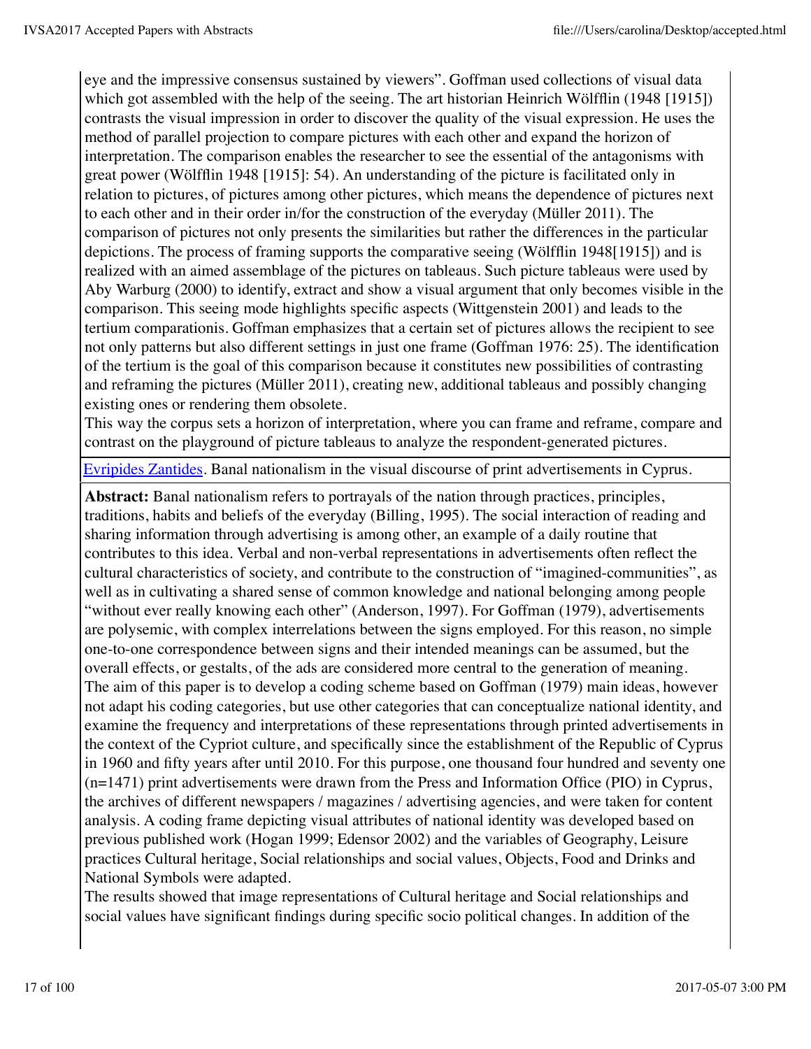eye and the impressive consensus sustained by viewers". Goffman used collections of visual data which got assembled with the help of the seeing. The art historian Heinrich Wölfflin (1948 [1915]) contrasts the visual impression in order to discover the quality of the visual expression. He uses the method of parallel projection to compare pictures with each other and expand the horizon of interpretation. The comparison enables the researcher to see the essential of the antagonisms with great power (Wölfflin 1948 [1915]: 54). An understanding of the picture is facilitated only in relation to pictures, of pictures among other pictures, which means the dependence of pictures next to each other and in their order in/for the construction of the everyday (Müller 2011). The comparison of pictures not only presents the similarities but rather the differences in the particular depictions. The process of framing supports the comparative seeing (Wölfflin 1948[1915]) and is realized with an aimed assemblage of the pictures on tableaus. Such picture tableaus were used by Aby Warburg (2000) to identify, extract and show a visual argument that only becomes visible in the comparison. This seeing mode highlights specific aspects (Wittgenstein 2001) and leads to the tertium comparationis. Goffman emphasizes that a certain set of pictures allows the recipient to see not only patterns but also different settings in just one frame (Goffman 1976: 25). The identification of the tertium is the goal of this comparison because it constitutes new possibilities of contrasting and reframing the pictures (Müller 2011), creating new, additional tableaus and possibly changing existing ones or rendering them obsolete.

This way the corpus sets a horizon of interpretation, where you can frame and reframe, compare and contrast on the playground of picture tableaus to analyze the respondent-generated pictures.

Evripides Zantides. Banal nationalism in the visual discourse of print advertisements in Cyprus.

**Abstract:** Banal nationalism refers to portrayals of the nation through practices, principles, traditions, habits and beliefs of the everyday (Billing, 1995). The social interaction of reading and sharing information through advertising is among other, an example of a daily routine that contributes to this idea. Verbal and non-verbal representations in advertisements often reflect the cultural characteristics of society, and contribute to the construction of "imagined-communities", as well as in cultivating a shared sense of common knowledge and national belonging among people "without ever really knowing each other" (Anderson, 1997). For Goffman (1979), advertisements are polysemic, with complex interrelations between the signs employed. For this reason, no simple one-to-one correspondence between signs and their intended meanings can be assumed, but the overall effects, or gestalts, of the ads are considered more central to the generation of meaning. The aim of this paper is to develop a coding scheme based on Goffman (1979) main ideas, however not adapt his coding categories, but use other categories that can conceptualize national identity, and examine the frequency and interpretations of these representations through printed advertisements in the context of the Cypriot culture, and specifically since the establishment of the Republic of Cyprus in 1960 and fifty years after until 2010. For this purpose, one thousand four hundred and seventy one (n=1471) print advertisements were drawn from the Press and Information Office (PIO) in Cyprus, the archives of different newspapers / magazines / advertising agencies, and were taken for content analysis. A coding frame depicting visual attributes of national identity was developed based on previous published work (Hogan 1999; Edensor 2002) and the variables of Geography, Leisure practices Cultural heritage, Social relationships and social values, Objects, Food and Drinks and National Symbols were adapted.

The results showed that image representations of Cultural heritage and Social relationships and social values have significant findings during specific socio political changes. In addition of the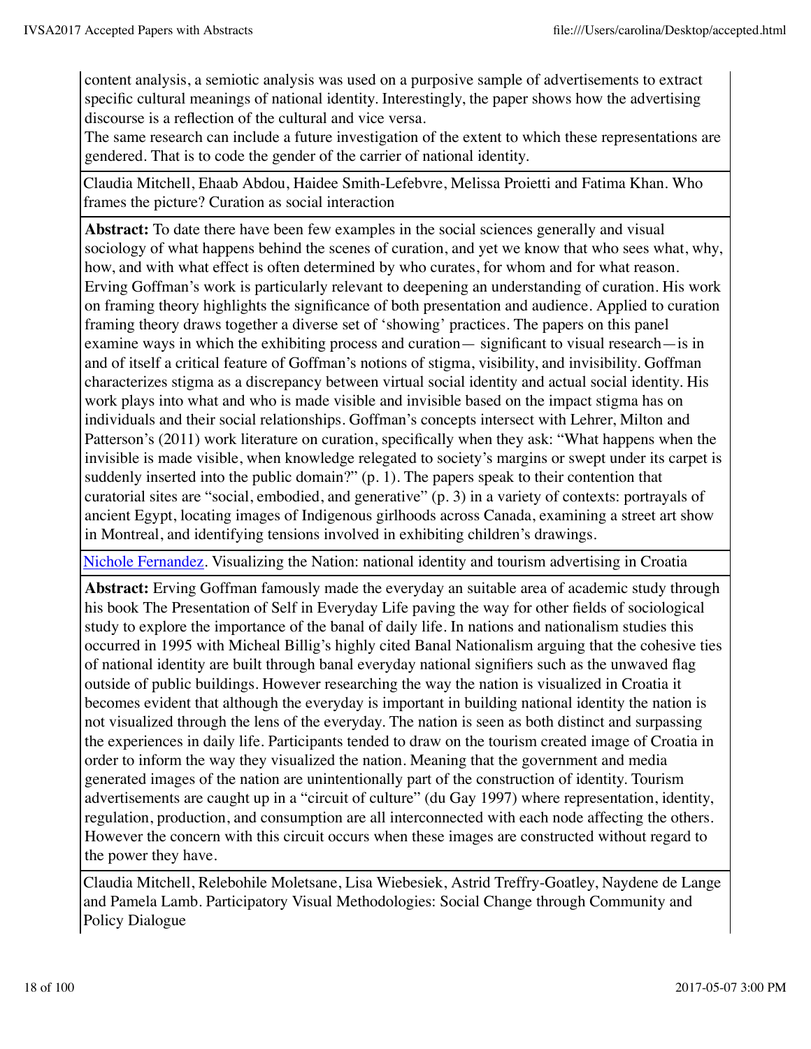content analysis, a semiotic analysis was used on a purposive sample of advertisements to extract specific cultural meanings of national identity. Interestingly, the paper shows how the advertising discourse is a reflection of the cultural and vice versa.

The same research can include a future investigation of the extent to which these representations are gendered. That is to code the gender of the carrier of national identity.

Claudia Mitchell, Ehaab Abdou, Haidee Smith-Lefebvre, Melissa Proietti and Fatima Khan. Who frames the picture? Curation as social interaction

**Abstract:** To date there have been few examples in the social sciences generally and visual sociology of what happens behind the scenes of curation, and yet we know that who sees what, why, how, and with what effect is often determined by who curates, for whom and for what reason. Erving Goffman's work is particularly relevant to deepening an understanding of curation. His work on framing theory highlights the significance of both presentation and audience. Applied to curation framing theory draws together a diverse set of 'showing' practices. The papers on this panel examine ways in which the exhibiting process and curation— significant to visual research—is in and of itself a critical feature of Goffman's notions of stigma, visibility, and invisibility. Goffman characterizes stigma as a discrepancy between virtual social identity and actual social identity. His work plays into what and who is made visible and invisible based on the impact stigma has on individuals and their social relationships. Goffman's concepts intersect with Lehrer, Milton and Patterson's (2011) work literature on curation, specifically when they ask: "What happens when the invisible is made visible, when knowledge relegated to society's margins or swept under its carpet is suddenly inserted into the public domain?" (p. 1). The papers speak to their contention that curatorial sites are "social, embodied, and generative" (p. 3) in a variety of contexts: portrayals of ancient Egypt, locating images of Indigenous girlhoods across Canada, examining a street art show in Montreal, and identifying tensions involved in exhibiting children's drawings.

Nichole Fernandez. Visualizing the Nation: national identity and tourism advertising in Croatia

**Abstract:** Erving Goffman famously made the everyday an suitable area of academic study through his book The Presentation of Self in Everyday Life paving the way for other fields of sociological study to explore the importance of the banal of daily life. In nations and nationalism studies this occurred in 1995 with Micheal Billig's highly cited Banal Nationalism arguing that the cohesive ties of national identity are built through banal everyday national signifiers such as the unwaved flag outside of public buildings. However researching the way the nation is visualized in Croatia it becomes evident that although the everyday is important in building national identity the nation is not visualized through the lens of the everyday. The nation is seen as both distinct and surpassing the experiences in daily life. Participants tended to draw on the tourism created image of Croatia in order to inform the way they visualized the nation. Meaning that the government and media generated images of the nation are unintentionally part of the construction of identity. Tourism advertisements are caught up in a "circuit of culture" (du Gay 1997) where representation, identity, regulation, production, and consumption are all interconnected with each node affecting the others. However the concern with this circuit occurs when these images are constructed without regard to the power they have.

Claudia Mitchell, Relebohile Moletsane, Lisa Wiebesiek, Astrid Treffry-Goatley, Naydene de Lange and Pamela Lamb. Participatory Visual Methodologies: Social Change through Community and Policy Dialogue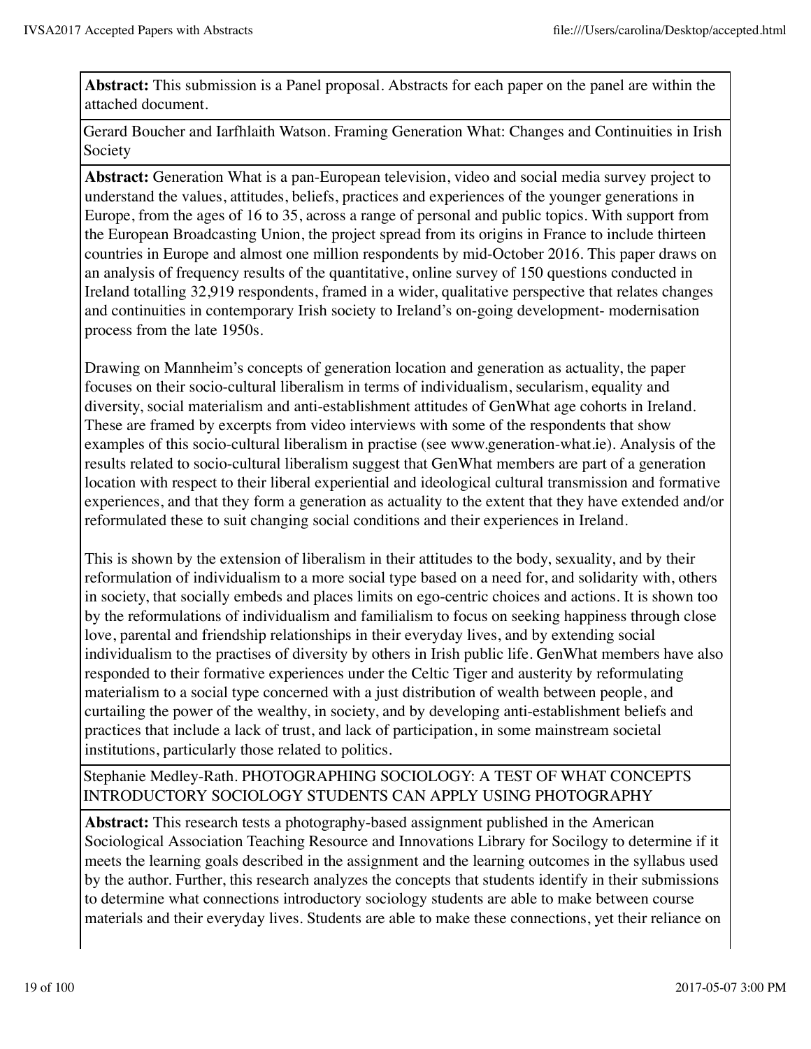**Abstract:** This submission is a Panel proposal. Abstracts for each paper on the panel are within the attached document.

Gerard Boucher and Iarfhlaith Watson. Framing Generation What: Changes and Continuities in Irish Society

**Abstract:** Generation What is a pan-European television, video and social media survey project to understand the values, attitudes, beliefs, practices and experiences of the younger generations in Europe, from the ages of 16 to 35, across a range of personal and public topics. With support from the European Broadcasting Union, the project spread from its origins in France to include thirteen countries in Europe and almost one million respondents by mid-October 2016. This paper draws on an analysis of frequency results of the quantitative, online survey of 150 questions conducted in Ireland totalling 32,919 respondents, framed in a wider, qualitative perspective that relates changes and continuities in contemporary Irish society to Ireland's on-going development- modernisation process from the late 1950s.

Drawing on Mannheim's concepts of generation location and generation as actuality, the paper focuses on their socio-cultural liberalism in terms of individualism, secularism, equality and diversity, social materialism and anti-establishment attitudes of GenWhat age cohorts in Ireland. These are framed by excerpts from video interviews with some of the respondents that show examples of this socio-cultural liberalism in practise (see www.generation-what.ie). Analysis of the results related to socio-cultural liberalism suggest that GenWhat members are part of a generation location with respect to their liberal experiential and ideological cultural transmission and formative experiences, and that they form a generation as actuality to the extent that they have extended and/or reformulated these to suit changing social conditions and their experiences in Ireland.

This is shown by the extension of liberalism in their attitudes to the body, sexuality, and by their reformulation of individualism to a more social type based on a need for, and solidarity with, others in society, that socially embeds and places limits on ego-centric choices and actions. It is shown too by the reformulations of individualism and familialism to focus on seeking happiness through close love, parental and friendship relationships in their everyday lives, and by extending social individualism to the practises of diversity by others in Irish public life. GenWhat members have also responded to their formative experiences under the Celtic Tiger and austerity by reformulating materialism to a social type concerned with a just distribution of wealth between people, and curtailing the power of the wealthy, in society, and by developing anti-establishment beliefs and practices that include a lack of trust, and lack of participation, in some mainstream societal institutions, particularly those related to politics.

Stephanie Medley-Rath. PHOTOGRAPHING SOCIOLOGY: A TEST OF WHAT CONCEPTS INTRODUCTORY SOCIOLOGY STUDENTS CAN APPLY USING PHOTOGRAPHY

**Abstract:** This research tests a photography-based assignment published in the American Sociological Association Teaching Resource and Innovations Library for Socilogy to determine if it meets the learning goals described in the assignment and the learning outcomes in the syllabus used by the author. Further, this research analyzes the concepts that students identify in their submissions to determine what connections introductory sociology students are able to make between course materials and their everyday lives. Students are able to make these connections, yet their reliance on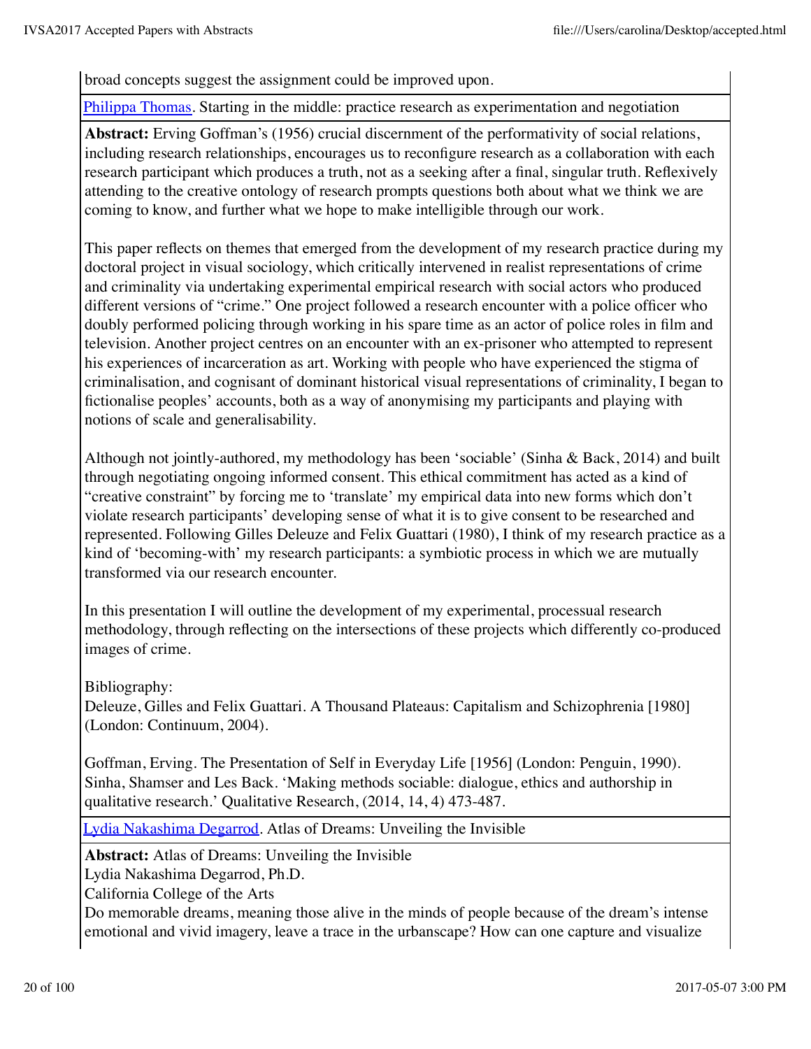broad concepts suggest the assignment could be improved upon.

Philippa Thomas. Starting in the middle: practice research as experimentation and negotiation

**Abstract:** Erving Goffman's (1956) crucial discernment of the performativity of social relations, including research relationships, encourages us to reconfigure research as a collaboration with each research participant which produces a truth, not as a seeking after a final, singular truth. Reflexively attending to the creative ontology of research prompts questions both about what we think we are coming to know, and further what we hope to make intelligible through our work.

This paper reflects on themes that emerged from the development of my research practice during my doctoral project in visual sociology, which critically intervened in realist representations of crime and criminality via undertaking experimental empirical research with social actors who produced different versions of "crime." One project followed a research encounter with a police officer who doubly performed policing through working in his spare time as an actor of police roles in film and television. Another project centres on an encounter with an ex-prisoner who attempted to represent his experiences of incarceration as art. Working with people who have experienced the stigma of criminalisation, and cognisant of dominant historical visual representations of criminality, I began to fictionalise peoples' accounts, both as a way of anonymising my participants and playing with notions of scale and generalisability.

Although not jointly-authored, my methodology has been 'sociable' (Sinha & Back, 2014) and built through negotiating ongoing informed consent. This ethical commitment has acted as a kind of "creative constraint" by forcing me to 'translate' my empirical data into new forms which don't violate research participants' developing sense of what it is to give consent to be researched and represented. Following Gilles Deleuze and Felix Guattari (1980), I think of my research practice as a kind of 'becoming-with' my research participants: a symbiotic process in which we are mutually transformed via our research encounter.

In this presentation I will outline the development of my experimental, processual research methodology, through reflecting on the intersections of these projects which differently co-produced images of crime.

Bibliography:

Deleuze, Gilles and Felix Guattari. A Thousand Plateaus: Capitalism and Schizophrenia [1980] (London: Continuum, 2004).

Goffman, Erving. The Presentation of Self in Everyday Life [1956] (London: Penguin, 1990). Sinha, Shamser and Les Back. 'Making methods sociable: dialogue, ethics and authorship in qualitative research.' Qualitative Research, (2014, 14, 4) 473-487.

Lydia Nakashima Degarrod. Atlas of Dreams: Unveiling the Invisible

**Abstract:** Atlas of Dreams: Unveiling the Invisible

Lydia Nakashima Degarrod, Ph.D.

California College of the Arts

Do memorable dreams, meaning those alive in the minds of people because of the dream's intense emotional and vivid imagery, leave a trace in the urbanscape? How can one capture and visualize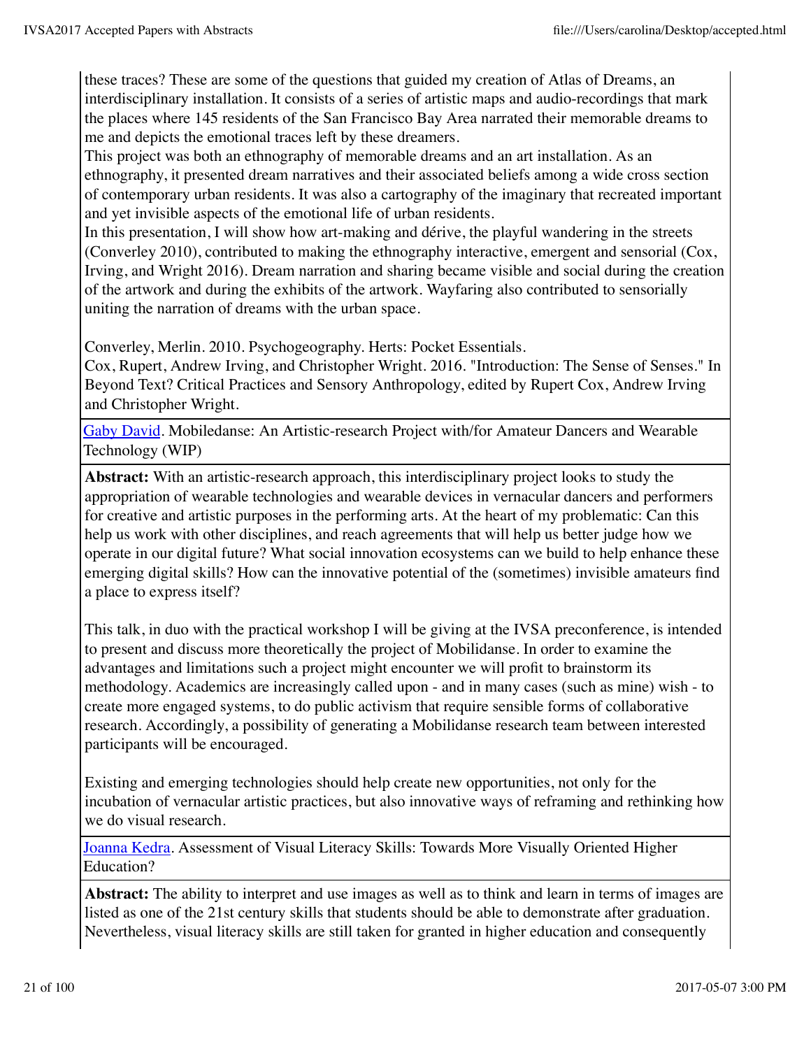these traces? These are some of the questions that guided my creation of Atlas of Dreams, an interdisciplinary installation. It consists of a series of artistic maps and audio-recordings that mark the places where 145 residents of the San Francisco Bay Area narrated their memorable dreams to me and depicts the emotional traces left by these dreamers.

This project was both an ethnography of memorable dreams and an art installation. As an ethnography, it presented dream narratives and their associated beliefs among a wide cross section of contemporary urban residents. It was also a cartography of the imaginary that recreated important and yet invisible aspects of the emotional life of urban residents.

In this presentation, I will show how art-making and dérive, the playful wandering in the streets (Converley 2010), contributed to making the ethnography interactive, emergent and sensorial (Cox, Irving, and Wright 2016). Dream narration and sharing became visible and social during the creation of the artwork and during the exhibits of the artwork. Wayfaring also contributed to sensorially uniting the narration of dreams with the urban space.

Converley, Merlin. 2010. Psychogeography. Herts: Pocket Essentials.

Cox, Rupert, Andrew Irving, and Christopher Wright. 2016. "Introduction: The Sense of Senses." In Beyond Text? Critical Practices and Sensory Anthropology, edited by Rupert Cox, Andrew Irving and Christopher Wright.

Gaby David. Mobiledanse: An Artistic-research Project with/for Amateur Dancers and Wearable Technology (WIP)

**Abstract:** With an artistic-research approach, this interdisciplinary project looks to study the appropriation of wearable technologies and wearable devices in vernacular dancers and performers for creative and artistic purposes in the performing arts. At the heart of my problematic: Can this help us work with other disciplines, and reach agreements that will help us better judge how we operate in our digital future? What social innovation ecosystems can we build to help enhance these emerging digital skills? How can the innovative potential of the (sometimes) invisible amateurs find a place to express itself?

This talk, in duo with the practical workshop I will be giving at the IVSA preconference, is intended to present and discuss more theoretically the project of Mobilidanse. In order to examine the advantages and limitations such a project might encounter we will profit to brainstorm its methodology. Academics are increasingly called upon - and in many cases (such as mine) wish - to create more engaged systems, to do public activism that require sensible forms of collaborative research. Accordingly, a possibility of generating a Mobilidanse research team between interested participants will be encouraged.

Existing and emerging technologies should help create new opportunities, not only for the incubation of vernacular artistic practices, but also innovative ways of reframing and rethinking how we do visual research.

Joanna Kedra. Assessment of Visual Literacy Skills: Towards More Visually Oriented Higher Education?

**Abstract:** The ability to interpret and use images as well as to think and learn in terms of images are listed as one of the 21st century skills that students should be able to demonstrate after graduation. Nevertheless, visual literacy skills are still taken for granted in higher education and consequently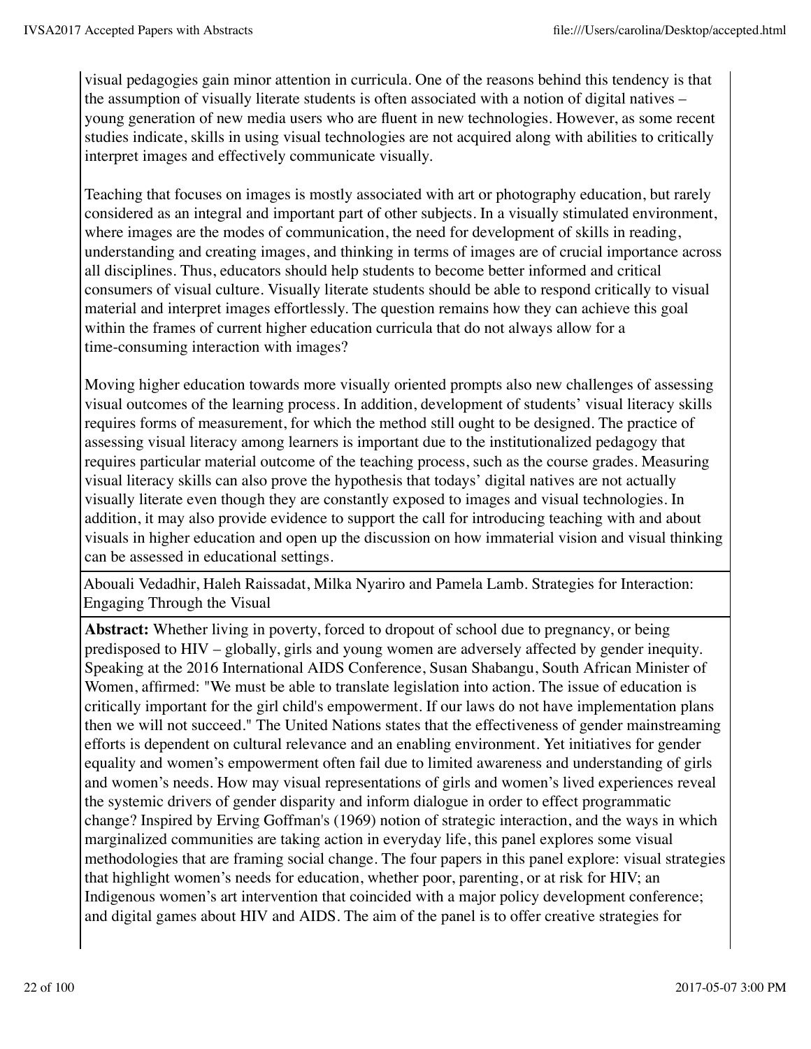visual pedagogies gain minor attention in curricula. One of the reasons behind this tendency is that the assumption of visually literate students is often associated with a notion of digital natives – young generation of new media users who are fluent in new technologies. However, as some recent studies indicate, skills in using visual technologies are not acquired along with abilities to critically interpret images and effectively communicate visually.

Teaching that focuses on images is mostly associated with art or photography education, but rarely considered as an integral and important part of other subjects. In a visually stimulated environment, where images are the modes of communication, the need for development of skills in reading, understanding and creating images, and thinking in terms of images are of crucial importance across all disciplines. Thus, educators should help students to become better informed and critical consumers of visual culture. Visually literate students should be able to respond critically to visual material and interpret images effortlessly. The question remains how they can achieve this goal within the frames of current higher education curricula that do not always allow for a time-consuming interaction with images?

Moving higher education towards more visually oriented prompts also new challenges of assessing visual outcomes of the learning process. In addition, development of students' visual literacy skills requires forms of measurement, for which the method still ought to be designed. The practice of assessing visual literacy among learners is important due to the institutionalized pedagogy that requires particular material outcome of the teaching process, such as the course grades. Measuring visual literacy skills can also prove the hypothesis that todays' digital natives are not actually visually literate even though they are constantly exposed to images and visual technologies. In addition, it may also provide evidence to support the call for introducing teaching with and about visuals in higher education and open up the discussion on how immaterial vision and visual thinking can be assessed in educational settings.

Abouali Vedadhir, Haleh Raissadat, Milka Nyariro and Pamela Lamb. Strategies for Interaction: Engaging Through the Visual

**Abstract:** Whether living in poverty, forced to dropout of school due to pregnancy, or being predisposed to HIV – globally, girls and young women are adversely affected by gender inequity. Speaking at the 2016 International AIDS Conference, Susan Shabangu, South African Minister of Women, affirmed: "We must be able to translate legislation into action. The issue of education is critically important for the girl child's empowerment. If our laws do not have implementation plans then we will not succeed." The United Nations states that the effectiveness of gender mainstreaming efforts is dependent on cultural relevance and an enabling environment. Yet initiatives for gender equality and women's empowerment often fail due to limited awareness and understanding of girls and women's needs. How may visual representations of girls and women's lived experiences reveal the systemic drivers of gender disparity and inform dialogue in order to effect programmatic change? Inspired by Erving Goffman's (1969) notion of strategic interaction, and the ways in which marginalized communities are taking action in everyday life, this panel explores some visual methodologies that are framing social change. The four papers in this panel explore: visual strategies that highlight women's needs for education, whether poor, parenting, or at risk for HIV; an Indigenous women's art intervention that coincided with a major policy development conference; and digital games about HIV and AIDS. The aim of the panel is to offer creative strategies for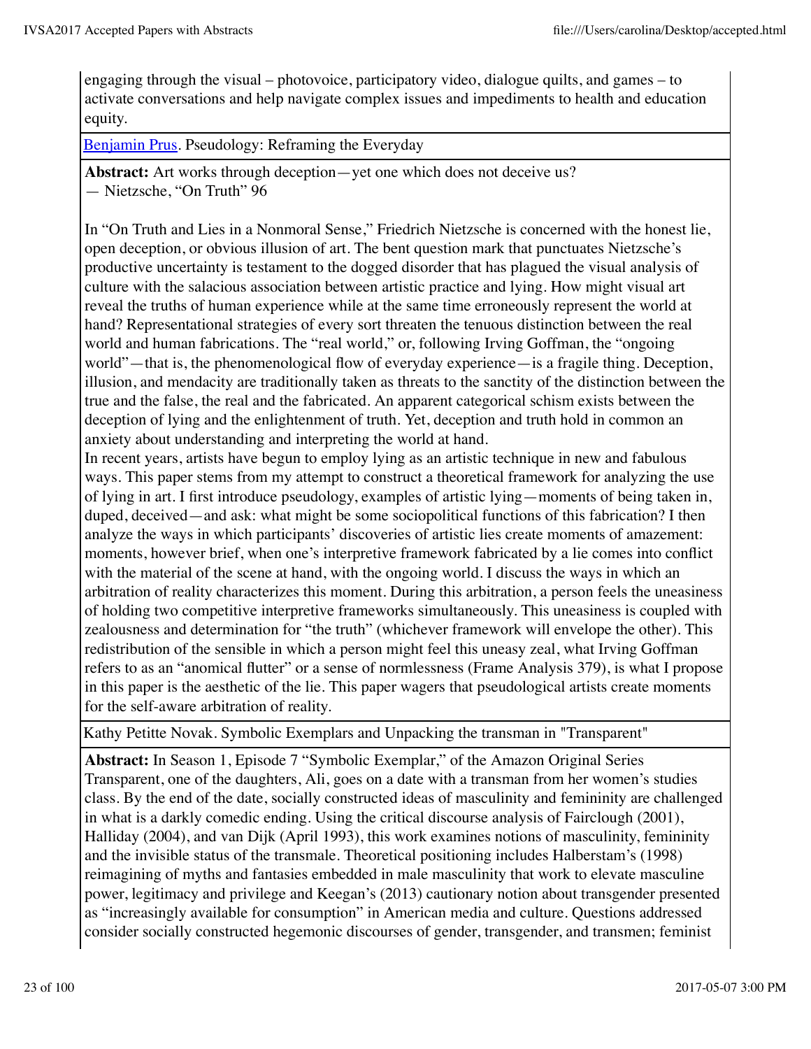engaging through the visual – photovoice, participatory video, dialogue quilts, and games – to activate conversations and help navigate complex issues and impediments to health and education equity.

Benjamin Prus. Pseudology: Reframing the Everyday

Abstract: Art works through deception—yet one which does not deceive us? — Nietzsche, "On Truth" 96

In "On Truth and Lies in a Nonmoral Sense," Friedrich Nietzsche is concerned with the honest lie, open deception, or obvious illusion of art. The bent question mark that punctuates Nietzsche's productive uncertainty is testament to the dogged disorder that has plagued the visual analysis of culture with the salacious association between artistic practice and lying. How might visual art reveal the truths of human experience while at the same time erroneously represent the world at hand? Representational strategies of every sort threaten the tenuous distinction between the real world and human fabrications. The "real world," or, following Irving Goffman, the "ongoing world"—that is, the phenomenological flow of everyday experience—is a fragile thing. Deception, illusion, and mendacity are traditionally taken as threats to the sanctity of the distinction between the true and the false, the real and the fabricated. An apparent categorical schism exists between the deception of lying and the enlightenment of truth. Yet, deception and truth hold in common an anxiety about understanding and interpreting the world at hand.

In recent years, artists have begun to employ lying as an artistic technique in new and fabulous ways. This paper stems from my attempt to construct a theoretical framework for analyzing the use of lying in art. I first introduce pseudology, examples of artistic lying—moments of being taken in, duped, deceived—and ask: what might be some sociopolitical functions of this fabrication? I then analyze the ways in which participants' discoveries of artistic lies create moments of amazement: moments, however brief, when one's interpretive framework fabricated by a lie comes into conflict with the material of the scene at hand, with the ongoing world. I discuss the ways in which an arbitration of reality characterizes this moment. During this arbitration, a person feels the uneasiness of holding two competitive interpretive frameworks simultaneously. This uneasiness is coupled with zealousness and determination for "the truth" (whichever framework will envelope the other). This redistribution of the sensible in which a person might feel this uneasy zeal, what Irving Goffman refers to as an "anomical flutter" or a sense of normlessness (Frame Analysis 379), is what I propose in this paper is the aesthetic of the lie. This paper wagers that pseudological artists create moments for the self-aware arbitration of reality.

Kathy Petitte Novak. Symbolic Exemplars and Unpacking the transman in "Transparent"

**Abstract:** In Season 1, Episode 7 "Symbolic Exemplar," of the Amazon Original Series Transparent, one of the daughters, Ali, goes on a date with a transman from her women's studies class. By the end of the date, socially constructed ideas of masculinity and femininity are challenged in what is a darkly comedic ending. Using the critical discourse analysis of Fairclough (2001), Halliday (2004), and van Dijk (April 1993), this work examines notions of masculinity, femininity and the invisible status of the transmale. Theoretical positioning includes Halberstam's (1998) reimagining of myths and fantasies embedded in male masculinity that work to elevate masculine power, legitimacy and privilege and Keegan's (2013) cautionary notion about transgender presented as "increasingly available for consumption" in American media and culture. Questions addressed consider socially constructed hegemonic discourses of gender, transgender, and transmen; feminist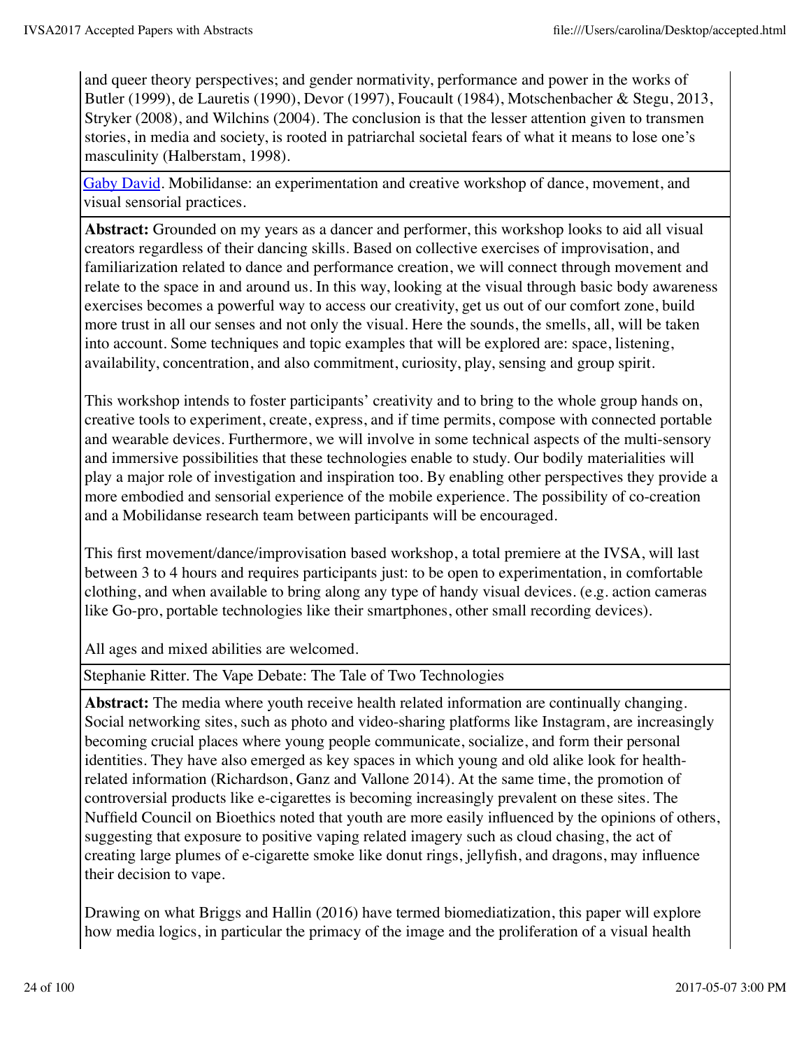and queer theory perspectives; and gender normativity, performance and power in the works of Butler (1999), de Lauretis (1990), Devor (1997), Foucault (1984), Motschenbacher & Stegu, 2013, Stryker (2008), and Wilchins (2004). The conclusion is that the lesser attention given to transmen stories, in media and society, is rooted in patriarchal societal fears of what it means to lose one's masculinity (Halberstam, 1998).

Gaby David. Mobilidanse: an experimentation and creative workshop of dance, movement, and visual sensorial practices.

**Abstract:** Grounded on my years as a dancer and performer, this workshop looks to aid all visual creators regardless of their dancing skills. Based on collective exercises of improvisation, and familiarization related to dance and performance creation, we will connect through movement and relate to the space in and around us. In this way, looking at the visual through basic body awareness exercises becomes a powerful way to access our creativity, get us out of our comfort zone, build more trust in all our senses and not only the visual. Here the sounds, the smells, all, will be taken into account. Some techniques and topic examples that will be explored are: space, listening, availability, concentration, and also commitment, curiosity, play, sensing and group spirit.

This workshop intends to foster participants' creativity and to bring to the whole group hands on, creative tools to experiment, create, express, and if time permits, compose with connected portable and wearable devices. Furthermore, we will involve in some technical aspects of the multi-sensory and immersive possibilities that these technologies enable to study. Our bodily materialities will play a major role of investigation and inspiration too. By enabling other perspectives they provide a more embodied and sensorial experience of the mobile experience. The possibility of co-creation and a Mobilidanse research team between participants will be encouraged.

This first movement/dance/improvisation based workshop, a total premiere at the IVSA, will last between 3 to 4 hours and requires participants just: to be open to experimentation, in comfortable clothing, and when available to bring along any type of handy visual devices. (e.g. action cameras like Go-pro, portable technologies like their smartphones, other small recording devices).

All ages and mixed abilities are welcomed.

Stephanie Ritter. The Vape Debate: The Tale of Two Technologies

**Abstract:** The media where youth receive health related information are continually changing. Social networking sites, such as photo and video-sharing platforms like Instagram, are increasingly becoming crucial places where young people communicate, socialize, and form their personal identities. They have also emerged as key spaces in which young and old alike look for healthrelated information (Richardson, Ganz and Vallone 2014). At the same time, the promotion of controversial products like e-cigarettes is becoming increasingly prevalent on these sites. The Nuffield Council on Bioethics noted that youth are more easily influenced by the opinions of others, suggesting that exposure to positive vaping related imagery such as cloud chasing, the act of creating large plumes of e-cigarette smoke like donut rings, jellyfish, and dragons, may influence their decision to vape.

Drawing on what Briggs and Hallin (2016) have termed biomediatization, this paper will explore how media logics, in particular the primacy of the image and the proliferation of a visual health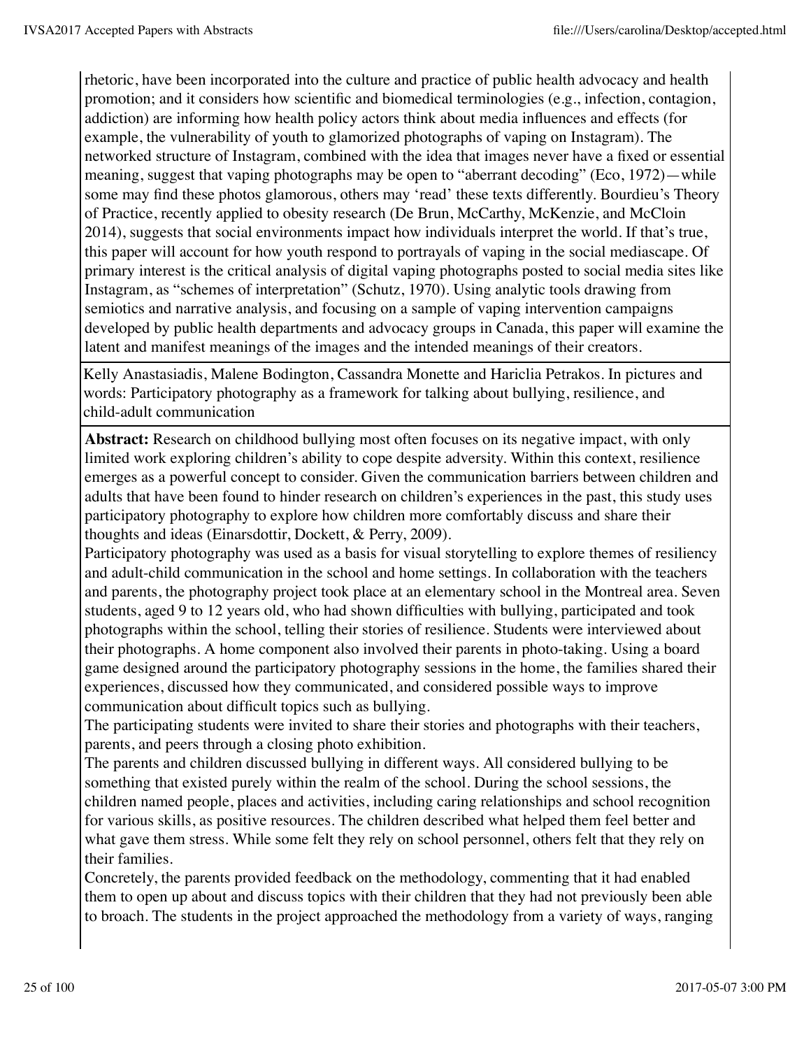rhetoric, have been incorporated into the culture and practice of public health advocacy and health promotion; and it considers how scientific and biomedical terminologies (e.g., infection, contagion, addiction) are informing how health policy actors think about media influences and effects (for example, the vulnerability of youth to glamorized photographs of vaping on Instagram). The networked structure of Instagram, combined with the idea that images never have a fixed or essential meaning, suggest that vaping photographs may be open to "aberrant decoding" (Eco, 1972)—while some may find these photos glamorous, others may 'read' these texts differently. Bourdieu's Theory of Practice, recently applied to obesity research (De Brun, McCarthy, McKenzie, and McCloin 2014), suggests that social environments impact how individuals interpret the world. If that's true, this paper will account for how youth respond to portrayals of vaping in the social mediascape. Of primary interest is the critical analysis of digital vaping photographs posted to social media sites like Instagram, as "schemes of interpretation" (Schutz, 1970). Using analytic tools drawing from semiotics and narrative analysis, and focusing on a sample of vaping intervention campaigns developed by public health departments and advocacy groups in Canada, this paper will examine the latent and manifest meanings of the images and the intended meanings of their creators.

Kelly Anastasiadis, Malene Bodington, Cassandra Monette and Hariclia Petrakos. In pictures and words: Participatory photography as a framework for talking about bullying, resilience, and child-adult communication

**Abstract:** Research on childhood bullying most often focuses on its negative impact, with only limited work exploring children's ability to cope despite adversity. Within this context, resilience emerges as a powerful concept to consider. Given the communication barriers between children and adults that have been found to hinder research on children's experiences in the past, this study uses participatory photography to explore how children more comfortably discuss and share their thoughts and ideas (Einarsdottir, Dockett, & Perry, 2009).

Participatory photography was used as a basis for visual storytelling to explore themes of resiliency and adult-child communication in the school and home settings. In collaboration with the teachers and parents, the photography project took place at an elementary school in the Montreal area. Seven students, aged 9 to 12 years old, who had shown difficulties with bullying, participated and took photographs within the school, telling their stories of resilience. Students were interviewed about their photographs. A home component also involved their parents in photo-taking. Using a board game designed around the participatory photography sessions in the home, the families shared their experiences, discussed how they communicated, and considered possible ways to improve communication about difficult topics such as bullying.

The participating students were invited to share their stories and photographs with their teachers, parents, and peers through a closing photo exhibition.

The parents and children discussed bullying in different ways. All considered bullying to be something that existed purely within the realm of the school. During the school sessions, the children named people, places and activities, including caring relationships and school recognition for various skills, as positive resources. The children described what helped them feel better and what gave them stress. While some felt they rely on school personnel, others felt that they rely on their families.

Concretely, the parents provided feedback on the methodology, commenting that it had enabled them to open up about and discuss topics with their children that they had not previously been able to broach. The students in the project approached the methodology from a variety of ways, ranging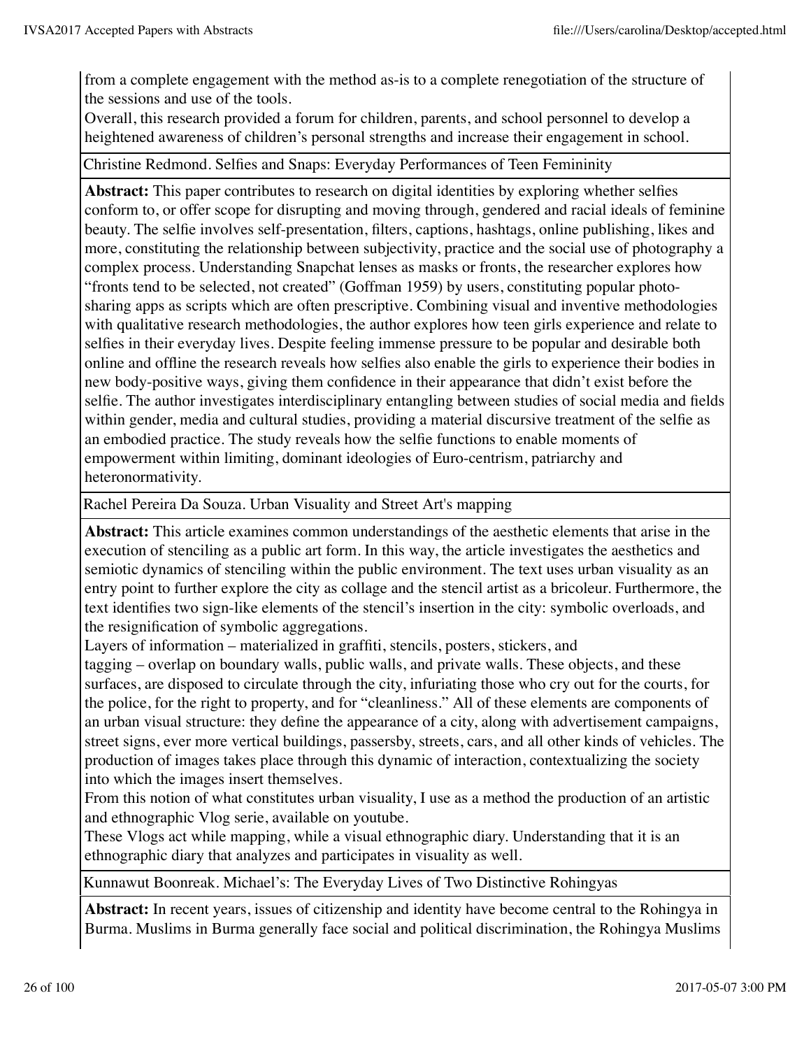from a complete engagement with the method as-is to a complete renegotiation of the structure of the sessions and use of the tools.

Overall, this research provided a forum for children, parents, and school personnel to develop a heightened awareness of children's personal strengths and increase their engagement in school.

Christine Redmond. Selfies and Snaps: Everyday Performances of Teen Femininity

**Abstract:** This paper contributes to research on digital identities by exploring whether selfies conform to, or offer scope for disrupting and moving through, gendered and racial ideals of feminine beauty. The selfie involves self-presentation, filters, captions, hashtags, online publishing, likes and more, constituting the relationship between subjectivity, practice and the social use of photography a complex process. Understanding Snapchat lenses as masks or fronts, the researcher explores how "fronts tend to be selected, not created" (Goffman 1959) by users, constituting popular photosharing apps as scripts which are often prescriptive. Combining visual and inventive methodologies with qualitative research methodologies, the author explores how teen girls experience and relate to selfies in their everyday lives. Despite feeling immense pressure to be popular and desirable both online and offline the research reveals how selfies also enable the girls to experience their bodies in new body-positive ways, giving them confidence in their appearance that didn't exist before the selfie. The author investigates interdisciplinary entangling between studies of social media and fields within gender, media and cultural studies, providing a material discursive treatment of the selfie as an embodied practice. The study reveals how the selfie functions to enable moments of empowerment within limiting, dominant ideologies of Euro-centrism, patriarchy and heteronormativity.

Rachel Pereira Da Souza. Urban Visuality and Street Art's mapping

**Abstract:** This article examines common understandings of the aesthetic elements that arise in the execution of stenciling as a public art form. In this way, the article investigates the aesthetics and semiotic dynamics of stenciling within the public environment. The text uses urban visuality as an entry point to further explore the city as collage and the stencil artist as a bricoleur. Furthermore, the text identifies two sign-like elements of the stencil's insertion in the city: symbolic overloads, and the resignification of symbolic aggregations.

Layers of information – materialized in graffiti, stencils, posters, stickers, and

tagging – overlap on boundary walls, public walls, and private walls. These objects, and these surfaces, are disposed to circulate through the city, infuriating those who cry out for the courts, for the police, for the right to property, and for "cleanliness." All of these elements are components of an urban visual structure: they define the appearance of a city, along with advertisement campaigns, street signs, ever more vertical buildings, passersby, streets, cars, and all other kinds of vehicles. The production of images takes place through this dynamic of interaction, contextualizing the society into which the images insert themselves.

From this notion of what constitutes urban visuality, I use as a method the production of an artistic and ethnographic Vlog serie, available on youtube.

These Vlogs act while mapping, while a visual ethnographic diary. Understanding that it is an ethnographic diary that analyzes and participates in visuality as well.

Kunnawut Boonreak. Michael's: The Everyday Lives of Two Distinctive Rohingyas

**Abstract:** In recent years, issues of citizenship and identity have become central to the Rohingya in Burma. Muslims in Burma generally face social and political discrimination, the Rohingya Muslims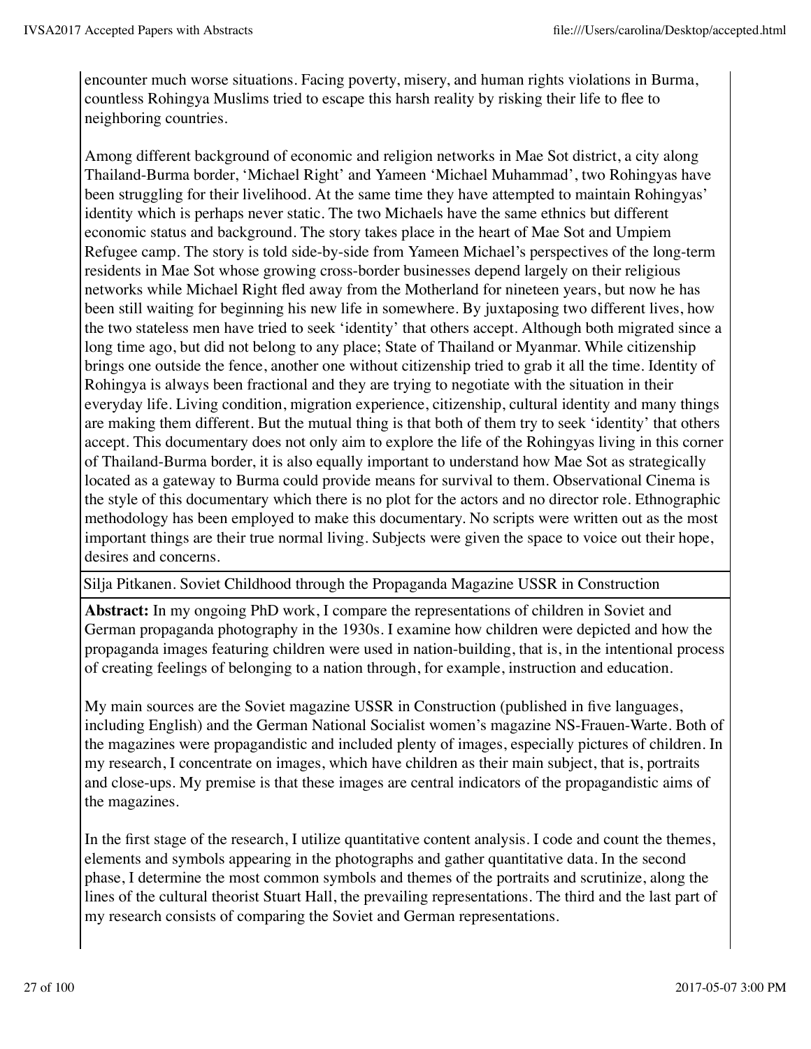encounter much worse situations. Facing poverty, misery, and human rights violations in Burma, countless Rohingya Muslims tried to escape this harsh reality by risking their life to flee to neighboring countries.

Among different background of economic and religion networks in Mae Sot district, a city along Thailand-Burma border, 'Michael Right' and Yameen 'Michael Muhammad', two Rohingyas have been struggling for their livelihood. At the same time they have attempted to maintain Rohingyas' identity which is perhaps never static. The two Michaels have the same ethnics but different economic status and background. The story takes place in the heart of Mae Sot and Umpiem Refugee camp. The story is told side-by-side from Yameen Michael's perspectives of the long-term residents in Mae Sot whose growing cross-border businesses depend largely on their religious networks while Michael Right fled away from the Motherland for nineteen years, but now he has been still waiting for beginning his new life in somewhere. By juxtaposing two different lives, how the two stateless men have tried to seek 'identity' that others accept. Although both migrated since a long time ago, but did not belong to any place; State of Thailand or Myanmar. While citizenship brings one outside the fence, another one without citizenship tried to grab it all the time. Identity of Rohingya is always been fractional and they are trying to negotiate with the situation in their everyday life. Living condition, migration experience, citizenship, cultural identity and many things are making them different. But the mutual thing is that both of them try to seek 'identity' that others accept. This documentary does not only aim to explore the life of the Rohingyas living in this corner of Thailand-Burma border, it is also equally important to understand how Mae Sot as strategically located as a gateway to Burma could provide means for survival to them. Observational Cinema is the style of this documentary which there is no plot for the actors and no director role. Ethnographic methodology has been employed to make this documentary. No scripts were written out as the most important things are their true normal living. Subjects were given the space to voice out their hope, desires and concerns.

Silja Pitkanen. Soviet Childhood through the Propaganda Magazine USSR in Construction

**Abstract:** In my ongoing PhD work, I compare the representations of children in Soviet and German propaganda photography in the 1930s. I examine how children were depicted and how the propaganda images featuring children were used in nation-building, that is, in the intentional process of creating feelings of belonging to a nation through, for example, instruction and education.

My main sources are the Soviet magazine USSR in Construction (published in five languages, including English) and the German National Socialist women's magazine NS-Frauen-Warte. Both of the magazines were propagandistic and included plenty of images, especially pictures of children. In my research, I concentrate on images, which have children as their main subject, that is, portraits and close-ups. My premise is that these images are central indicators of the propagandistic aims of the magazines.

In the first stage of the research, I utilize quantitative content analysis. I code and count the themes, elements and symbols appearing in the photographs and gather quantitative data. In the second phase, I determine the most common symbols and themes of the portraits and scrutinize, along the lines of the cultural theorist Stuart Hall, the prevailing representations. The third and the last part of my research consists of comparing the Soviet and German representations.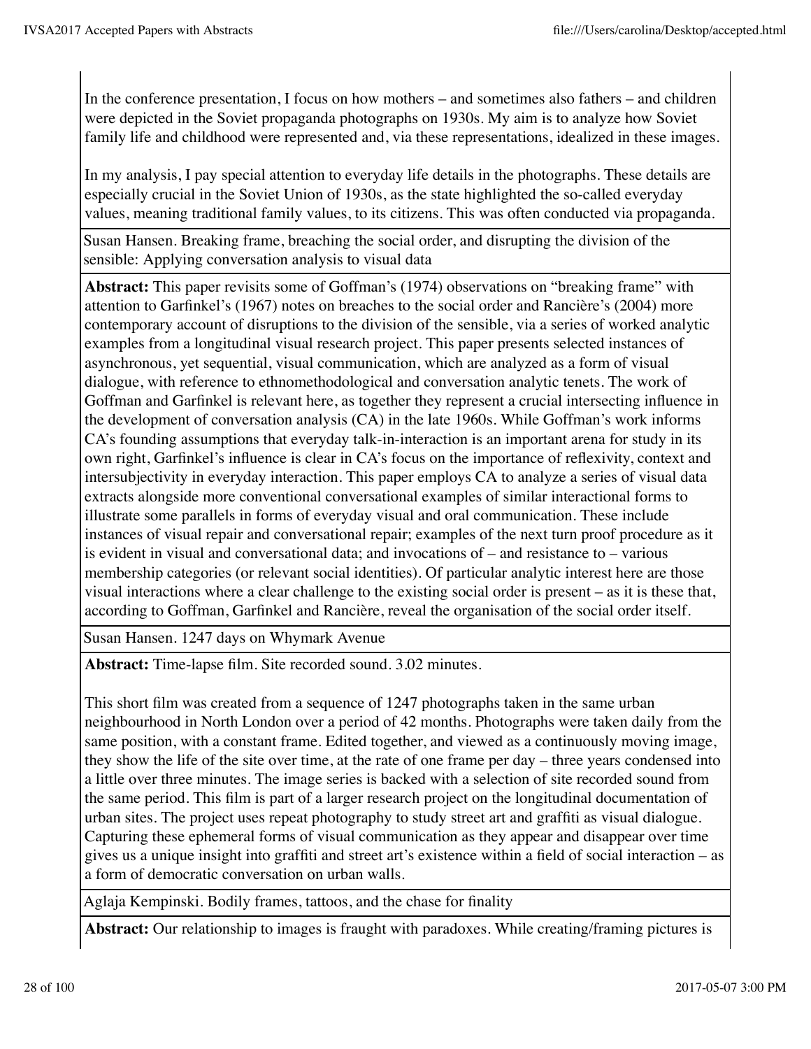In the conference presentation, I focus on how mothers – and sometimes also fathers – and children were depicted in the Soviet propaganda photographs on 1930s. My aim is to analyze how Soviet family life and childhood were represented and, via these representations, idealized in these images.

In my analysis, I pay special attention to everyday life details in the photographs. These details are especially crucial in the Soviet Union of 1930s, as the state highlighted the so-called everyday values, meaning traditional family values, to its citizens. This was often conducted via propaganda.

Susan Hansen. Breaking frame, breaching the social order, and disrupting the division of the sensible: Applying conversation analysis to visual data

**Abstract:** This paper revisits some of Goffman's (1974) observations on "breaking frame" with attention to Garfinkel's (1967) notes on breaches to the social order and Rancière's (2004) more contemporary account of disruptions to the division of the sensible, via a series of worked analytic examples from a longitudinal visual research project. This paper presents selected instances of asynchronous, yet sequential, visual communication, which are analyzed as a form of visual dialogue, with reference to ethnomethodological and conversation analytic tenets. The work of Goffman and Garfinkel is relevant here, as together they represent a crucial intersecting influence in the development of conversation analysis (CA) in the late 1960s. While Goffman's work informs CA's founding assumptions that everyday talk-in-interaction is an important arena for study in its own right, Garfinkel's influence is clear in CA's focus on the importance of reflexivity, context and intersubjectivity in everyday interaction. This paper employs CA to analyze a series of visual data extracts alongside more conventional conversational examples of similar interactional forms to illustrate some parallels in forms of everyday visual and oral communication. These include instances of visual repair and conversational repair; examples of the next turn proof procedure as it is evident in visual and conversational data; and invocations of – and resistance to – various membership categories (or relevant social identities). Of particular analytic interest here are those visual interactions where a clear challenge to the existing social order is present – as it is these that, according to Goffman, Garfinkel and Rancière, reveal the organisation of the social order itself.

Susan Hansen. 1247 days on Whymark Avenue

**Abstract:** Time-lapse film. Site recorded sound. 3.02 minutes.

This short film was created from a sequence of 1247 photographs taken in the same urban neighbourhood in North London over a period of 42 months. Photographs were taken daily from the same position, with a constant frame. Edited together, and viewed as a continuously moving image, they show the life of the site over time, at the rate of one frame per day – three years condensed into a little over three minutes. The image series is backed with a selection of site recorded sound from the same period. This film is part of a larger research project on the longitudinal documentation of urban sites. The project uses repeat photography to study street art and graffiti as visual dialogue. Capturing these ephemeral forms of visual communication as they appear and disappear over time gives us a unique insight into graffiti and street art's existence within a field of social interaction – as a form of democratic conversation on urban walls.

Aglaja Kempinski. Bodily frames, tattoos, and the chase for finality

**Abstract:** Our relationship to images is fraught with paradoxes. While creating/framing pictures is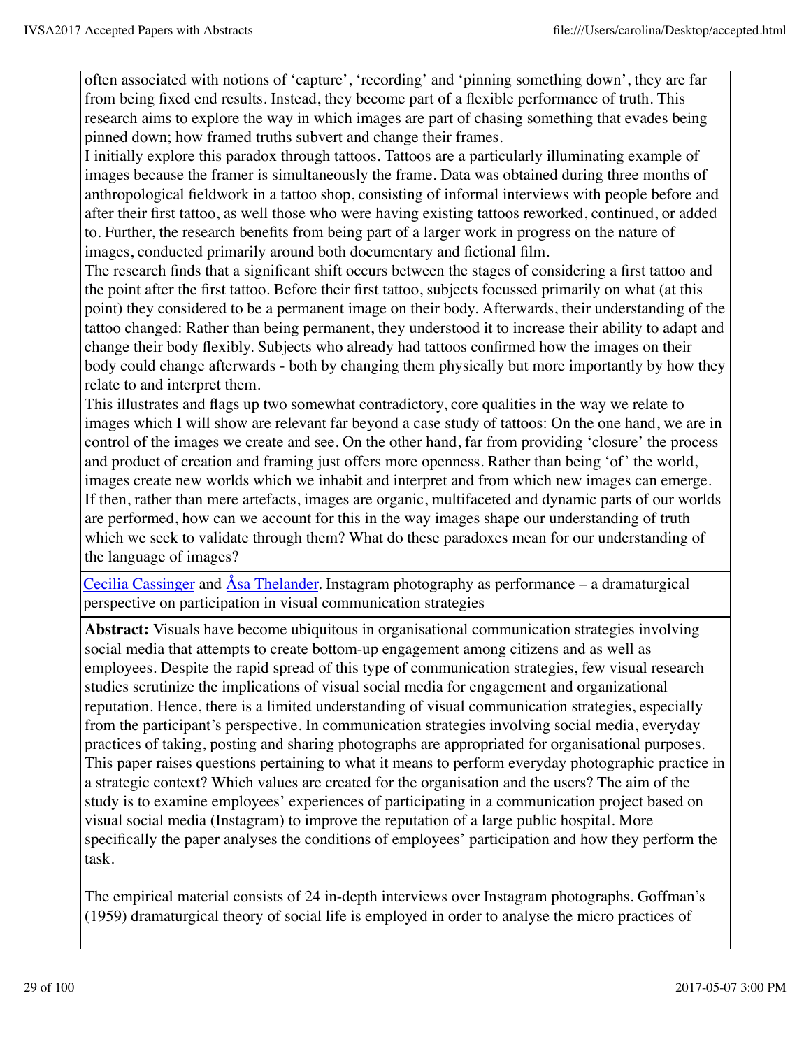often associated with notions of 'capture', 'recording' and 'pinning something down', they are far from being fixed end results. Instead, they become part of a flexible performance of truth. This research aims to explore the way in which images are part of chasing something that evades being pinned down; how framed truths subvert and change their frames.

I initially explore this paradox through tattoos. Tattoos are a particularly illuminating example of images because the framer is simultaneously the frame. Data was obtained during three months of anthropological fieldwork in a tattoo shop, consisting of informal interviews with people before and after their first tattoo, as well those who were having existing tattoos reworked, continued, or added to. Further, the research benefits from being part of a larger work in progress on the nature of images, conducted primarily around both documentary and fictional film.

The research finds that a significant shift occurs between the stages of considering a first tattoo and the point after the first tattoo. Before their first tattoo, subjects focussed primarily on what (at this point) they considered to be a permanent image on their body. Afterwards, their understanding of the tattoo changed: Rather than being permanent, they understood it to increase their ability to adapt and change their body flexibly. Subjects who already had tattoos confirmed how the images on their body could change afterwards - both by changing them physically but more importantly by how they relate to and interpret them.

This illustrates and flags up two somewhat contradictory, core qualities in the way we relate to images which I will show are relevant far beyond a case study of tattoos: On the one hand, we are in control of the images we create and see. On the other hand, far from providing 'closure' the process and product of creation and framing just offers more openness. Rather than being 'of' the world, images create new worlds which we inhabit and interpret and from which new images can emerge. If then, rather than mere artefacts, images are organic, multifaceted and dynamic parts of our worlds are performed, how can we account for this in the way images shape our understanding of truth which we seek to validate through them? What do these paradoxes mean for our understanding of the language of images?

Cecilia Cassinger and Åsa Thelander. Instagram photography as performance – a dramaturgical perspective on participation in visual communication strategies

**Abstract:** Visuals have become ubiquitous in organisational communication strategies involving social media that attempts to create bottom-up engagement among citizens and as well as employees. Despite the rapid spread of this type of communication strategies, few visual research studies scrutinize the implications of visual social media for engagement and organizational reputation. Hence, there is a limited understanding of visual communication strategies, especially from the participant's perspective. In communication strategies involving social media, everyday practices of taking, posting and sharing photographs are appropriated for organisational purposes. This paper raises questions pertaining to what it means to perform everyday photographic practice in a strategic context? Which values are created for the organisation and the users? The aim of the study is to examine employees' experiences of participating in a communication project based on visual social media (Instagram) to improve the reputation of a large public hospital. More specifically the paper analyses the conditions of employees' participation and how they perform the task.

The empirical material consists of 24 in-depth interviews over Instagram photographs. Goffman's (1959) dramaturgical theory of social life is employed in order to analyse the micro practices of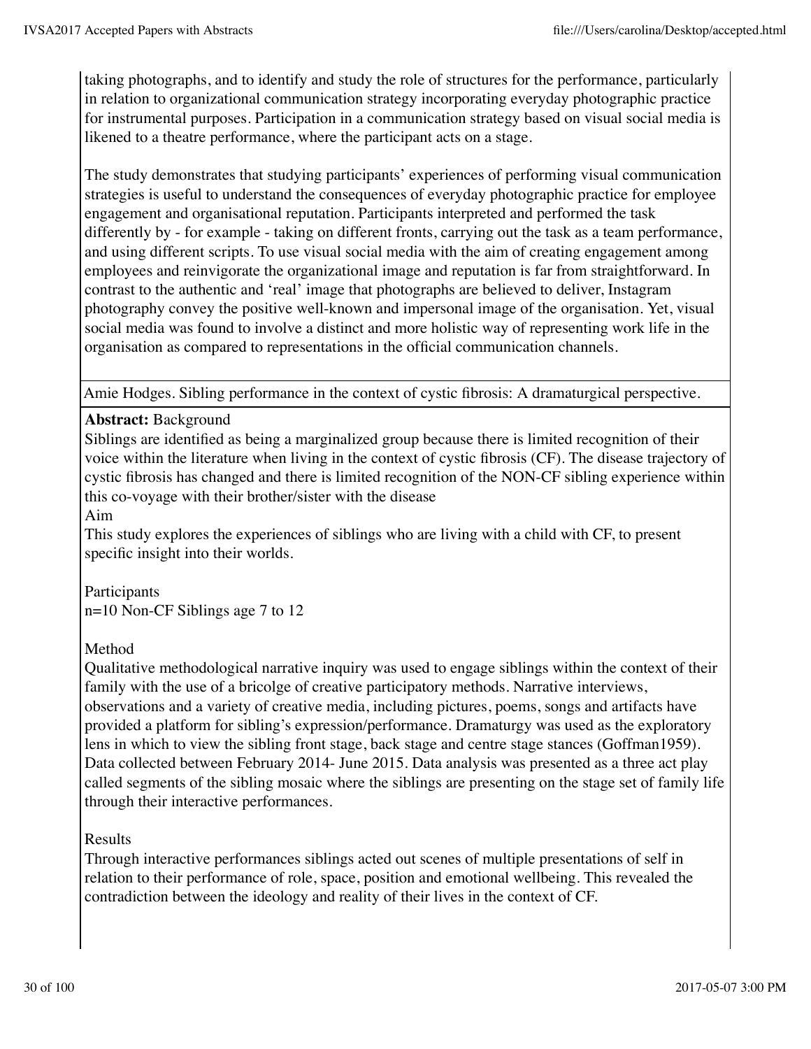taking photographs, and to identify and study the role of structures for the performance, particularly in relation to organizational communication strategy incorporating everyday photographic practice for instrumental purposes. Participation in a communication strategy based on visual social media is likened to a theatre performance, where the participant acts on a stage.

The study demonstrates that studying participants' experiences of performing visual communication strategies is useful to understand the consequences of everyday photographic practice for employee engagement and organisational reputation. Participants interpreted and performed the task differently by - for example - taking on different fronts, carrying out the task as a team performance, and using different scripts. To use visual social media with the aim of creating engagement among employees and reinvigorate the organizational image and reputation is far from straightforward. In contrast to the authentic and 'real' image that photographs are believed to deliver, Instagram photography convey the positive well-known and impersonal image of the organisation. Yet, visual social media was found to involve a distinct and more holistic way of representing work life in the organisation as compared to representations in the official communication channels.

Amie Hodges. Sibling performance in the context of cystic fibrosis: A dramaturgical perspective.

#### **Abstract:** Background

Siblings are identified as being a marginalized group because there is limited recognition of their voice within the literature when living in the context of cystic fibrosis (CF). The disease trajectory of cystic fibrosis has changed and there is limited recognition of the NON-CF sibling experience within this co-voyage with their brother/sister with the disease

Aim

This study explores the experiences of siblings who are living with a child with CF, to present specific insight into their worlds.

Participants n=10 Non-CF Siblings age 7 to 12

#### Method

Qualitative methodological narrative inquiry was used to engage siblings within the context of their family with the use of a bricolge of creative participatory methods. Narrative interviews, observations and a variety of creative media, including pictures, poems, songs and artifacts have provided a platform for sibling's expression/performance. Dramaturgy was used as the exploratory lens in which to view the sibling front stage, back stage and centre stage stances (Goffman1959). Data collected between February 2014- June 2015. Data analysis was presented as a three act play called segments of the sibling mosaic where the siblings are presenting on the stage set of family life through their interactive performances.

#### Results

Through interactive performances siblings acted out scenes of multiple presentations of self in relation to their performance of role, space, position and emotional wellbeing. This revealed the contradiction between the ideology and reality of their lives in the context of CF.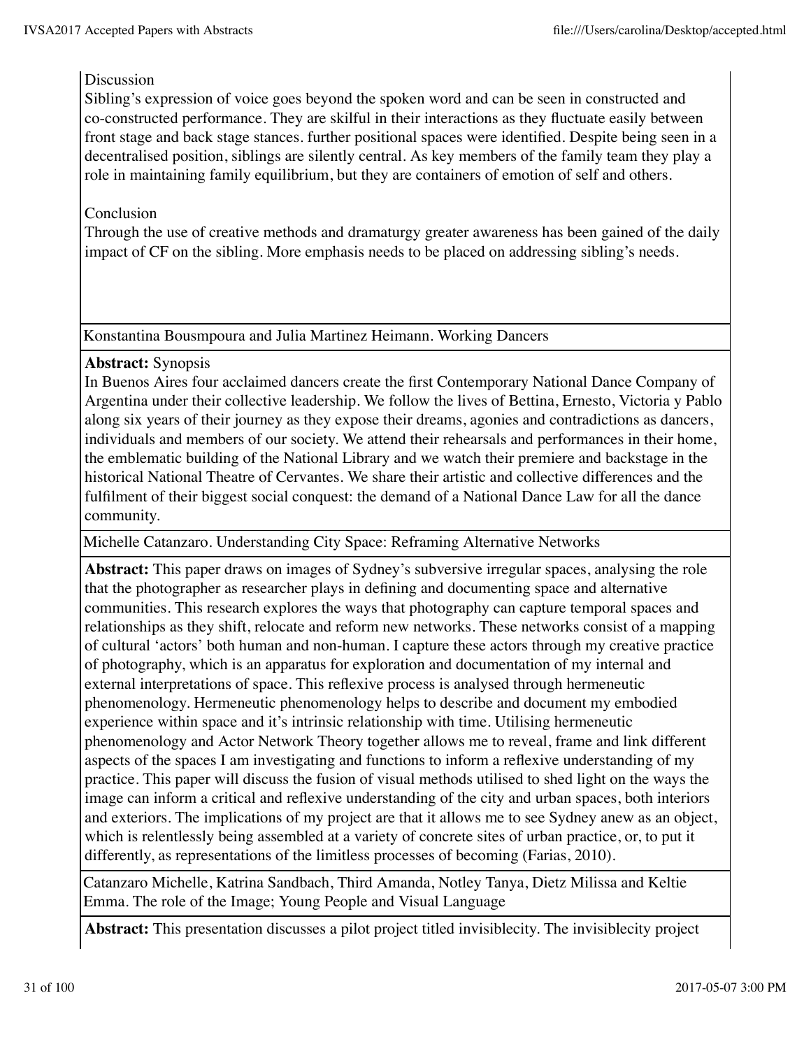#### Discussion

Sibling's expression of voice goes beyond the spoken word and can be seen in constructed and co-constructed performance. They are skilful in their interactions as they fluctuate easily between front stage and back stage stances. further positional spaces were identified. Despite being seen in a decentralised position, siblings are silently central. As key members of the family team they play a role in maintaining family equilibrium, but they are containers of emotion of self and others.

#### Conclusion

Through the use of creative methods and dramaturgy greater awareness has been gained of the daily impact of CF on the sibling. More emphasis needs to be placed on addressing sibling's needs.

#### Konstantina Bousmpoura and Julia Martinez Heimann. Working Dancers

#### **Abstract:** Synopsis

In Buenos Aires four acclaimed dancers create the first Contemporary National Dance Company of Argentina under their collective leadership. We follow the lives of Bettina, Ernesto, Victoria y Pablo along six years of their journey as they expose their dreams, agonies and contradictions as dancers, individuals and members of our society. We attend their rehearsals and performances in their home, the emblematic building of the National Library and we watch their premiere and backstage in the historical National Theatre of Cervantes. We share their artistic and collective differences and the fulfilment of their biggest social conquest: the demand of a National Dance Law for all the dance community.

Michelle Catanzaro. Understanding City Space: Reframing Alternative Networks

**Abstract:** This paper draws on images of Sydney's subversive irregular spaces, analysing the role that the photographer as researcher plays in defining and documenting space and alternative communities. This research explores the ways that photography can capture temporal spaces and relationships as they shift, relocate and reform new networks. These networks consist of a mapping of cultural 'actors' both human and non-human. I capture these actors through my creative practice of photography, which is an apparatus for exploration and documentation of my internal and external interpretations of space. This reflexive process is analysed through hermeneutic phenomenology. Hermeneutic phenomenology helps to describe and document my embodied experience within space and it's intrinsic relationship with time. Utilising hermeneutic phenomenology and Actor Network Theory together allows me to reveal, frame and link different aspects of the spaces I am investigating and functions to inform a reflexive understanding of my practice. This paper will discuss the fusion of visual methods utilised to shed light on the ways the image can inform a critical and reflexive understanding of the city and urban spaces, both interiors and exteriors. The implications of my project are that it allows me to see Sydney anew as an object, which is relentlessly being assembled at a variety of concrete sites of urban practice, or, to put it differently, as representations of the limitless processes of becoming (Farias, 2010).

Catanzaro Michelle, Katrina Sandbach, Third Amanda, Notley Tanya, Dietz Milissa and Keltie Emma. The role of the Image; Young People and Visual Language

**Abstract:** This presentation discusses a pilot project titled invisiblecity. The invisiblecity project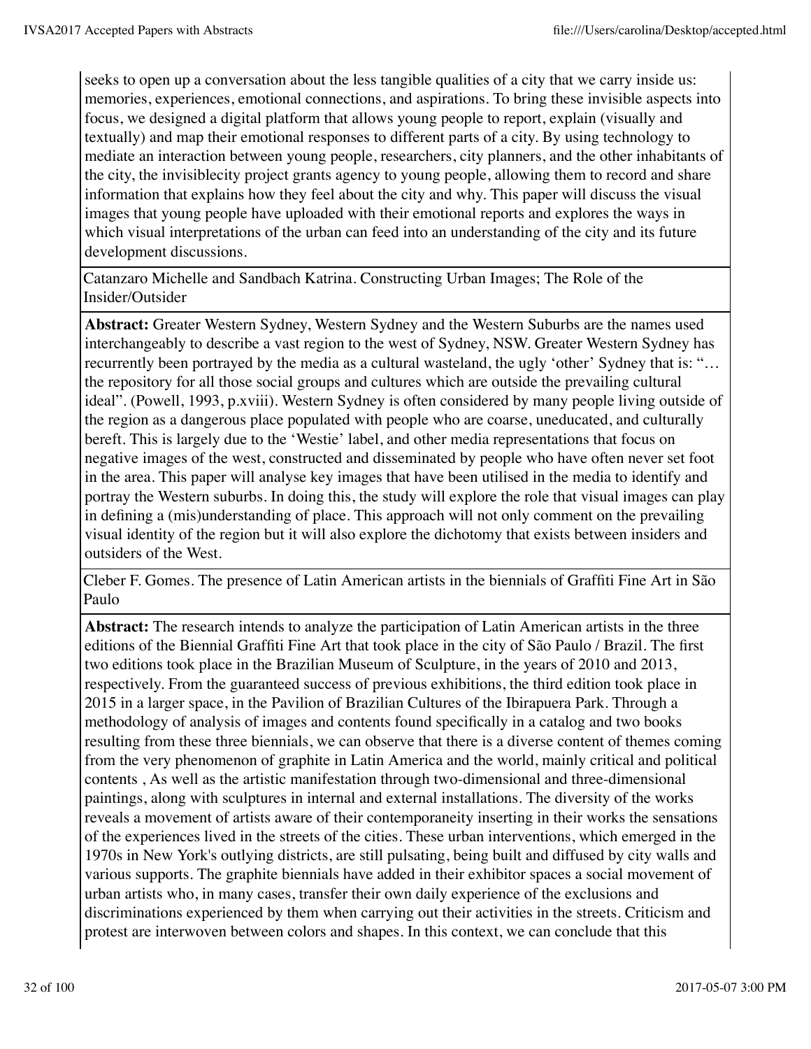seeks to open up a conversation about the less tangible qualities of a city that we carry inside us: memories, experiences, emotional connections, and aspirations. To bring these invisible aspects into focus, we designed a digital platform that allows young people to report, explain (visually and textually) and map their emotional responses to different parts of a city. By using technology to mediate an interaction between young people, researchers, city planners, and the other inhabitants of the city, the invisiblecity project grants agency to young people, allowing them to record and share information that explains how they feel about the city and why. This paper will discuss the visual images that young people have uploaded with their emotional reports and explores the ways in which visual interpretations of the urban can feed into an understanding of the city and its future development discussions.

Catanzaro Michelle and Sandbach Katrina. Constructing Urban Images; The Role of the Insider/Outsider

**Abstract:** Greater Western Sydney, Western Sydney and the Western Suburbs are the names used interchangeably to describe a vast region to the west of Sydney, NSW. Greater Western Sydney has recurrently been portrayed by the media as a cultural wasteland, the ugly 'other' Sydney that is: "... the repository for all those social groups and cultures which are outside the prevailing cultural ideal". (Powell, 1993, p.xviii). Western Sydney is often considered by many people living outside of the region as a dangerous place populated with people who are coarse, uneducated, and culturally bereft. This is largely due to the 'Westie' label, and other media representations that focus on negative images of the west, constructed and disseminated by people who have often never set foot in the area. This paper will analyse key images that have been utilised in the media to identify and portray the Western suburbs. In doing this, the study will explore the role that visual images can play in defining a (mis)understanding of place. This approach will not only comment on the prevailing visual identity of the region but it will also explore the dichotomy that exists between insiders and outsiders of the West.

Cleber F. Gomes. The presence of Latin American artists in the biennials of Graffiti Fine Art in São Paulo

**Abstract:** The research intends to analyze the participation of Latin American artists in the three editions of the Biennial Graffiti Fine Art that took place in the city of São Paulo / Brazil. The first two editions took place in the Brazilian Museum of Sculpture, in the years of 2010 and 2013, respectively. From the guaranteed success of previous exhibitions, the third edition took place in 2015 in a larger space, in the Pavilion of Brazilian Cultures of the Ibirapuera Park. Through a methodology of analysis of images and contents found specifically in a catalog and two books resulting from these three biennials, we can observe that there is a diverse content of themes coming from the very phenomenon of graphite in Latin America and the world, mainly critical and political contents , As well as the artistic manifestation through two-dimensional and three-dimensional paintings, along with sculptures in internal and external installations. The diversity of the works reveals a movement of artists aware of their contemporaneity inserting in their works the sensations of the experiences lived in the streets of the cities. These urban interventions, which emerged in the 1970s in New York's outlying districts, are still pulsating, being built and diffused by city walls and various supports. The graphite biennials have added in their exhibitor spaces a social movement of urban artists who, in many cases, transfer their own daily experience of the exclusions and discriminations experienced by them when carrying out their activities in the streets. Criticism and protest are interwoven between colors and shapes. In this context, we can conclude that this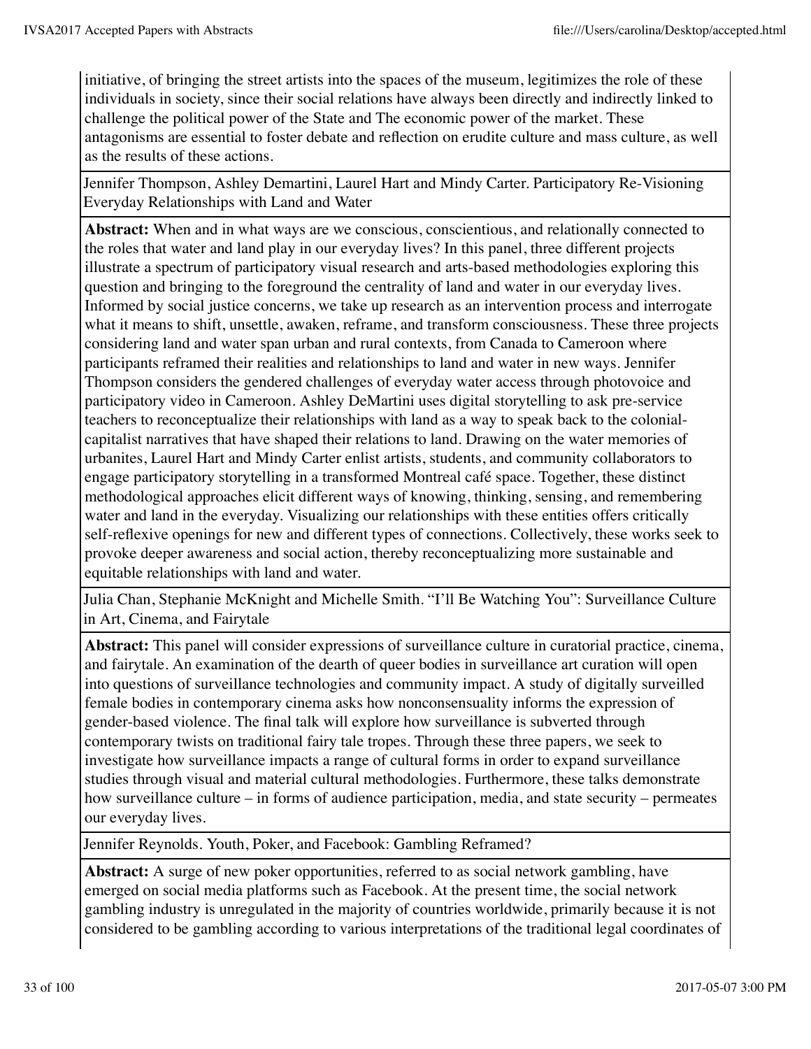initiative, of bringing the street artists into the spaces of the museum, legitimizes the role of these individuals in society, since their social relations have always been directly and indirectly linked to challenge the political power of the State and The economic power of the market. These antagonisms are essential to foster debate and reflection on erudite culture and mass culture, as well as the results of these actions.

Jennifer Thompson, Ashley Demartini, Laurel Hart and Mindy Carter. Participatory Re-Visioning Everyday Relationships with Land and Water

**Abstract:** When and in what ways are we conscious, conscientious, and relationally connected to the roles that water and land play in our everyday lives? In this panel, three different projects illustrate a spectrum of participatory visual research and arts-based methodologies exploring this question and bringing to the foreground the centrality of land and water in our everyday lives. Informed by social justice concerns, we take up research as an intervention process and interrogate what it means to shift, unsettle, awaken, reframe, and transform consciousness. These three projects considering land and water span urban and rural contexts, from Canada to Cameroon where participants reframed their realities and relationships to land and water in new ways. Jennifer Thompson considers the gendered challenges of everyday water access through photovoice and participatory video in Cameroon. Ashley DeMartini uses digital storytelling to ask pre-service teachers to reconceptualize their relationships with land as a way to speak back to the colonialcapitalist narratives that have shaped their relations to land. Drawing on the water memories of urbanites, Laurel Hart and Mindy Carter enlist artists, students, and community collaborators to engage participatory storytelling in a transformed Montreal café space. Together, these distinct methodological approaches elicit different ways of knowing, thinking, sensing, and remembering water and land in the everyday. Visualizing our relationships with these entities offers critically self-reflexive openings for new and different types of connections. Collectively, these works seek to provoke deeper awareness and social action, thereby reconceptualizing more sustainable and equitable relationships with land and water.

Julia Chan, Stephanie McKnight and Michelle Smith. "I'll Be Watching You": Surveillance Culture in Art, Cinema, and Fairytale

**Abstract:** This panel will consider expressions of surveillance culture in curatorial practice, cinema, and fairytale. An examination of the dearth of queer bodies in surveillance art curation will open into questions of surveillance technologies and community impact. A study of digitally surveilled female bodies in contemporary cinema asks how nonconsensuality informs the expression of gender-based violence. The final talk will explore how surveillance is subverted through contemporary twists on traditional fairy tale tropes. Through these three papers, we seek to investigate how surveillance impacts a range of cultural forms in order to expand surveillance studies through visual and material cultural methodologies. Furthermore, these talks demonstrate how surveillance culture – in forms of audience participation, media, and state security – permeates our everyday lives.

Jennifer Reynolds. Youth, Poker, and Facebook: Gambling Reframed?

**Abstract:** A surge of new poker opportunities, referred to as social network gambling, have emerged on social media platforms such as Facebook. At the present time, the social network gambling industry is unregulated in the majority of countries worldwide, primarily because it is not considered to be gambling according to various interpretations of the traditional legal coordinates of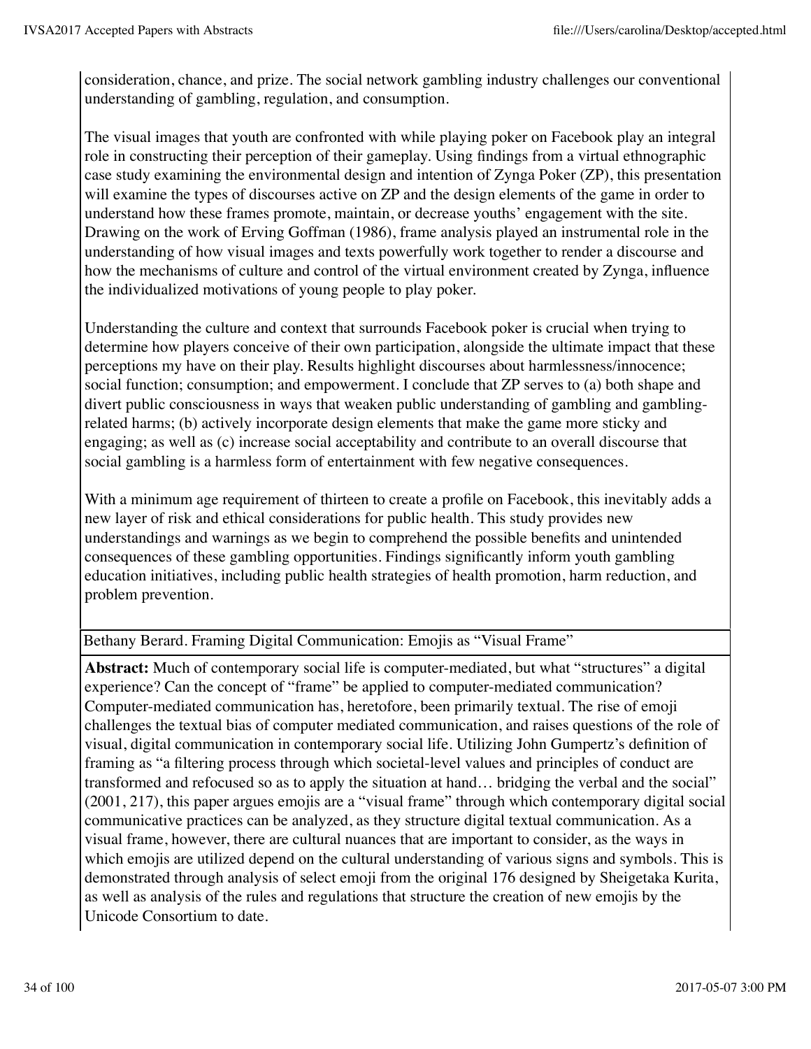consideration, chance, and prize. The social network gambling industry challenges our conventional understanding of gambling, regulation, and consumption.

The visual images that youth are confronted with while playing poker on Facebook play an integral role in constructing their perception of their gameplay. Using findings from a virtual ethnographic case study examining the environmental design and intention of Zynga Poker (ZP), this presentation will examine the types of discourses active on ZP and the design elements of the game in order to understand how these frames promote, maintain, or decrease youths' engagement with the site. Drawing on the work of Erving Goffman (1986), frame analysis played an instrumental role in the understanding of how visual images and texts powerfully work together to render a discourse and how the mechanisms of culture and control of the virtual environment created by Zynga, influence the individualized motivations of young people to play poker.

Understanding the culture and context that surrounds Facebook poker is crucial when trying to determine how players conceive of their own participation, alongside the ultimate impact that these perceptions my have on their play. Results highlight discourses about harmlessness/innocence; social function; consumption; and empowerment. I conclude that ZP serves to (a) both shape and divert public consciousness in ways that weaken public understanding of gambling and gamblingrelated harms; (b) actively incorporate design elements that make the game more sticky and engaging; as well as (c) increase social acceptability and contribute to an overall discourse that social gambling is a harmless form of entertainment with few negative consequences.

With a minimum age requirement of thirteen to create a profile on Facebook, this inevitably adds a new layer of risk and ethical considerations for public health. This study provides new understandings and warnings as we begin to comprehend the possible benefits and unintended consequences of these gambling opportunities. Findings significantly inform youth gambling education initiatives, including public health strategies of health promotion, harm reduction, and problem prevention.

#### Bethany Berard. Framing Digital Communication: Emojis as "Visual Frame"

**Abstract:** Much of contemporary social life is computer-mediated, but what "structures" a digital experience? Can the concept of "frame" be applied to computer-mediated communication? Computer-mediated communication has, heretofore, been primarily textual. The rise of emoji challenges the textual bias of computer mediated communication, and raises questions of the role of visual, digital communication in contemporary social life. Utilizing John Gumpertz's definition of framing as "a filtering process through which societal-level values and principles of conduct are transformed and refocused so as to apply the situation at hand… bridging the verbal and the social" (2001, 217), this paper argues emojis are a "visual frame" through which contemporary digital social communicative practices can be analyzed, as they structure digital textual communication. As a visual frame, however, there are cultural nuances that are important to consider, as the ways in which emojis are utilized depend on the cultural understanding of various signs and symbols. This is demonstrated through analysis of select emoji from the original 176 designed by Sheigetaka Kurita, as well as analysis of the rules and regulations that structure the creation of new emojis by the Unicode Consortium to date.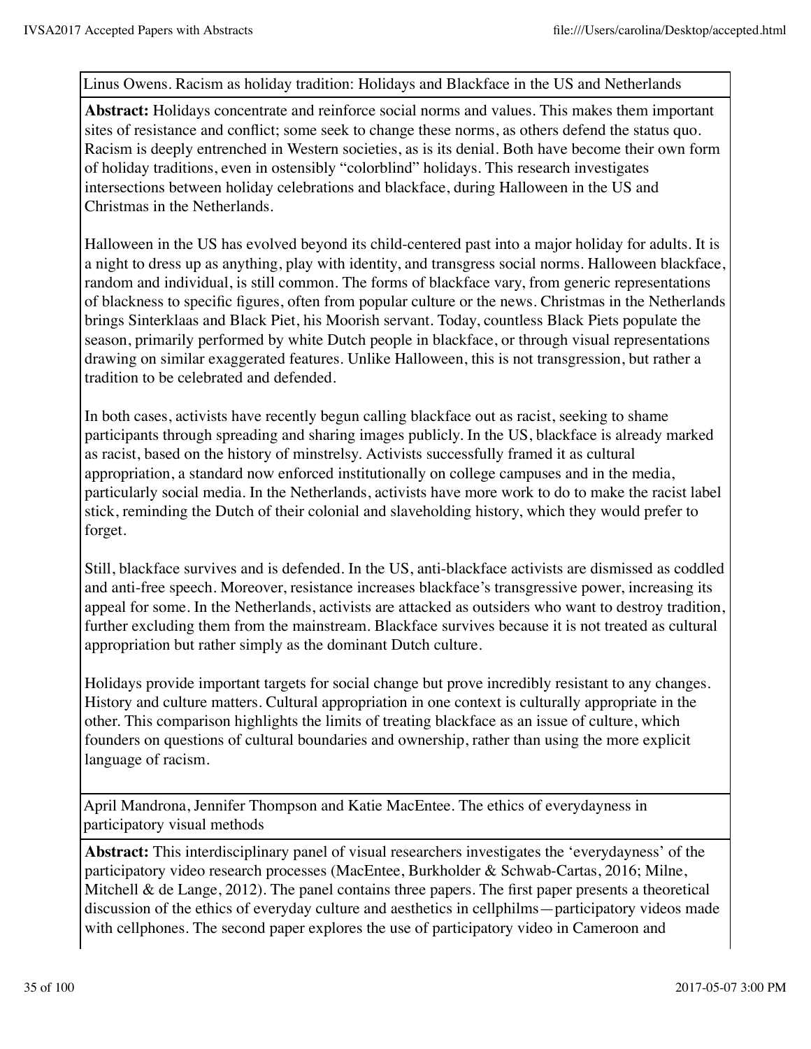Linus Owens. Racism as holiday tradition: Holidays and Blackface in the US and Netherlands

**Abstract:** Holidays concentrate and reinforce social norms and values. This makes them important sites of resistance and conflict; some seek to change these norms, as others defend the status quo. Racism is deeply entrenched in Western societies, as is its denial. Both have become their own form of holiday traditions, even in ostensibly "colorblind" holidays. This research investigates intersections between holiday celebrations and blackface, during Halloween in the US and Christmas in the Netherlands.

Halloween in the US has evolved beyond its child-centered past into a major holiday for adults. It is a night to dress up as anything, play with identity, and transgress social norms. Halloween blackface, random and individual, is still common. The forms of blackface vary, from generic representations of blackness to specific figures, often from popular culture or the news. Christmas in the Netherlands brings Sinterklaas and Black Piet, his Moorish servant. Today, countless Black Piets populate the season, primarily performed by white Dutch people in blackface, or through visual representations drawing on similar exaggerated features. Unlike Halloween, this is not transgression, but rather a tradition to be celebrated and defended.

In both cases, activists have recently begun calling blackface out as racist, seeking to shame participants through spreading and sharing images publicly. In the US, blackface is already marked as racist, based on the history of minstrelsy. Activists successfully framed it as cultural appropriation, a standard now enforced institutionally on college campuses and in the media, particularly social media. In the Netherlands, activists have more work to do to make the racist label stick, reminding the Dutch of their colonial and slaveholding history, which they would prefer to forget.

Still, blackface survives and is defended. In the US, anti-blackface activists are dismissed as coddled and anti-free speech. Moreover, resistance increases blackface's transgressive power, increasing its appeal for some. In the Netherlands, activists are attacked as outsiders who want to destroy tradition, further excluding them from the mainstream. Blackface survives because it is not treated as cultural appropriation but rather simply as the dominant Dutch culture.

Holidays provide important targets for social change but prove incredibly resistant to any changes. History and culture matters. Cultural appropriation in one context is culturally appropriate in the other. This comparison highlights the limits of treating blackface as an issue of culture, which founders on questions of cultural boundaries and ownership, rather than using the more explicit language of racism.

April Mandrona, Jennifer Thompson and Katie MacEntee. The ethics of everydayness in participatory visual methods

**Abstract:** This interdisciplinary panel of visual researchers investigates the 'everydayness' of the participatory video research processes (MacEntee, Burkholder & Schwab-Cartas, 2016; Milne, Mitchell  $\&$  de Lange, 2012). The panel contains three papers. The first paper presents a theoretical discussion of the ethics of everyday culture and aesthetics in cellphilms—participatory videos made with cellphones. The second paper explores the use of participatory video in Cameroon and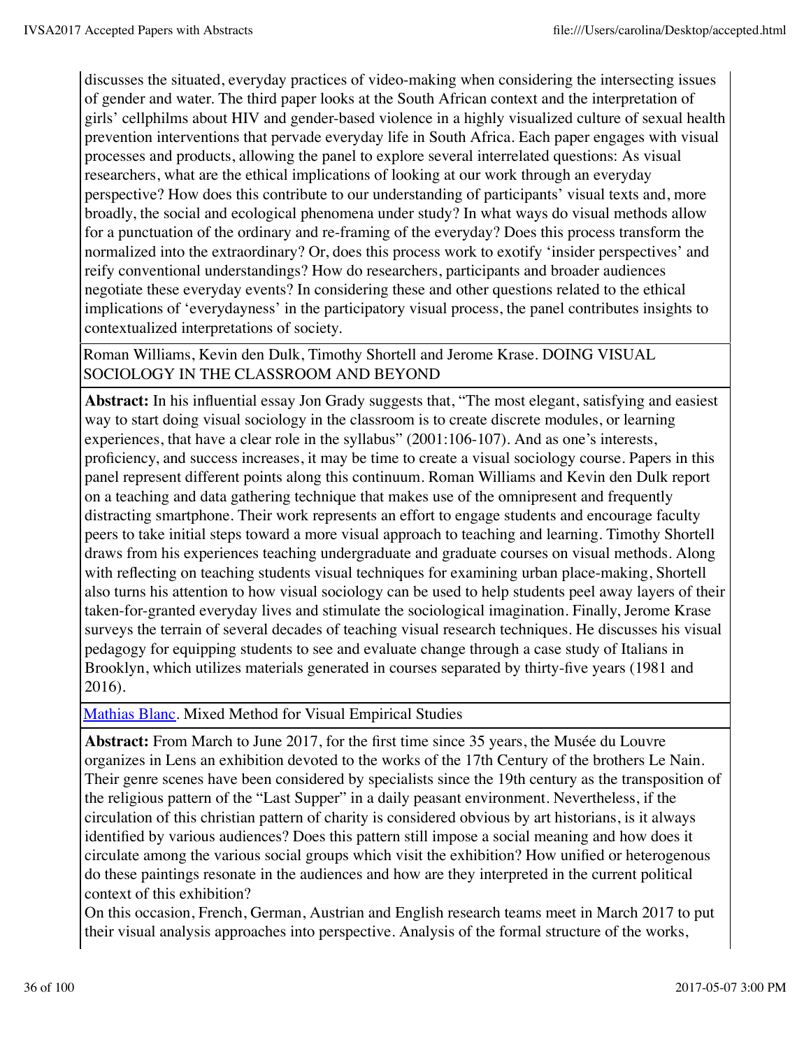discusses the situated, everyday practices of video-making when considering the intersecting issues of gender and water. The third paper looks at the South African context and the interpretation of girls' cellphilms about HIV and gender-based violence in a highly visualized culture of sexual health prevention interventions that pervade everyday life in South Africa. Each paper engages with visual processes and products, allowing the panel to explore several interrelated questions: As visual researchers, what are the ethical implications of looking at our work through an everyday perspective? How does this contribute to our understanding of participants' visual texts and, more broadly, the social and ecological phenomena under study? In what ways do visual methods allow for a punctuation of the ordinary and re-framing of the everyday? Does this process transform the normalized into the extraordinary? Or, does this process work to exotify 'insider perspectives' and reify conventional understandings? How do researchers, participants and broader audiences negotiate these everyday events? In considering these and other questions related to the ethical implications of 'everydayness' in the participatory visual process, the panel contributes insights to contextualized interpretations of society.

# Roman Williams, Kevin den Dulk, Timothy Shortell and Jerome Krase. DOING VISUAL SOCIOLOGY IN THE CLASSROOM AND BEYOND

**Abstract:** In his influential essay Jon Grady suggests that, "The most elegant, satisfying and easiest way to start doing visual sociology in the classroom is to create discrete modules, or learning experiences, that have a clear role in the syllabus" (2001:106-107). And as one's interests, proficiency, and success increases, it may be time to create a visual sociology course. Papers in this panel represent different points along this continuum. Roman Williams and Kevin den Dulk report on a teaching and data gathering technique that makes use of the omnipresent and frequently distracting smartphone. Their work represents an effort to engage students and encourage faculty peers to take initial steps toward a more visual approach to teaching and learning. Timothy Shortell draws from his experiences teaching undergraduate and graduate courses on visual methods. Along with reflecting on teaching students visual techniques for examining urban place-making, Shortell also turns his attention to how visual sociology can be used to help students peel away layers of their taken-for-granted everyday lives and stimulate the sociological imagination. Finally, Jerome Krase surveys the terrain of several decades of teaching visual research techniques. He discusses his visual pedagogy for equipping students to see and evaluate change through a case study of Italians in Brooklyn, which utilizes materials generated in courses separated by thirty-five years (1981 and 2016).

# Mathias Blanc. Mixed Method for Visual Empirical Studies

**Abstract:** From March to June 2017, for the first time since 35 years, the Musée du Louvre organizes in Lens an exhibition devoted to the works of the 17th Century of the brothers Le Nain. Their genre scenes have been considered by specialists since the 19th century as the transposition of the religious pattern of the "Last Supper" in a daily peasant environment. Nevertheless, if the circulation of this christian pattern of charity is considered obvious by art historians, is it always identified by various audiences? Does this pattern still impose a social meaning and how does it circulate among the various social groups which visit the exhibition? How unified or heterogenous do these paintings resonate in the audiences and how are they interpreted in the current political context of this exhibition?

On this occasion, French, German, Austrian and English research teams meet in March 2017 to put their visual analysis approaches into perspective. Analysis of the formal structure of the works,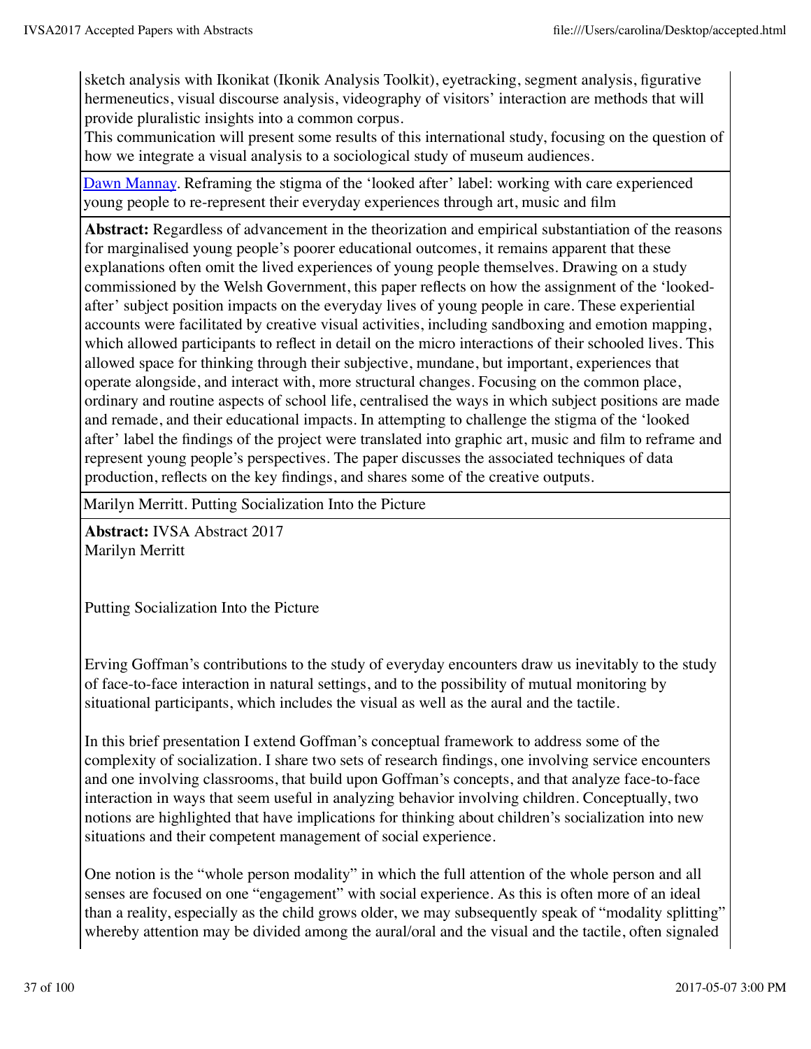sketch analysis with Ikonikat (Ikonik Analysis Toolkit), eyetracking, segment analysis, figurative hermeneutics, visual discourse analysis, videography of visitors' interaction are methods that will provide pluralistic insights into a common corpus.

This communication will present some results of this international study, focusing on the question of how we integrate a visual analysis to a sociological study of museum audiences.

Dawn Mannay. Reframing the stigma of the 'looked after' label: working with care experienced young people to re-represent their everyday experiences through art, music and film

**Abstract:** Regardless of advancement in the theorization and empirical substantiation of the reasons for marginalised young people's poorer educational outcomes, it remains apparent that these explanations often omit the lived experiences of young people themselves. Drawing on a study commissioned by the Welsh Government, this paper reflects on how the assignment of the 'lookedafter' subject position impacts on the everyday lives of young people in care. These experiential accounts were facilitated by creative visual activities, including sandboxing and emotion mapping, which allowed participants to reflect in detail on the micro interactions of their schooled lives. This allowed space for thinking through their subjective, mundane, but important, experiences that operate alongside, and interact with, more structural changes. Focusing on the common place, ordinary and routine aspects of school life, centralised the ways in which subject positions are made and remade, and their educational impacts. In attempting to challenge the stigma of the 'looked after' label the findings of the project were translated into graphic art, music and film to reframe and represent young people's perspectives. The paper discusses the associated techniques of data production, reflects on the key findings, and shares some of the creative outputs.

Marilyn Merritt. Putting Socialization Into the Picture

**Abstract:** IVSA Abstract 2017 Marilyn Merritt

Putting Socialization Into the Picture

Erving Goffman's contributions to the study of everyday encounters draw us inevitably to the study of face-to-face interaction in natural settings, and to the possibility of mutual monitoring by situational participants, which includes the visual as well as the aural and the tactile.

In this brief presentation I extend Goffman's conceptual framework to address some of the complexity of socialization. I share two sets of research findings, one involving service encounters and one involving classrooms, that build upon Goffman's concepts, and that analyze face-to-face interaction in ways that seem useful in analyzing behavior involving children. Conceptually, two notions are highlighted that have implications for thinking about children's socialization into new situations and their competent management of social experience.

One notion is the "whole person modality" in which the full attention of the whole person and all senses are focused on one "engagement" with social experience. As this is often more of an ideal than a reality, especially as the child grows older, we may subsequently speak of "modality splitting" whereby attention may be divided among the aural/oral and the visual and the tactile, often signaled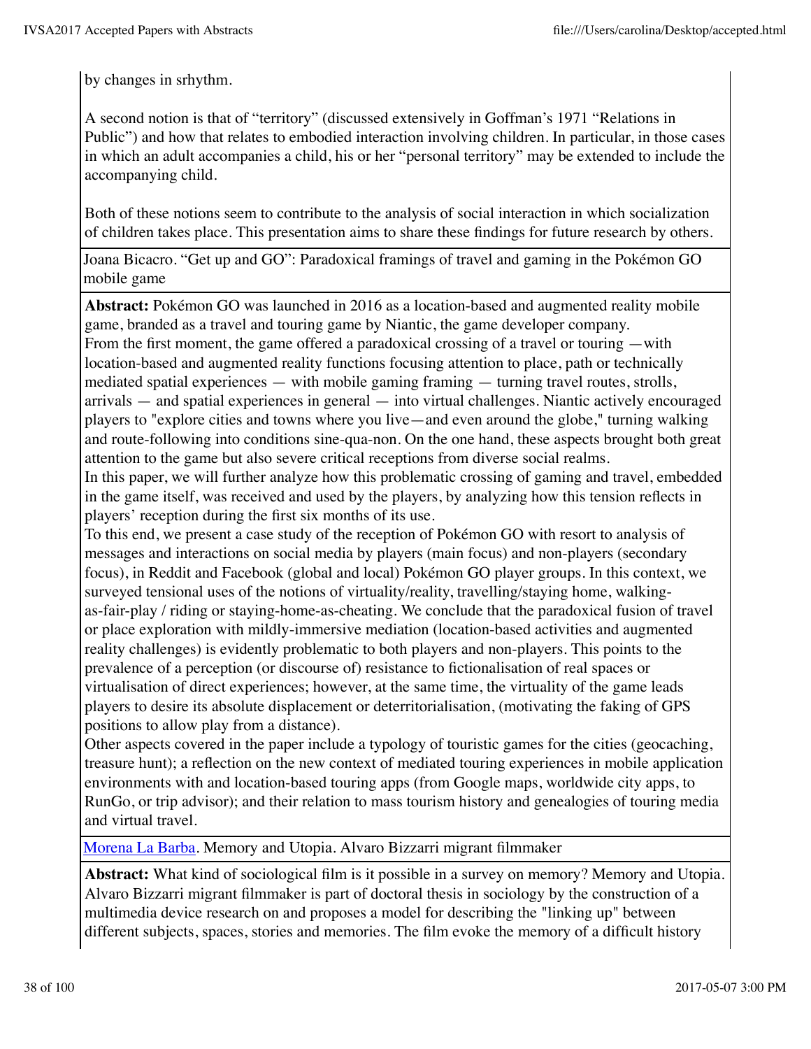by changes in srhythm.

A second notion is that of "territory" (discussed extensively in Goffman's 1971 "Relations in Public") and how that relates to embodied interaction involving children. In particular, in those cases in which an adult accompanies a child, his or her "personal territory" may be extended to include the accompanying child.

Both of these notions seem to contribute to the analysis of social interaction in which socialization of children takes place. This presentation aims to share these findings for future research by others.

Joana Bicacro. "Get up and GO": Paradoxical framings of travel and gaming in the Pokémon GO mobile game

**Abstract:** Pokémon GO was launched in 2016 as a location-based and augmented reality mobile game, branded as a travel and touring game by Niantic, the game developer company. From the first moment, the game offered a paradoxical crossing of a travel or touring —with location-based and augmented reality functions focusing attention to place, path or technically mediated spatial experiences — with mobile gaming framing — turning travel routes, strolls, arrivals — and spatial experiences in general — into virtual challenges. Niantic actively encouraged players to "explore cities and towns where you live—and even around the globe," turning walking and route-following into conditions sine-qua-non. On the one hand, these aspects brought both great attention to the game but also severe critical receptions from diverse social realms.

In this paper, we will further analyze how this problematic crossing of gaming and travel, embedded in the game itself, was received and used by the players, by analyzing how this tension reflects in players' reception during the first six months of its use.

To this end, we present a case study of the reception of Pokémon GO with resort to analysis of messages and interactions on social media by players (main focus) and non-players (secondary focus), in Reddit and Facebook (global and local) Pokémon GO player groups. In this context, we surveyed tensional uses of the notions of virtuality/reality, travelling/staying home, walkingas-fair-play / riding or staying-home-as-cheating. We conclude that the paradoxical fusion of travel or place exploration with mildly-immersive mediation (location-based activities and augmented reality challenges) is evidently problematic to both players and non-players. This points to the prevalence of a perception (or discourse of) resistance to fictionalisation of real spaces or virtualisation of direct experiences; however, at the same time, the virtuality of the game leads players to desire its absolute displacement or deterritorialisation, (motivating the faking of GPS positions to allow play from a distance).

Other aspects covered in the paper include a typology of touristic games for the cities (geocaching, treasure hunt); a reflection on the new context of mediated touring experiences in mobile application environments with and location-based touring apps (from Google maps, worldwide city apps, to RunGo, or trip advisor); and their relation to mass tourism history and genealogies of touring media and virtual travel.

Morena La Barba. Memory and Utopia. Alvaro Bizzarri migrant filmmaker

**Abstract:** What kind of sociological film is it possible in a survey on memory? Memory and Utopia. Alvaro Bizzarri migrant filmmaker is part of doctoral thesis in sociology by the construction of a multimedia device research on and proposes a model for describing the "linking up" between different subjects, spaces, stories and memories. The film evoke the memory of a difficult history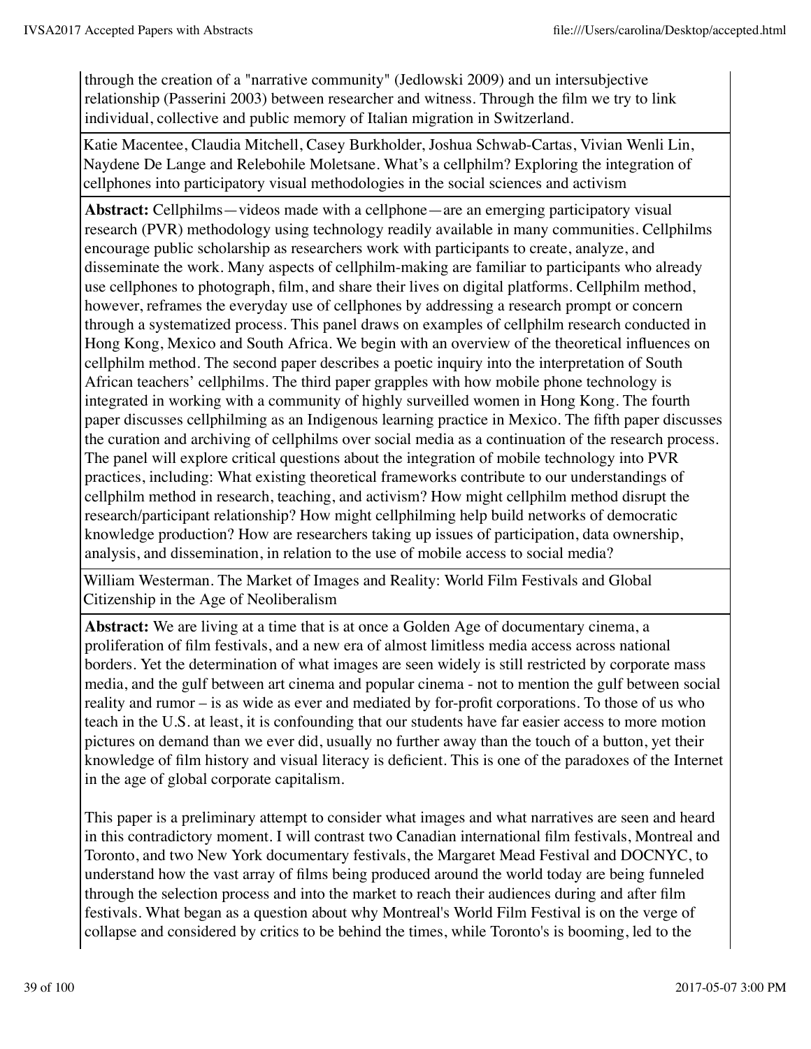through the creation of a "narrative community" (Jedlowski 2009) and un intersubjective relationship (Passerini 2003) between researcher and witness. Through the film we try to link individual, collective and public memory of Italian migration in Switzerland.

Katie Macentee, Claudia Mitchell, Casey Burkholder, Joshua Schwab-Cartas, Vivian Wenli Lin, Naydene De Lange and Relebohile Moletsane. What's a cellphilm? Exploring the integration of cellphones into participatory visual methodologies in the social sciences and activism

**Abstract:** Cellphilms—videos made with a cellphone—are an emerging participatory visual research (PVR) methodology using technology readily available in many communities. Cellphilms encourage public scholarship as researchers work with participants to create, analyze, and disseminate the work. Many aspects of cellphilm-making are familiar to participants who already use cellphones to photograph, film, and share their lives on digital platforms. Cellphilm method, however, reframes the everyday use of cellphones by addressing a research prompt or concern through a systematized process. This panel draws on examples of cellphilm research conducted in Hong Kong, Mexico and South Africa. We begin with an overview of the theoretical influences on cellphilm method. The second paper describes a poetic inquiry into the interpretation of South African teachers' cellphilms. The third paper grapples with how mobile phone technology is integrated in working with a community of highly surveilled women in Hong Kong. The fourth paper discusses cellphilming as an Indigenous learning practice in Mexico. The fifth paper discusses the curation and archiving of cellphilms over social media as a continuation of the research process. The panel will explore critical questions about the integration of mobile technology into PVR practices, including: What existing theoretical frameworks contribute to our understandings of cellphilm method in research, teaching, and activism? How might cellphilm method disrupt the research/participant relationship? How might cellphilming help build networks of democratic knowledge production? How are researchers taking up issues of participation, data ownership, analysis, and dissemination, in relation to the use of mobile access to social media?

William Westerman. The Market of Images and Reality: World Film Festivals and Global Citizenship in the Age of Neoliberalism

**Abstract:** We are living at a time that is at once a Golden Age of documentary cinema, a proliferation of film festivals, and a new era of almost limitless media access across national borders. Yet the determination of what images are seen widely is still restricted by corporate mass media, and the gulf between art cinema and popular cinema - not to mention the gulf between social reality and rumor – is as wide as ever and mediated by for-profit corporations. To those of us who teach in the U.S. at least, it is confounding that our students have far easier access to more motion pictures on demand than we ever did, usually no further away than the touch of a button, yet their knowledge of film history and visual literacy is deficient. This is one of the paradoxes of the Internet in the age of global corporate capitalism.

This paper is a preliminary attempt to consider what images and what narratives are seen and heard in this contradictory moment. I will contrast two Canadian international film festivals, Montreal and Toronto, and two New York documentary festivals, the Margaret Mead Festival and DOCNYC, to understand how the vast array of films being produced around the world today are being funneled through the selection process and into the market to reach their audiences during and after film festivals. What began as a question about why Montreal's World Film Festival is on the verge of collapse and considered by critics to be behind the times, while Toronto's is booming, led to the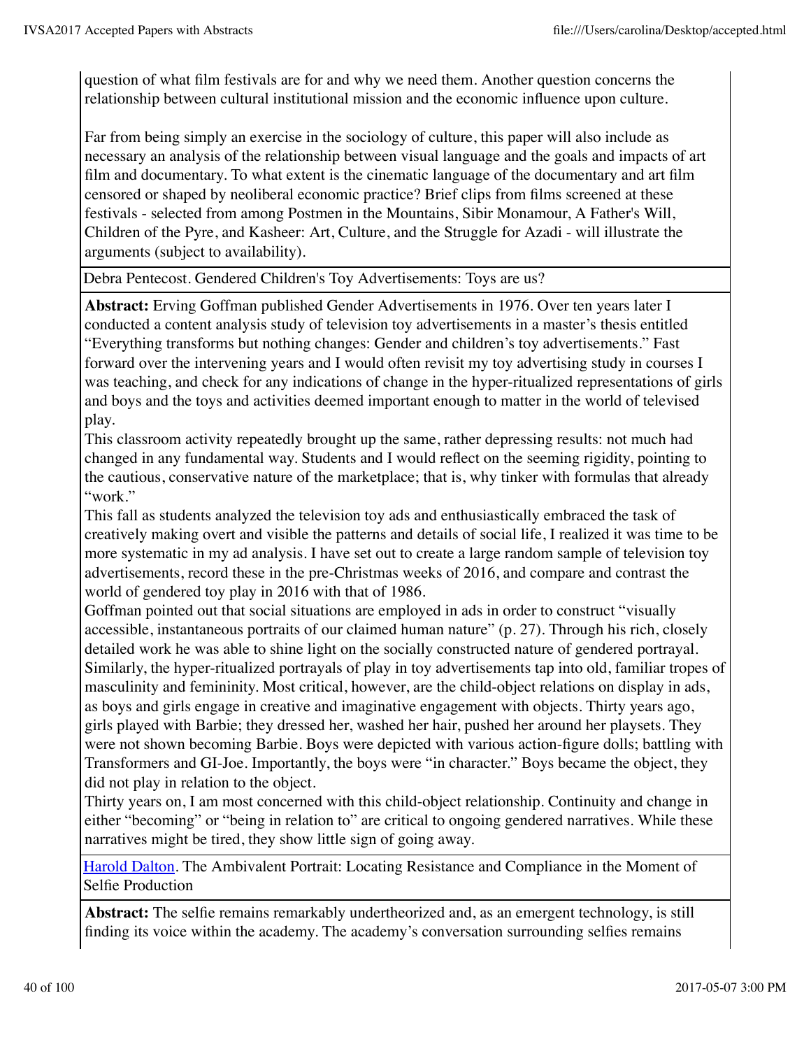question of what film festivals are for and why we need them. Another question concerns the relationship between cultural institutional mission and the economic influence upon culture.

Far from being simply an exercise in the sociology of culture, this paper will also include as necessary an analysis of the relationship between visual language and the goals and impacts of art film and documentary. To what extent is the cinematic language of the documentary and art film censored or shaped by neoliberal economic practice? Brief clips from films screened at these festivals - selected from among Postmen in the Mountains, Sibir Monamour, A Father's Will, Children of the Pyre, and Kasheer: Art, Culture, and the Struggle for Azadi - will illustrate the arguments (subject to availability).

Debra Pentecost. Gendered Children's Toy Advertisements: Toys are us?

**Abstract:** Erving Goffman published Gender Advertisements in 1976. Over ten years later I conducted a content analysis study of television toy advertisements in a master's thesis entitled "Everything transforms but nothing changes: Gender and children's toy advertisements." Fast forward over the intervening years and I would often revisit my toy advertising study in courses I was teaching, and check for any indications of change in the hyper-ritualized representations of girls and boys and the toys and activities deemed important enough to matter in the world of televised play.

This classroom activity repeatedly brought up the same, rather depressing results: not much had changed in any fundamental way. Students and I would reflect on the seeming rigidity, pointing to the cautious, conservative nature of the marketplace; that is, why tinker with formulas that already "work."

This fall as students analyzed the television toy ads and enthusiastically embraced the task of creatively making overt and visible the patterns and details of social life, I realized it was time to be more systematic in my ad analysis. I have set out to create a large random sample of television toy advertisements, record these in the pre-Christmas weeks of 2016, and compare and contrast the world of gendered toy play in 2016 with that of 1986.

Goffman pointed out that social situations are employed in ads in order to construct "visually accessible, instantaneous portraits of our claimed human nature" (p. 27). Through his rich, closely detailed work he was able to shine light on the socially constructed nature of gendered portrayal. Similarly, the hyper-ritualized portrayals of play in toy advertisements tap into old, familiar tropes of masculinity and femininity. Most critical, however, are the child-object relations on display in ads, as boys and girls engage in creative and imaginative engagement with objects. Thirty years ago, girls played with Barbie; they dressed her, washed her hair, pushed her around her playsets. They were not shown becoming Barbie. Boys were depicted with various action-figure dolls; battling with Transformers and GI-Joe. Importantly, the boys were "in character." Boys became the object, they did not play in relation to the object.

Thirty years on, I am most concerned with this child-object relationship. Continuity and change in either "becoming" or "being in relation to" are critical to ongoing gendered narratives. While these narratives might be tired, they show little sign of going away.

Harold Dalton. The Ambivalent Portrait: Locating Resistance and Compliance in the Moment of Selfie Production

**Abstract:** The selfie remains remarkably undertheorized and, as an emergent technology, is still finding its voice within the academy. The academy's conversation surrounding selfies remains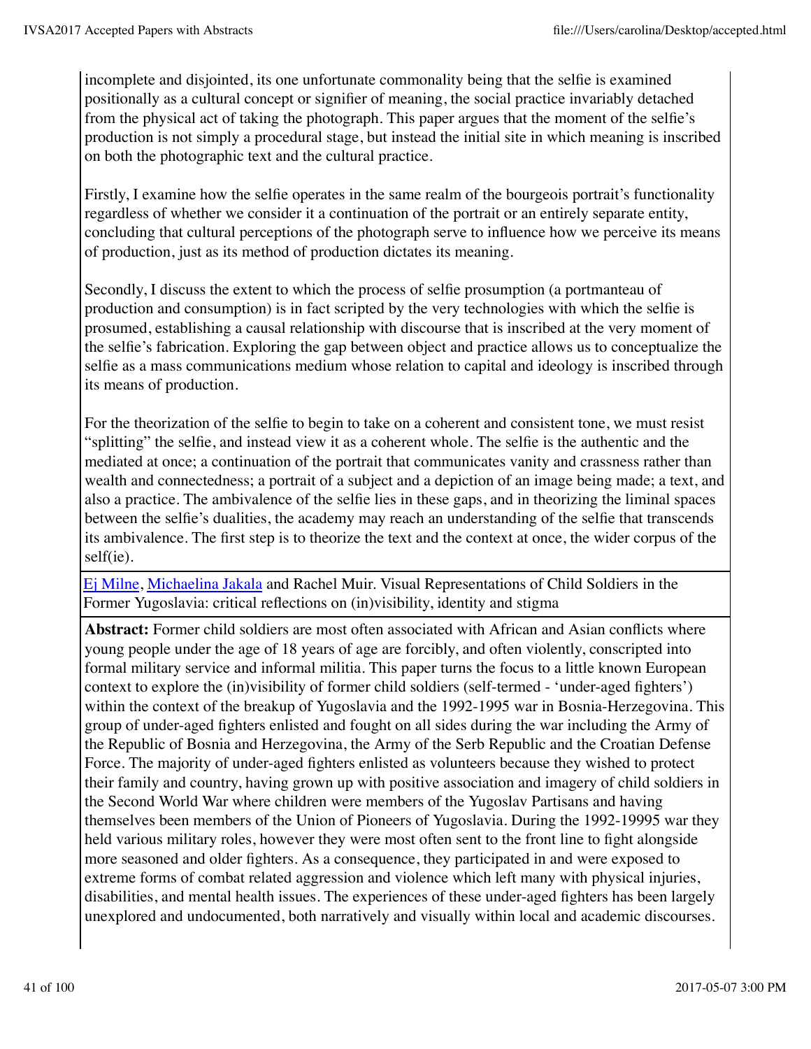incomplete and disjointed, its one unfortunate commonality being that the selfie is examined positionally as a cultural concept or signifier of meaning, the social practice invariably detached from the physical act of taking the photograph. This paper argues that the moment of the selfie's production is not simply a procedural stage, but instead the initial site in which meaning is inscribed on both the photographic text and the cultural practice.

Firstly, I examine how the selfie operates in the same realm of the bourgeois portrait's functionality regardless of whether we consider it a continuation of the portrait or an entirely separate entity, concluding that cultural perceptions of the photograph serve to influence how we perceive its means of production, just as its method of production dictates its meaning.

Secondly, I discuss the extent to which the process of selfie prosumption (a portmanteau of production and consumption) is in fact scripted by the very technologies with which the selfie is prosumed, establishing a causal relationship with discourse that is inscribed at the very moment of the selfie's fabrication. Exploring the gap between object and practice allows us to conceptualize the selfie as a mass communications medium whose relation to capital and ideology is inscribed through its means of production.

For the theorization of the selfie to begin to take on a coherent and consistent tone, we must resist "splitting" the selfie, and instead view it as a coherent whole. The selfie is the authentic and the mediated at once; a continuation of the portrait that communicates vanity and crassness rather than wealth and connectedness; a portrait of a subject and a depiction of an image being made; a text, and also a practice. The ambivalence of the selfie lies in these gaps, and in theorizing the liminal spaces between the selfie's dualities, the academy may reach an understanding of the selfie that transcends its ambivalence. The first step is to theorize the text and the context at once, the wider corpus of the self(ie).

Ej Milne, Michaelina Jakala and Rachel Muir. Visual Representations of Child Soldiers in the Former Yugoslavia: critical reflections on (in)visibility, identity and stigma

**Abstract:** Former child soldiers are most often associated with African and Asian conflicts where young people under the age of 18 years of age are forcibly, and often violently, conscripted into formal military service and informal militia. This paper turns the focus to a little known European context to explore the (in)visibility of former child soldiers (self-termed - 'under-aged fighters') within the context of the breakup of Yugoslavia and the 1992-1995 war in Bosnia-Herzegovina. This group of under-aged fighters enlisted and fought on all sides during the war including the Army of the Republic of Bosnia and Herzegovina, the Army of the Serb Republic and the Croatian Defense Force. The majority of under-aged fighters enlisted as volunteers because they wished to protect their family and country, having grown up with positive association and imagery of child soldiers in the Second World War where children were members of the Yugoslav Partisans and having themselves been members of the Union of Pioneers of Yugoslavia. During the 1992-19995 war they held various military roles, however they were most often sent to the front line to fight alongside more seasoned and older fighters. As a consequence, they participated in and were exposed to extreme forms of combat related aggression and violence which left many with physical injuries, disabilities, and mental health issues. The experiences of these under-aged fighters has been largely unexplored and undocumented, both narratively and visually within local and academic discourses.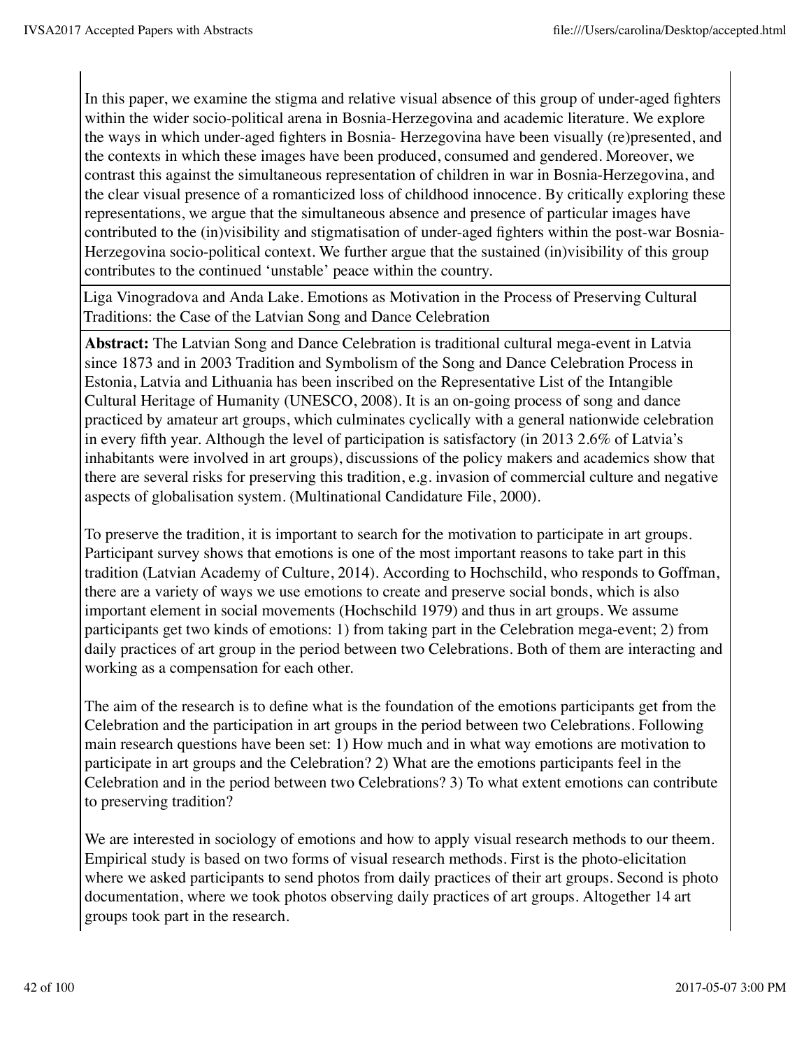In this paper, we examine the stigma and relative visual absence of this group of under-aged fighters within the wider socio-political arena in Bosnia-Herzegovina and academic literature. We explore the ways in which under-aged fighters in Bosnia- Herzegovina have been visually (re)presented, and the contexts in which these images have been produced, consumed and gendered. Moreover, we contrast this against the simultaneous representation of children in war in Bosnia-Herzegovina, and the clear visual presence of a romanticized loss of childhood innocence. By critically exploring these representations, we argue that the simultaneous absence and presence of particular images have contributed to the (in)visibility and stigmatisation of under-aged fighters within the post-war Bosnia-Herzegovina socio-political context. We further argue that the sustained (in)visibility of this group contributes to the continued 'unstable' peace within the country.

Liga Vinogradova and Anda Lake. Emotions as Motivation in the Process of Preserving Cultural Traditions: the Case of the Latvian Song and Dance Celebration

**Abstract:** The Latvian Song and Dance Celebration is traditional cultural mega-event in Latvia since 1873 and in 2003 Tradition and Symbolism of the Song and Dance Celebration Process in Estonia, Latvia and Lithuania has been inscribed on the Representative List of the Intangible Cultural Heritage of Humanity (UNESCO, 2008). It is an on-going process of song and dance practiced by amateur art groups, which culminates cyclically with a general nationwide celebration in every fifth year. Although the level of participation is satisfactory (in 2013 2.6% of Latvia's inhabitants were involved in art groups), discussions of the policy makers and academics show that there are several risks for preserving this tradition, e.g. invasion of commercial culture and negative aspects of globalisation system. (Multinational Candidature File, 2000).

To preserve the tradition, it is important to search for the motivation to participate in art groups. Participant survey shows that emotions is one of the most important reasons to take part in this tradition (Latvian Academy of Culture, 2014). According to Hochschild, who responds to Goffman, there are a variety of ways we use emotions to create and preserve social bonds, which is also important element in social movements (Hochschild 1979) and thus in art groups. We assume participants get two kinds of emotions: 1) from taking part in the Celebration mega-event; 2) from daily practices of art group in the period between two Celebrations. Both of them are interacting and working as a compensation for each other.

The aim of the research is to define what is the foundation of the emotions participants get from the Celebration and the participation in art groups in the period between two Celebrations. Following main research questions have been set: 1) How much and in what way emotions are motivation to participate in art groups and the Celebration? 2) What are the emotions participants feel in the Celebration and in the period between two Celebrations? 3) To what extent emotions can contribute to preserving tradition?

We are interested in sociology of emotions and how to apply visual research methods to our theem. Empirical study is based on two forms of visual research methods. First is the photo-elicitation where we asked participants to send photos from daily practices of their art groups. Second is photo documentation, where we took photos observing daily practices of art groups. Altogether 14 art groups took part in the research.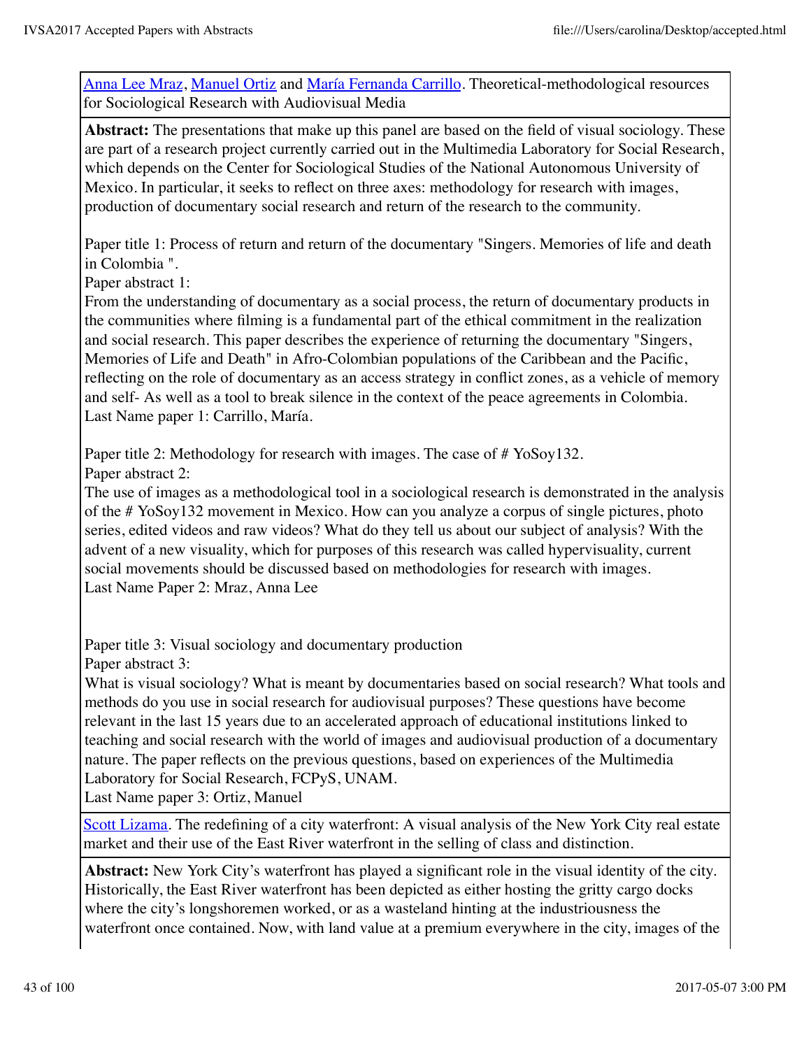Anna Lee Mraz, Manuel Ortiz and María Fernanda Carrillo. Theoretical-methodological resources for Sociological Research with Audiovisual Media

**Abstract:** The presentations that make up this panel are based on the field of visual sociology. These are part of a research project currently carried out in the Multimedia Laboratory for Social Research, which depends on the Center for Sociological Studies of the National Autonomous University of Mexico. In particular, it seeks to reflect on three axes: methodology for research with images, production of documentary social research and return of the research to the community.

Paper title 1: Process of return and return of the documentary "Singers. Memories of life and death in Colombia ".

Paper abstract 1:

From the understanding of documentary as a social process, the return of documentary products in the communities where filming is a fundamental part of the ethical commitment in the realization and social research. This paper describes the experience of returning the documentary "Singers, Memories of Life and Death" in Afro-Colombian populations of the Caribbean and the Pacific, reflecting on the role of documentary as an access strategy in conflict zones, as a vehicle of memory and self- As well as a tool to break silence in the context of the peace agreements in Colombia. Last Name paper 1: Carrillo, María.

Paper title 2: Methodology for research with images. The case of # YoSoy132.

Paper abstract 2:

The use of images as a methodological tool in a sociological research is demonstrated in the analysis of the # YoSoy132 movement in Mexico. How can you analyze a corpus of single pictures, photo series, edited videos and raw videos? What do they tell us about our subject of analysis? With the advent of a new visuality, which for purposes of this research was called hypervisuality, current social movements should be discussed based on methodologies for research with images. Last Name Paper 2: Mraz, Anna Lee

Paper title 3: Visual sociology and documentary production

Paper abstract 3:

What is visual sociology? What is meant by documentaries based on social research? What tools and methods do you use in social research for audiovisual purposes? These questions have become relevant in the last 15 years due to an accelerated approach of educational institutions linked to teaching and social research with the world of images and audiovisual production of a documentary nature. The paper reflects on the previous questions, based on experiences of the Multimedia Laboratory for Social Research, FCPyS, UNAM.

Last Name paper 3: Ortiz, Manuel

Scott Lizama. The redefining of a city waterfront: A visual analysis of the New York City real estate market and their use of the East River waterfront in the selling of class and distinction.

**Abstract:** New York City's waterfront has played a significant role in the visual identity of the city. Historically, the East River waterfront has been depicted as either hosting the gritty cargo docks where the city's longshoremen worked, or as a wasteland hinting at the industriousness the waterfront once contained. Now, with land value at a premium everywhere in the city, images of the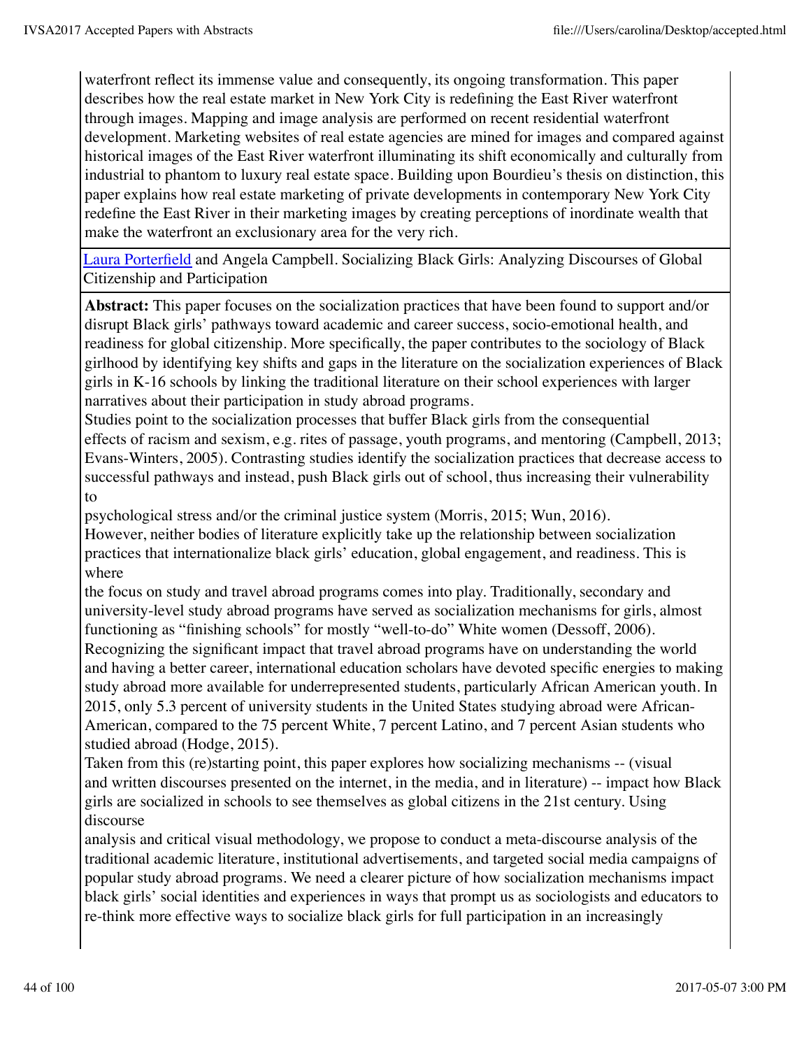waterfront reflect its immense value and consequently, its ongoing transformation. This paper describes how the real estate market in New York City is redefining the East River waterfront through images. Mapping and image analysis are performed on recent residential waterfront development. Marketing websites of real estate agencies are mined for images and compared against historical images of the East River waterfront illuminating its shift economically and culturally from industrial to phantom to luxury real estate space. Building upon Bourdieu's thesis on distinction, this paper explains how real estate marketing of private developments in contemporary New York City redefine the East River in their marketing images by creating perceptions of inordinate wealth that make the waterfront an exclusionary area for the very rich.

Laura Porterfield and Angela Campbell. Socializing Black Girls: Analyzing Discourses of Global Citizenship and Participation

**Abstract:** This paper focuses on the socialization practices that have been found to support and/or disrupt Black girls' pathways toward academic and career success, socio-emotional health, and readiness for global citizenship. More specifically, the paper contributes to the sociology of Black girlhood by identifying key shifts and gaps in the literature on the socialization experiences of Black girls in K-16 schools by linking the traditional literature on their school experiences with larger narratives about their participation in study abroad programs.

Studies point to the socialization processes that buffer Black girls from the consequential effects of racism and sexism, e.g. rites of passage, youth programs, and mentoring (Campbell, 2013; Evans-Winters, 2005). Contrasting studies identify the socialization practices that decrease access to successful pathways and instead, push Black girls out of school, thus increasing their vulnerability to

psychological stress and/or the criminal justice system (Morris, 2015; Wun, 2016).

However, neither bodies of literature explicitly take up the relationship between socialization practices that internationalize black girls' education, global engagement, and readiness. This is where

the focus on study and travel abroad programs comes into play. Traditionally, secondary and university-level study abroad programs have served as socialization mechanisms for girls, almost functioning as "finishing schools" for mostly "well-to-do" White women (Dessoff, 2006). Recognizing the significant impact that travel abroad programs have on understanding the world and having a better career, international education scholars have devoted specific energies to making study abroad more available for underrepresented students, particularly African American youth. In 2015, only 5.3 percent of university students in the United States studying abroad were African-American, compared to the 75 percent White, 7 percent Latino, and 7 percent Asian students who studied abroad (Hodge, 2015).

Taken from this (re)starting point, this paper explores how socializing mechanisms -- (visual and written discourses presented on the internet, in the media, and in literature) -- impact how Black girls are socialized in schools to see themselves as global citizens in the 21st century. Using discourse

analysis and critical visual methodology, we propose to conduct a meta-discourse analysis of the traditional academic literature, institutional advertisements, and targeted social media campaigns of popular study abroad programs. We need a clearer picture of how socialization mechanisms impact black girls' social identities and experiences in ways that prompt us as sociologists and educators to re-think more effective ways to socialize black girls for full participation in an increasingly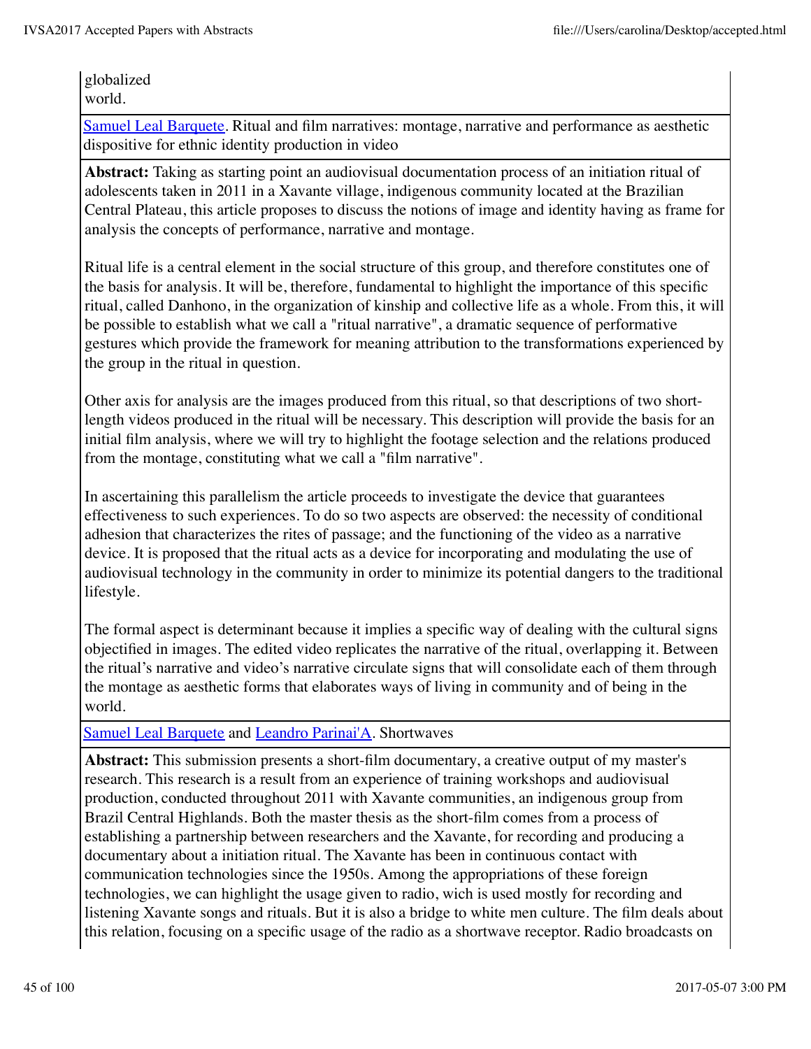globalized world.

Samuel Leal Barquete. Ritual and film narratives: montage, narrative and performance as aesthetic dispositive for ethnic identity production in video

**Abstract:** Taking as starting point an audiovisual documentation process of an initiation ritual of adolescents taken in 2011 in a Xavante village, indigenous community located at the Brazilian Central Plateau, this article proposes to discuss the notions of image and identity having as frame for analysis the concepts of performance, narrative and montage.

Ritual life is a central element in the social structure of this group, and therefore constitutes one of the basis for analysis. It will be, therefore, fundamental to highlight the importance of this specific ritual, called Danhono, in the organization of kinship and collective life as a whole. From this, it will be possible to establish what we call a "ritual narrative", a dramatic sequence of performative gestures which provide the framework for meaning attribution to the transformations experienced by the group in the ritual in question.

Other axis for analysis are the images produced from this ritual, so that descriptions of two shortlength videos produced in the ritual will be necessary. This description will provide the basis for an initial film analysis, where we will try to highlight the footage selection and the relations produced from the montage, constituting what we call a "film narrative".

In ascertaining this parallelism the article proceeds to investigate the device that guarantees effectiveness to such experiences. To do so two aspects are observed: the necessity of conditional adhesion that characterizes the rites of passage; and the functioning of the video as a narrative device. It is proposed that the ritual acts as a device for incorporating and modulating the use of audiovisual technology in the community in order to minimize its potential dangers to the traditional lifestyle.

The formal aspect is determinant because it implies a specific way of dealing with the cultural signs objectified in images. The edited video replicates the narrative of the ritual, overlapping it. Between the ritual's narrative and video's narrative circulate signs that will consolidate each of them through the montage as aesthetic forms that elaborates ways of living in community and of being in the world.

Samuel Leal Barquete and Leandro Parinai'A. Shortwaves

**Abstract:** This submission presents a short-film documentary, a creative output of my master's research. This research is a result from an experience of training workshops and audiovisual production, conducted throughout 2011 with Xavante communities, an indigenous group from Brazil Central Highlands. Both the master thesis as the short-film comes from a process of establishing a partnership between researchers and the Xavante, for recording and producing a documentary about a initiation ritual. The Xavante has been in continuous contact with communication technologies since the 1950s. Among the appropriations of these foreign technologies, we can highlight the usage given to radio, wich is used mostly for recording and listening Xavante songs and rituals. But it is also a bridge to white men culture. The film deals about this relation, focusing on a specific usage of the radio as a shortwave receptor. Radio broadcasts on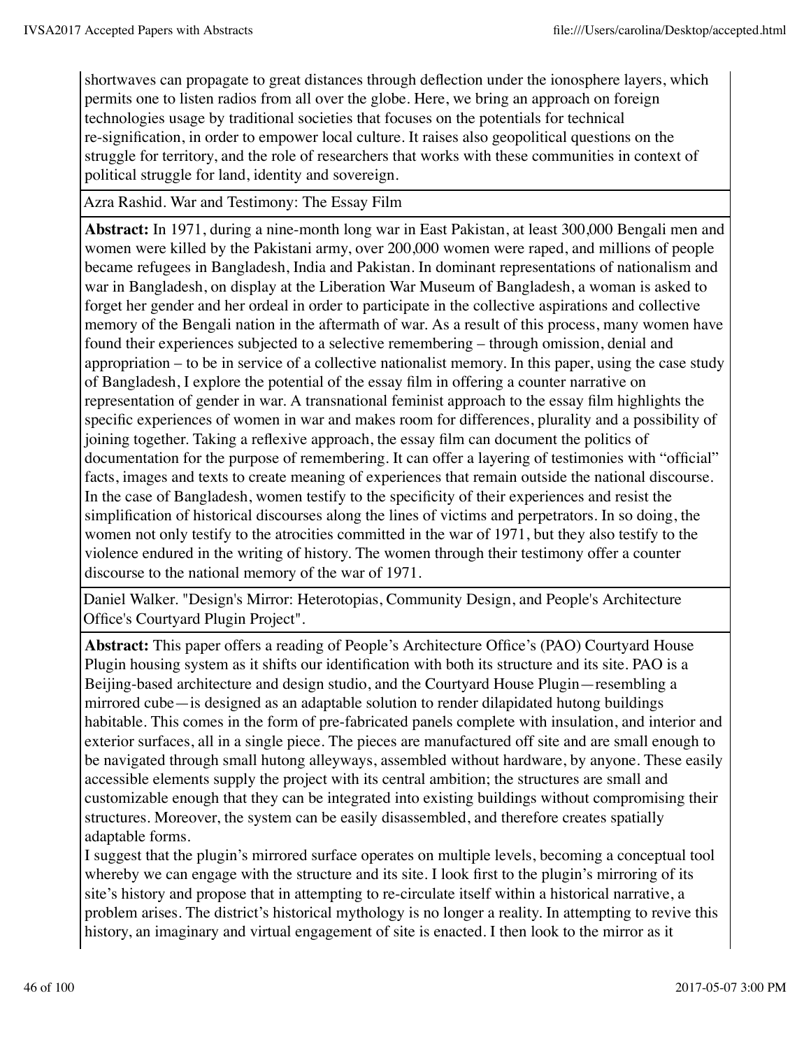shortwaves can propagate to great distances through deflection under the ionosphere layers, which permits one to listen radios from all over the globe. Here, we bring an approach on foreign technologies usage by traditional societies that focuses on the potentials for technical re-signification, in order to empower local culture. It raises also geopolitical questions on the struggle for territory, and the role of researchers that works with these communities in context of political struggle for land, identity and sovereign.

Azra Rashid. War and Testimony: The Essay Film

**Abstract:** In 1971, during a nine-month long war in East Pakistan, at least 300,000 Bengali men and women were killed by the Pakistani army, over 200,000 women were raped, and millions of people became refugees in Bangladesh, India and Pakistan. In dominant representations of nationalism and war in Bangladesh, on display at the Liberation War Museum of Bangladesh, a woman is asked to forget her gender and her ordeal in order to participate in the collective aspirations and collective memory of the Bengali nation in the aftermath of war. As a result of this process, many women have found their experiences subjected to a selective remembering – through omission, denial and appropriation – to be in service of a collective nationalist memory. In this paper, using the case study of Bangladesh, I explore the potential of the essay film in offering a counter narrative on representation of gender in war. A transnational feminist approach to the essay film highlights the specific experiences of women in war and makes room for differences, plurality and a possibility of joining together. Taking a reflexive approach, the essay film can document the politics of documentation for the purpose of remembering. It can offer a layering of testimonies with "official" facts, images and texts to create meaning of experiences that remain outside the national discourse. In the case of Bangladesh, women testify to the specificity of their experiences and resist the simplification of historical discourses along the lines of victims and perpetrators. In so doing, the women not only testify to the atrocities committed in the war of 1971, but they also testify to the violence endured in the writing of history. The women through their testimony offer a counter discourse to the national memory of the war of 1971.

Daniel Walker. "Design's Mirror: Heterotopias, Community Design, and People's Architecture Office's Courtyard Plugin Project".

**Abstract:** This paper offers a reading of People's Architecture Office's (PAO) Courtyard House Plugin housing system as it shifts our identification with both its structure and its site. PAO is a Beijing-based architecture and design studio, and the Courtyard House Plugin—resembling a mirrored cube—is designed as an adaptable solution to render dilapidated hutong buildings habitable. This comes in the form of pre-fabricated panels complete with insulation, and interior and exterior surfaces, all in a single piece. The pieces are manufactured off site and are small enough to be navigated through small hutong alleyways, assembled without hardware, by anyone. These easily accessible elements supply the project with its central ambition; the structures are small and customizable enough that they can be integrated into existing buildings without compromising their structures. Moreover, the system can be easily disassembled, and therefore creates spatially adaptable forms.

I suggest that the plugin's mirrored surface operates on multiple levels, becoming a conceptual tool whereby we can engage with the structure and its site. I look first to the plugin's mirroring of its site's history and propose that in attempting to re-circulate itself within a historical narrative, a problem arises. The district's historical mythology is no longer a reality. In attempting to revive this history, an imaginary and virtual engagement of site is enacted. I then look to the mirror as it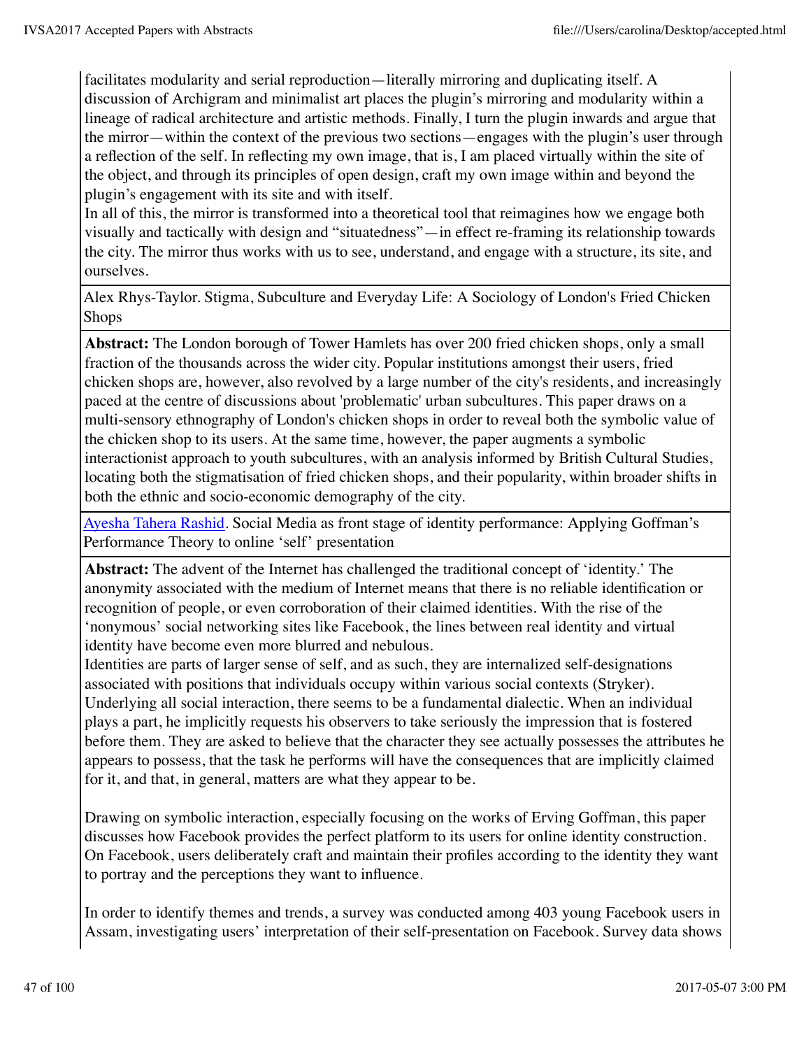facilitates modularity and serial reproduction—literally mirroring and duplicating itself. A discussion of Archigram and minimalist art places the plugin's mirroring and modularity within a lineage of radical architecture and artistic methods. Finally, I turn the plugin inwards and argue that the mirror—within the context of the previous two sections—engages with the plugin's user through a reflection of the self. In reflecting my own image, that is, I am placed virtually within the site of the object, and through its principles of open design, craft my own image within and beyond the plugin's engagement with its site and with itself.

In all of this, the mirror is transformed into a theoretical tool that reimagines how we engage both visually and tactically with design and "situatedness"—in effect re-framing its relationship towards the city. The mirror thus works with us to see, understand, and engage with a structure, its site, and ourselves.

Alex Rhys-Taylor. Stigma, Subculture and Everyday Life: A Sociology of London's Fried Chicken Shops

**Abstract:** The London borough of Tower Hamlets has over 200 fried chicken shops, only a small fraction of the thousands across the wider city. Popular institutions amongst their users, fried chicken shops are, however, also revolved by a large number of the city's residents, and increasingly paced at the centre of discussions about 'problematic' urban subcultures. This paper draws on a multi-sensory ethnography of London's chicken shops in order to reveal both the symbolic value of the chicken shop to its users. At the same time, however, the paper augments a symbolic interactionist approach to youth subcultures, with an analysis informed by British Cultural Studies, locating both the stigmatisation of fried chicken shops, and their popularity, within broader shifts in both the ethnic and socio-economic demography of the city.

Ayesha Tahera Rashid. Social Media as front stage of identity performance: Applying Goffman's Performance Theory to online 'self' presentation

**Abstract:** The advent of the Internet has challenged the traditional concept of 'identity.' The anonymity associated with the medium of Internet means that there is no reliable identification or recognition of people, or even corroboration of their claimed identities. With the rise of the 'nonymous' social networking sites like Facebook, the lines between real identity and virtual identity have become even more blurred and nebulous.

Identities are parts of larger sense of self, and as such, they are internalized self-designations associated with positions that individuals occupy within various social contexts (Stryker). Underlying all social interaction, there seems to be a fundamental dialectic. When an individual plays a part, he implicitly requests his observers to take seriously the impression that is fostered before them. They are asked to believe that the character they see actually possesses the attributes he appears to possess, that the task he performs will have the consequences that are implicitly claimed for it, and that, in general, matters are what they appear to be.

Drawing on symbolic interaction, especially focusing on the works of Erving Goffman, this paper discusses how Facebook provides the perfect platform to its users for online identity construction. On Facebook, users deliberately craft and maintain their profiles according to the identity they want to portray and the perceptions they want to influence.

In order to identify themes and trends, a survey was conducted among 403 young Facebook users in Assam, investigating users' interpretation of their self-presentation on Facebook. Survey data shows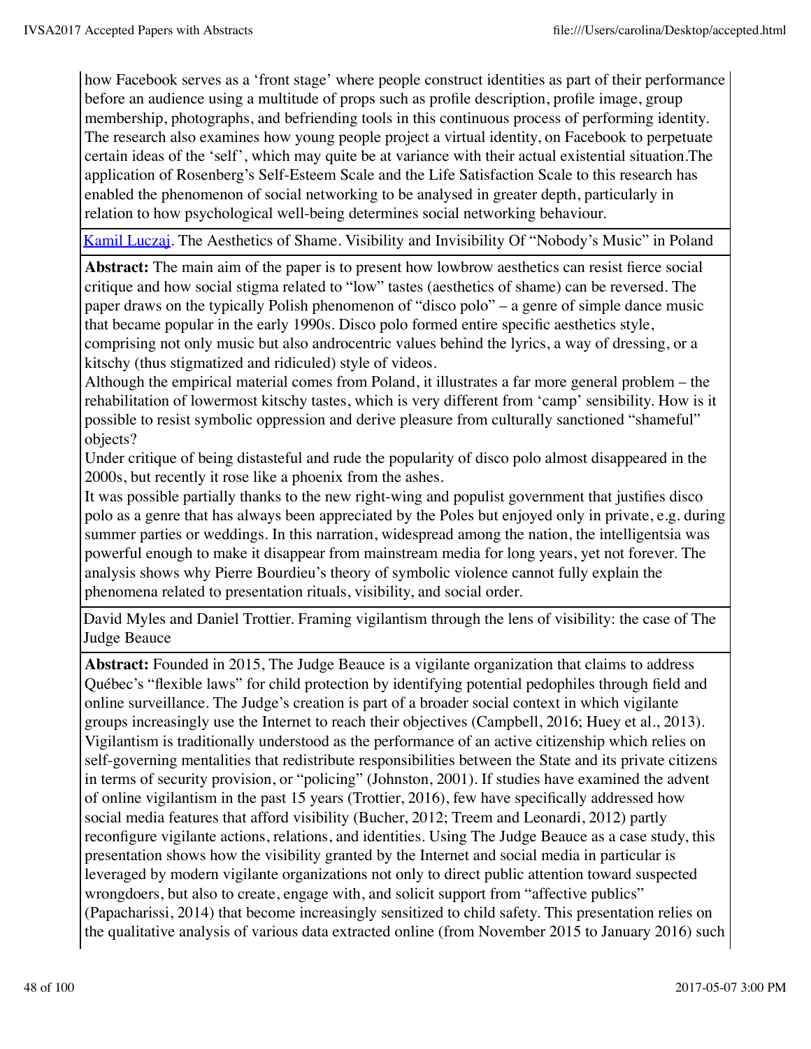how Facebook serves as a 'front stage' where people construct identities as part of their performance before an audience using a multitude of props such as profile description, profile image, group membership, photographs, and befriending tools in this continuous process of performing identity. The research also examines how young people project a virtual identity, on Facebook to perpetuate certain ideas of the 'self', which may quite be at variance with their actual existential situation.The application of Rosenberg's Self-Esteem Scale and the Life Satisfaction Scale to this research has enabled the phenomenon of social networking to be analysed in greater depth, particularly in relation to how psychological well-being determines social networking behaviour.

Kamil Luczaj. The Aesthetics of Shame. Visibility and Invisibility Of "Nobody's Music" in Poland

**Abstract:** The main aim of the paper is to present how lowbrow aesthetics can resist fierce social critique and how social stigma related to "low" tastes (aesthetics of shame) can be reversed. The paper draws on the typically Polish phenomenon of "disco polo" – a genre of simple dance music that became popular in the early 1990s. Disco polo formed entire specific aesthetics style, comprising not only music but also androcentric values behind the lyrics, a way of dressing, or a kitschy (thus stigmatized and ridiculed) style of videos.

Although the empirical material comes from Poland, it illustrates a far more general problem – the rehabilitation of lowermost kitschy tastes, which is very different from 'camp' sensibility. How is it possible to resist symbolic oppression and derive pleasure from culturally sanctioned "shameful" objects?

Under critique of being distasteful and rude the popularity of disco polo almost disappeared in the 2000s, but recently it rose like a phoenix from the ashes.

It was possible partially thanks to the new right-wing and populist government that justifies disco polo as a genre that has always been appreciated by the Poles but enjoyed only in private, e.g. during summer parties or weddings. In this narration, widespread among the nation, the intelligentsia was powerful enough to make it disappear from mainstream media for long years, yet not forever. The analysis shows why Pierre Bourdieu's theory of symbolic violence cannot fully explain the phenomena related to presentation rituals, visibility, and social order.

David Myles and Daniel Trottier. Framing vigilantism through the lens of visibility: the case of The Judge Beauce

**Abstract:** Founded in 2015, The Judge Beauce is a vigilante organization that claims to address Québec's "flexible laws" for child protection by identifying potential pedophiles through field and online surveillance. The Judge's creation is part of a broader social context in which vigilante groups increasingly use the Internet to reach their objectives (Campbell, 2016; Huey et al., 2013). Vigilantism is traditionally understood as the performance of an active citizenship which relies on self-governing mentalities that redistribute responsibilities between the State and its private citizens in terms of security provision, or "policing" (Johnston, 2001). If studies have examined the advent of online vigilantism in the past 15 years (Trottier, 2016), few have specifically addressed how social media features that afford visibility (Bucher, 2012; Treem and Leonardi, 2012) partly reconfigure vigilante actions, relations, and identities. Using The Judge Beauce as a case study, this presentation shows how the visibility granted by the Internet and social media in particular is leveraged by modern vigilante organizations not only to direct public attention toward suspected wrongdoers, but also to create, engage with, and solicit support from "affective publics" (Papacharissi, 2014) that become increasingly sensitized to child safety. This presentation relies on the qualitative analysis of various data extracted online (from November 2015 to January 2016) such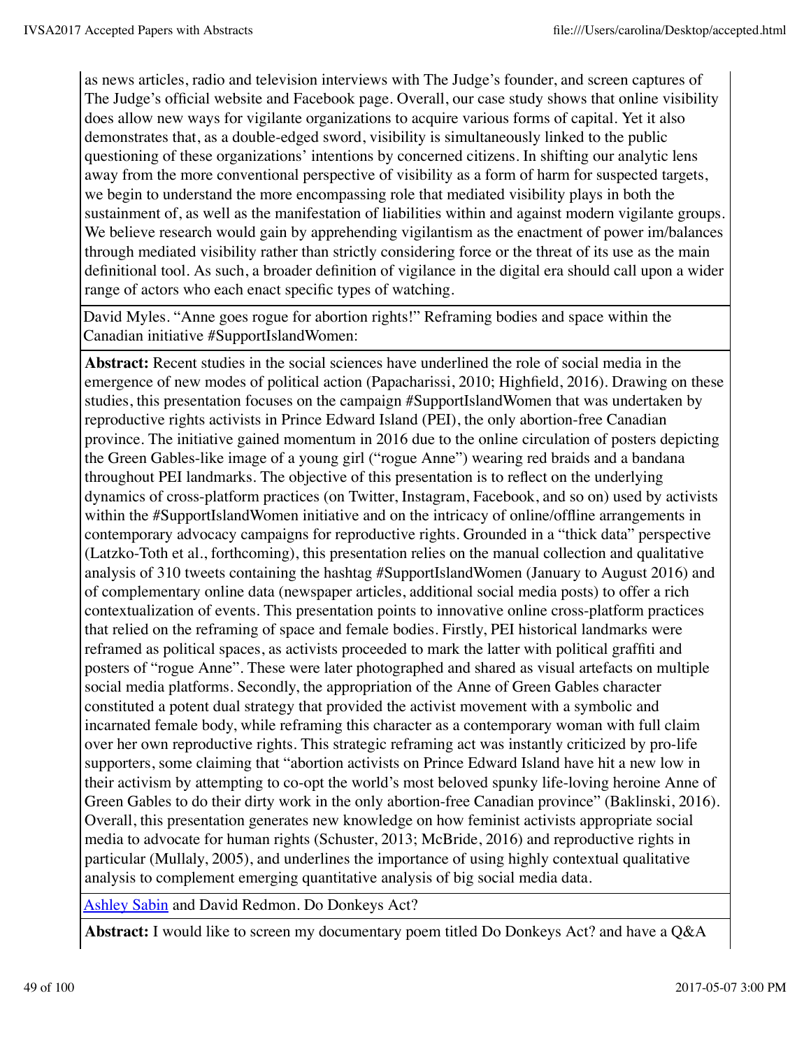as news articles, radio and television interviews with The Judge's founder, and screen captures of The Judge's official website and Facebook page. Overall, our case study shows that online visibility does allow new ways for vigilante organizations to acquire various forms of capital. Yet it also demonstrates that, as a double-edged sword, visibility is simultaneously linked to the public questioning of these organizations' intentions by concerned citizens. In shifting our analytic lens away from the more conventional perspective of visibility as a form of harm for suspected targets, we begin to understand the more encompassing role that mediated visibility plays in both the sustainment of, as well as the manifestation of liabilities within and against modern vigilante groups. We believe research would gain by apprehending vigilantism as the enactment of power im/balances through mediated visibility rather than strictly considering force or the threat of its use as the main definitional tool. As such, a broader definition of vigilance in the digital era should call upon a wider range of actors who each enact specific types of watching.

David Myles. "Anne goes rogue for abortion rights!" Reframing bodies and space within the Canadian initiative #SupportIslandWomen:

**Abstract:** Recent studies in the social sciences have underlined the role of social media in the emergence of new modes of political action (Papacharissi, 2010; Highfield, 2016). Drawing on these studies, this presentation focuses on the campaign #SupportIslandWomen that was undertaken by reproductive rights activists in Prince Edward Island (PEI), the only abortion-free Canadian province. The initiative gained momentum in 2016 due to the online circulation of posters depicting the Green Gables-like image of a young girl ("rogue Anne") wearing red braids and a bandana throughout PEI landmarks. The objective of this presentation is to reflect on the underlying dynamics of cross-platform practices (on Twitter, Instagram, Facebook, and so on) used by activists within the #SupportIslandWomen initiative and on the intricacy of online/offline arrangements in contemporary advocacy campaigns for reproductive rights. Grounded in a "thick data" perspective (Latzko-Toth et al., forthcoming), this presentation relies on the manual collection and qualitative analysis of 310 tweets containing the hashtag #SupportIslandWomen (January to August 2016) and of complementary online data (newspaper articles, additional social media posts) to offer a rich contextualization of events. This presentation points to innovative online cross-platform practices that relied on the reframing of space and female bodies. Firstly, PEI historical landmarks were reframed as political spaces, as activists proceeded to mark the latter with political graffiti and posters of "rogue Anne". These were later photographed and shared as visual artefacts on multiple social media platforms. Secondly, the appropriation of the Anne of Green Gables character constituted a potent dual strategy that provided the activist movement with a symbolic and incarnated female body, while reframing this character as a contemporary woman with full claim over her own reproductive rights. This strategic reframing act was instantly criticized by pro-life supporters, some claiming that "abortion activists on Prince Edward Island have hit a new low in their activism by attempting to co-opt the world's most beloved spunky life-loving heroine Anne of Green Gables to do their dirty work in the only abortion-free Canadian province" (Baklinski, 2016). Overall, this presentation generates new knowledge on how feminist activists appropriate social media to advocate for human rights (Schuster, 2013; McBride, 2016) and reproductive rights in particular (Mullaly, 2005), and underlines the importance of using highly contextual qualitative analysis to complement emerging quantitative analysis of big social media data.

Ashley Sabin and David Redmon. Do Donkeys Act?

**Abstract:** I would like to screen my documentary poem titled Do Donkeys Act? and have a Q&A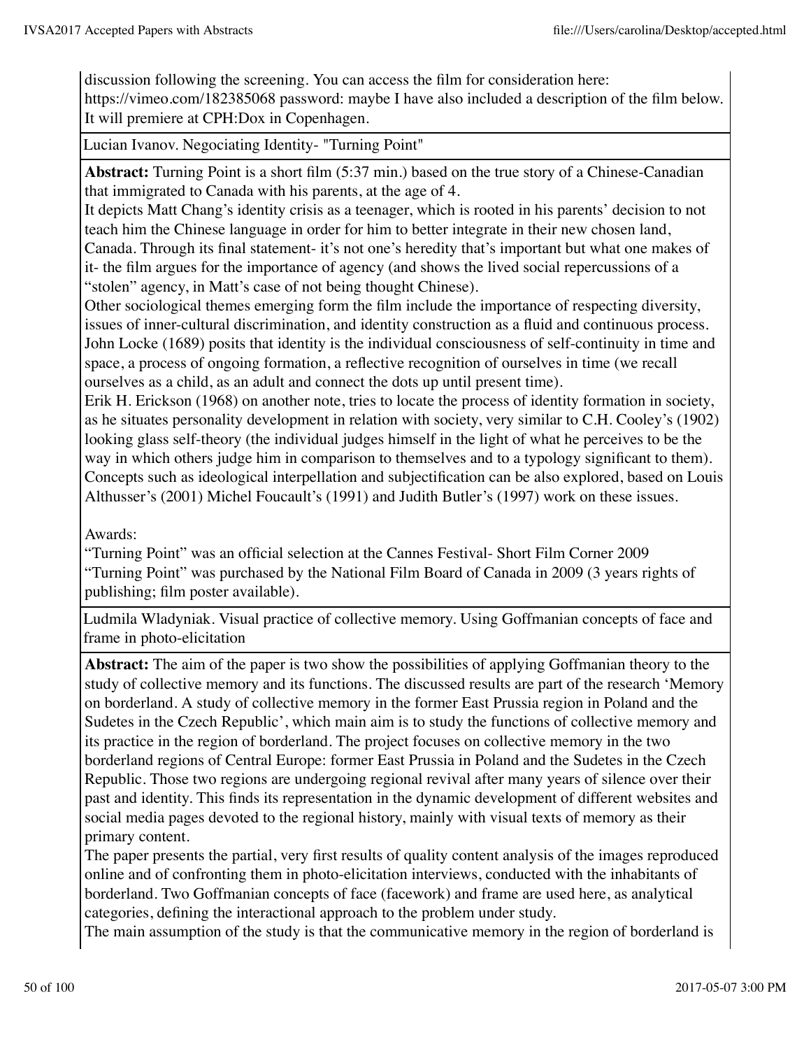discussion following the screening. You can access the film for consideration here: https://vimeo.com/182385068 password: maybe I have also included a description of the film below. It will premiere at CPH:Dox in Copenhagen.

Lucian Ivanov. Negociating Identity- "Turning Point"

**Abstract:** Turning Point is a short film (5:37 min.) based on the true story of a Chinese-Canadian that immigrated to Canada with his parents, at the age of 4.

It depicts Matt Chang's identity crisis as a teenager, which is rooted in his parents' decision to not teach him the Chinese language in order for him to better integrate in their new chosen land, Canada. Through its final statement- it's not one's heredity that's important but what one makes of it- the film argues for the importance of agency (and shows the lived social repercussions of a "stolen" agency, in Matt's case of not being thought Chinese).

Other sociological themes emerging form the film include the importance of respecting diversity, issues of inner-cultural discrimination, and identity construction as a fluid and continuous process. John Locke (1689) posits that identity is the individual consciousness of self-continuity in time and space, a process of ongoing formation, a reflective recognition of ourselves in time (we recall ourselves as a child, as an adult and connect the dots up until present time).

Erik H. Erickson (1968) on another note, tries to locate the process of identity formation in society, as he situates personality development in relation with society, very similar to C.H. Cooley's (1902) looking glass self-theory (the individual judges himself in the light of what he perceives to be the way in which others judge him in comparison to themselves and to a typology significant to them). Concepts such as ideological interpellation and subjectification can be also explored, based on Louis Althusser's (2001) Michel Foucault's (1991) and Judith Butler's (1997) work on these issues.

Awards:

"Turning Point" was an official selection at the Cannes Festival- Short Film Corner 2009 "Turning Point" was purchased by the National Film Board of Canada in 2009 (3 years rights of publishing; film poster available).

Ludmila Wladyniak. Visual practice of collective memory. Using Goffmanian concepts of face and frame in photo-elicitation

**Abstract:** The aim of the paper is two show the possibilities of applying Goffmanian theory to the study of collective memory and its functions. The discussed results are part of the research 'Memory on borderland. A study of collective memory in the former East Prussia region in Poland and the Sudetes in the Czech Republic', which main aim is to study the functions of collective memory and its practice in the region of borderland. The project focuses on collective memory in the two borderland regions of Central Europe: former East Prussia in Poland and the Sudetes in the Czech Republic. Those two regions are undergoing regional revival after many years of silence over their past and identity. This finds its representation in the dynamic development of different websites and social media pages devoted to the regional history, mainly with visual texts of memory as their primary content.

The paper presents the partial, very first results of quality content analysis of the images reproduced online and of confronting them in photo-elicitation interviews, conducted with the inhabitants of borderland. Two Goffmanian concepts of face (facework) and frame are used here, as analytical categories, defining the interactional approach to the problem under study.

The main assumption of the study is that the communicative memory in the region of borderland is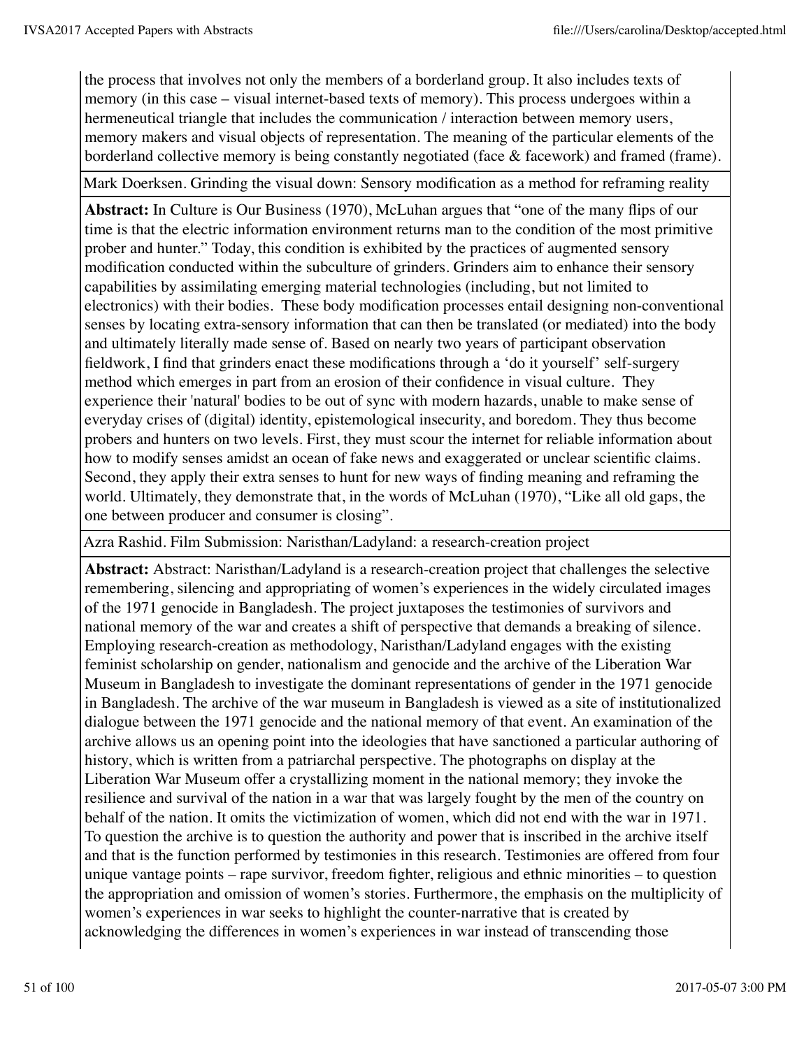the process that involves not only the members of a borderland group. It also includes texts of memory (in this case – visual internet-based texts of memory). This process undergoes within a hermeneutical triangle that includes the communication / interaction between memory users, memory makers and visual objects of representation. The meaning of the particular elements of the borderland collective memory is being constantly negotiated (face & facework) and framed (frame).

## Mark Doerksen. Grinding the visual down: Sensory modification as a method for reframing reality

**Abstract:** In Culture is Our Business (1970), McLuhan argues that "one of the many flips of our time is that the electric information environment returns man to the condition of the most primitive prober and hunter." Today, this condition is exhibited by the practices of augmented sensory modification conducted within the subculture of grinders. Grinders aim to enhance their sensory capabilities by assimilating emerging material technologies (including, but not limited to electronics) with their bodies. These body modification processes entail designing non-conventional senses by locating extra-sensory information that can then be translated (or mediated) into the body and ultimately literally made sense of. Based on nearly two years of participant observation fieldwork, I find that grinders enact these modifications through a 'do it yourself' self-surgery method which emerges in part from an erosion of their confidence in visual culture. They experience their 'natural' bodies to be out of sync with modern hazards, unable to make sense of everyday crises of (digital) identity, epistemological insecurity, and boredom. They thus become probers and hunters on two levels. First, they must scour the internet for reliable information about how to modify senses amidst an ocean of fake news and exaggerated or unclear scientific claims. Second, they apply their extra senses to hunt for new ways of finding meaning and reframing the world. Ultimately, they demonstrate that, in the words of McLuhan (1970), "Like all old gaps, the one between producer and consumer is closing".

Azra Rashid. Film Submission: Naristhan/Ladyland: a research-creation project

**Abstract:** Abstract: Naristhan/Ladyland is a research-creation project that challenges the selective remembering, silencing and appropriating of women's experiences in the widely circulated images of the 1971 genocide in Bangladesh. The project juxtaposes the testimonies of survivors and national memory of the war and creates a shift of perspective that demands a breaking of silence. Employing research-creation as methodology, Naristhan/Ladyland engages with the existing feminist scholarship on gender, nationalism and genocide and the archive of the Liberation War Museum in Bangladesh to investigate the dominant representations of gender in the 1971 genocide in Bangladesh. The archive of the war museum in Bangladesh is viewed as a site of institutionalized dialogue between the 1971 genocide and the national memory of that event. An examination of the archive allows us an opening point into the ideologies that have sanctioned a particular authoring of history, which is written from a patriarchal perspective. The photographs on display at the Liberation War Museum offer a crystallizing moment in the national memory; they invoke the resilience and survival of the nation in a war that was largely fought by the men of the country on behalf of the nation. It omits the victimization of women, which did not end with the war in 1971. To question the archive is to question the authority and power that is inscribed in the archive itself and that is the function performed by testimonies in this research. Testimonies are offered from four unique vantage points – rape survivor, freedom fighter, religious and ethnic minorities – to question the appropriation and omission of women's stories. Furthermore, the emphasis on the multiplicity of women's experiences in war seeks to highlight the counter-narrative that is created by acknowledging the differences in women's experiences in war instead of transcending those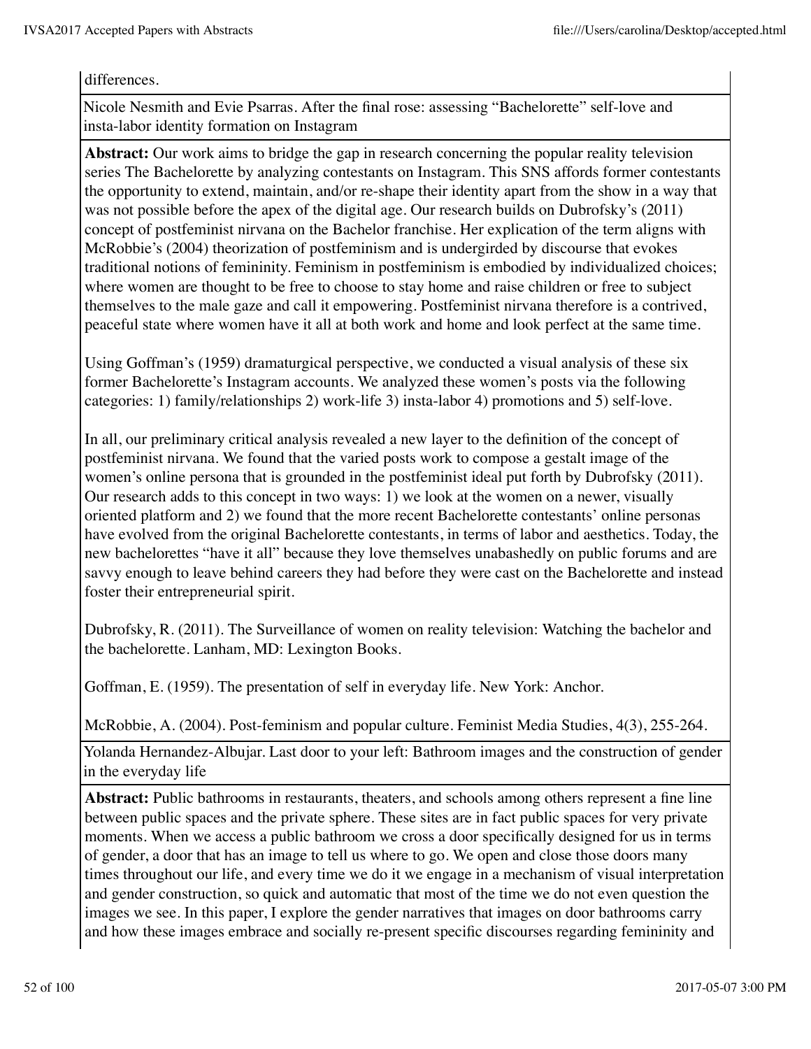differences.

Nicole Nesmith and Evie Psarras. After the final rose: assessing "Bachelorette" self-love and insta-labor identity formation on Instagram

Abstract: Our work aims to bridge the gap in research concerning the popular reality television series The Bachelorette by analyzing contestants on Instagram. This SNS affords former contestants the opportunity to extend, maintain, and/or re-shape their identity apart from the show in a way that was not possible before the apex of the digital age. Our research builds on Dubrofsky's (2011) concept of postfeminist nirvana on the Bachelor franchise. Her explication of the term aligns with McRobbie's (2004) theorization of postfeminism and is undergirded by discourse that evokes traditional notions of femininity. Feminism in postfeminism is embodied by individualized choices; where women are thought to be free to choose to stay home and raise children or free to subject themselves to the male gaze and call it empowering. Postfeminist nirvana therefore is a contrived, peaceful state where women have it all at both work and home and look perfect at the same time.

Using Goffman's (1959) dramaturgical perspective, we conducted a visual analysis of these six former Bachelorette's Instagram accounts. We analyzed these women's posts via the following categories: 1) family/relationships 2) work-life 3) insta-labor 4) promotions and 5) self-love.

In all, our preliminary critical analysis revealed a new layer to the definition of the concept of postfeminist nirvana. We found that the varied posts work to compose a gestalt image of the women's online persona that is grounded in the postfeminist ideal put forth by Dubrofsky (2011). Our research adds to this concept in two ways: 1) we look at the women on a newer, visually oriented platform and 2) we found that the more recent Bachelorette contestants' online personas have evolved from the original Bachelorette contestants, in terms of labor and aesthetics. Today, the new bachelorettes "have it all" because they love themselves unabashedly on public forums and are savvy enough to leave behind careers they had before they were cast on the Bachelorette and instead foster their entrepreneurial spirit.

Dubrofsky, R. (2011). The Surveillance of women on reality television: Watching the bachelor and the bachelorette. Lanham, MD: Lexington Books.

Goffman, E. (1959). The presentation of self in everyday life. New York: Anchor.

McRobbie, A. (2004). Post-feminism and popular culture. Feminist Media Studies, 4(3), 255-264.

Yolanda Hernandez-Albujar. Last door to your left: Bathroom images and the construction of gender in the everyday life

**Abstract:** Public bathrooms in restaurants, theaters, and schools among others represent a fine line between public spaces and the private sphere. These sites are in fact public spaces for very private moments. When we access a public bathroom we cross a door specifically designed for us in terms of gender, a door that has an image to tell us where to go. We open and close those doors many times throughout our life, and every time we do it we engage in a mechanism of visual interpretation and gender construction, so quick and automatic that most of the time we do not even question the images we see. In this paper, I explore the gender narratives that images on door bathrooms carry and how these images embrace and socially re-present specific discourses regarding femininity and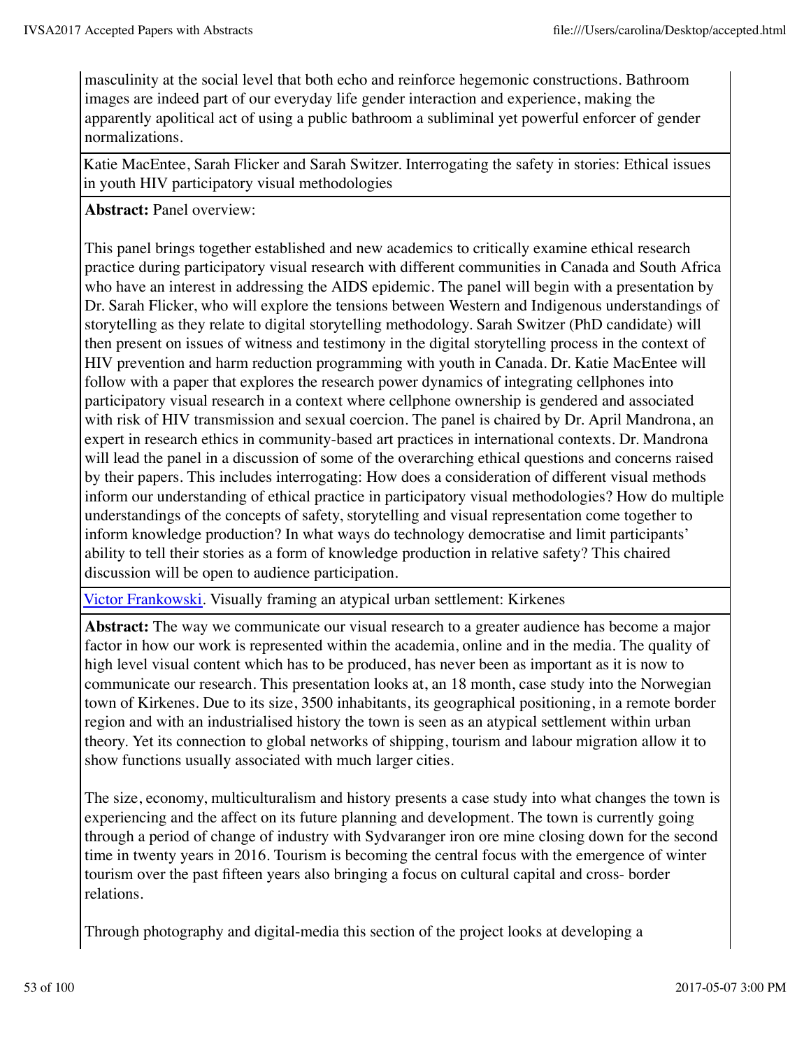masculinity at the social level that both echo and reinforce hegemonic constructions. Bathroom images are indeed part of our everyday life gender interaction and experience, making the apparently apolitical act of using a public bathroom a subliminal yet powerful enforcer of gender normalizations.

Katie MacEntee, Sarah Flicker and Sarah Switzer. Interrogating the safety in stories: Ethical issues in youth HIV participatory visual methodologies

**Abstract:** Panel overview:

This panel brings together established and new academics to critically examine ethical research practice during participatory visual research with different communities in Canada and South Africa who have an interest in addressing the AIDS epidemic. The panel will begin with a presentation by Dr. Sarah Flicker, who will explore the tensions between Western and Indigenous understandings of storytelling as they relate to digital storytelling methodology. Sarah Switzer (PhD candidate) will then present on issues of witness and testimony in the digital storytelling process in the context of HIV prevention and harm reduction programming with youth in Canada. Dr. Katie MacEntee will follow with a paper that explores the research power dynamics of integrating cellphones into participatory visual research in a context where cellphone ownership is gendered and associated with risk of HIV transmission and sexual coercion. The panel is chaired by Dr. April Mandrona, an expert in research ethics in community-based art practices in international contexts. Dr. Mandrona will lead the panel in a discussion of some of the overarching ethical questions and concerns raised by their papers. This includes interrogating: How does a consideration of different visual methods inform our understanding of ethical practice in participatory visual methodologies? How do multiple understandings of the concepts of safety, storytelling and visual representation come together to inform knowledge production? In what ways do technology democratise and limit participants' ability to tell their stories as a form of knowledge production in relative safety? This chaired discussion will be open to audience participation.

Victor Frankowski. Visually framing an atypical urban settlement: Kirkenes

**Abstract:** The way we communicate our visual research to a greater audience has become a major factor in how our work is represented within the academia, online and in the media. The quality of high level visual content which has to be produced, has never been as important as it is now to communicate our research. This presentation looks at, an 18 month, case study into the Norwegian town of Kirkenes. Due to its size, 3500 inhabitants, its geographical positioning, in a remote border region and with an industrialised history the town is seen as an atypical settlement within urban theory. Yet its connection to global networks of shipping, tourism and labour migration allow it to show functions usually associated with much larger cities.

The size, economy, multiculturalism and history presents a case study into what changes the town is experiencing and the affect on its future planning and development. The town is currently going through a period of change of industry with Sydvaranger iron ore mine closing down for the second time in twenty years in 2016. Tourism is becoming the central focus with the emergence of winter tourism over the past fifteen years also bringing a focus on cultural capital and cross- border relations.

Through photography and digital-media this section of the project looks at developing a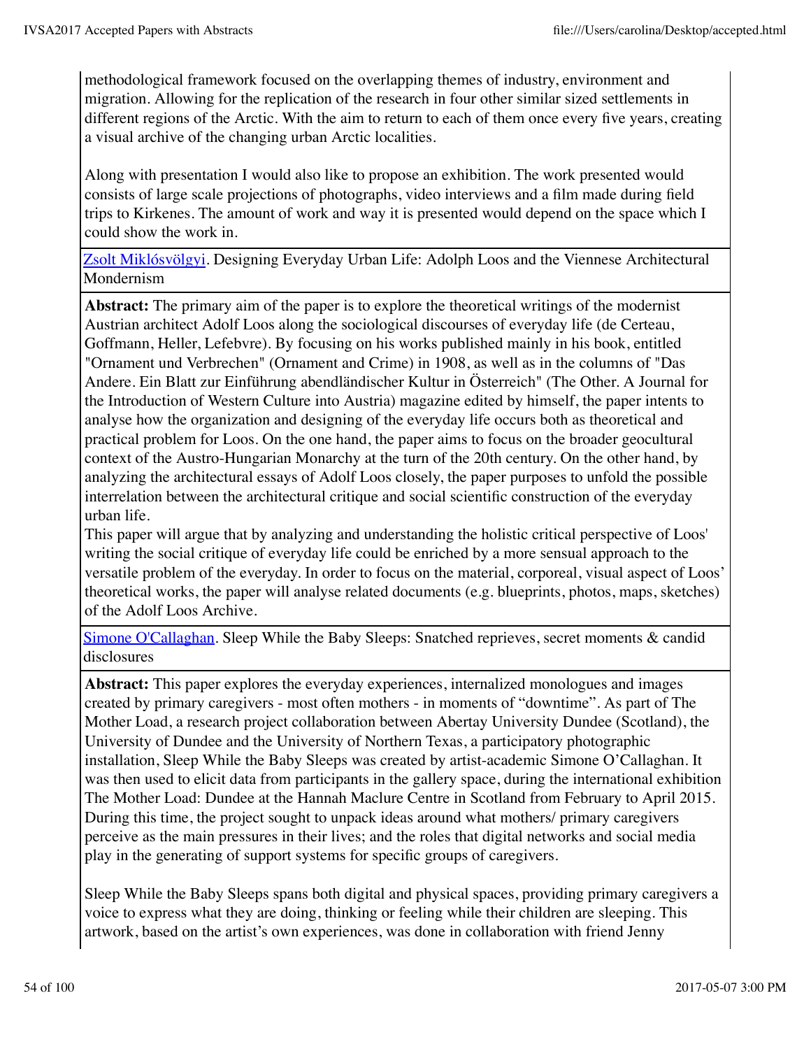methodological framework focused on the overlapping themes of industry, environment and migration. Allowing for the replication of the research in four other similar sized settlements in different regions of the Arctic. With the aim to return to each of them once every five years, creating a visual archive of the changing urban Arctic localities.

Along with presentation I would also like to propose an exhibition. The work presented would consists of large scale projections of photographs, video interviews and a film made during field trips to Kirkenes. The amount of work and way it is presented would depend on the space which I could show the work in.

Zsolt Miklósvölgyi. Designing Everyday Urban Life: Adolph Loos and the Viennese Architectural Mondernism

**Abstract:** The primary aim of the paper is to explore the theoretical writings of the modernist Austrian architect Adolf Loos along the sociological discourses of everyday life (de Certeau, Goffmann, Heller, Lefebvre). By focusing on his works published mainly in his book, entitled "Ornament und Verbrechen" (Ornament and Crime) in 1908, as well as in the columns of "Das Andere. Ein Blatt zur Einführung abendländischer Kultur in Österreich" (The Other. A Journal for the Introduction of Western Culture into Austria) magazine edited by himself, the paper intents to analyse how the organization and designing of the everyday life occurs both as theoretical and practical problem for Loos. On the one hand, the paper aims to focus on the broader geocultural context of the Austro-Hungarian Monarchy at the turn of the 20th century. On the other hand, by analyzing the architectural essays of Adolf Loos closely, the paper purposes to unfold the possible interrelation between the architectural critique and social scientific construction of the everyday urban life.

This paper will argue that by analyzing and understanding the holistic critical perspective of Loos' writing the social critique of everyday life could be enriched by a more sensual approach to the versatile problem of the everyday. In order to focus on the material, corporeal, visual aspect of Loos' theoretical works, the paper will analyse related documents (e.g. blueprints, photos, maps, sketches) of the Adolf Loos Archive.

Simone O'Callaghan. Sleep While the Baby Sleeps: Snatched reprieves, secret moments & candid disclosures

**Abstract:** This paper explores the everyday experiences, internalized monologues and images created by primary caregivers - most often mothers - in moments of "downtime". As part of The Mother Load, a research project collaboration between Abertay University Dundee (Scotland), the University of Dundee and the University of Northern Texas, a participatory photographic installation, Sleep While the Baby Sleeps was created by artist-academic Simone O'Callaghan. It was then used to elicit data from participants in the gallery space, during the international exhibition The Mother Load: Dundee at the Hannah Maclure Centre in Scotland from February to April 2015. During this time, the project sought to unpack ideas around what mothers/ primary caregivers perceive as the main pressures in their lives; and the roles that digital networks and social media play in the generating of support systems for specific groups of caregivers.

Sleep While the Baby Sleeps spans both digital and physical spaces, providing primary caregivers a voice to express what they are doing, thinking or feeling while their children are sleeping. This artwork, based on the artist's own experiences, was done in collaboration with friend Jenny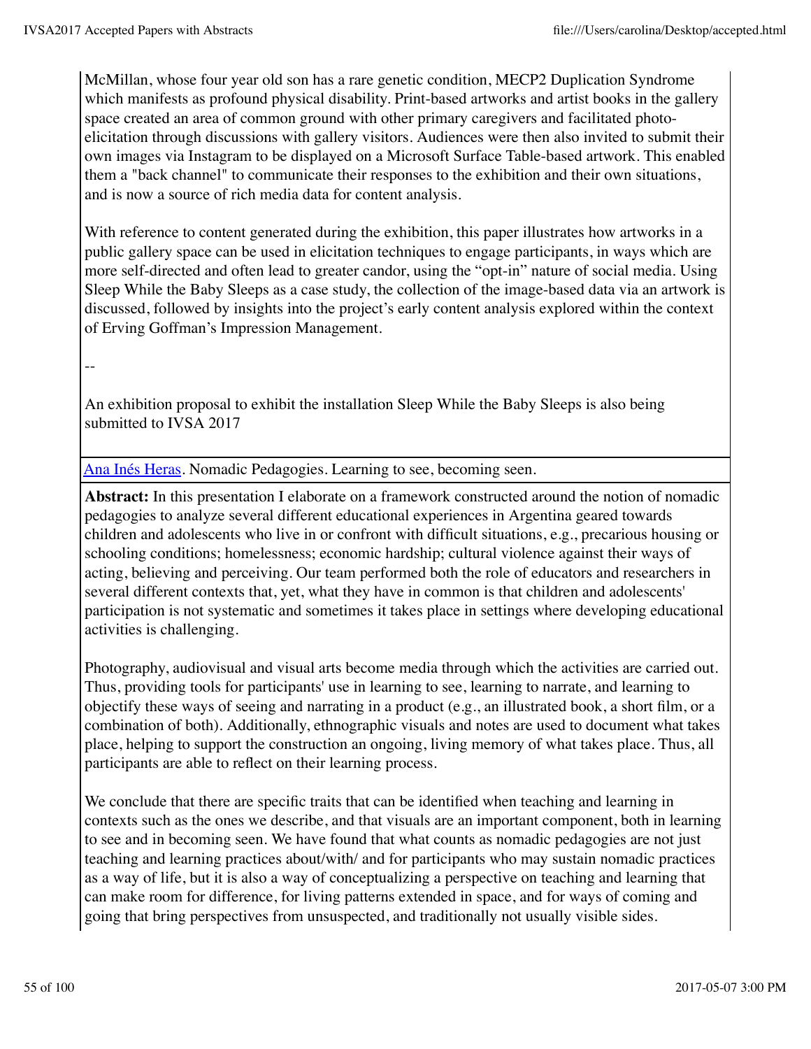McMillan, whose four year old son has a rare genetic condition, MECP2 Duplication Syndrome which manifests as profound physical disability. Print-based artworks and artist books in the gallery space created an area of common ground with other primary caregivers and facilitated photoelicitation through discussions with gallery visitors. Audiences were then also invited to submit their own images via Instagram to be displayed on a Microsoft Surface Table-based artwork. This enabled them a "back channel" to communicate their responses to the exhibition and their own situations, and is now a source of rich media data for content analysis.

With reference to content generated during the exhibition, this paper illustrates how artworks in a public gallery space can be used in elicitation techniques to engage participants, in ways which are more self-directed and often lead to greater candor, using the "opt-in" nature of social media. Using Sleep While the Baby Sleeps as a case study, the collection of the image-based data via an artwork is discussed, followed by insights into the project's early content analysis explored within the context of Erving Goffman's Impression Management.

--

An exhibition proposal to exhibit the installation Sleep While the Baby Sleeps is also being submitted to IVSA 2017

Ana Inés Heras. Nomadic Pedagogies. Learning to see, becoming seen.

**Abstract:** In this presentation I elaborate on a framework constructed around the notion of nomadic pedagogies to analyze several different educational experiences in Argentina geared towards children and adolescents who live in or confront with difficult situations, e.g., precarious housing or schooling conditions; homelessness; economic hardship; cultural violence against their ways of acting, believing and perceiving. Our team performed both the role of educators and researchers in several different contexts that, yet, what they have in common is that children and adolescents' participation is not systematic and sometimes it takes place in settings where developing educational activities is challenging.

Photography, audiovisual and visual arts become media through which the activities are carried out. Thus, providing tools for participants' use in learning to see, learning to narrate, and learning to objectify these ways of seeing and narrating in a product (e.g., an illustrated book, a short film, or a combination of both). Additionally, ethnographic visuals and notes are used to document what takes place, helping to support the construction an ongoing, living memory of what takes place. Thus, all participants are able to reflect on their learning process.

We conclude that there are specific traits that can be identified when teaching and learning in contexts such as the ones we describe, and that visuals are an important component, both in learning to see and in becoming seen. We have found that what counts as nomadic pedagogies are not just teaching and learning practices about/with/ and for participants who may sustain nomadic practices as a way of life, but it is also a way of conceptualizing a perspective on teaching and learning that can make room for difference, for living patterns extended in space, and for ways of coming and going that bring perspectives from unsuspected, and traditionally not usually visible sides.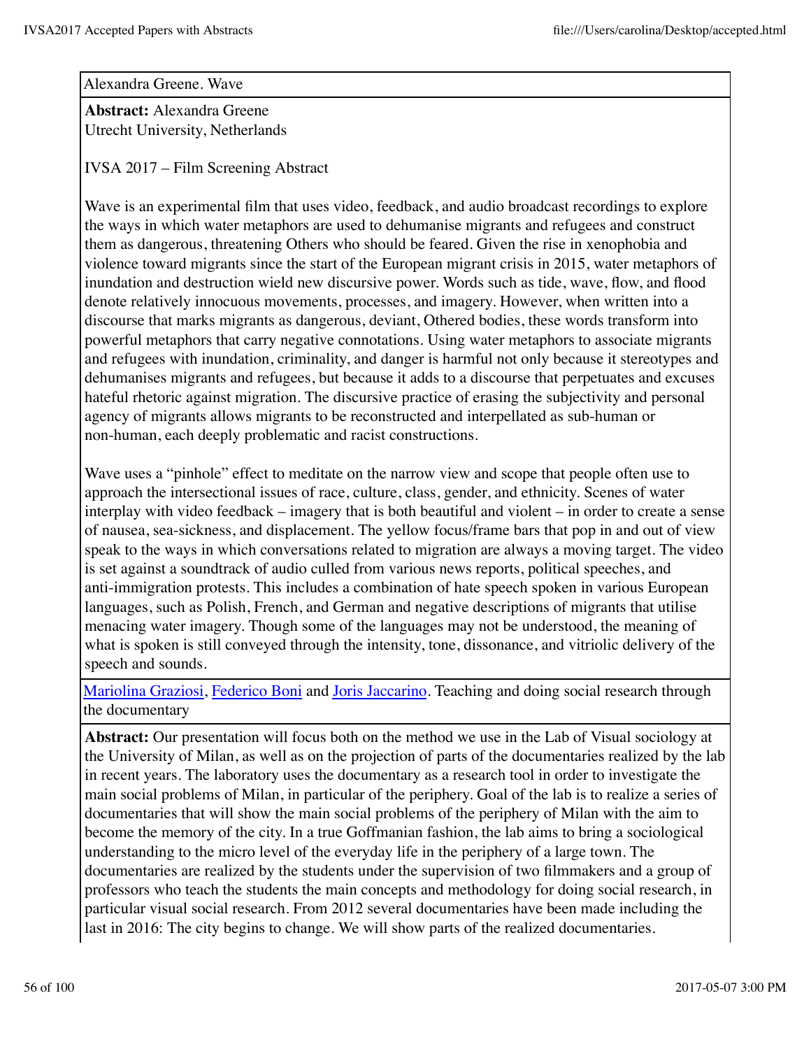Alexandra Greene. Wave

**Abstract:** Alexandra Greene Utrecht University, Netherlands

IVSA 2017 – Film Screening Abstract

Wave is an experimental film that uses video, feedback, and audio broadcast recordings to explore the ways in which water metaphors are used to dehumanise migrants and refugees and construct them as dangerous, threatening Others who should be feared. Given the rise in xenophobia and violence toward migrants since the start of the European migrant crisis in 2015, water metaphors of inundation and destruction wield new discursive power. Words such as tide, wave, flow, and flood denote relatively innocuous movements, processes, and imagery. However, when written into a discourse that marks migrants as dangerous, deviant, Othered bodies, these words transform into powerful metaphors that carry negative connotations. Using water metaphors to associate migrants and refugees with inundation, criminality, and danger is harmful not only because it stereotypes and dehumanises migrants and refugees, but because it adds to a discourse that perpetuates and excuses hateful rhetoric against migration. The discursive practice of erasing the subjectivity and personal agency of migrants allows migrants to be reconstructed and interpellated as sub-human or non-human, each deeply problematic and racist constructions.

Wave uses a "pinhole" effect to meditate on the narrow view and scope that people often use to approach the intersectional issues of race, culture, class, gender, and ethnicity. Scenes of water interplay with video feedback – imagery that is both beautiful and violent – in order to create a sense of nausea, sea-sickness, and displacement. The yellow focus/frame bars that pop in and out of view speak to the ways in which conversations related to migration are always a moving target. The video is set against a soundtrack of audio culled from various news reports, political speeches, and anti-immigration protests. This includes a combination of hate speech spoken in various European languages, such as Polish, French, and German and negative descriptions of migrants that utilise menacing water imagery. Though some of the languages may not be understood, the meaning of what is spoken is still conveyed through the intensity, tone, dissonance, and vitriolic delivery of the speech and sounds.

Mariolina Graziosi, Federico Boni and Joris Jaccarino. Teaching and doing social research through the documentary

**Abstract:** Our presentation will focus both on the method we use in the Lab of Visual sociology at the University of Milan, as well as on the projection of parts of the documentaries realized by the lab in recent years. The laboratory uses the documentary as a research tool in order to investigate the main social problems of Milan, in particular of the periphery. Goal of the lab is to realize a series of documentaries that will show the main social problems of the periphery of Milan with the aim to become the memory of the city. In a true Goffmanian fashion, the lab aims to bring a sociological understanding to the micro level of the everyday life in the periphery of a large town. The documentaries are realized by the students under the supervision of two filmmakers and a group of professors who teach the students the main concepts and methodology for doing social research, in particular visual social research. From 2012 several documentaries have been made including the last in 2016: The city begins to change. We will show parts of the realized documentaries.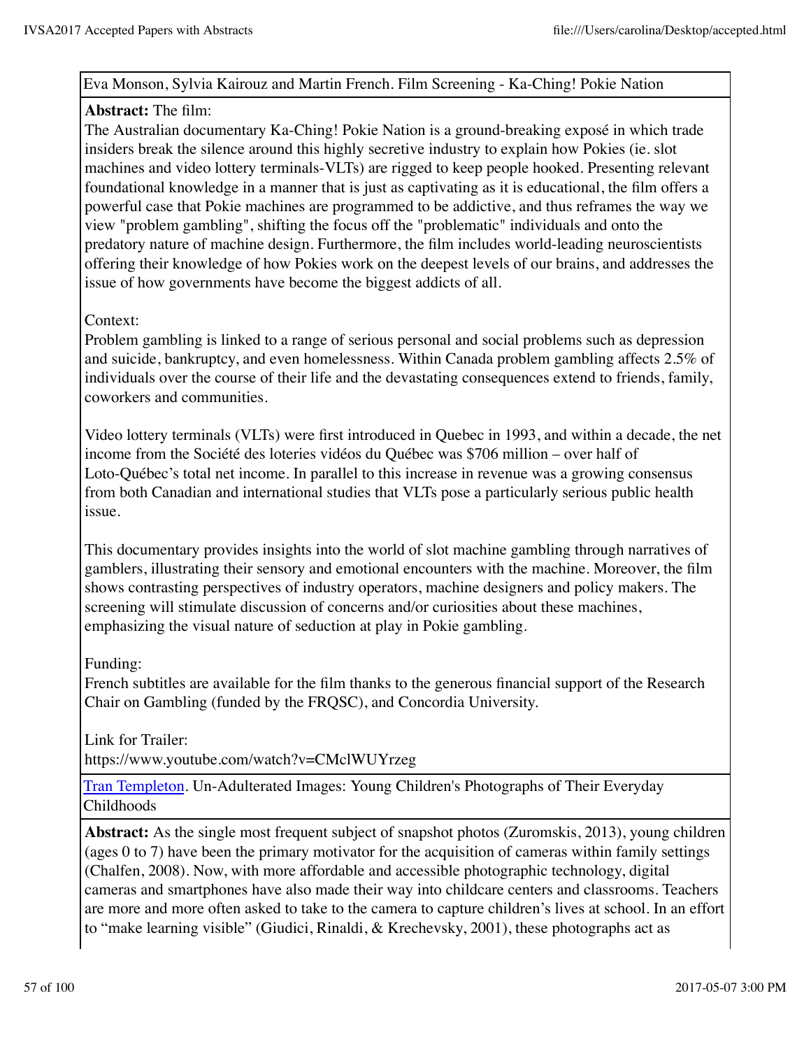## Eva Monson, Sylvia Kairouz and Martin French. Film Screening - Ka-Ching! Pokie Nation

#### **Abstract:** The film:

The Australian documentary Ka-Ching! Pokie Nation is a ground-breaking exposé in which trade insiders break the silence around this highly secretive industry to explain how Pokies (ie. slot machines and video lottery terminals-VLTs) are rigged to keep people hooked. Presenting relevant foundational knowledge in a manner that is just as captivating as it is educational, the film offers a powerful case that Pokie machines are programmed to be addictive, and thus reframes the way we view "problem gambling", shifting the focus off the "problematic" individuals and onto the predatory nature of machine design. Furthermore, the film includes world-leading neuroscientists offering their knowledge of how Pokies work on the deepest levels of our brains, and addresses the issue of how governments have become the biggest addicts of all.

## Context:

Problem gambling is linked to a range of serious personal and social problems such as depression and suicide, bankruptcy, and even homelessness. Within Canada problem gambling affects 2.5% of individuals over the course of their life and the devastating consequences extend to friends, family, coworkers and communities.

Video lottery terminals (VLTs) were first introduced in Quebec in 1993, and within a decade, the net income from the Société des loteries vidéos du Québec was \$706 million – over half of Loto-Québec's total net income. In parallel to this increase in revenue was a growing consensus from both Canadian and international studies that VLTs pose a particularly serious public health issue.

This documentary provides insights into the world of slot machine gambling through narratives of gamblers, illustrating their sensory and emotional encounters with the machine. Moreover, the film shows contrasting perspectives of industry operators, machine designers and policy makers. The screening will stimulate discussion of concerns and/or curiosities about these machines, emphasizing the visual nature of seduction at play in Pokie gambling.

## Funding:

French subtitles are available for the film thanks to the generous financial support of the Research Chair on Gambling (funded by the FRQSC), and Concordia University.

Link for Trailer:

https://www.youtube.com/watch?v=CMclWUYrzeg

Tran Templeton. Un-Adulterated Images: Young Children's Photographs of Their Everyday Childhoods

**Abstract:** As the single most frequent subject of snapshot photos (Zuromskis, 2013), young children (ages 0 to 7) have been the primary motivator for the acquisition of cameras within family settings (Chalfen, 2008). Now, with more affordable and accessible photographic technology, digital cameras and smartphones have also made their way into childcare centers and classrooms. Teachers are more and more often asked to take to the camera to capture children's lives at school. In an effort to "make learning visible" (Giudici, Rinaldi, & Krechevsky, 2001), these photographs act as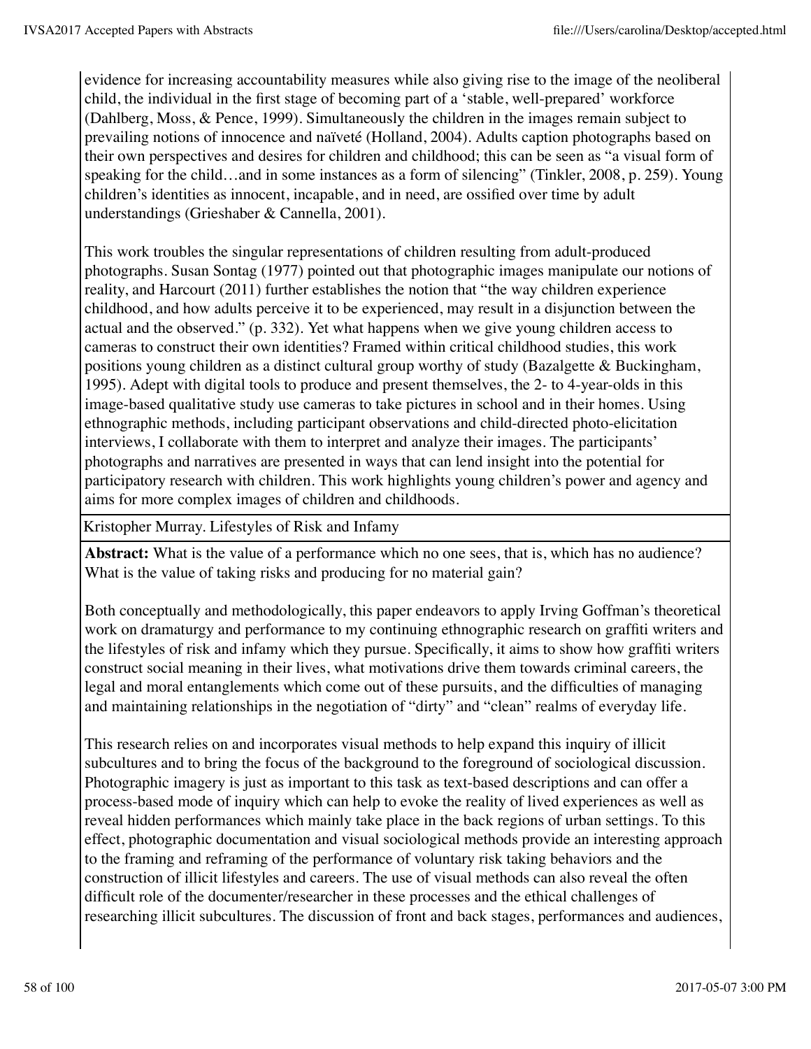evidence for increasing accountability measures while also giving rise to the image of the neoliberal child, the individual in the first stage of becoming part of a 'stable, well-prepared' workforce (Dahlberg, Moss, & Pence, 1999). Simultaneously the children in the images remain subject to prevailing notions of innocence and naïveté (Holland, 2004). Adults caption photographs based on their own perspectives and desires for children and childhood; this can be seen as "a visual form of speaking for the child…and in some instances as a form of silencing" (Tinkler, 2008, p. 259). Young children's identities as innocent, incapable, and in need, are ossified over time by adult understandings (Grieshaber & Cannella, 2001).

This work troubles the singular representations of children resulting from adult-produced photographs. Susan Sontag (1977) pointed out that photographic images manipulate our notions of reality, and Harcourt (2011) further establishes the notion that "the way children experience childhood, and how adults perceive it to be experienced, may result in a disjunction between the actual and the observed." (p. 332). Yet what happens when we give young children access to cameras to construct their own identities? Framed within critical childhood studies, this work positions young children as a distinct cultural group worthy of study (Bazalgette & Buckingham, 1995). Adept with digital tools to produce and present themselves, the 2- to 4-year-olds in this image-based qualitative study use cameras to take pictures in school and in their homes. Using ethnographic methods, including participant observations and child-directed photo-elicitation interviews, I collaborate with them to interpret and analyze their images. The participants' photographs and narratives are presented in ways that can lend insight into the potential for participatory research with children. This work highlights young children's power and agency and aims for more complex images of children and childhoods.

Kristopher Murray. Lifestyles of Risk and Infamy

**Abstract:** What is the value of a performance which no one sees, that is, which has no audience? What is the value of taking risks and producing for no material gain?

Both conceptually and methodologically, this paper endeavors to apply Irving Goffman's theoretical work on dramaturgy and performance to my continuing ethnographic research on graffiti writers and the lifestyles of risk and infamy which they pursue. Specifically, it aims to show how graffiti writers construct social meaning in their lives, what motivations drive them towards criminal careers, the legal and moral entanglements which come out of these pursuits, and the difficulties of managing and maintaining relationships in the negotiation of "dirty" and "clean" realms of everyday life.

This research relies on and incorporates visual methods to help expand this inquiry of illicit subcultures and to bring the focus of the background to the foreground of sociological discussion. Photographic imagery is just as important to this task as text-based descriptions and can offer a process-based mode of inquiry which can help to evoke the reality of lived experiences as well as reveal hidden performances which mainly take place in the back regions of urban settings. To this effect, photographic documentation and visual sociological methods provide an interesting approach to the framing and reframing of the performance of voluntary risk taking behaviors and the construction of illicit lifestyles and careers. The use of visual methods can also reveal the often difficult role of the documenter/researcher in these processes and the ethical challenges of researching illicit subcultures. The discussion of front and back stages, performances and audiences,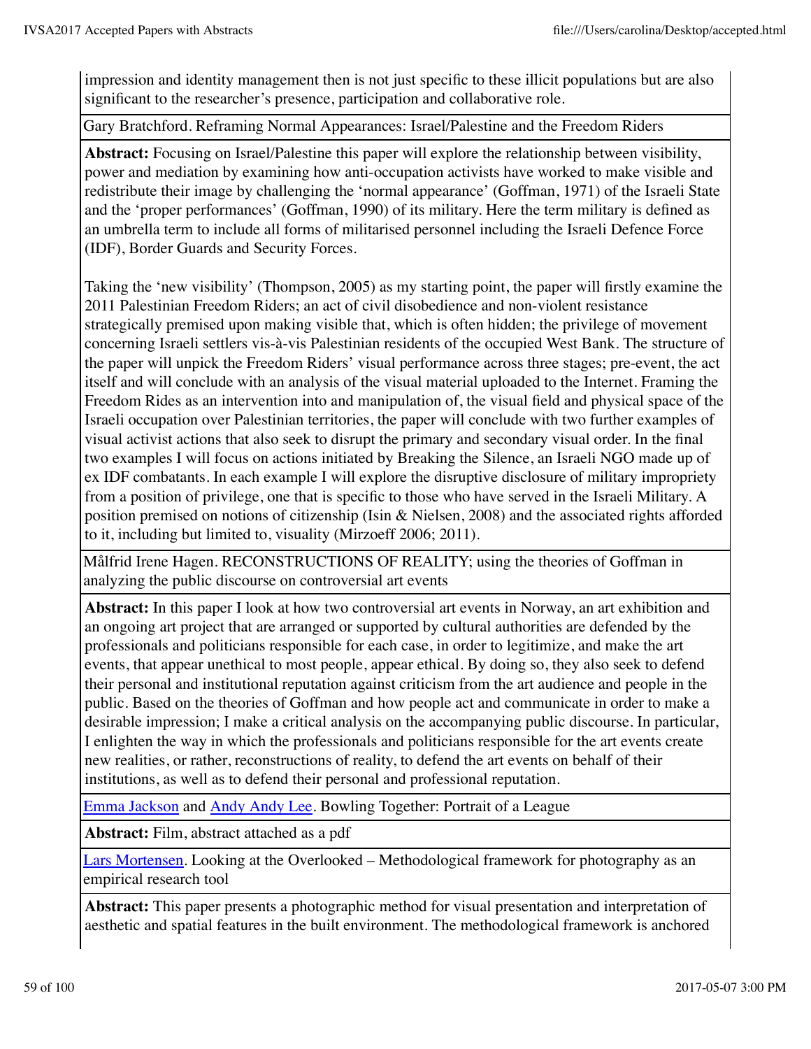impression and identity management then is not just specific to these illicit populations but are also significant to the researcher's presence, participation and collaborative role.

Gary Bratchford. Reframing Normal Appearances: Israel/Palestine and the Freedom Riders

**Abstract:** Focusing on Israel/Palestine this paper will explore the relationship between visibility, power and mediation by examining how anti-occupation activists have worked to make visible and redistribute their image by challenging the 'normal appearance' (Goffman, 1971) of the Israeli State and the 'proper performances' (Goffman, 1990) of its military. Here the term military is defined as an umbrella term to include all forms of militarised personnel including the Israeli Defence Force (IDF), Border Guards and Security Forces.

Taking the 'new visibility' (Thompson, 2005) as my starting point, the paper will firstly examine the 2011 Palestinian Freedom Riders; an act of civil disobedience and non-violent resistance strategically premised upon making visible that, which is often hidden; the privilege of movement concerning Israeli settlers vis-à-vis Palestinian residents of the occupied West Bank. The structure of the paper will unpick the Freedom Riders' visual performance across three stages; pre-event, the act itself and will conclude with an analysis of the visual material uploaded to the Internet. Framing the Freedom Rides as an intervention into and manipulation of, the visual field and physical space of the Israeli occupation over Palestinian territories, the paper will conclude with two further examples of visual activist actions that also seek to disrupt the primary and secondary visual order. In the final two examples I will focus on actions initiated by Breaking the Silence, an Israeli NGO made up of ex IDF combatants. In each example I will explore the disruptive disclosure of military impropriety from a position of privilege, one that is specific to those who have served in the Israeli Military. A position premised on notions of citizenship (Isin & Nielsen, 2008) and the associated rights afforded to it, including but limited to, visuality (Mirzoeff 2006; 2011).

Målfrid Irene Hagen. RECONSTRUCTIONS OF REALITY; using the theories of Goffman in analyzing the public discourse on controversial art events

**Abstract:** In this paper I look at how two controversial art events in Norway, an art exhibition and an ongoing art project that are arranged or supported by cultural authorities are defended by the professionals and politicians responsible for each case, in order to legitimize, and make the art events, that appear unethical to most people, appear ethical. By doing so, they also seek to defend their personal and institutional reputation against criticism from the art audience and people in the public. Based on the theories of Goffman and how people act and communicate in order to make a desirable impression; I make a critical analysis on the accompanying public discourse. In particular, I enlighten the way in which the professionals and politicians responsible for the art events create new realities, or rather, reconstructions of reality, to defend the art events on behalf of their institutions, as well as to defend their personal and professional reputation.

Emma Jackson and Andy Andy Lee. Bowling Together: Portrait of a League

**Abstract:** Film, abstract attached as a pdf

Lars Mortensen. Looking at the Overlooked – Methodological framework for photography as an empirical research tool

**Abstract:** This paper presents a photographic method for visual presentation and interpretation of aesthetic and spatial features in the built environment. The methodological framework is anchored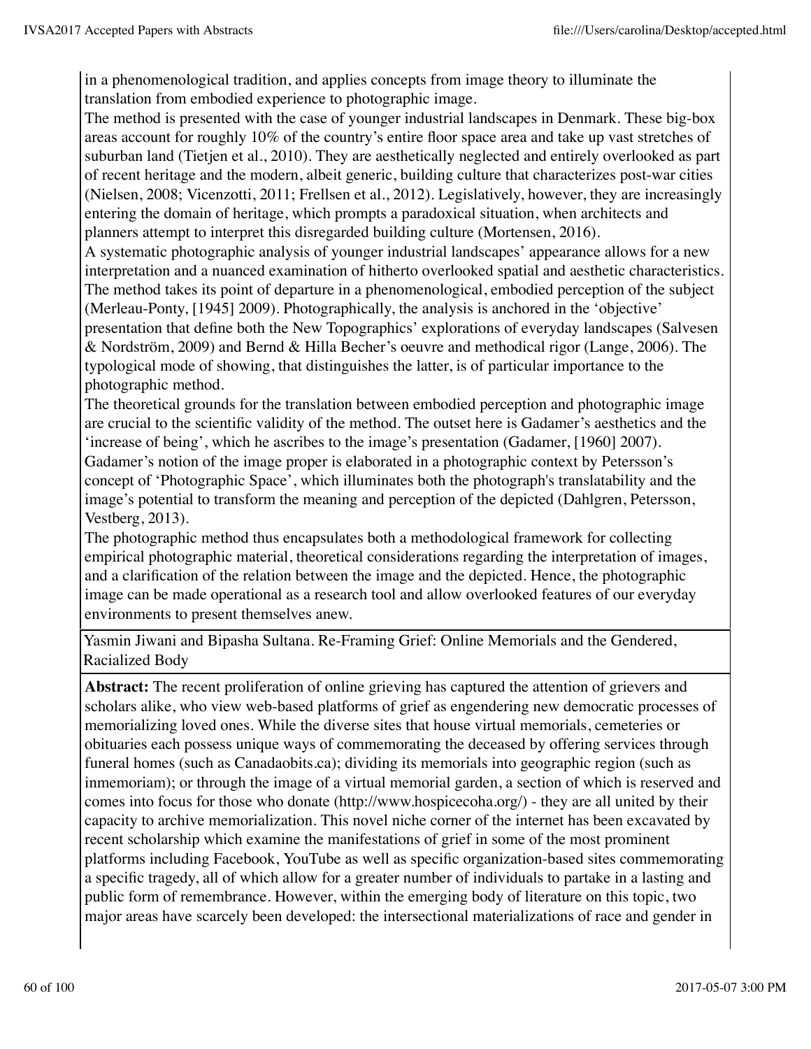in a phenomenological tradition, and applies concepts from image theory to illuminate the translation from embodied experience to photographic image.

The method is presented with the case of younger industrial landscapes in Denmark. These big-box areas account for roughly 10% of the country's entire floor space area and take up vast stretches of suburban land (Tietjen et al., 2010). They are aesthetically neglected and entirely overlooked as part of recent heritage and the modern, albeit generic, building culture that characterizes post-war cities (Nielsen, 2008; Vicenzotti, 2011; Frellsen et al., 2012). Legislatively, however, they are increasingly entering the domain of heritage, which prompts a paradoxical situation, when architects and planners attempt to interpret this disregarded building culture (Mortensen, 2016).

A systematic photographic analysis of younger industrial landscapes' appearance allows for a new interpretation and a nuanced examination of hitherto overlooked spatial and aesthetic characteristics. The method takes its point of departure in a phenomenological, embodied perception of the subject (Merleau-Ponty, [1945] 2009). Photographically, the analysis is anchored in the 'objective' presentation that define both the New Topographics' explorations of everyday landscapes (Salvesen & Nordström, 2009) and Bernd & Hilla Becher's oeuvre and methodical rigor (Lange, 2006). The typological mode of showing, that distinguishes the latter, is of particular importance to the photographic method.

The theoretical grounds for the translation between embodied perception and photographic image are crucial to the scientific validity of the method. The outset here is Gadamer's aesthetics and the 'increase of being', which he ascribes to the image's presentation (Gadamer, [1960] 2007).

Gadamer's notion of the image proper is elaborated in a photographic context by Petersson's concept of 'Photographic Space', which illuminates both the photograph's translatability and the image's potential to transform the meaning and perception of the depicted (Dahlgren, Petersson, Vestberg, 2013).

The photographic method thus encapsulates both a methodological framework for collecting empirical photographic material, theoretical considerations regarding the interpretation of images, and a clarification of the relation between the image and the depicted. Hence, the photographic image can be made operational as a research tool and allow overlooked features of our everyday environments to present themselves anew.

Yasmin Jiwani and Bipasha Sultana. Re-Framing Grief: Online Memorials and the Gendered, Racialized Body

**Abstract:** The recent proliferation of online grieving has captured the attention of grievers and scholars alike, who view web-based platforms of grief as engendering new democratic processes of memorializing loved ones. While the diverse sites that house virtual memorials, cemeteries or obituaries each possess unique ways of commemorating the deceased by offering services through funeral homes (such as Canadaobits.ca); dividing its memorials into geographic region (such as inmemoriam); or through the image of a virtual memorial garden, a section of which is reserved and comes into focus for those who donate (http://www.hospicecoha.org/) - they are all united by their capacity to archive memorialization. This novel niche corner of the internet has been excavated by recent scholarship which examine the manifestations of grief in some of the most prominent platforms including Facebook, YouTube as well as specific organization-based sites commemorating a specific tragedy, all of which allow for a greater number of individuals to partake in a lasting and public form of remembrance. However, within the emerging body of literature on this topic, two major areas have scarcely been developed: the intersectional materializations of race and gender in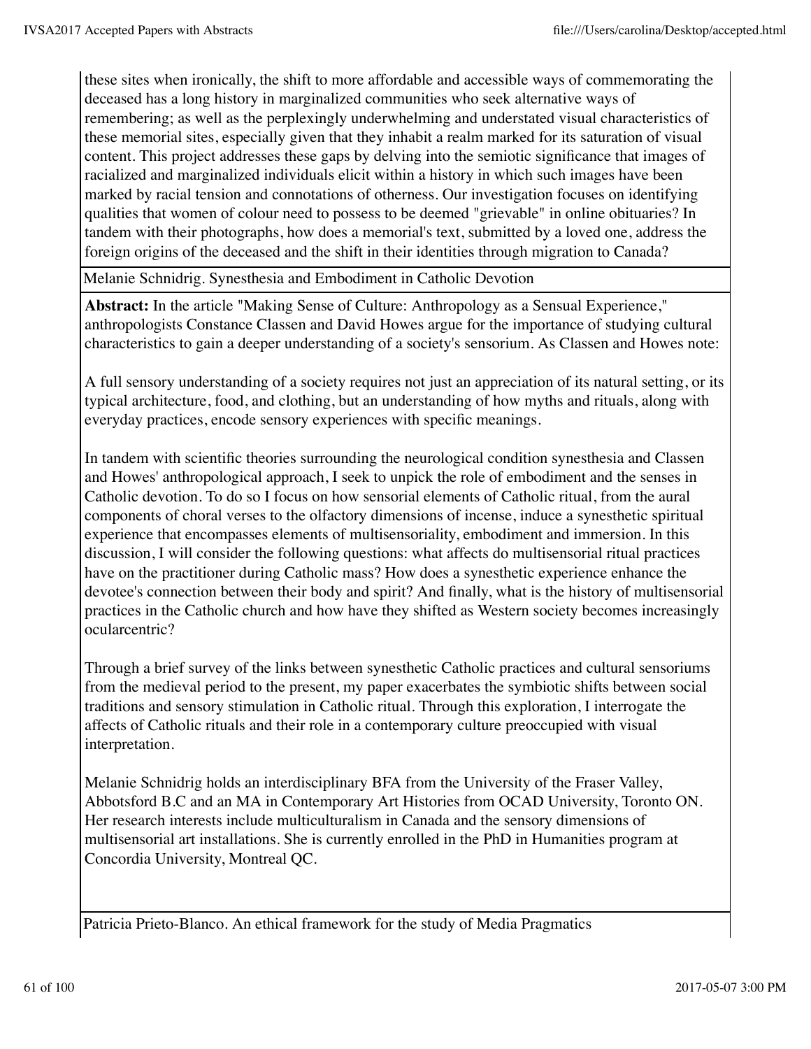these sites when ironically, the shift to more affordable and accessible ways of commemorating the deceased has a long history in marginalized communities who seek alternative ways of remembering; as well as the perplexingly underwhelming and understated visual characteristics of these memorial sites, especially given that they inhabit a realm marked for its saturation of visual content. This project addresses these gaps by delving into the semiotic significance that images of racialized and marginalized individuals elicit within a history in which such images have been marked by racial tension and connotations of otherness. Our investigation focuses on identifying qualities that women of colour need to possess to be deemed "grievable" in online obituaries? In tandem with their photographs, how does a memorial's text, submitted by a loved one, address the foreign origins of the deceased and the shift in their identities through migration to Canada?

Melanie Schnidrig. Synesthesia and Embodiment in Catholic Devotion

**Abstract:** In the article "Making Sense of Culture: Anthropology as a Sensual Experience," anthropologists Constance Classen and David Howes argue for the importance of studying cultural characteristics to gain a deeper understanding of a society's sensorium. As Classen and Howes note:

A full sensory understanding of a society requires not just an appreciation of its natural setting, or its typical architecture, food, and clothing, but an understanding of how myths and rituals, along with everyday practices, encode sensory experiences with specific meanings.

In tandem with scientific theories surrounding the neurological condition synesthesia and Classen and Howes' anthropological approach, I seek to unpick the role of embodiment and the senses in Catholic devotion. To do so I focus on how sensorial elements of Catholic ritual, from the aural components of choral verses to the olfactory dimensions of incense, induce a synesthetic spiritual experience that encompasses elements of multisensoriality, embodiment and immersion. In this discussion, I will consider the following questions: what affects do multisensorial ritual practices have on the practitioner during Catholic mass? How does a synesthetic experience enhance the devotee's connection between their body and spirit? And finally, what is the history of multisensorial practices in the Catholic church and how have they shifted as Western society becomes increasingly ocularcentric?

Through a brief survey of the links between synesthetic Catholic practices and cultural sensoriums from the medieval period to the present, my paper exacerbates the symbiotic shifts between social traditions and sensory stimulation in Catholic ritual. Through this exploration, I interrogate the affects of Catholic rituals and their role in a contemporary culture preoccupied with visual interpretation.

Melanie Schnidrig holds an interdisciplinary BFA from the University of the Fraser Valley, Abbotsford B.C and an MA in Contemporary Art Histories from OCAD University, Toronto ON. Her research interests include multiculturalism in Canada and the sensory dimensions of multisensorial art installations. She is currently enrolled in the PhD in Humanities program at Concordia University, Montreal QC.

Patricia Prieto-Blanco. An ethical framework for the study of Media Pragmatics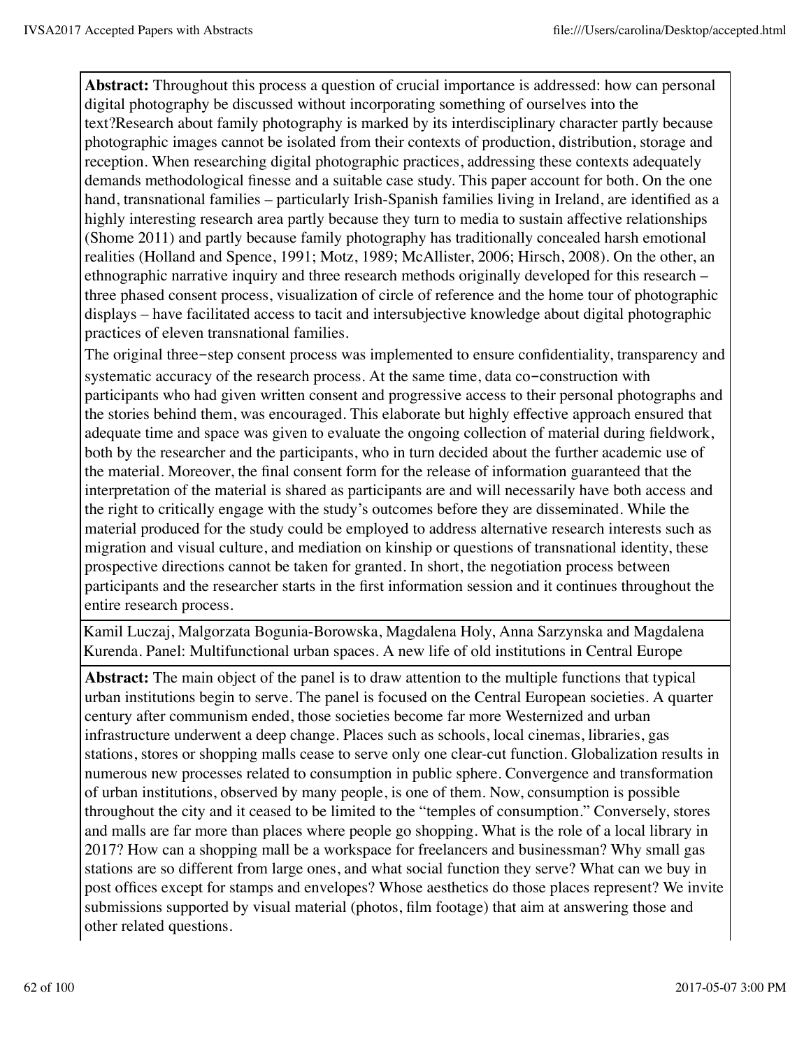**Abstract:** Throughout this process a question of crucial importance is addressed: how can personal digital photography be discussed without incorporating something of ourselves into the text?Research about family photography is marked by its interdisciplinary character partly because photographic images cannot be isolated from their contexts of production, distribution, storage and reception. When researching digital photographic practices, addressing these contexts adequately demands methodological finesse and a suitable case study. This paper account for both. On the one hand, transnational families – particularly Irish-Spanish families living in Ireland, are identified as a highly interesting research area partly because they turn to media to sustain affective relationships (Shome 2011) and partly because family photography has traditionally concealed harsh emotional realities (Holland and Spence, 1991; Motz, 1989; McAllister, 2006; Hirsch, 2008). On the other, an ethnographic narrative inquiry and three research methods originally developed for this research – three phased consent process, visualization of circle of reference and the home tour of photographic displays – have facilitated access to tacit and intersubjective knowledge about digital photographic practices of eleven transnational families.

The original three-step consent process was implemented to ensure confidentiality, transparency and systematic accuracy of the research process. At the same time, data co-construction with participants who had given written consent and progressive access to their personal photographs and the stories behind them, was encouraged. This elaborate but highly effective approach ensured that adequate time and space was given to evaluate the ongoing collection of material during fieldwork, both by the researcher and the participants, who in turn decided about the further academic use of the material. Moreover, the final consent form for the release of information guaranteed that the interpretation of the material is shared as participants are and will necessarily have both access and the right to critically engage with the study's outcomes before they are disseminated. While the material produced for the study could be employed to address alternative research interests such as migration and visual culture, and mediation on kinship or questions of transnational identity, these prospective directions cannot be taken for granted. In short, the negotiation process between participants and the researcher starts in the first information session and it continues throughout the entire research process.

Kamil Luczaj, Malgorzata Bogunia-Borowska, Magdalena Holy, Anna Sarzynska and Magdalena Kurenda. Panel: Multifunctional urban spaces. A new life of old institutions in Central Europe

**Abstract:** The main object of the panel is to draw attention to the multiple functions that typical urban institutions begin to serve. The panel is focused on the Central European societies. A quarter century after communism ended, those societies become far more Westernized and urban infrastructure underwent a deep change. Places such as schools, local cinemas, libraries, gas stations, stores or shopping malls cease to serve only one clear-cut function. Globalization results in numerous new processes related to consumption in public sphere. Convergence and transformation of urban institutions, observed by many people, is one of them. Now, consumption is possible throughout the city and it ceased to be limited to the "temples of consumption." Conversely, stores and malls are far more than places where people go shopping. What is the role of a local library in 2017? How can a shopping mall be a workspace for freelancers and businessman? Why small gas stations are so different from large ones, and what social function they serve? What can we buy in post offices except for stamps and envelopes? Whose aesthetics do those places represent? We invite submissions supported by visual material (photos, film footage) that aim at answering those and other related questions.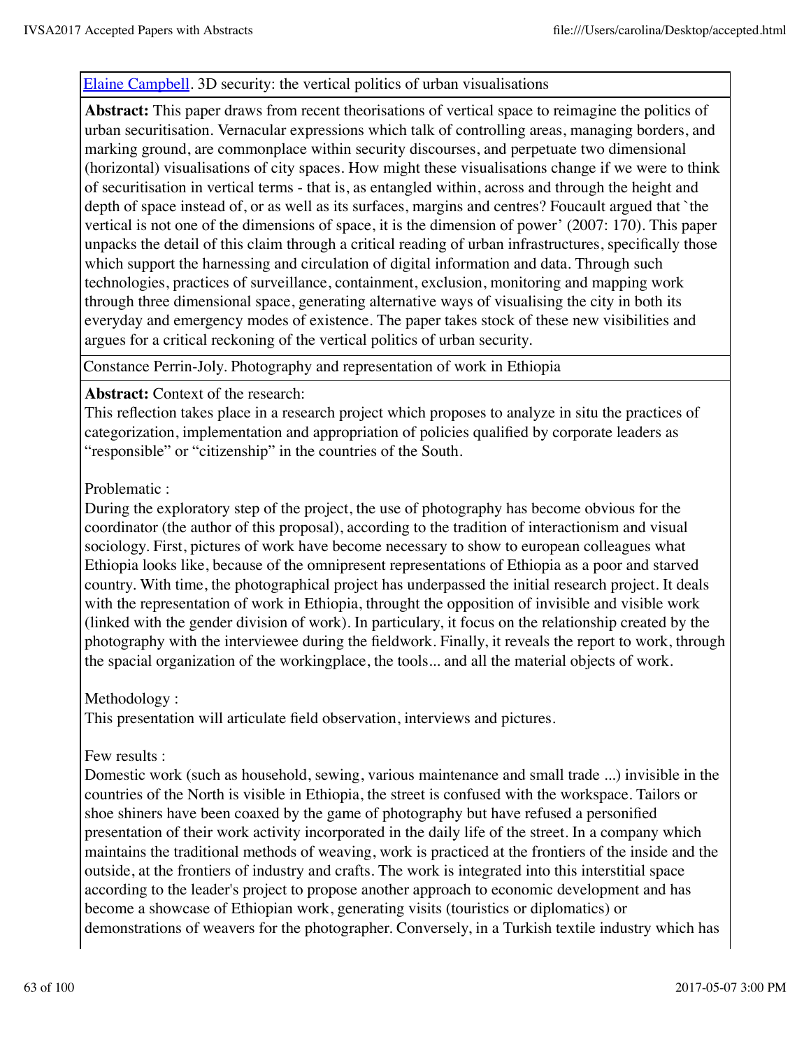## Elaine Campbell. 3D security: the vertical politics of urban visualisations

**Abstract:** This paper draws from recent theorisations of vertical space to reimagine the politics of urban securitisation. Vernacular expressions which talk of controlling areas, managing borders, and marking ground, are commonplace within security discourses, and perpetuate two dimensional (horizontal) visualisations of city spaces. How might these visualisations change if we were to think of securitisation in vertical terms - that is, as entangled within, across and through the height and depth of space instead of, or as well as its surfaces, margins and centres? Foucault argued that `the vertical is not one of the dimensions of space, it is the dimension of power' (2007: 170). This paper unpacks the detail of this claim through a critical reading of urban infrastructures, specifically those which support the harnessing and circulation of digital information and data. Through such technologies, practices of surveillance, containment, exclusion, monitoring and mapping work through three dimensional space, generating alternative ways of visualising the city in both its everyday and emergency modes of existence. The paper takes stock of these new visibilities and argues for a critical reckoning of the vertical politics of urban security.

Constance Perrin-Joly. Photography and representation of work in Ethiopia

#### **Abstract:** Context of the research:

This reflection takes place in a research project which proposes to analyze in situ the practices of categorization, implementation and appropriation of policies qualified by corporate leaders as "responsible" or "citizenship" in the countries of the South.

#### Problematic :

During the exploratory step of the project, the use of photography has become obvious for the coordinator (the author of this proposal), according to the tradition of interactionism and visual sociology. First, pictures of work have become necessary to show to european colleagues what Ethiopia looks like, because of the omnipresent representations of Ethiopia as a poor and starved country. With time, the photographical project has underpassed the initial research project. It deals with the representation of work in Ethiopia, throught the opposition of invisible and visible work (linked with the gender division of work). In particulary, it focus on the relationship created by the photography with the interviewee during the fieldwork. Finally, it reveals the report to work, through the spacial organization of the workingplace, the tools... and all the material objects of work.

## Methodology :

This presentation will articulate field observation, interviews and pictures.

## Few results :

Domestic work (such as household, sewing, various maintenance and small trade ...) invisible in the countries of the North is visible in Ethiopia, the street is confused with the workspace. Tailors or shoe shiners have been coaxed by the game of photography but have refused a personified presentation of their work activity incorporated in the daily life of the street. In a company which maintains the traditional methods of weaving, work is practiced at the frontiers of the inside and the outside, at the frontiers of industry and crafts. The work is integrated into this interstitial space according to the leader's project to propose another approach to economic development and has become a showcase of Ethiopian work, generating visits (touristics or diplomatics) or demonstrations of weavers for the photographer. Conversely, in a Turkish textile industry which has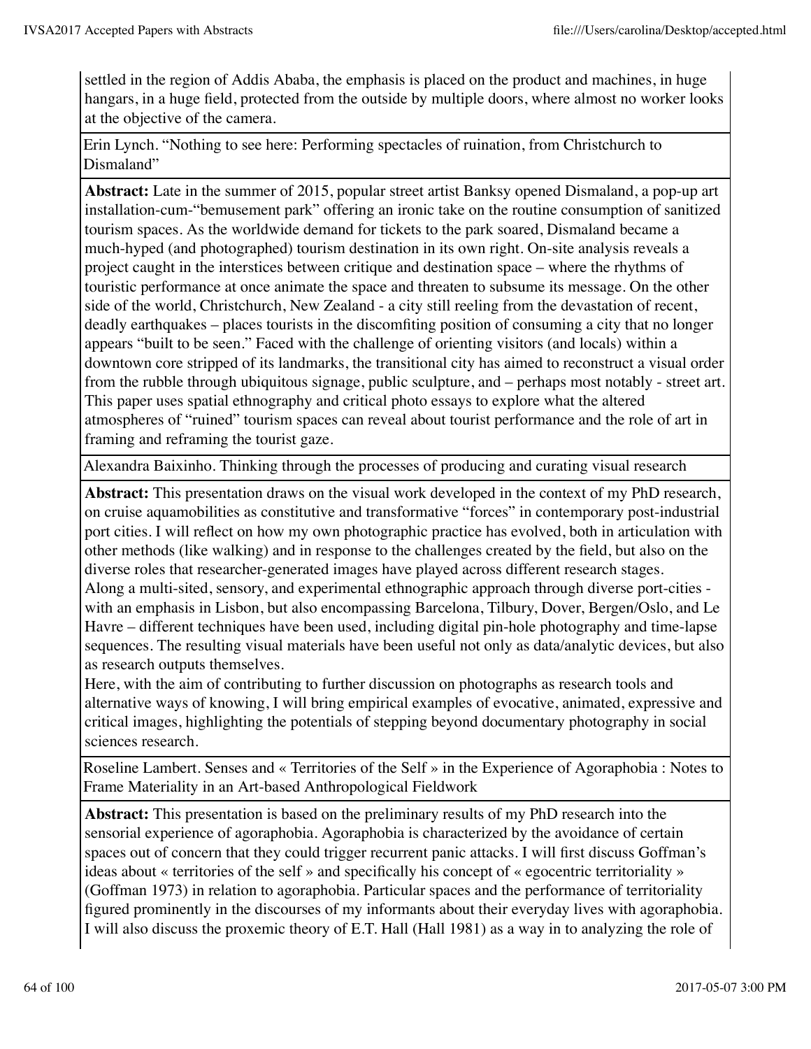settled in the region of Addis Ababa, the emphasis is placed on the product and machines, in huge hangars, in a huge field, protected from the outside by multiple doors, where almost no worker looks at the objective of the camera.

Erin Lynch. "Nothing to see here: Performing spectacles of ruination, from Christchurch to Dismaland"

**Abstract:** Late in the summer of 2015, popular street artist Banksy opened Dismaland, a pop-up art installation-cum-"bemusement park" offering an ironic take on the routine consumption of sanitized tourism spaces. As the worldwide demand for tickets to the park soared, Dismaland became a much-hyped (and photographed) tourism destination in its own right. On-site analysis reveals a project caught in the interstices between critique and destination space – where the rhythms of touristic performance at once animate the space and threaten to subsume its message. On the other side of the world, Christchurch, New Zealand - a city still reeling from the devastation of recent, deadly earthquakes – places tourists in the discomfiting position of consuming a city that no longer appears "built to be seen." Faced with the challenge of orienting visitors (and locals) within a downtown core stripped of its landmarks, the transitional city has aimed to reconstruct a visual order from the rubble through ubiquitous signage, public sculpture, and – perhaps most notably - street art. This paper uses spatial ethnography and critical photo essays to explore what the altered atmospheres of "ruined" tourism spaces can reveal about tourist performance and the role of art in framing and reframing the tourist gaze.

Alexandra Baixinho. Thinking through the processes of producing and curating visual research

**Abstract:** This presentation draws on the visual work developed in the context of my PhD research, on cruise aquamobilities as constitutive and transformative "forces" in contemporary post-industrial port cities. I will reflect on how my own photographic practice has evolved, both in articulation with other methods (like walking) and in response to the challenges created by the field, but also on the diverse roles that researcher-generated images have played across different research stages. Along a multi-sited, sensory, and experimental ethnographic approach through diverse port-cities with an emphasis in Lisbon, but also encompassing Barcelona, Tilbury, Dover, Bergen/Oslo, and Le Havre – different techniques have been used, including digital pin-hole photography and time-lapse sequences. The resulting visual materials have been useful not only as data/analytic devices, but also as research outputs themselves.

Here, with the aim of contributing to further discussion on photographs as research tools and alternative ways of knowing, I will bring empirical examples of evocative, animated, expressive and critical images, highlighting the potentials of stepping beyond documentary photography in social sciences research.

Roseline Lambert. Senses and « Territories of the Self » in the Experience of Agoraphobia : Notes to Frame Materiality in an Art-based Anthropological Fieldwork

**Abstract:** This presentation is based on the preliminary results of my PhD research into the sensorial experience of agoraphobia. Agoraphobia is characterized by the avoidance of certain spaces out of concern that they could trigger recurrent panic attacks. I will first discuss Goffman's ideas about « territories of the self » and specifically his concept of « egocentric territoriality » (Goffman 1973) in relation to agoraphobia. Particular spaces and the performance of territoriality figured prominently in the discourses of my informants about their everyday lives with agoraphobia. I will also discuss the proxemic theory of E.T. Hall (Hall 1981) as a way in to analyzing the role of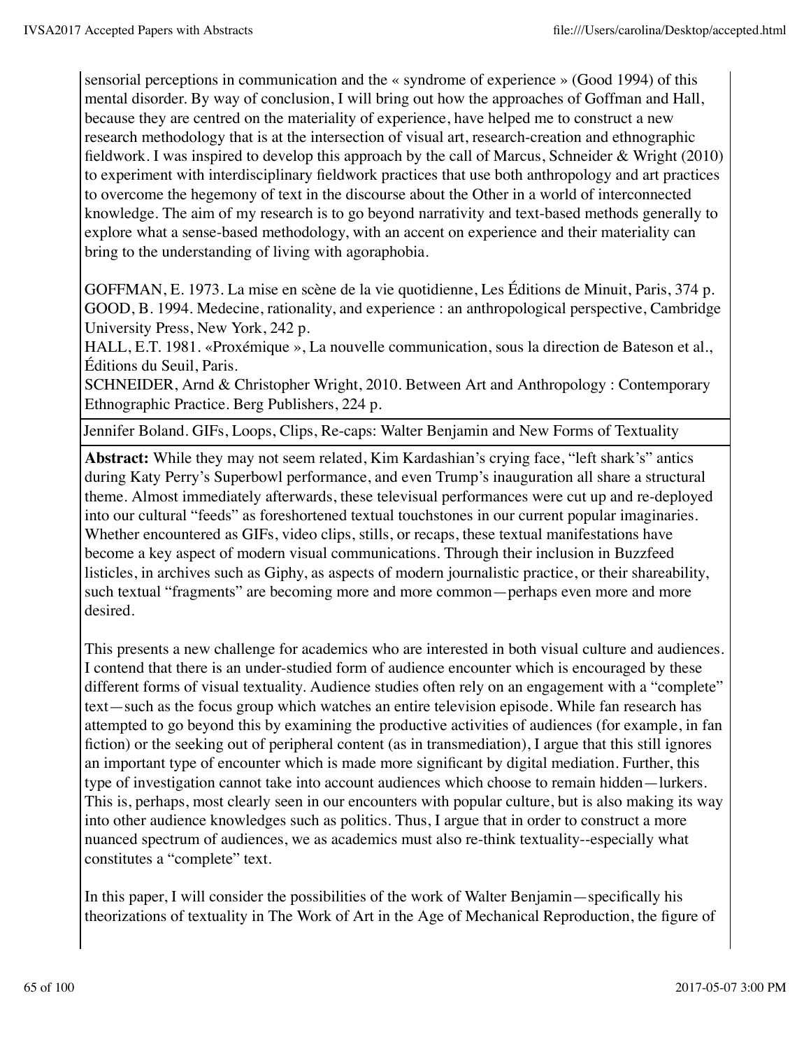sensorial perceptions in communication and the « syndrome of experience » (Good 1994) of this mental disorder. By way of conclusion, I will bring out how the approaches of Goffman and Hall, because they are centred on the materiality of experience, have helped me to construct a new research methodology that is at the intersection of visual art, research-creation and ethnographic fieldwork. I was inspired to develop this approach by the call of Marcus, Schneider & Wright (2010) to experiment with interdisciplinary fieldwork practices that use both anthropology and art practices to overcome the hegemony of text in the discourse about the Other in a world of interconnected knowledge. The aim of my research is to go beyond narrativity and text-based methods generally to explore what a sense-based methodology, with an accent on experience and their materiality can bring to the understanding of living with agoraphobia.

GOFFMAN, E. 1973. La mise en scène de la vie quotidienne, Les Éditions de Minuit, Paris, 374 p. GOOD, B. 1994. Medecine, rationality, and experience : an anthropological perspective, Cambridge University Press, New York, 242 p.

HALL, E.T. 1981. «Proxémique », La nouvelle communication, sous la direction de Bateson et al., Éditions du Seuil, Paris.

SCHNEIDER, Arnd & Christopher Wright, 2010. Between Art and Anthropology : Contemporary Ethnographic Practice. Berg Publishers, 224 p.

Jennifer Boland. GIFs, Loops, Clips, Re-caps: Walter Benjamin and New Forms of Textuality

**Abstract:** While they may not seem related, Kim Kardashian's crying face, "left shark's" antics during Katy Perry's Superbowl performance, and even Trump's inauguration all share a structural theme. Almost immediately afterwards, these televisual performances were cut up and re-deployed into our cultural "feeds" as foreshortened textual touchstones in our current popular imaginaries. Whether encountered as GIFs, video clips, stills, or recaps, these textual manifestations have become a key aspect of modern visual communications. Through their inclusion in Buzzfeed listicles, in archives such as Giphy, as aspects of modern journalistic practice, or their shareability, such textual "fragments" are becoming more and more common—perhaps even more and more desired.

This presents a new challenge for academics who are interested in both visual culture and audiences. I contend that there is an under-studied form of audience encounter which is encouraged by these different forms of visual textuality. Audience studies often rely on an engagement with a "complete" text—such as the focus group which watches an entire television episode. While fan research has attempted to go beyond this by examining the productive activities of audiences (for example, in fan fiction) or the seeking out of peripheral content (as in transmediation), I argue that this still ignores an important type of encounter which is made more significant by digital mediation. Further, this type of investigation cannot take into account audiences which choose to remain hidden—lurkers. This is, perhaps, most clearly seen in our encounters with popular culture, but is also making its way into other audience knowledges such as politics. Thus, I argue that in order to construct a more nuanced spectrum of audiences, we as academics must also re-think textuality--especially what constitutes a "complete" text.

In this paper, I will consider the possibilities of the work of Walter Benjamin—specifically his theorizations of textuality in The Work of Art in the Age of Mechanical Reproduction, the figure of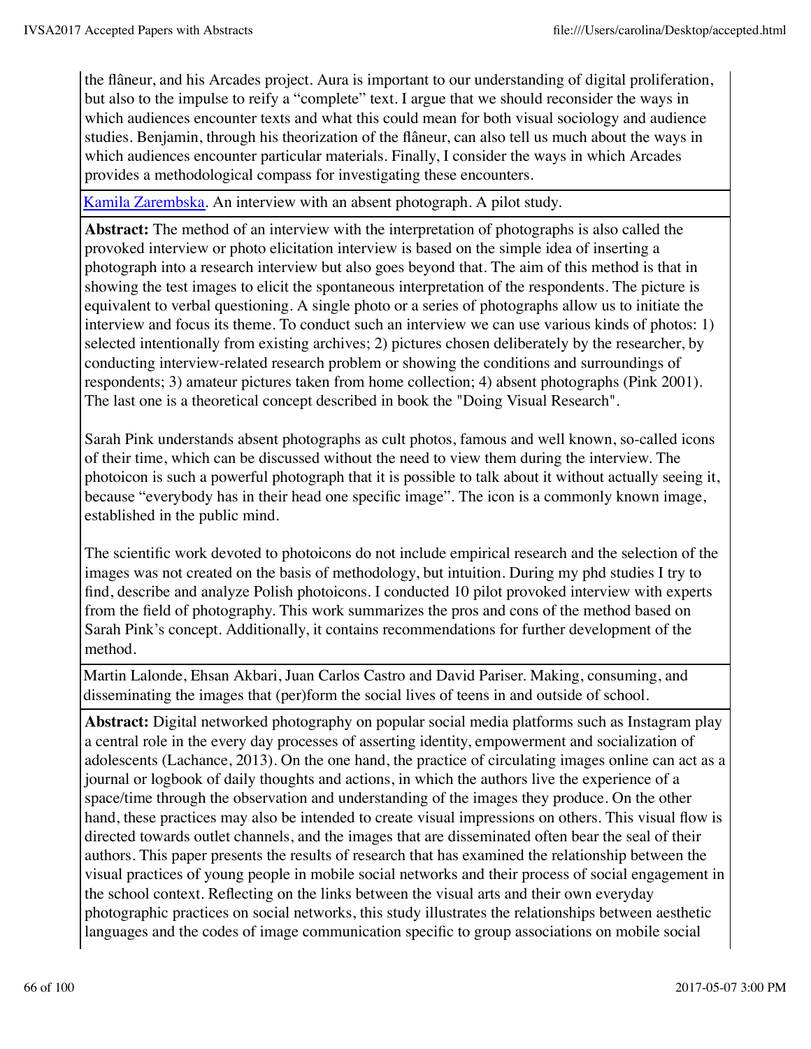the flâneur, and his Arcades project. Aura is important to our understanding of digital proliferation, but also to the impulse to reify a "complete" text. I argue that we should reconsider the ways in which audiences encounter texts and what this could mean for both visual sociology and audience studies. Benjamin, through his theorization of the flâneur, can also tell us much about the ways in which audiences encounter particular materials. Finally, I consider the ways in which Arcades provides a methodological compass for investigating these encounters.

Kamila Zarembska. An interview with an absent photograph. A pilot study.

**Abstract:** The method of an interview with the interpretation of photographs is also called the provoked interview or photo elicitation interview is based on the simple idea of inserting a photograph into a research interview but also goes beyond that. The aim of this method is that in showing the test images to elicit the spontaneous interpretation of the respondents. The picture is equivalent to verbal questioning. A single photo or a series of photographs allow us to initiate the interview and focus its theme. To conduct such an interview we can use various kinds of photos: 1) selected intentionally from existing archives; 2) pictures chosen deliberately by the researcher, by conducting interview-related research problem or showing the conditions and surroundings of respondents; 3) amateur pictures taken from home collection; 4) absent photographs (Pink 2001). The last one is a theoretical concept described in book the "Doing Visual Research".

Sarah Pink understands absent photographs as cult photos, famous and well known, so-called icons of their time, which can be discussed without the need to view them during the interview. The photoicon is such a powerful photograph that it is possible to talk about it without actually seeing it, because "everybody has in their head one specific image". The icon is a commonly known image, established in the public mind.

The scientific work devoted to photoicons do not include empirical research and the selection of the images was not created on the basis of methodology, but intuition. During my phd studies I try to find, describe and analyze Polish photoicons. I conducted 10 pilot provoked interview with experts from the field of photography. This work summarizes the pros and cons of the method based on Sarah Pink's concept. Additionally, it contains recommendations for further development of the method.

Martin Lalonde, Ehsan Akbari, Juan Carlos Castro and David Pariser. Making, consuming, and disseminating the images that (per)form the social lives of teens in and outside of school.

**Abstract:** Digital networked photography on popular social media platforms such as Instagram play a central role in the every day processes of asserting identity, empowerment and socialization of adolescents (Lachance, 2013). On the one hand, the practice of circulating images online can act as a journal or logbook of daily thoughts and actions, in which the authors live the experience of a space/time through the observation and understanding of the images they produce. On the other hand, these practices may also be intended to create visual impressions on others. This visual flow is directed towards outlet channels, and the images that are disseminated often bear the seal of their authors. This paper presents the results of research that has examined the relationship between the visual practices of young people in mobile social networks and their process of social engagement in the school context. Reflecting on the links between the visual arts and their own everyday photographic practices on social networks, this study illustrates the relationships between aesthetic languages and the codes of image communication specific to group associations on mobile social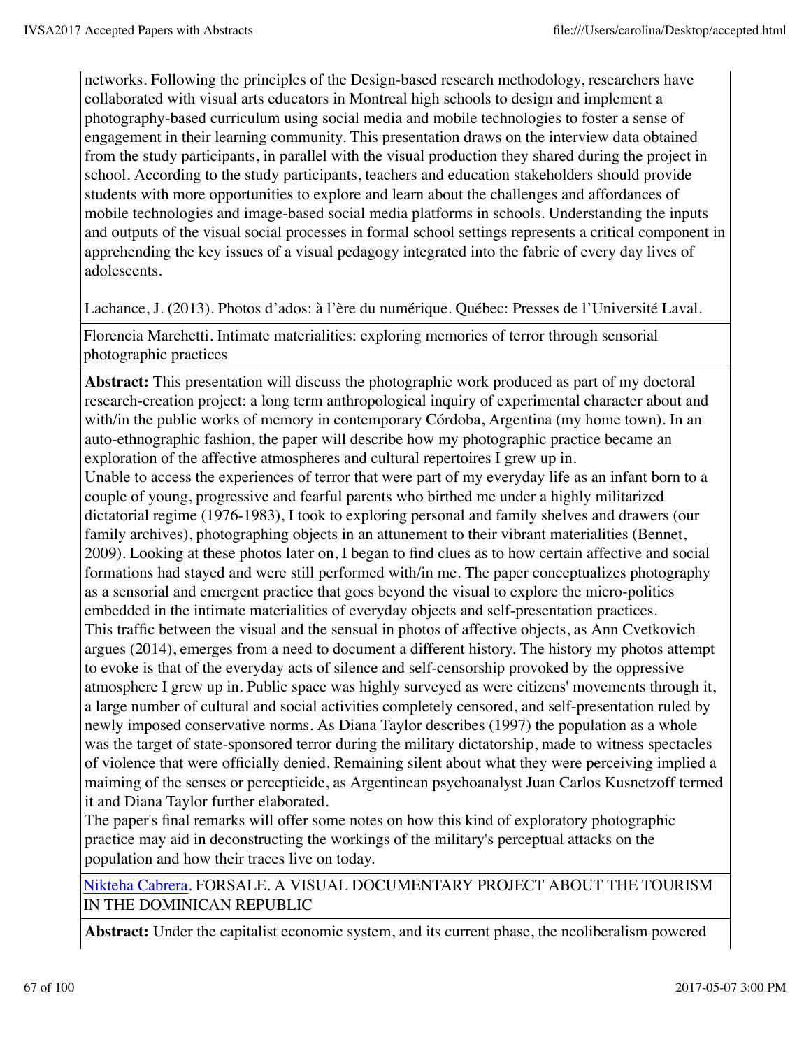networks. Following the principles of the Design-based research methodology, researchers have collaborated with visual arts educators in Montreal high schools to design and implement a photography-based curriculum using social media and mobile technologies to foster a sense of engagement in their learning community. This presentation draws on the interview data obtained from the study participants, in parallel with the visual production they shared during the project in school. According to the study participants, teachers and education stakeholders should provide students with more opportunities to explore and learn about the challenges and affordances of mobile technologies and image-based social media platforms in schools. Understanding the inputs and outputs of the visual social processes in formal school settings represents a critical component in apprehending the key issues of a visual pedagogy integrated into the fabric of every day lives of adolescents.

Lachance, J. (2013). Photos d'ados: à l'ère du numérique. Québec: Presses de l'Université Laval.

Florencia Marchetti. Intimate materialities: exploring memories of terror through sensorial photographic practices

**Abstract:** This presentation will discuss the photographic work produced as part of my doctoral research-creation project: a long term anthropological inquiry of experimental character about and with/in the public works of memory in contemporary Córdoba, Argentina (my home town). In an auto-ethnographic fashion, the paper will describe how my photographic practice became an exploration of the affective atmospheres and cultural repertoires I grew up in.

Unable to access the experiences of terror that were part of my everyday life as an infant born to a couple of young, progressive and fearful parents who birthed me under a highly militarized dictatorial regime (1976-1983), I took to exploring personal and family shelves and drawers (our family archives), photographing objects in an attunement to their vibrant materialities (Bennet, 2009). Looking at these photos later on, I began to find clues as to how certain affective and social formations had stayed and were still performed with/in me. The paper conceptualizes photography as a sensorial and emergent practice that goes beyond the visual to explore the micro-politics embedded in the intimate materialities of everyday objects and self-presentation practices. This traffic between the visual and the sensual in photos of affective objects, as Ann Cvetkovich argues (2014), emerges from a need to document a different history. The history my photos attempt to evoke is that of the everyday acts of silence and self-censorship provoked by the oppressive atmosphere I grew up in. Public space was highly surveyed as were citizens' movements through it, a large number of cultural and social activities completely censored, and self-presentation ruled by newly imposed conservative norms. As Diana Taylor describes (1997) the population as a whole was the target of state-sponsored terror during the military dictatorship, made to witness spectacles of violence that were officially denied. Remaining silent about what they were perceiving implied a maiming of the senses or percepticide, as Argentinean psychoanalyst Juan Carlos Kusnetzoff termed it and Diana Taylor further elaborated.

The paper's final remarks will offer some notes on how this kind of exploratory photographic practice may aid in deconstructing the workings of the military's perceptual attacks on the population and how their traces live on today.

Nikteha Cabrera. FORSALE. A VISUAL DOCUMENTARY PROJECT ABOUT THE TOURISM IN THE DOMINICAN REPUBLIC

**Abstract:** Under the capitalist economic system, and its current phase, the neoliberalism powered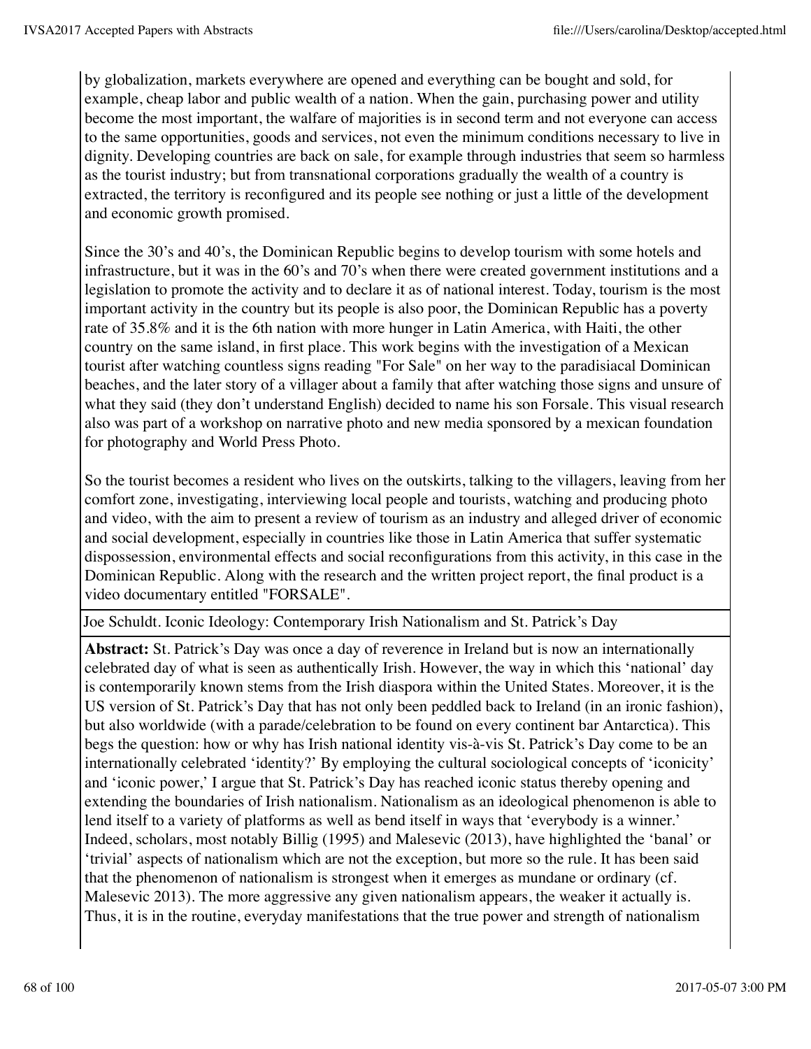by globalization, markets everywhere are opened and everything can be bought and sold, for example, cheap labor and public wealth of a nation. When the gain, purchasing power and utility become the most important, the walfare of majorities is in second term and not everyone can access to the same opportunities, goods and services, not even the minimum conditions necessary to live in dignity. Developing countries are back on sale, for example through industries that seem so harmless as the tourist industry; but from transnational corporations gradually the wealth of a country is extracted, the territory is reconfigured and its people see nothing or just a little of the development and economic growth promised.

Since the 30's and 40's, the Dominican Republic begins to develop tourism with some hotels and infrastructure, but it was in the 60's and 70's when there were created government institutions and a legislation to promote the activity and to declare it as of national interest. Today, tourism is the most important activity in the country but its people is also poor, the Dominican Republic has a poverty rate of 35.8% and it is the 6th nation with more hunger in Latin America, with Haiti, the other country on the same island, in first place. This work begins with the investigation of a Mexican tourist after watching countless signs reading "For Sale" on her way to the paradisiacal Dominican beaches, and the later story of a villager about a family that after watching those signs and unsure of what they said (they don't understand English) decided to name his son Forsale. This visual research also was part of a workshop on narrative photo and new media sponsored by a mexican foundation for photography and World Press Photo.

So the tourist becomes a resident who lives on the outskirts, talking to the villagers, leaving from her comfort zone, investigating, interviewing local people and tourists, watching and producing photo and video, with the aim to present a review of tourism as an industry and alleged driver of economic and social development, especially in countries like those in Latin America that suffer systematic dispossession, environmental effects and social reconfigurations from this activity, in this case in the Dominican Republic. Along with the research and the written project report, the final product is a video documentary entitled "FORSALE".

Joe Schuldt. Iconic Ideology: Contemporary Irish Nationalism and St. Patrick's Day

**Abstract:** St. Patrick's Day was once a day of reverence in Ireland but is now an internationally celebrated day of what is seen as authentically Irish. However, the way in which this 'national' day is contemporarily known stems from the Irish diaspora within the United States. Moreover, it is the US version of St. Patrick's Day that has not only been peddled back to Ireland (in an ironic fashion), but also worldwide (with a parade/celebration to be found on every continent bar Antarctica). This begs the question: how or why has Irish national identity vis-à-vis St. Patrick's Day come to be an internationally celebrated 'identity?' By employing the cultural sociological concepts of 'iconicity' and 'iconic power,' I argue that St. Patrick's Day has reached iconic status thereby opening and extending the boundaries of Irish nationalism. Nationalism as an ideological phenomenon is able to lend itself to a variety of platforms as well as bend itself in ways that 'everybody is a winner.' Indeed, scholars, most notably Billig (1995) and Malesevic (2013), have highlighted the 'banal' or 'trivial' aspects of nationalism which are not the exception, but more so the rule. It has been said that the phenomenon of nationalism is strongest when it emerges as mundane or ordinary (cf. Malesevic 2013). The more aggressive any given nationalism appears, the weaker it actually is. Thus, it is in the routine, everyday manifestations that the true power and strength of nationalism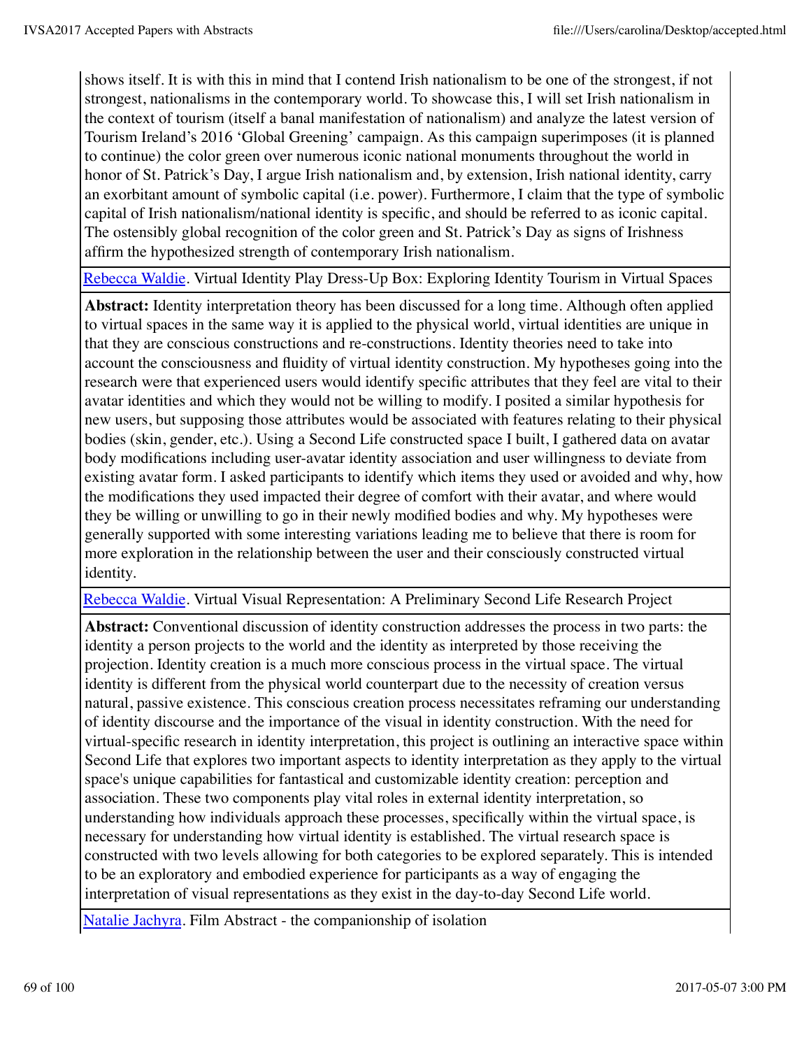shows itself. It is with this in mind that I contend Irish nationalism to be one of the strongest, if not strongest, nationalisms in the contemporary world. To showcase this, I will set Irish nationalism in the context of tourism (itself a banal manifestation of nationalism) and analyze the latest version of Tourism Ireland's 2016 'Global Greening' campaign. As this campaign superimposes (it is planned to continue) the color green over numerous iconic national monuments throughout the world in honor of St. Patrick's Day, I argue Irish nationalism and, by extension, Irish national identity, carry an exorbitant amount of symbolic capital (i.e. power). Furthermore, I claim that the type of symbolic capital of Irish nationalism/national identity is specific, and should be referred to as iconic capital. The ostensibly global recognition of the color green and St. Patrick's Day as signs of Irishness affirm the hypothesized strength of contemporary Irish nationalism.

Rebecca Waldie. Virtual Identity Play Dress-Up Box: Exploring Identity Tourism in Virtual Spaces

**Abstract:** Identity interpretation theory has been discussed for a long time. Although often applied to virtual spaces in the same way it is applied to the physical world, virtual identities are unique in that they are conscious constructions and re-constructions. Identity theories need to take into account the consciousness and fluidity of virtual identity construction. My hypotheses going into the research were that experienced users would identify specific attributes that they feel are vital to their avatar identities and which they would not be willing to modify. I posited a similar hypothesis for new users, but supposing those attributes would be associated with features relating to their physical bodies (skin, gender, etc.). Using a Second Life constructed space I built, I gathered data on avatar body modifications including user-avatar identity association and user willingness to deviate from existing avatar form. I asked participants to identify which items they used or avoided and why, how the modifications they used impacted their degree of comfort with their avatar, and where would they be willing or unwilling to go in their newly modified bodies and why. My hypotheses were generally supported with some interesting variations leading me to believe that there is room for more exploration in the relationship between the user and their consciously constructed virtual identity.

Rebecca Waldie. Virtual Visual Representation: A Preliminary Second Life Research Project

**Abstract:** Conventional discussion of identity construction addresses the process in two parts: the identity a person projects to the world and the identity as interpreted by those receiving the projection. Identity creation is a much more conscious process in the virtual space. The virtual identity is different from the physical world counterpart due to the necessity of creation versus natural, passive existence. This conscious creation process necessitates reframing our understanding of identity discourse and the importance of the visual in identity construction. With the need for virtual-specific research in identity interpretation, this project is outlining an interactive space within Second Life that explores two important aspects to identity interpretation as they apply to the virtual space's unique capabilities for fantastical and customizable identity creation: perception and association. These two components play vital roles in external identity interpretation, so understanding how individuals approach these processes, specifically within the virtual space, is necessary for understanding how virtual identity is established. The virtual research space is constructed with two levels allowing for both categories to be explored separately. This is intended to be an exploratory and embodied experience for participants as a way of engaging the interpretation of visual representations as they exist in the day-to-day Second Life world.

Natalie Jachyra. Film Abstract - the companionship of isolation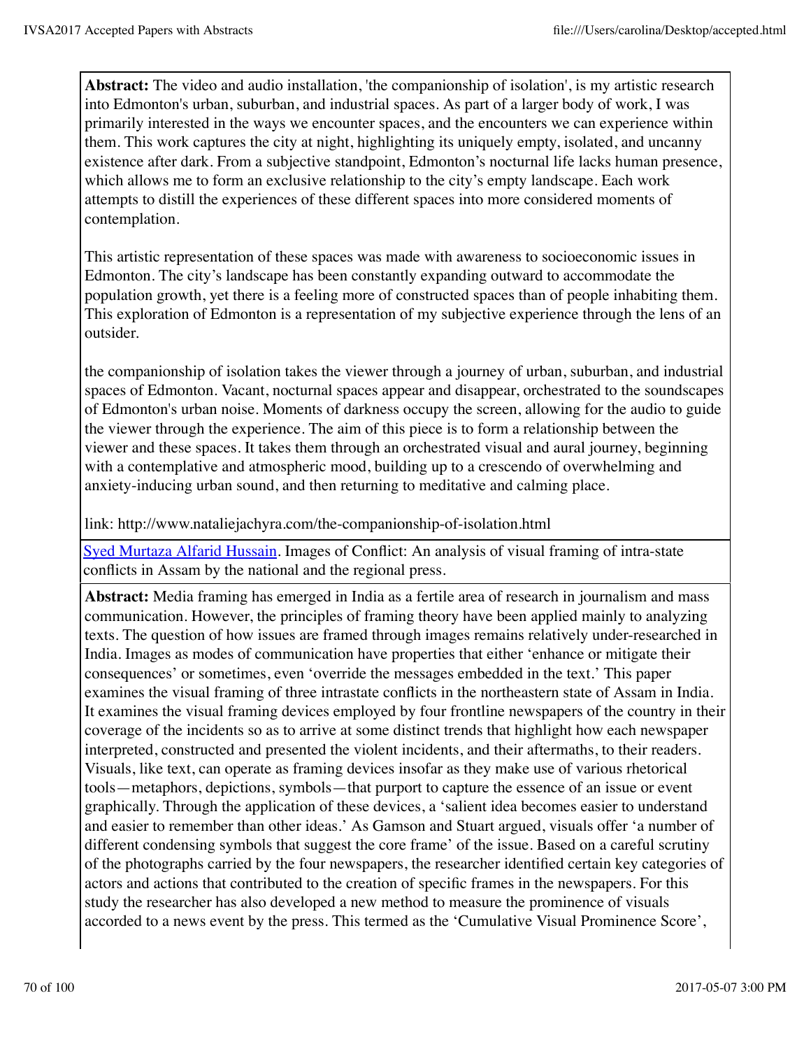**Abstract:** The video and audio installation, 'the companionship of isolation', is my artistic research into Edmonton's urban, suburban, and industrial spaces. As part of a larger body of work, I was primarily interested in the ways we encounter spaces, and the encounters we can experience within them. This work captures the city at night, highlighting its uniquely empty, isolated, and uncanny existence after dark. From a subjective standpoint, Edmonton's nocturnal life lacks human presence, which allows me to form an exclusive relationship to the city's empty landscape. Each work attempts to distill the experiences of these different spaces into more considered moments of contemplation.

This artistic representation of these spaces was made with awareness to socioeconomic issues in Edmonton. The city's landscape has been constantly expanding outward to accommodate the population growth, yet there is a feeling more of constructed spaces than of people inhabiting them. This exploration of Edmonton is a representation of my subjective experience through the lens of an outsider.

the companionship of isolation takes the viewer through a journey of urban, suburban, and industrial spaces of Edmonton. Vacant, nocturnal spaces appear and disappear, orchestrated to the soundscapes of Edmonton's urban noise. Moments of darkness occupy the screen, allowing for the audio to guide the viewer through the experience. The aim of this piece is to form a relationship between the viewer and these spaces. It takes them through an orchestrated visual and aural journey, beginning with a contemplative and atmospheric mood, building up to a crescendo of overwhelming and anxiety-inducing urban sound, and then returning to meditative and calming place.

link: http://www.nataliejachyra.com/the-companionship-of-isolation.html

Syed Murtaza Alfarid Hussain. Images of Conflict: An analysis of visual framing of intra-state conflicts in Assam by the national and the regional press.

**Abstract:** Media framing has emerged in India as a fertile area of research in journalism and mass communication. However, the principles of framing theory have been applied mainly to analyzing texts. The question of how issues are framed through images remains relatively under-researched in India. Images as modes of communication have properties that either 'enhance or mitigate their consequences' or sometimes, even 'override the messages embedded in the text.' This paper examines the visual framing of three intrastate conflicts in the northeastern state of Assam in India. It examines the visual framing devices employed by four frontline newspapers of the country in their coverage of the incidents so as to arrive at some distinct trends that highlight how each newspaper interpreted, constructed and presented the violent incidents, and their aftermaths, to their readers. Visuals, like text, can operate as framing devices insofar as they make use of various rhetorical tools—metaphors, depictions, symbols—that purport to capture the essence of an issue or event graphically. Through the application of these devices, a 'salient idea becomes easier to understand and easier to remember than other ideas.' As Gamson and Stuart argued, visuals offer 'a number of different condensing symbols that suggest the core frame' of the issue. Based on a careful scrutiny of the photographs carried by the four newspapers, the researcher identified certain key categories of actors and actions that contributed to the creation of specific frames in the newspapers. For this study the researcher has also developed a new method to measure the prominence of visuals accorded to a news event by the press. This termed as the 'Cumulative Visual Prominence Score',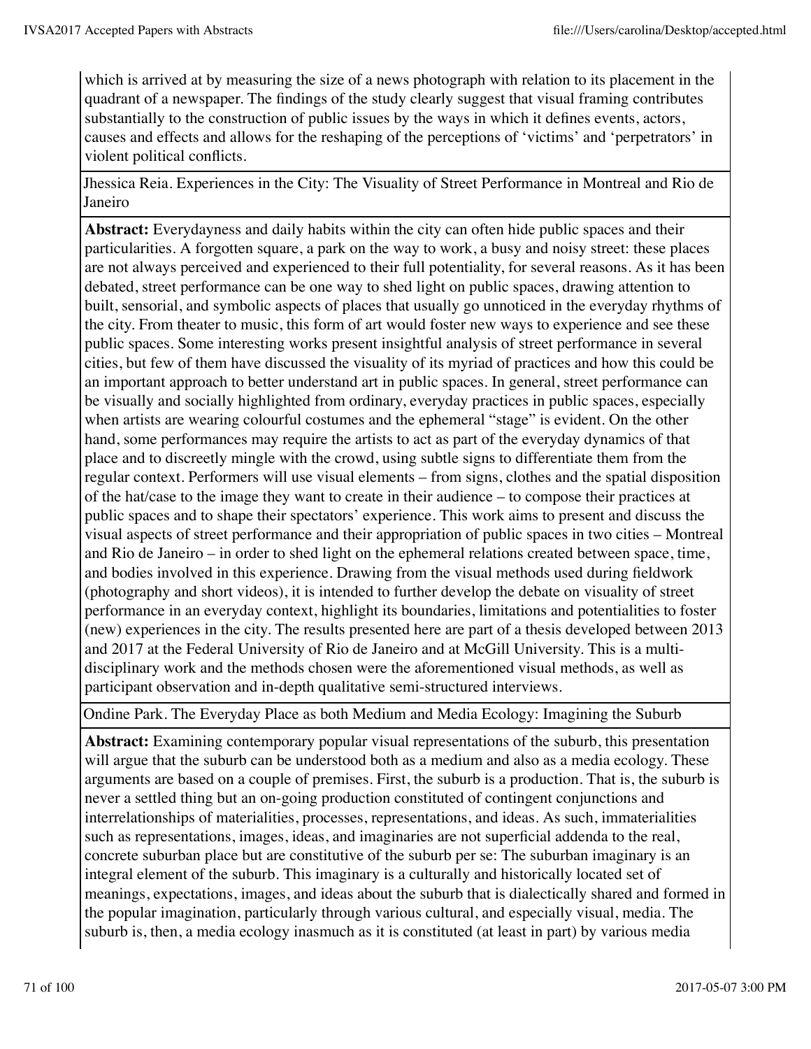which is arrived at by measuring the size of a news photograph with relation to its placement in the quadrant of a newspaper. The findings of the study clearly suggest that visual framing contributes substantially to the construction of public issues by the ways in which it defines events, actors, causes and effects and allows for the reshaping of the perceptions of 'victims' and 'perpetrators' in violent political conflicts.

Jhessica Reia. Experiences in the City: The Visuality of Street Performance in Montreal and Rio de Janeiro

**Abstract:** Everydayness and daily habits within the city can often hide public spaces and their particularities. A forgotten square, a park on the way to work, a busy and noisy street: these places are not always perceived and experienced to their full potentiality, for several reasons. As it has been debated, street performance can be one way to shed light on public spaces, drawing attention to built, sensorial, and symbolic aspects of places that usually go unnoticed in the everyday rhythms of the city. From theater to music, this form of art would foster new ways to experience and see these public spaces. Some interesting works present insightful analysis of street performance in several cities, but few of them have discussed the visuality of its myriad of practices and how this could be an important approach to better understand art in public spaces. In general, street performance can be visually and socially highlighted from ordinary, everyday practices in public spaces, especially when artists are wearing colourful costumes and the ephemeral "stage" is evident. On the other hand, some performances may require the artists to act as part of the everyday dynamics of that place and to discreetly mingle with the crowd, using subtle signs to differentiate them from the regular context. Performers will use visual elements – from signs, clothes and the spatial disposition of the hat/case to the image they want to create in their audience – to compose their practices at public spaces and to shape their spectators' experience. This work aims to present and discuss the visual aspects of street performance and their appropriation of public spaces in two cities – Montreal and Rio de Janeiro – in order to shed light on the ephemeral relations created between space, time, and bodies involved in this experience. Drawing from the visual methods used during fieldwork (photography and short videos), it is intended to further develop the debate on visuality of street performance in an everyday context, highlight its boundaries, limitations and potentialities to foster (new) experiences in the city. The results presented here are part of a thesis developed between 2013 and 2017 at the Federal University of Rio de Janeiro and at McGill University. This is a multidisciplinary work and the methods chosen were the aforementioned visual methods, as well as participant observation and in-depth qualitative semi-structured interviews.

Ondine Park. The Everyday Place as both Medium and Media Ecology: Imagining the Suburb

**Abstract:** Examining contemporary popular visual representations of the suburb, this presentation will argue that the suburb can be understood both as a medium and also as a media ecology. These arguments are based on a couple of premises. First, the suburb is a production. That is, the suburb is never a settled thing but an on-going production constituted of contingent conjunctions and interrelationships of materialities, processes, representations, and ideas. As such, immaterialities such as representations, images, ideas, and imaginaries are not superficial addenda to the real, concrete suburban place but are constitutive of the suburb per se: The suburban imaginary is an integral element of the suburb. This imaginary is a culturally and historically located set of meanings, expectations, images, and ideas about the suburb that is dialectically shared and formed in the popular imagination, particularly through various cultural, and especially visual, media. The suburb is, then, a media ecology inasmuch as it is constituted (at least in part) by various media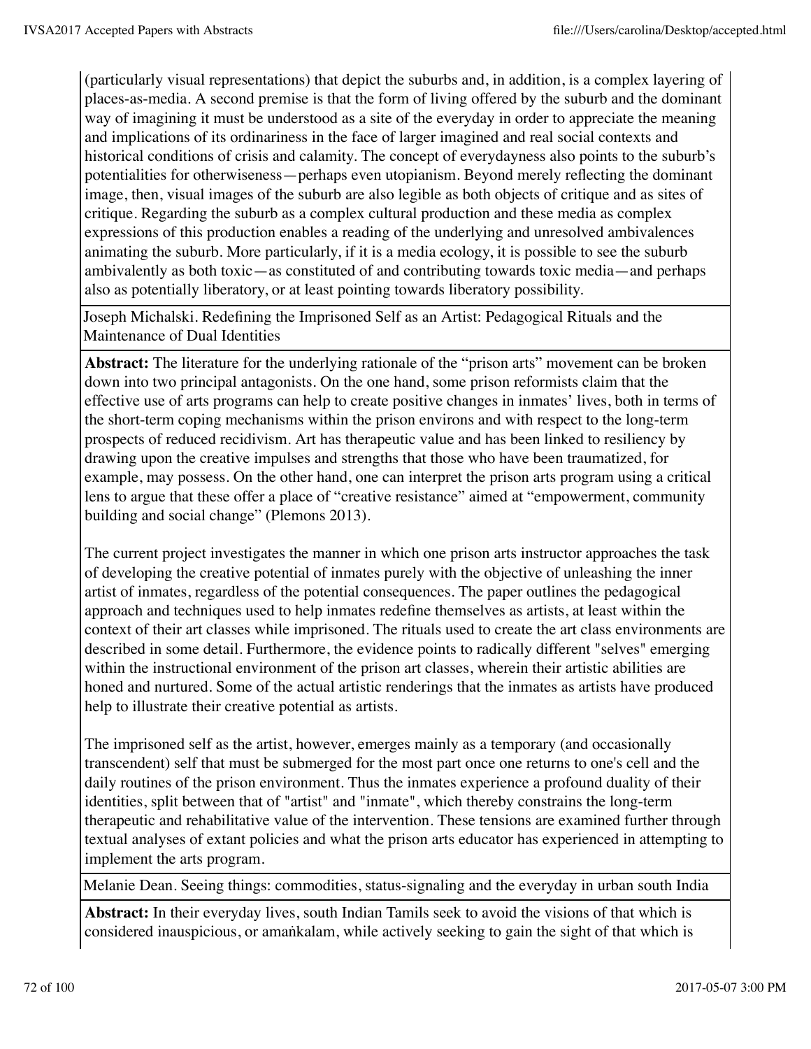(particularly visual representations) that depict the suburbs and, in addition, is a complex layering of places-as-media. A second premise is that the form of living offered by the suburb and the dominant way of imagining it must be understood as a site of the everyday in order to appreciate the meaning and implications of its ordinariness in the face of larger imagined and real social contexts and historical conditions of crisis and calamity. The concept of everydayness also points to the suburb's potentialities for otherwiseness—perhaps even utopianism. Beyond merely reflecting the dominant image, then, visual images of the suburb are also legible as both objects of critique and as sites of critique. Regarding the suburb as a complex cultural production and these media as complex expressions of this production enables a reading of the underlying and unresolved ambivalences animating the suburb. More particularly, if it is a media ecology, it is possible to see the suburb ambivalently as both toxic—as constituted of and contributing towards toxic media—and perhaps also as potentially liberatory, or at least pointing towards liberatory possibility.

Joseph Michalski. Redefining the Imprisoned Self as an Artist: Pedagogical Rituals and the Maintenance of Dual Identities

**Abstract:** The literature for the underlying rationale of the "prison arts" movement can be broken down into two principal antagonists. On the one hand, some prison reformists claim that the effective use of arts programs can help to create positive changes in inmates' lives, both in terms of the short-term coping mechanisms within the prison environs and with respect to the long-term prospects of reduced recidivism. Art has therapeutic value and has been linked to resiliency by drawing upon the creative impulses and strengths that those who have been traumatized, for example, may possess. On the other hand, one can interpret the prison arts program using a critical lens to argue that these offer a place of "creative resistance" aimed at "empowerment, community building and social change" (Plemons 2013).

The current project investigates the manner in which one prison arts instructor approaches the task of developing the creative potential of inmates purely with the objective of unleashing the inner artist of inmates, regardless of the potential consequences. The paper outlines the pedagogical approach and techniques used to help inmates redefine themselves as artists, at least within the context of their art classes while imprisoned. The rituals used to create the art class environments are described in some detail. Furthermore, the evidence points to radically different "selves" emerging within the instructional environment of the prison art classes, wherein their artistic abilities are honed and nurtured. Some of the actual artistic renderings that the inmates as artists have produced help to illustrate their creative potential as artists.

The imprisoned self as the artist, however, emerges mainly as a temporary (and occasionally transcendent) self that must be submerged for the most part once one returns to one's cell and the daily routines of the prison environment. Thus the inmates experience a profound duality of their identities, split between that of "artist" and "inmate", which thereby constrains the long-term therapeutic and rehabilitative value of the intervention. These tensions are examined further through textual analyses of extant policies and what the prison arts educator has experienced in attempting to implement the arts program.

Melanie Dean. Seeing things: commodities, status-signaling and the everyday in urban south India

**Abstract:** In their everyday lives, south Indian Tamils seek to avoid the visions of that which is considered inauspicious, or amaṅkalam, while actively seeking to gain the sight of that which is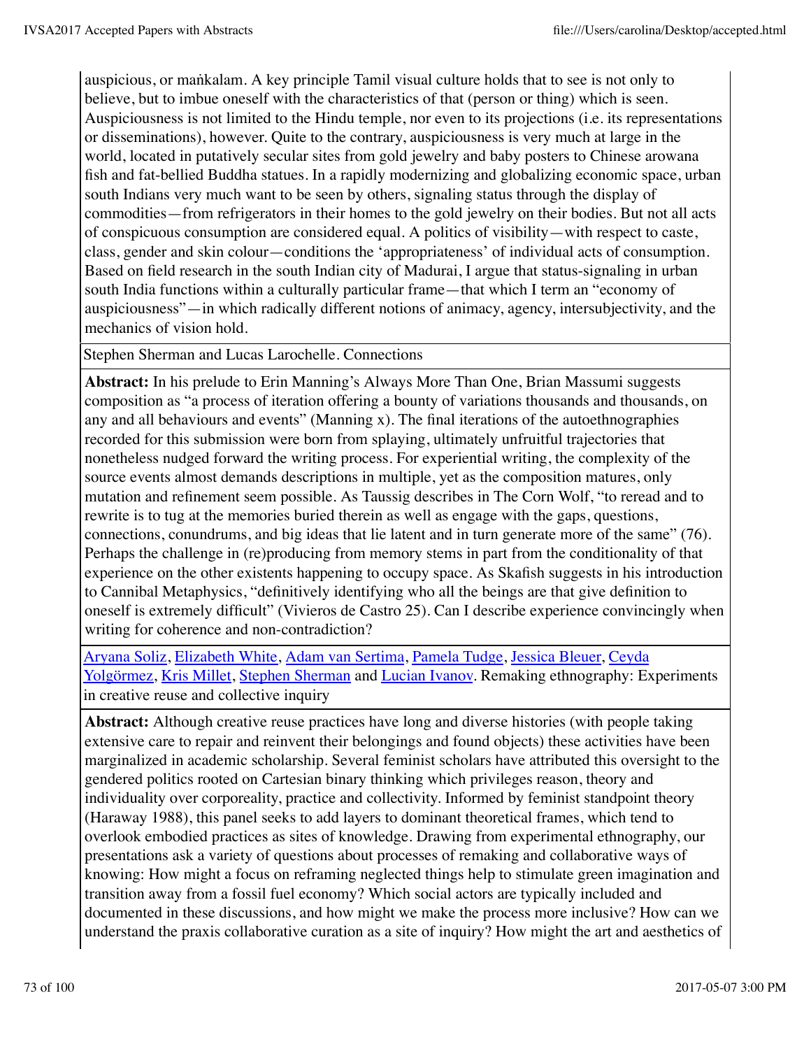auspicious, or maṅkalam. A key principle Tamil visual culture holds that to see is not only to believe, but to imbue oneself with the characteristics of that (person or thing) which is seen. Auspiciousness is not limited to the Hindu temple, nor even to its projections (i.e. its representations or disseminations), however. Quite to the contrary, auspiciousness is very much at large in the world, located in putatively secular sites from gold jewelry and baby posters to Chinese arowana fish and fat-bellied Buddha statues. In a rapidly modernizing and globalizing economic space, urban south Indians very much want to be seen by others, signaling status through the display of commodities—from refrigerators in their homes to the gold jewelry on their bodies. But not all acts of conspicuous consumption are considered equal. A politics of visibility—with respect to caste, class, gender and skin colour—conditions the 'appropriateness' of individual acts of consumption. Based on field research in the south Indian city of Madurai, I argue that status-signaling in urban south India functions within a culturally particular frame—that which I term an "economy of auspiciousness"—in which radically different notions of animacy, agency, intersubjectivity, and the mechanics of vision hold.

Stephen Sherman and Lucas Larochelle. Connections

**Abstract:** In his prelude to Erin Manning's Always More Than One, Brian Massumi suggests composition as "a process of iteration offering a bounty of variations thousands and thousands, on any and all behaviours and events" (Manning x). The final iterations of the autoethnographies recorded for this submission were born from splaying, ultimately unfruitful trajectories that nonetheless nudged forward the writing process. For experiential writing, the complexity of the source events almost demands descriptions in multiple, yet as the composition matures, only mutation and refinement seem possible. As Taussig describes in The Corn Wolf, "to reread and to rewrite is to tug at the memories buried therein as well as engage with the gaps, questions, connections, conundrums, and big ideas that lie latent and in turn generate more of the same" (76). Perhaps the challenge in (re)producing from memory stems in part from the conditionality of that experience on the other existents happening to occupy space. As Skafish suggests in his introduction to Cannibal Metaphysics, "definitively identifying who all the beings are that give definition to oneself is extremely difficult" (Vivieros de Castro 25). Can I describe experience convincingly when writing for coherence and non-contradiction?

Aryana Soliz, Elizabeth White, Adam van Sertima, Pamela Tudge, Jessica Bleuer, Ceyda Yolgörmez, Kris Millet, Stephen Sherman and Lucian Ivanov. Remaking ethnography: Experiments in creative reuse and collective inquiry

**Abstract:** Although creative reuse practices have long and diverse histories (with people taking extensive care to repair and reinvent their belongings and found objects) these activities have been marginalized in academic scholarship. Several feminist scholars have attributed this oversight to the gendered politics rooted on Cartesian binary thinking which privileges reason, theory and individuality over corporeality, practice and collectivity. Informed by feminist standpoint theory (Haraway 1988), this panel seeks to add layers to dominant theoretical frames, which tend to overlook embodied practices as sites of knowledge. Drawing from experimental ethnography, our presentations ask a variety of questions about processes of remaking and collaborative ways of knowing: How might a focus on reframing neglected things help to stimulate green imagination and transition away from a fossil fuel economy? Which social actors are typically included and documented in these discussions, and how might we make the process more inclusive? How can we understand the praxis collaborative curation as a site of inquiry? How might the art and aesthetics of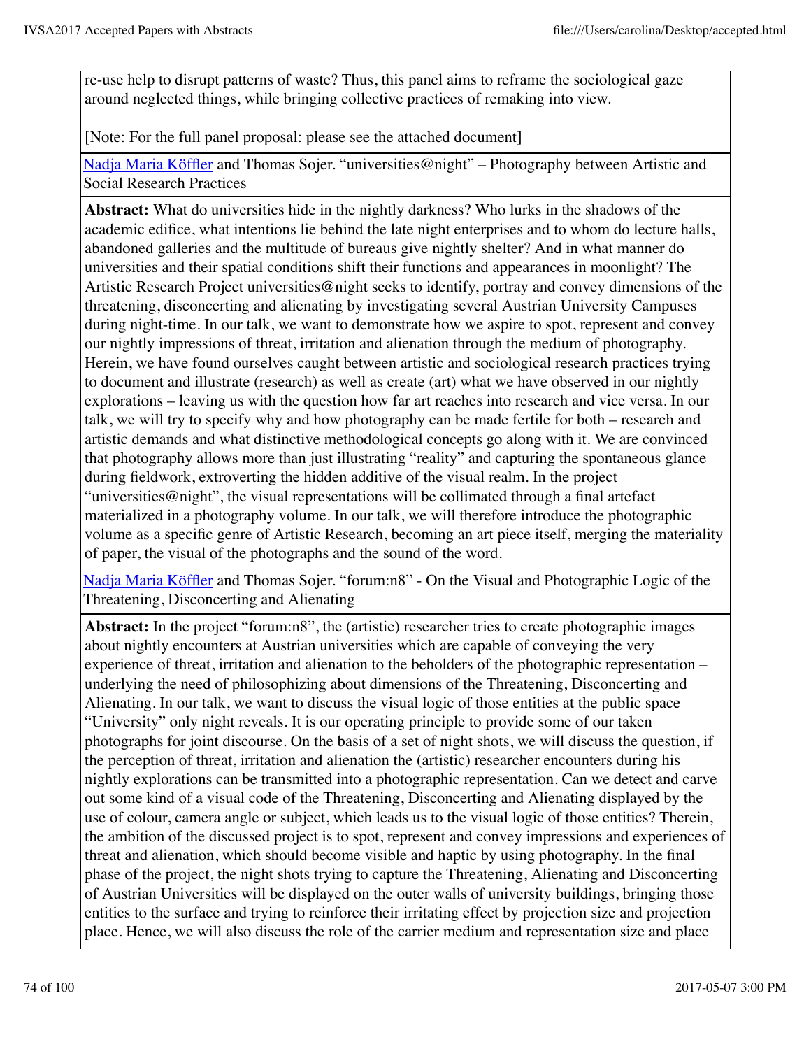re-use help to disrupt patterns of waste? Thus, this panel aims to reframe the sociological gaze around neglected things, while bringing collective practices of remaking into view.

[Note: For the full panel proposal: please see the attached document]

Nadja Maria Köffler and Thomas Sojer. "universities@night" – Photography between Artistic and Social Research Practices

**Abstract:** What do universities hide in the nightly darkness? Who lurks in the shadows of the academic edifice, what intentions lie behind the late night enterprises and to whom do lecture halls, abandoned galleries and the multitude of bureaus give nightly shelter? And in what manner do universities and their spatial conditions shift their functions and appearances in moonlight? The Artistic Research Project universities@night seeks to identify, portray and convey dimensions of the threatening, disconcerting and alienating by investigating several Austrian University Campuses during night-time. In our talk, we want to demonstrate how we aspire to spot, represent and convey our nightly impressions of threat, irritation and alienation through the medium of photography. Herein, we have found ourselves caught between artistic and sociological research practices trying to document and illustrate (research) as well as create (art) what we have observed in our nightly explorations – leaving us with the question how far art reaches into research and vice versa. In our talk, we will try to specify why and how photography can be made fertile for both – research and artistic demands and what distinctive methodological concepts go along with it. We are convinced that photography allows more than just illustrating "reality" and capturing the spontaneous glance during fieldwork, extroverting the hidden additive of the visual realm. In the project "universities@night", the visual representations will be collimated through a final artefact materialized in a photography volume. In our talk, we will therefore introduce the photographic volume as a specific genre of Artistic Research, becoming an art piece itself, merging the materiality of paper, the visual of the photographs and the sound of the word.

Nadja Maria Köffler and Thomas Sojer. "forum:n8" - On the Visual and Photographic Logic of the Threatening, Disconcerting and Alienating

**Abstract:** In the project "forum:n8", the (artistic) researcher tries to create photographic images about nightly encounters at Austrian universities which are capable of conveying the very experience of threat, irritation and alienation to the beholders of the photographic representation – underlying the need of philosophizing about dimensions of the Threatening, Disconcerting and Alienating. In our talk, we want to discuss the visual logic of those entities at the public space "University" only night reveals. It is our operating principle to provide some of our taken photographs for joint discourse. On the basis of a set of night shots, we will discuss the question, if the perception of threat, irritation and alienation the (artistic) researcher encounters during his nightly explorations can be transmitted into a photographic representation. Can we detect and carve out some kind of a visual code of the Threatening, Disconcerting and Alienating displayed by the use of colour, camera angle or subject, which leads us to the visual logic of those entities? Therein, the ambition of the discussed project is to spot, represent and convey impressions and experiences of threat and alienation, which should become visible and haptic by using photography. In the final phase of the project, the night shots trying to capture the Threatening, Alienating and Disconcerting of Austrian Universities will be displayed on the outer walls of university buildings, bringing those entities to the surface and trying to reinforce their irritating effect by projection size and projection place. Hence, we will also discuss the role of the carrier medium and representation size and place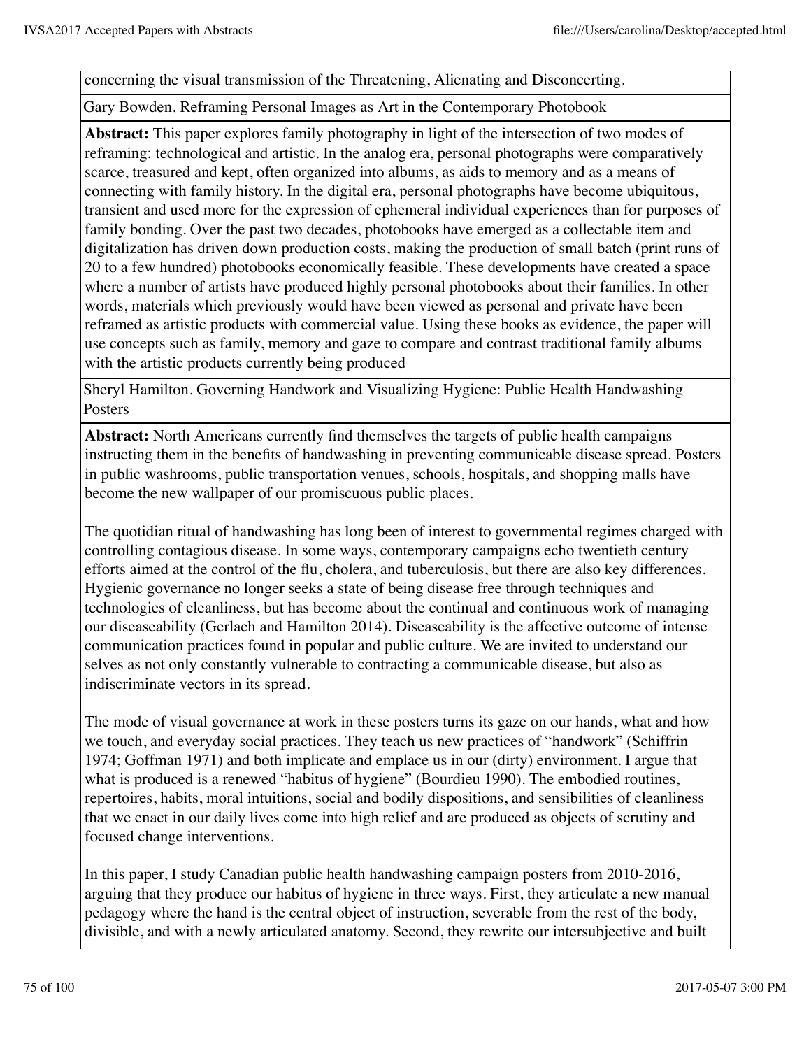concerning the visual transmission of the Threatening, Alienating and Disconcerting.

Gary Bowden. Reframing Personal Images as Art in the Contemporary Photobook

**Abstract:** This paper explores family photography in light of the intersection of two modes of reframing: technological and artistic. In the analog era, personal photographs were comparatively scarce, treasured and kept, often organized into albums, as aids to memory and as a means of connecting with family history. In the digital era, personal photographs have become ubiquitous, transient and used more for the expression of ephemeral individual experiences than for purposes of family bonding. Over the past two decades, photobooks have emerged as a collectable item and digitalization has driven down production costs, making the production of small batch (print runs of 20 to a few hundred) photobooks economically feasible. These developments have created a space where a number of artists have produced highly personal photobooks about their families. In other words, materials which previously would have been viewed as personal and private have been reframed as artistic products with commercial value. Using these books as evidence, the paper will use concepts such as family, memory and gaze to compare and contrast traditional family albums with the artistic products currently being produced

Sheryl Hamilton. Governing Handwork and Visualizing Hygiene: Public Health Handwashing Posters

**Abstract:** North Americans currently find themselves the targets of public health campaigns instructing them in the benefits of handwashing in preventing communicable disease spread. Posters in public washrooms, public transportation venues, schools, hospitals, and shopping malls have become the new wallpaper of our promiscuous public places.

The quotidian ritual of handwashing has long been of interest to governmental regimes charged with controlling contagious disease. In some ways, contemporary campaigns echo twentieth century efforts aimed at the control of the flu, cholera, and tuberculosis, but there are also key differences. Hygienic governance no longer seeks a state of being disease free through techniques and technologies of cleanliness, but has become about the continual and continuous work of managing our diseaseability (Gerlach and Hamilton 2014). Diseaseability is the affective outcome of intense communication practices found in popular and public culture. We are invited to understand our selves as not only constantly vulnerable to contracting a communicable disease, but also as indiscriminate vectors in its spread.

The mode of visual governance at work in these posters turns its gaze on our hands, what and how we touch, and everyday social practices. They teach us new practices of "handwork" (Schiffrin 1974; Goffman 1971) and both implicate and emplace us in our (dirty) environment. I argue that what is produced is a renewed "habitus of hygiene" (Bourdieu 1990). The embodied routines, repertoires, habits, moral intuitions, social and bodily dispositions, and sensibilities of cleanliness that we enact in our daily lives come into high relief and are produced as objects of scrutiny and focused change interventions.

In this paper, I study Canadian public health handwashing campaign posters from 2010-2016, arguing that they produce our habitus of hygiene in three ways. First, they articulate a new manual pedagogy where the hand is the central object of instruction, severable from the rest of the body, divisible, and with a newly articulated anatomy. Second, they rewrite our intersubjective and built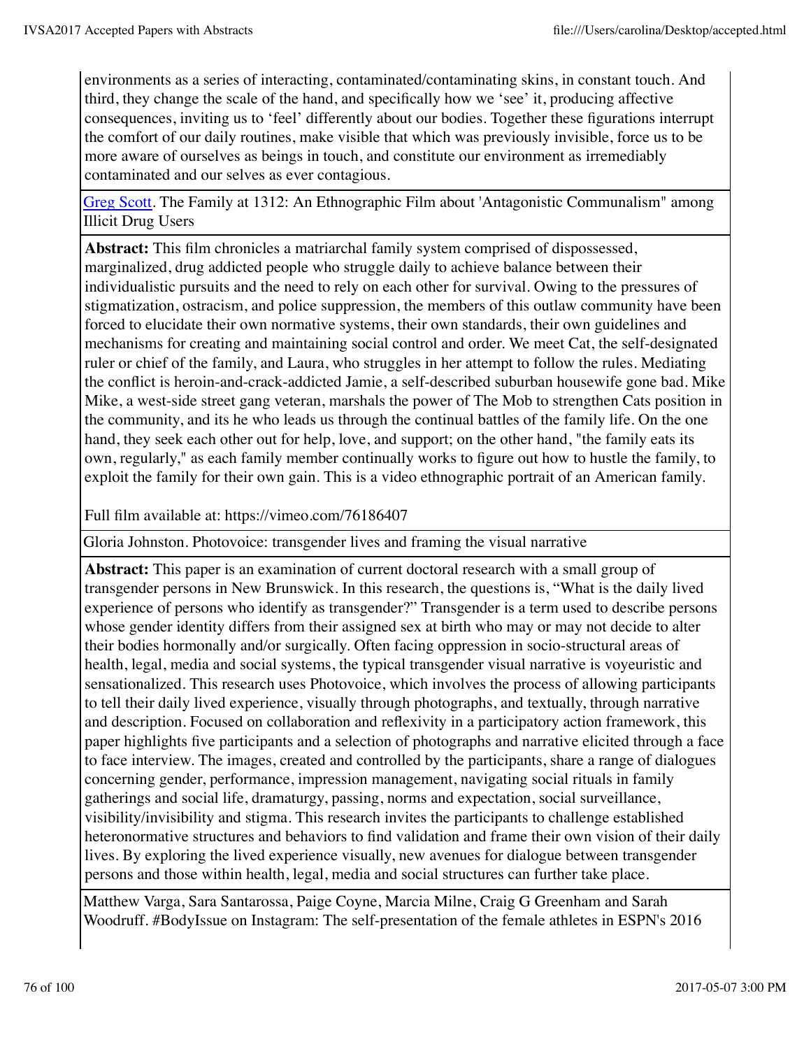environments as a series of interacting, contaminated/contaminating skins, in constant touch. And third, they change the scale of the hand, and specifically how we 'see' it, producing affective consequences, inviting us to 'feel' differently about our bodies. Together these figurations interrupt the comfort of our daily routines, make visible that which was previously invisible, force us to be more aware of ourselves as beings in touch, and constitute our environment as irremediably contaminated and our selves as ever contagious.

Greg Scott. The Family at 1312: An Ethnographic Film about 'Antagonistic Communalism" among Illicit Drug Users

**Abstract:** This film chronicles a matriarchal family system comprised of dispossessed, marginalized, drug addicted people who struggle daily to achieve balance between their individualistic pursuits and the need to rely on each other for survival. Owing to the pressures of stigmatization, ostracism, and police suppression, the members of this outlaw community have been forced to elucidate their own normative systems, their own standards, their own guidelines and mechanisms for creating and maintaining social control and order. We meet Cat, the self-designated ruler or chief of the family, and Laura, who struggles in her attempt to follow the rules. Mediating the conflict is heroin-and-crack-addicted Jamie, a self-described suburban housewife gone bad. Mike Mike, a west-side street gang veteran, marshals the power of The Mob to strengthen Cats position in the community, and its he who leads us through the continual battles of the family life. On the one hand, they seek each other out for help, love, and support; on the other hand, "the family eats its own, regularly," as each family member continually works to figure out how to hustle the family, to exploit the family for their own gain. This is a video ethnographic portrait of an American family.

Full film available at: https://vimeo.com/76186407

Gloria Johnston. Photovoice: transgender lives and framing the visual narrative

**Abstract:** This paper is an examination of current doctoral research with a small group of transgender persons in New Brunswick. In this research, the questions is, "What is the daily lived experience of persons who identify as transgender?" Transgender is a term used to describe persons whose gender identity differs from their assigned sex at birth who may or may not decide to alter their bodies hormonally and/or surgically. Often facing oppression in socio-structural areas of health, legal, media and social systems, the typical transgender visual narrative is voyeuristic and sensationalized. This research uses Photovoice, which involves the process of allowing participants to tell their daily lived experience, visually through photographs, and textually, through narrative and description. Focused on collaboration and reflexivity in a participatory action framework, this paper highlights five participants and a selection of photographs and narrative elicited through a face to face interview. The images, created and controlled by the participants, share a range of dialogues concerning gender, performance, impression management, navigating social rituals in family gatherings and social life, dramaturgy, passing, norms and expectation, social surveillance, visibility/invisibility and stigma. This research invites the participants to challenge established heteronormative structures and behaviors to find validation and frame their own vision of their daily lives. By exploring the lived experience visually, new avenues for dialogue between transgender persons and those within health, legal, media and social structures can further take place.

Matthew Varga, Sara Santarossa, Paige Coyne, Marcia Milne, Craig G Greenham and Sarah Woodruff. #BodyIssue on Instagram: The self-presentation of the female athletes in ESPN's 2016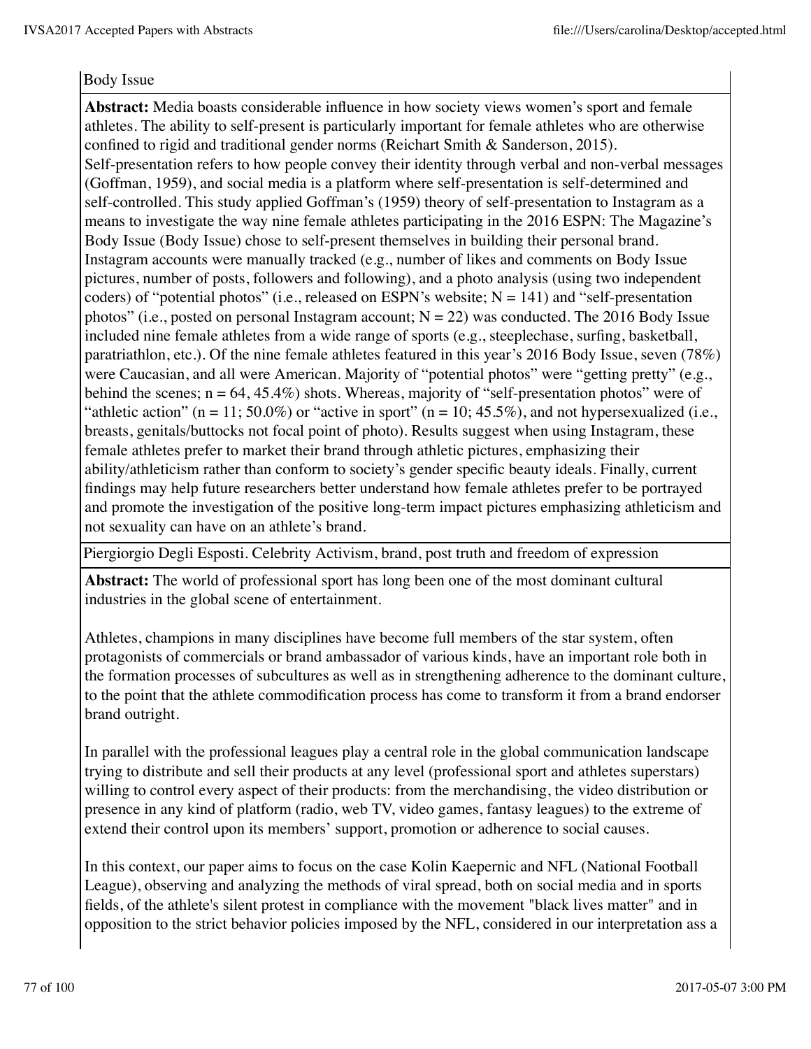#### Body Issue

**Abstract:** Media boasts considerable influence in how society views women's sport and female athletes. The ability to self-present is particularly important for female athletes who are otherwise confined to rigid and traditional gender norms (Reichart Smith & Sanderson, 2015). Self-presentation refers to how people convey their identity through verbal and non-verbal messages (Goffman, 1959), and social media is a platform where self-presentation is self-determined and self-controlled. This study applied Goffman's (1959) theory of self-presentation to Instagram as a means to investigate the way nine female athletes participating in the 2016 ESPN: The Magazine's Body Issue (Body Issue) chose to self-present themselves in building their personal brand. Instagram accounts were manually tracked (e.g., number of likes and comments on Body Issue pictures, number of posts, followers and following), and a photo analysis (using two independent coders) of "potential photos" (i.e., released on ESPN's website;  $N = 141$ ) and "self-presentation photos" (i.e., posted on personal Instagram account;  $N = 22$ ) was conducted. The 2016 Body Issue included nine female athletes from a wide range of sports (e.g., steeplechase, surfing, basketball, paratriathlon, etc.). Of the nine female athletes featured in this year's 2016 Body Issue, seven (78%) were Caucasian, and all were American. Majority of "potential photos" were "getting pretty" (e.g., behind the scenes;  $n = 64, 45.4\%$ ) shots. Whereas, majority of "self-presentation photos" were of "athletic action" (n = 11; 50.0%) or "active in sport" (n = 10; 45.5%), and not hypersexualized (i.e., breasts, genitals/buttocks not focal point of photo). Results suggest when using Instagram, these female athletes prefer to market their brand through athletic pictures, emphasizing their ability/athleticism rather than conform to society's gender specific beauty ideals. Finally, current findings may help future researchers better understand how female athletes prefer to be portrayed and promote the investigation of the positive long-term impact pictures emphasizing athleticism and not sexuality can have on an athlete's brand.

Piergiorgio Degli Esposti. Celebrity Activism, brand, post truth and freedom of expression

**Abstract:** The world of professional sport has long been one of the most dominant cultural industries in the global scene of entertainment.

Athletes, champions in many disciplines have become full members of the star system, often protagonists of commercials or brand ambassador of various kinds, have an important role both in the formation processes of subcultures as well as in strengthening adherence to the dominant culture, to the point that the athlete commodification process has come to transform it from a brand endorser brand outright.

In parallel with the professional leagues play a central role in the global communication landscape trying to distribute and sell their products at any level (professional sport and athletes superstars) willing to control every aspect of their products: from the merchandising, the video distribution or presence in any kind of platform (radio, web TV, video games, fantasy leagues) to the extreme of extend their control upon its members' support, promotion or adherence to social causes.

In this context, our paper aims to focus on the case Kolin Kaepernic and NFL (National Football League), observing and analyzing the methods of viral spread, both on social media and in sports fields, of the athlete's silent protest in compliance with the movement "black lives matter" and in opposition to the strict behavior policies imposed by the NFL, considered in our interpretation ass a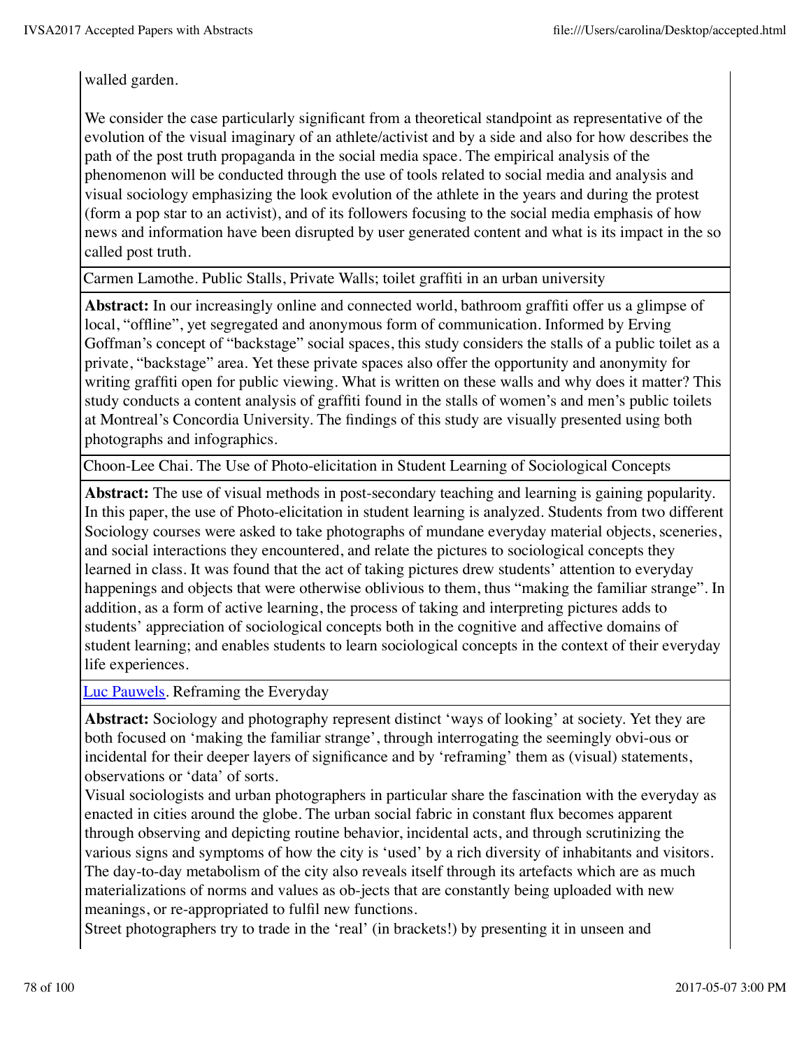walled garden.

We consider the case particularly significant from a theoretical standpoint as representative of the evolution of the visual imaginary of an athlete/activist and by a side and also for how describes the path of the post truth propaganda in the social media space. The empirical analysis of the phenomenon will be conducted through the use of tools related to social media and analysis and visual sociology emphasizing the look evolution of the athlete in the years and during the protest (form a pop star to an activist), and of its followers focusing to the social media emphasis of how news and information have been disrupted by user generated content and what is its impact in the so called post truth.

Carmen Lamothe. Public Stalls, Private Walls; toilet graffiti in an urban university

**Abstract:** In our increasingly online and connected world, bathroom graffiti offer us a glimpse of local, "offline", yet segregated and anonymous form of communication. Informed by Erving Goffman's concept of "backstage" social spaces, this study considers the stalls of a public toilet as a private, "backstage" area. Yet these private spaces also offer the opportunity and anonymity for writing graffiti open for public viewing. What is written on these walls and why does it matter? This study conducts a content analysis of graffiti found in the stalls of women's and men's public toilets at Montreal's Concordia University. The findings of this study are visually presented using both photographs and infographics.

Choon-Lee Chai. The Use of Photo-elicitation in Student Learning of Sociological Concepts

**Abstract:** The use of visual methods in post-secondary teaching and learning is gaining popularity. In this paper, the use of Photo-elicitation in student learning is analyzed. Students from two different Sociology courses were asked to take photographs of mundane everyday material objects, sceneries, and social interactions they encountered, and relate the pictures to sociological concepts they learned in class. It was found that the act of taking pictures drew students' attention to everyday happenings and objects that were otherwise oblivious to them, thus "making the familiar strange". In addition, as a form of active learning, the process of taking and interpreting pictures adds to students' appreciation of sociological concepts both in the cognitive and affective domains of student learning; and enables students to learn sociological concepts in the context of their everyday life experiences.

Luc Pauwels. Reframing the Everyday

**Abstract:** Sociology and photography represent distinct 'ways of looking' at society. Yet they are both focused on 'making the familiar strange', through interrogating the seemingly obvi-ous or incidental for their deeper layers of significance and by 'reframing' them as (visual) statements, observations or 'data' of sorts.

Visual sociologists and urban photographers in particular share the fascination with the everyday as enacted in cities around the globe. The urban social fabric in constant flux becomes apparent through observing and depicting routine behavior, incidental acts, and through scrutinizing the various signs and symptoms of how the city is 'used' by a rich diversity of inhabitants and visitors. The day-to-day metabolism of the city also reveals itself through its artefacts which are as much materializations of norms and values as ob-jects that are constantly being uploaded with new meanings, or re-appropriated to fulfil new functions.

Street photographers try to trade in the 'real' (in brackets!) by presenting it in unseen and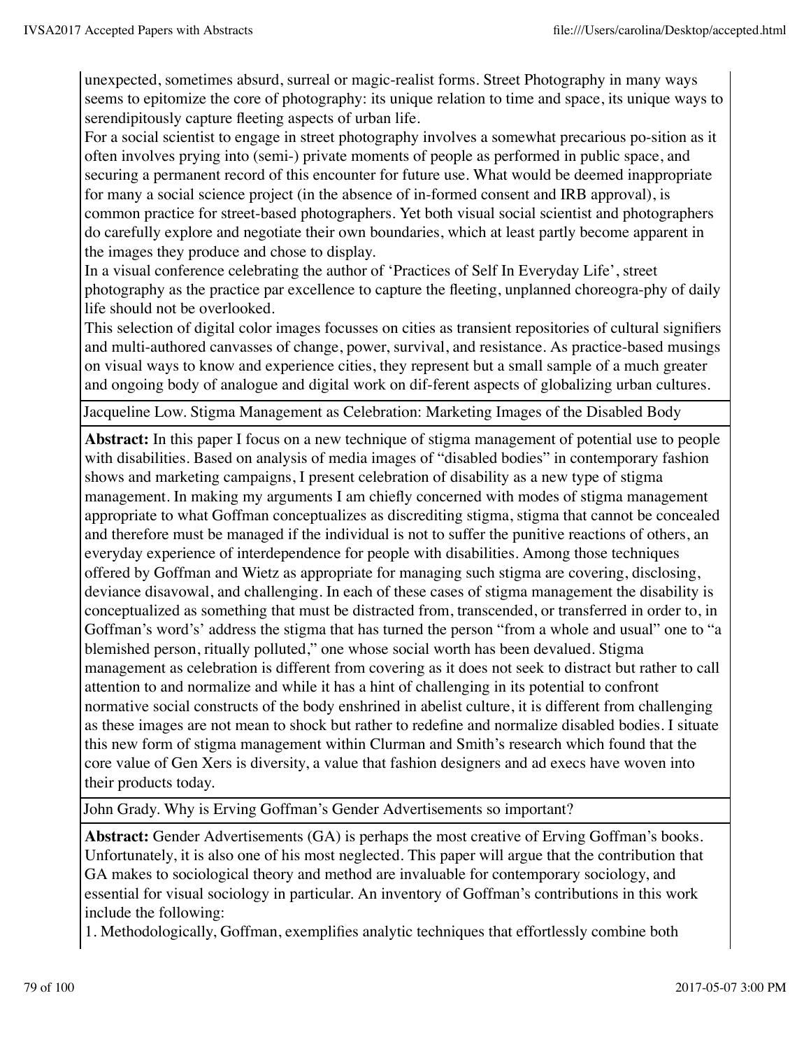unexpected, sometimes absurd, surreal or magic-realist forms. Street Photography in many ways seems to epitomize the core of photography: its unique relation to time and space, its unique ways to serendipitously capture fleeting aspects of urban life.

For a social scientist to engage in street photography involves a somewhat precarious po-sition as it often involves prying into (semi-) private moments of people as performed in public space, and securing a permanent record of this encounter for future use. What would be deemed inappropriate for many a social science project (in the absence of in-formed consent and IRB approval), is common practice for street-based photographers. Yet both visual social scientist and photographers do carefully explore and negotiate their own boundaries, which at least partly become apparent in the images they produce and chose to display.

In a visual conference celebrating the author of 'Practices of Self In Everyday Life', street photography as the practice par excellence to capture the fleeting, unplanned choreogra-phy of daily life should not be overlooked.

This selection of digital color images focusses on cities as transient repositories of cultural signifiers and multi-authored canvasses of change, power, survival, and resistance. As practice-based musings on visual ways to know and experience cities, they represent but a small sample of a much greater and ongoing body of analogue and digital work on dif-ferent aspects of globalizing urban cultures.

Jacqueline Low. Stigma Management as Celebration: Marketing Images of the Disabled Body

**Abstract:** In this paper I focus on a new technique of stigma management of potential use to people with disabilities. Based on analysis of media images of "disabled bodies" in contemporary fashion shows and marketing campaigns, I present celebration of disability as a new type of stigma management. In making my arguments I am chiefly concerned with modes of stigma management appropriate to what Goffman conceptualizes as discrediting stigma, stigma that cannot be concealed and therefore must be managed if the individual is not to suffer the punitive reactions of others, an everyday experience of interdependence for people with disabilities. Among those techniques offered by Goffman and Wietz as appropriate for managing such stigma are covering, disclosing, deviance disavowal, and challenging. In each of these cases of stigma management the disability is conceptualized as something that must be distracted from, transcended, or transferred in order to, in Goffman's word's' address the stigma that has turned the person "from a whole and usual" one to "a blemished person, ritually polluted," one whose social worth has been devalued. Stigma management as celebration is different from covering as it does not seek to distract but rather to call attention to and normalize and while it has a hint of challenging in its potential to confront normative social constructs of the body enshrined in abelist culture, it is different from challenging as these images are not mean to shock but rather to redefine and normalize disabled bodies. I situate this new form of stigma management within Clurman and Smith's research which found that the core value of Gen Xers is diversity, a value that fashion designers and ad execs have woven into their products today.

John Grady. Why is Erving Goffman's Gender Advertisements so important?

**Abstract:** Gender Advertisements (GA) is perhaps the most creative of Erving Goffman's books. Unfortunately, it is also one of his most neglected. This paper will argue that the contribution that GA makes to sociological theory and method are invaluable for contemporary sociology, and essential for visual sociology in particular. An inventory of Goffman's contributions in this work include the following:

1. Methodologically, Goffman, exemplifies analytic techniques that effortlessly combine both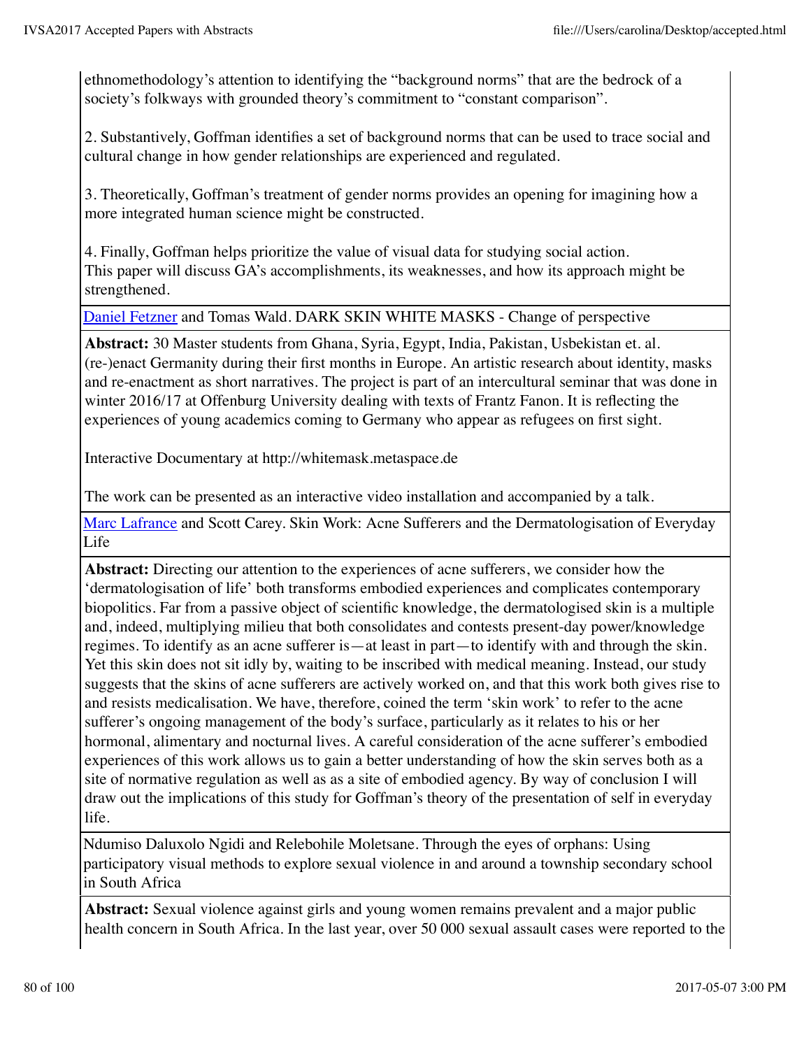ethnomethodology's attention to identifying the "background norms" that are the bedrock of a society's folkways with grounded theory's commitment to "constant comparison".

2. Substantively, Goffman identifies a set of background norms that can be used to trace social and cultural change in how gender relationships are experienced and regulated.

3. Theoretically, Goffman's treatment of gender norms provides an opening for imagining how a more integrated human science might be constructed.

4. Finally, Goffman helps prioritize the value of visual data for studying social action. This paper will discuss GA's accomplishments, its weaknesses, and how its approach might be strengthened.

Daniel Fetzner and Tomas Wald. DARK SKIN WHITE MASKS - Change of perspective

**Abstract:** 30 Master students from Ghana, Syria, Egypt, India, Pakistan, Usbekistan et. al. (re-)enact Germanity during their first months in Europe. An artistic research about identity, masks and re-enactment as short narratives. The project is part of an intercultural seminar that was done in winter 2016/17 at Offenburg University dealing with texts of Frantz Fanon. It is reflecting the experiences of young academics coming to Germany who appear as refugees on first sight.

Interactive Documentary at http://whitemask.metaspace.de

The work can be presented as an interactive video installation and accompanied by a talk.

Marc Lafrance and Scott Carey. Skin Work: Acne Sufferers and the Dermatologisation of Everyday Life

**Abstract:** Directing our attention to the experiences of acne sufferers, we consider how the 'dermatologisation of life' both transforms embodied experiences and complicates contemporary biopolitics. Far from a passive object of scientific knowledge, the dermatologised skin is a multiple and, indeed, multiplying milieu that both consolidates and contests present-day power/knowledge regimes. To identify as an acne sufferer is—at least in part—to identify with and through the skin. Yet this skin does not sit idly by, waiting to be inscribed with medical meaning. Instead, our study suggests that the skins of acne sufferers are actively worked on, and that this work both gives rise to and resists medicalisation. We have, therefore, coined the term 'skin work' to refer to the acne sufferer's ongoing management of the body's surface, particularly as it relates to his or her hormonal, alimentary and nocturnal lives. A careful consideration of the acne sufferer's embodied experiences of this work allows us to gain a better understanding of how the skin serves both as a site of normative regulation as well as as a site of embodied agency. By way of conclusion I will draw out the implications of this study for Goffman's theory of the presentation of self in everyday life.

Ndumiso Daluxolo Ngidi and Relebohile Moletsane. Through the eyes of orphans: Using participatory visual methods to explore sexual violence in and around a township secondary school in South Africa

**Abstract:** Sexual violence against girls and young women remains prevalent and a major public health concern in South Africa. In the last year, over 50 000 sexual assault cases were reported to the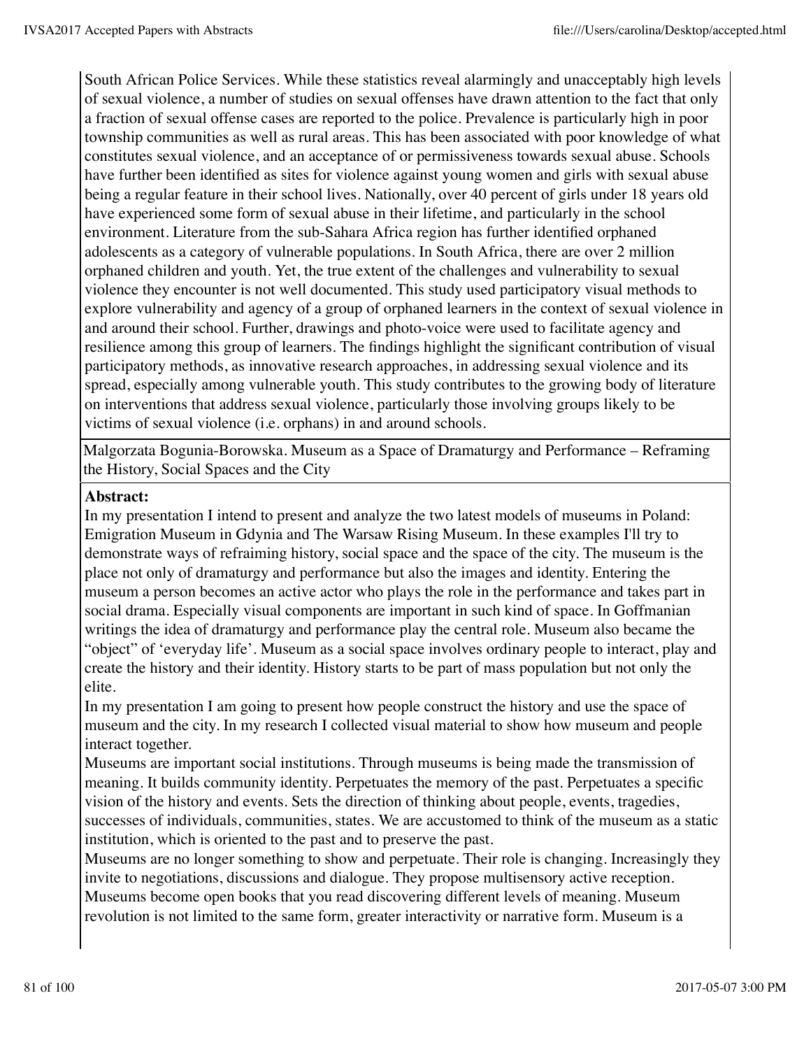South African Police Services. While these statistics reveal alarmingly and unacceptably high levels of sexual violence, a number of studies on sexual offenses have drawn attention to the fact that only a fraction of sexual offense cases are reported to the police. Prevalence is particularly high in poor township communities as well as rural areas. This has been associated with poor knowledge of what constitutes sexual violence, and an acceptance of or permissiveness towards sexual abuse. Schools have further been identified as sites for violence against young women and girls with sexual abuse being a regular feature in their school lives. Nationally, over 40 percent of girls under 18 years old have experienced some form of sexual abuse in their lifetime, and particularly in the school environment. Literature from the sub-Sahara Africa region has further identified orphaned adolescents as a category of vulnerable populations. In South Africa, there are over 2 million orphaned children and youth. Yet, the true extent of the challenges and vulnerability to sexual violence they encounter is not well documented. This study used participatory visual methods to explore vulnerability and agency of a group of orphaned learners in the context of sexual violence in and around their school. Further, drawings and photo-voice were used to facilitate agency and resilience among this group of learners. The findings highlight the significant contribution of visual participatory methods, as innovative research approaches, in addressing sexual violence and its spread, especially among vulnerable youth. This study contributes to the growing body of literature on interventions that address sexual violence, particularly those involving groups likely to be victims of sexual violence (i.e. orphans) in and around schools.

Malgorzata Bogunia-Borowska. Museum as a Space of Dramaturgy and Performance – Reframing the History, Social Spaces and the City

# **Abstract:**

In my presentation I intend to present and analyze the two latest models of museums in Poland: Emigration Museum in Gdynia and The Warsaw Rising Museum. In these examples I'll try to demonstrate ways of refraiming history, social space and the space of the city. The museum is the place not only of dramaturgy and performance but also the images and identity. Entering the museum a person becomes an active actor who plays the role in the performance and takes part in social drama. Especially visual components are important in such kind of space. In Goffmanian writings the idea of dramaturgy and performance play the central role. Museum also became the "object" of 'everyday life'. Museum as a social space involves ordinary people to interact, play and create the history and their identity. History starts to be part of mass population but not only the elite.

In my presentation I am going to present how people construct the history and use the space of museum and the city. In my research I collected visual material to show how museum and people interact together.

Museums are important social institutions. Through museums is being made the transmission of meaning. It builds community identity. Perpetuates the memory of the past. Perpetuates a specific vision of the history and events. Sets the direction of thinking about people, events, tragedies, successes of individuals, communities, states. We are accustomed to think of the museum as a static institution, which is oriented to the past and to preserve the past.

Museums are no longer something to show and perpetuate. Their role is changing. Increasingly they invite to negotiations, discussions and dialogue. They propose multisensory active reception. Museums become open books that you read discovering different levels of meaning. Museum revolution is not limited to the same form, greater interactivity or narrative form. Museum is a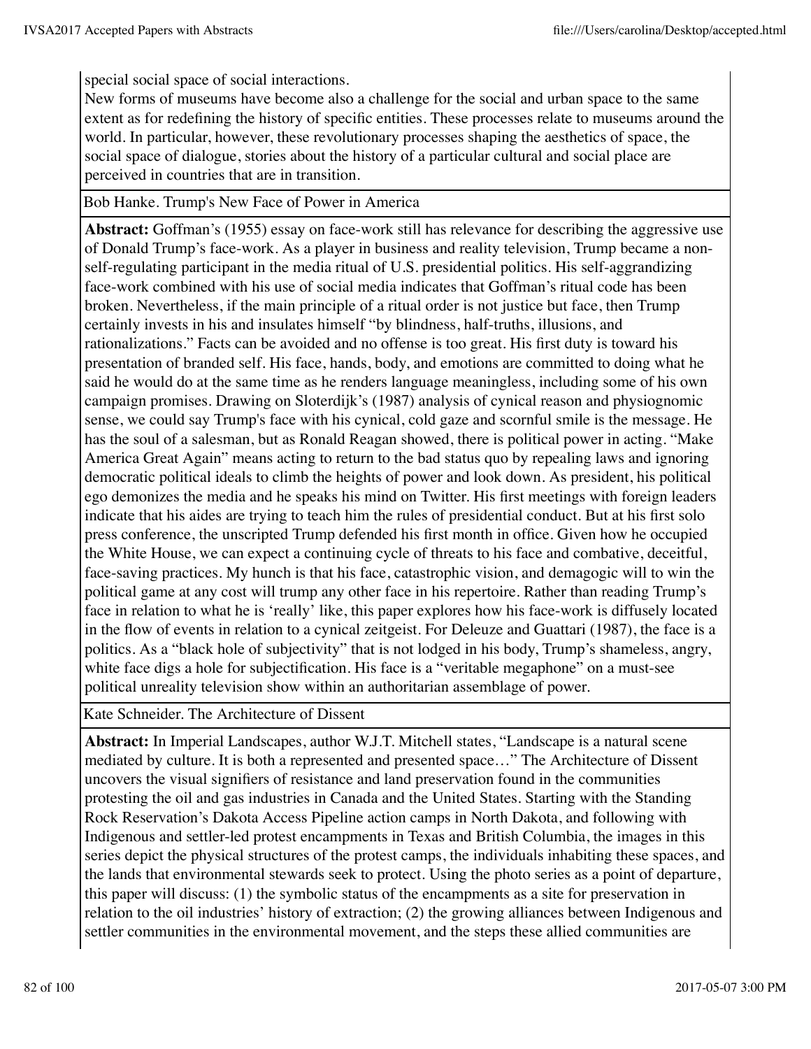special social space of social interactions.

New forms of museums have become also a challenge for the social and urban space to the same extent as for redefining the history of specific entities. These processes relate to museums around the world. In particular, however, these revolutionary processes shaping the aesthetics of space, the social space of dialogue, stories about the history of a particular cultural and social place are perceived in countries that are in transition.

Bob Hanke. Trump's New Face of Power in America

**Abstract:** Goffman's (1955) essay on face-work still has relevance for describing the aggressive use of Donald Trump's face-work. As a player in business and reality television, Trump became a nonself-regulating participant in the media ritual of U.S. presidential politics. His self-aggrandizing face-work combined with his use of social media indicates that Goffman's ritual code has been broken. Nevertheless, if the main principle of a ritual order is not justice but face, then Trump certainly invests in his and insulates himself "by blindness, half-truths, illusions, and rationalizations." Facts can be avoided and no offense is too great. His first duty is toward his presentation of branded self. His face, hands, body, and emotions are committed to doing what he said he would do at the same time as he renders language meaningless, including some of his own campaign promises. Drawing on Sloterdijk's (1987) analysis of cynical reason and physiognomic sense, we could say Trump's face with his cynical, cold gaze and scornful smile is the message. He has the soul of a salesman, but as Ronald Reagan showed, there is political power in acting. "Make America Great Again" means acting to return to the bad status quo by repealing laws and ignoring democratic political ideals to climb the heights of power and look down. As president, his political ego demonizes the media and he speaks his mind on Twitter. His first meetings with foreign leaders indicate that his aides are trying to teach him the rules of presidential conduct. But at his first solo press conference, the unscripted Trump defended his first month in office. Given how he occupied the White House, we can expect a continuing cycle of threats to his face and combative, deceitful, face-saving practices. My hunch is that his face, catastrophic vision, and demagogic will to win the political game at any cost will trump any other face in his repertoire. Rather than reading Trump's face in relation to what he is 'really' like, this paper explores how his face-work is diffusely located in the flow of events in relation to a cynical zeitgeist. For Deleuze and Guattari (1987), the face is a politics. As a "black hole of subjectivity" that is not lodged in his body, Trump's shameless, angry, white face digs a hole for subjectification. His face is a "veritable megaphone" on a must-see political unreality television show within an authoritarian assemblage of power.

Kate Schneider. The Architecture of Dissent

**Abstract:** In Imperial Landscapes, author W.J.T. Mitchell states, "Landscape is a natural scene mediated by culture. It is both a represented and presented space…" The Architecture of Dissent uncovers the visual signifiers of resistance and land preservation found in the communities protesting the oil and gas industries in Canada and the United States. Starting with the Standing Rock Reservation's Dakota Access Pipeline action camps in North Dakota, and following with Indigenous and settler-led protest encampments in Texas and British Columbia, the images in this series depict the physical structures of the protest camps, the individuals inhabiting these spaces, and the lands that environmental stewards seek to protect. Using the photo series as a point of departure, this paper will discuss: (1) the symbolic status of the encampments as a site for preservation in relation to the oil industries' history of extraction; (2) the growing alliances between Indigenous and settler communities in the environmental movement, and the steps these allied communities are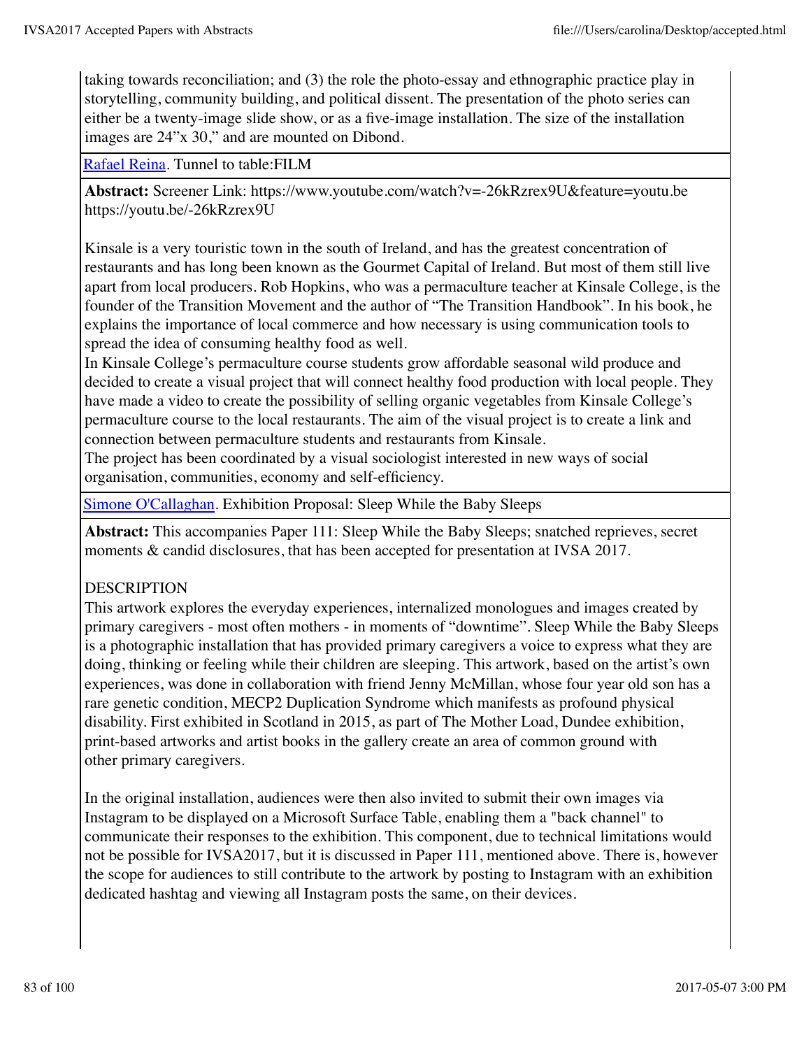taking towards reconciliation; and (3) the role the photo-essay and ethnographic practice play in storytelling, community building, and political dissent. The presentation of the photo series can either be a twenty-image slide show, or as a five-image installation. The size of the installation images are 24"x 30," and are mounted on Dibond.

Rafael Reina. Tunnel to table:FILM

**Abstract:** Screener Link: https://www.youtube.com/watch?v=-26kRzrex9U&feature=youtu.be https://youtu.be/-26kRzrex9U

Kinsale is a very touristic town in the south of Ireland, and has the greatest concentration of restaurants and has long been known as the Gourmet Capital of Ireland. But most of them still live apart from local producers. Rob Hopkins, who was a permaculture teacher at Kinsale College, is the founder of the Transition Movement and the author of "The Transition Handbook". In his book, he explains the importance of local commerce and how necessary is using communication tools to spread the idea of consuming healthy food as well.

In Kinsale College's permaculture course students grow affordable seasonal wild produce and decided to create a visual project that will connect healthy food production with local people. They have made a video to create the possibility of selling organic vegetables from Kinsale College's permaculture course to the local restaurants. The aim of the visual project is to create a link and connection between permaculture students and restaurants from Kinsale.

The project has been coordinated by a visual sociologist interested in new ways of social organisation, communities, economy and self-efficiency.

Simone O'Callaghan. Exhibition Proposal: Sleep While the Baby Sleeps

**Abstract:** This accompanies Paper 111: Sleep While the Baby Sleeps; snatched reprieves, secret moments & candid disclosures, that has been accepted for presentation at IVSA 2017.

# DESCRIPTION

This artwork explores the everyday experiences, internalized monologues and images created by primary caregivers - most often mothers - in moments of "downtime". Sleep While the Baby Sleeps is a photographic installation that has provided primary caregivers a voice to express what they are doing, thinking or feeling while their children are sleeping. This artwork, based on the artist's own experiences, was done in collaboration with friend Jenny McMillan, whose four year old son has a rare genetic condition, MECP2 Duplication Syndrome which manifests as profound physical disability. First exhibited in Scotland in 2015, as part of The Mother Load, Dundee exhibition, print-based artworks and artist books in the gallery create an area of common ground with other primary caregivers.

In the original installation, audiences were then also invited to submit their own images via Instagram to be displayed on a Microsoft Surface Table, enabling them a "back channel" to communicate their responses to the exhibition. This component, due to technical limitations would not be possible for IVSA2017, but it is discussed in Paper 111, mentioned above. There is, however the scope for audiences to still contribute to the artwork by posting to Instagram with an exhibition dedicated hashtag and viewing all Instagram posts the same, on their devices.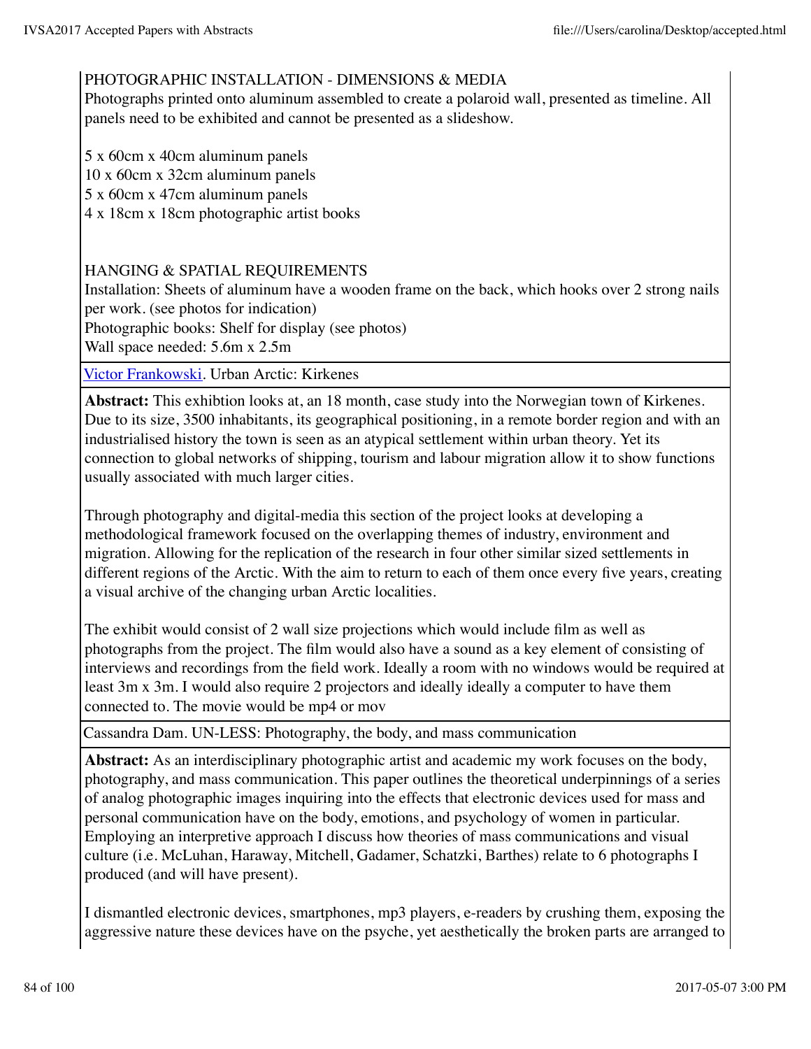# PHOTOGRAPHIC INSTALLATION - DIMENSIONS & MEDIA

Photographs printed onto aluminum assembled to create a polaroid wall, presented as timeline. All panels need to be exhibited and cannot be presented as a slideshow.

5 x 60cm x 40cm aluminum panels 10 x 60cm x 32cm aluminum panels 5 x 60cm x 47cm aluminum panels 4 x 18cm x 18cm photographic artist books

# HANGING & SPATIAL REQUIREMENTS

Installation: Sheets of aluminum have a wooden frame on the back, which hooks over 2 strong nails per work. (see photos for indication) Photographic books: Shelf for display (see photos)

Wall space needed: 5.6m x 2.5m

Victor Frankowski. Urban Arctic: Kirkenes

**Abstract:** This exhibtion looks at, an 18 month, case study into the Norwegian town of Kirkenes. Due to its size, 3500 inhabitants, its geographical positioning, in a remote border region and with an industrialised history the town is seen as an atypical settlement within urban theory. Yet its connection to global networks of shipping, tourism and labour migration allow it to show functions usually associated with much larger cities.

Through photography and digital-media this section of the project looks at developing a methodological framework focused on the overlapping themes of industry, environment and migration. Allowing for the replication of the research in four other similar sized settlements in different regions of the Arctic. With the aim to return to each of them once every five years, creating a visual archive of the changing urban Arctic localities.

The exhibit would consist of 2 wall size projections which would include film as well as photographs from the project. The film would also have a sound as a key element of consisting of interviews and recordings from the field work. Ideally a room with no windows would be required at least 3m x 3m. I would also require 2 projectors and ideally ideally a computer to have them connected to. The movie would be mp4 or mov

Cassandra Dam. UN-LESS: Photography, the body, and mass communication

**Abstract:** As an interdisciplinary photographic artist and academic my work focuses on the body, photography, and mass communication. This paper outlines the theoretical underpinnings of a series of analog photographic images inquiring into the effects that electronic devices used for mass and personal communication have on the body, emotions, and psychology of women in particular. Employing an interpretive approach I discuss how theories of mass communications and visual culture (i.e. McLuhan, Haraway, Mitchell, Gadamer, Schatzki, Barthes) relate to 6 photographs I produced (and will have present).

I dismantled electronic devices, smartphones, mp3 players, e-readers by crushing them, exposing the aggressive nature these devices have on the psyche, yet aesthetically the broken parts are arranged to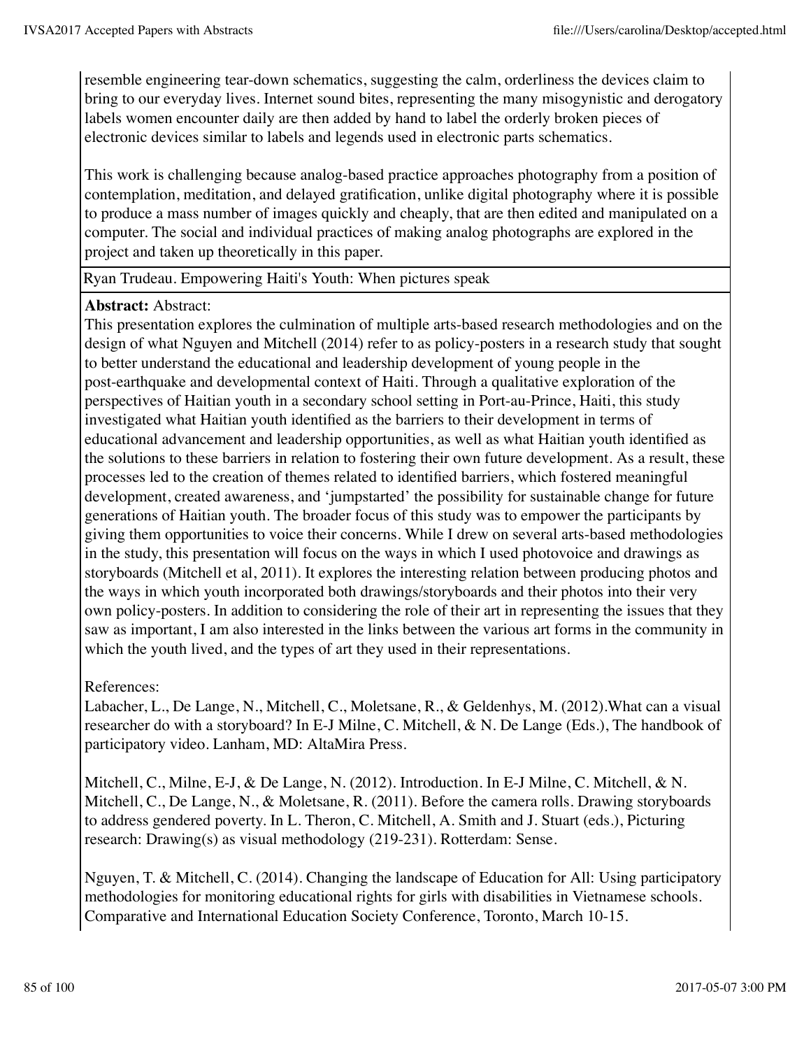resemble engineering tear-down schematics, suggesting the calm, orderliness the devices claim to bring to our everyday lives. Internet sound bites, representing the many misogynistic and derogatory labels women encounter daily are then added by hand to label the orderly broken pieces of electronic devices similar to labels and legends used in electronic parts schematics.

This work is challenging because analog-based practice approaches photography from a position of contemplation, meditation, and delayed gratification, unlike digital photography where it is possible to produce a mass number of images quickly and cheaply, that are then edited and manipulated on a computer. The social and individual practices of making analog photographs are explored in the project and taken up theoretically in this paper.

Ryan Trudeau. Empowering Haiti's Youth: When pictures speak

# **Abstract:** Abstract:

This presentation explores the culmination of multiple arts-based research methodologies and on the design of what Nguyen and Mitchell (2014) refer to as policy-posters in a research study that sought to better understand the educational and leadership development of young people in the post-earthquake and developmental context of Haiti. Through a qualitative exploration of the perspectives of Haitian youth in a secondary school setting in Port-au-Prince, Haiti, this study investigated what Haitian youth identified as the barriers to their development in terms of educational advancement and leadership opportunities, as well as what Haitian youth identified as the solutions to these barriers in relation to fostering their own future development. As a result, these processes led to the creation of themes related to identified barriers, which fostered meaningful development, created awareness, and 'jumpstarted' the possibility for sustainable change for future generations of Haitian youth. The broader focus of this study was to empower the participants by giving them opportunities to voice their concerns. While I drew on several arts-based methodologies in the study, this presentation will focus on the ways in which I used photovoice and drawings as storyboards (Mitchell et al, 2011). It explores the interesting relation between producing photos and the ways in which youth incorporated both drawings/storyboards and their photos into their very own policy-posters. In addition to considering the role of their art in representing the issues that they saw as important, I am also interested in the links between the various art forms in the community in which the youth lived, and the types of art they used in their representations.

# References:

Labacher, L., De Lange, N., Mitchell, C., Moletsane, R., & Geldenhys, M. (2012).What can a visual researcher do with a storyboard? In E-J Milne, C. Mitchell, & N. De Lange (Eds.), The handbook of participatory video. Lanham, MD: AltaMira Press.

Mitchell, C., Milne, E-J, & De Lange, N. (2012). Introduction. In E-J Milne, C. Mitchell, & N. Mitchell, C., De Lange, N., & Moletsane, R. (2011). Before the camera rolls. Drawing storyboards to address gendered poverty. In L. Theron, C. Mitchell, A. Smith and J. Stuart (eds.), Picturing research: Drawing(s) as visual methodology (219-231). Rotterdam: Sense.

Nguyen, T. & Mitchell, C. (2014). Changing the landscape of Education for All: Using participatory methodologies for monitoring educational rights for girls with disabilities in Vietnamese schools. Comparative and International Education Society Conference, Toronto, March 10-15.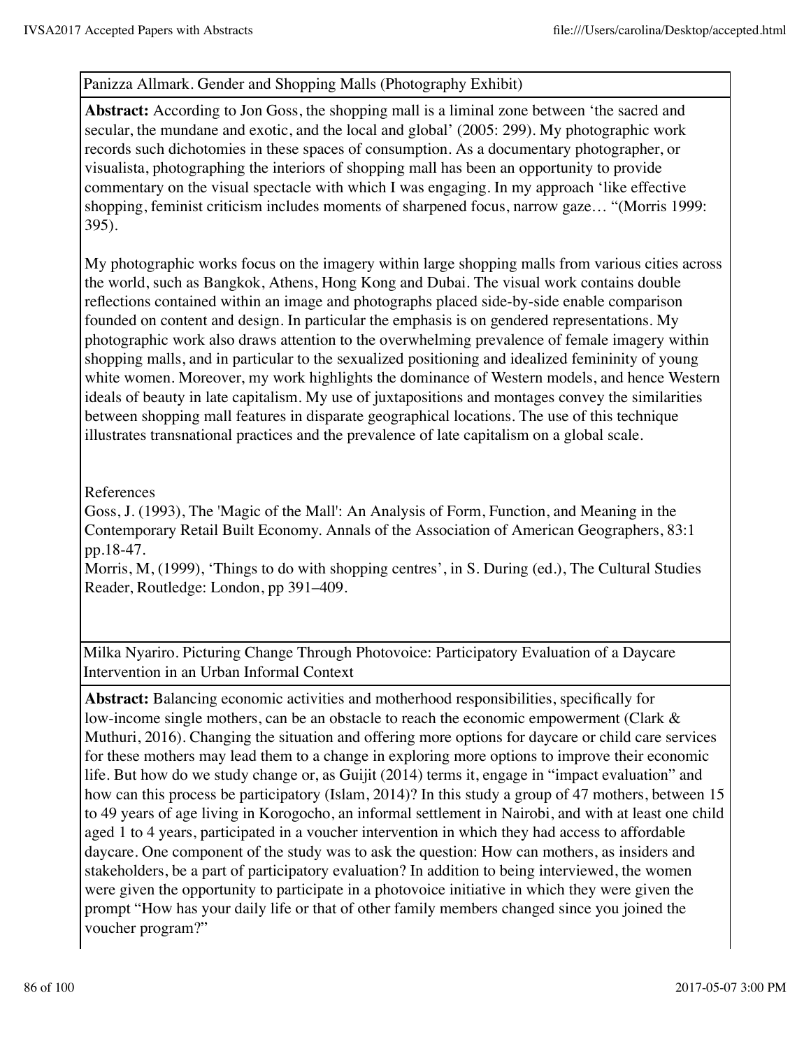### Panizza Allmark. Gender and Shopping Malls (Photography Exhibit)

**Abstract:** According to Jon Goss, the shopping mall is a liminal zone between 'the sacred and secular, the mundane and exotic, and the local and global' (2005: 299). My photographic work records such dichotomies in these spaces of consumption. As a documentary photographer, or visualista, photographing the interiors of shopping mall has been an opportunity to provide commentary on the visual spectacle with which I was engaging. In my approach 'like effective shopping, feminist criticism includes moments of sharpened focus, narrow gaze… "(Morris 1999: 395).

My photographic works focus on the imagery within large shopping malls from various cities across the world, such as Bangkok, Athens, Hong Kong and Dubai. The visual work contains double reflections contained within an image and photographs placed side-by-side enable comparison founded on content and design. In particular the emphasis is on gendered representations. My photographic work also draws attention to the overwhelming prevalence of female imagery within shopping malls, and in particular to the sexualized positioning and idealized femininity of young white women. Moreover, my work highlights the dominance of Western models, and hence Western ideals of beauty in late capitalism. My use of juxtapositions and montages convey the similarities between shopping mall features in disparate geographical locations. The use of this technique illustrates transnational practices and the prevalence of late capitalism on a global scale.

# References

Goss, J. (1993), The 'Magic of the Mall': An Analysis of Form, Function, and Meaning in the Contemporary Retail Built Economy. Annals of the Association of American Geographers, 83:1 pp.18-47.

Morris, M, (1999), 'Things to do with shopping centres', in S. During (ed.), The Cultural Studies Reader, Routledge: London, pp 391–409.

Milka Nyariro. Picturing Change Through Photovoice: Participatory Evaluation of a Daycare Intervention in an Urban Informal Context

**Abstract:** Balancing economic activities and motherhood responsibilities, specifically for low-income single mothers, can be an obstacle to reach the economic empowerment (Clark & Muthuri, 2016). Changing the situation and offering more options for daycare or child care services for these mothers may lead them to a change in exploring more options to improve their economic life. But how do we study change or, as Guijit (2014) terms it, engage in "impact evaluation" and how can this process be participatory (Islam, 2014)? In this study a group of 47 mothers, between 15 to 49 years of age living in Korogocho, an informal settlement in Nairobi, and with at least one child aged 1 to 4 years, participated in a voucher intervention in which they had access to affordable daycare. One component of the study was to ask the question: How can mothers, as insiders and stakeholders, be a part of participatory evaluation? In addition to being interviewed, the women were given the opportunity to participate in a photovoice initiative in which they were given the prompt "How has your daily life or that of other family members changed since you joined the voucher program?"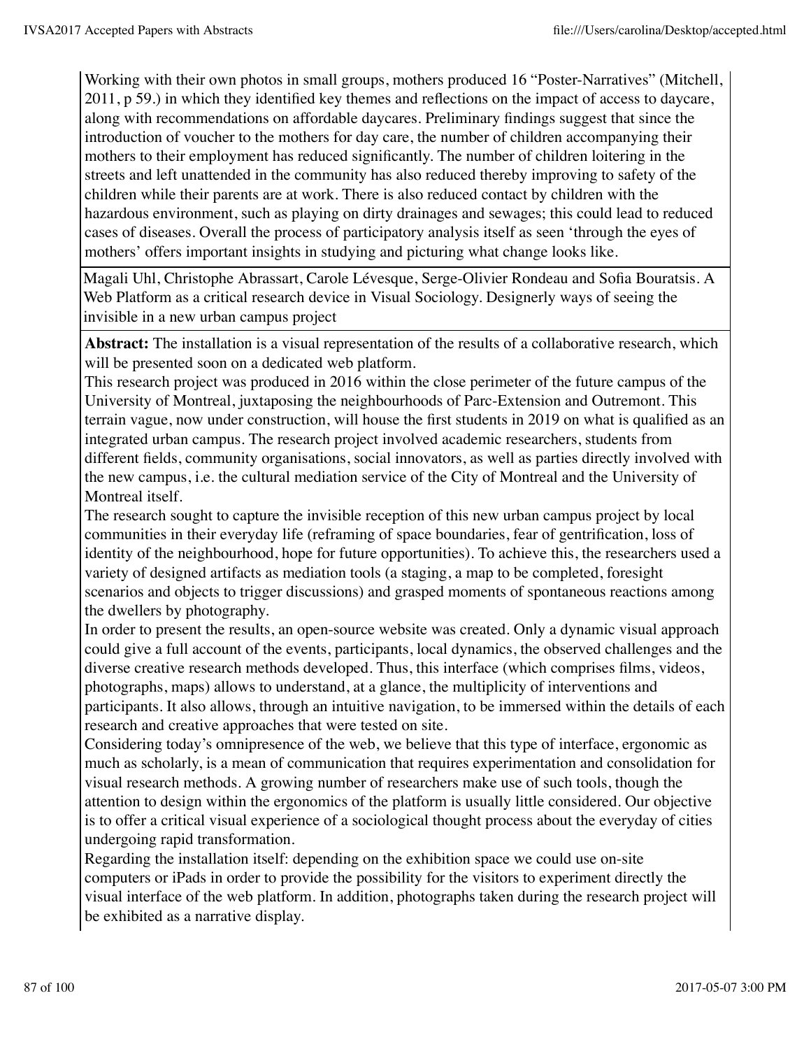Working with their own photos in small groups, mothers produced 16 "Poster-Narratives" (Mitchell, 2011, p 59.) in which they identified key themes and reflections on the impact of access to daycare, along with recommendations on affordable daycares. Preliminary findings suggest that since the introduction of voucher to the mothers for day care, the number of children accompanying their mothers to their employment has reduced significantly. The number of children loitering in the streets and left unattended in the community has also reduced thereby improving to safety of the children while their parents are at work. There is also reduced contact by children with the hazardous environment, such as playing on dirty drainages and sewages; this could lead to reduced cases of diseases. Overall the process of participatory analysis itself as seen 'through the eyes of mothers' offers important insights in studying and picturing what change looks like.

Magali Uhl, Christophe Abrassart, Carole Lévesque, Serge-Olivier Rondeau and Sofia Bouratsis. A Web Platform as a critical research device in Visual Sociology. Designerly ways of seeing the invisible in a new urban campus project

**Abstract:** The installation is a visual representation of the results of a collaborative research, which will be presented soon on a dedicated web platform.

This research project was produced in 2016 within the close perimeter of the future campus of the University of Montreal, juxtaposing the neighbourhoods of Parc-Extension and Outremont. This terrain vague, now under construction, will house the first students in 2019 on what is qualified as an integrated urban campus. The research project involved academic researchers, students from different fields, community organisations, social innovators, as well as parties directly involved with the new campus, i.e. the cultural mediation service of the City of Montreal and the University of Montreal itself.

The research sought to capture the invisible reception of this new urban campus project by local communities in their everyday life (reframing of space boundaries, fear of gentrification, loss of identity of the neighbourhood, hope for future opportunities). To achieve this, the researchers used a variety of designed artifacts as mediation tools (a staging, a map to be completed, foresight scenarios and objects to trigger discussions) and grasped moments of spontaneous reactions among the dwellers by photography.

In order to present the results, an open-source website was created. Only a dynamic visual approach could give a full account of the events, participants, local dynamics, the observed challenges and the diverse creative research methods developed. Thus, this interface (which comprises films, videos, photographs, maps) allows to understand, at a glance, the multiplicity of interventions and participants. It also allows, through an intuitive navigation, to be immersed within the details of each research and creative approaches that were tested on site.

Considering today's omnipresence of the web, we believe that this type of interface, ergonomic as much as scholarly, is a mean of communication that requires experimentation and consolidation for visual research methods. A growing number of researchers make use of such tools, though the attention to design within the ergonomics of the platform is usually little considered. Our objective is to offer a critical visual experience of a sociological thought process about the everyday of cities undergoing rapid transformation.

Regarding the installation itself: depending on the exhibition space we could use on-site computers or iPads in order to provide the possibility for the visitors to experiment directly the visual interface of the web platform. In addition, photographs taken during the research project will be exhibited as a narrative display.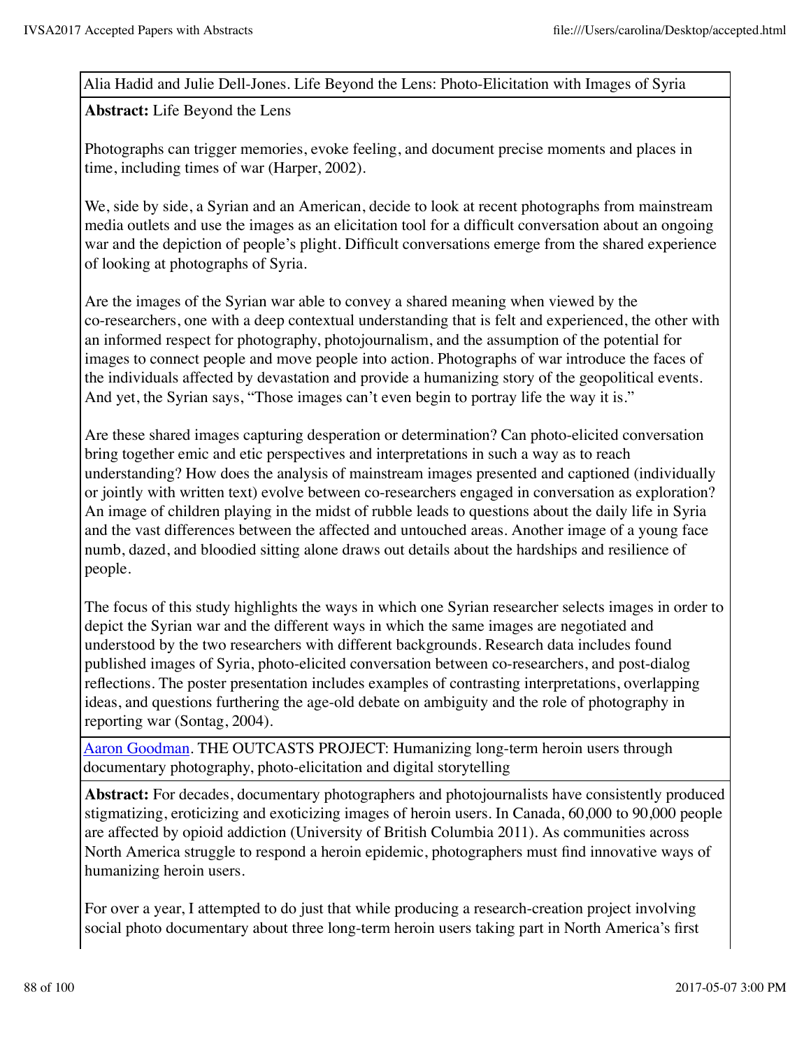Alia Hadid and Julie Dell-Jones. Life Beyond the Lens: Photo-Elicitation with Images of Syria

**Abstract:** Life Beyond the Lens

Photographs can trigger memories, evoke feeling, and document precise moments and places in time, including times of war (Harper, 2002).

We, side by side, a Syrian and an American, decide to look at recent photographs from mainstream media outlets and use the images as an elicitation tool for a difficult conversation about an ongoing war and the depiction of people's plight. Difficult conversations emerge from the shared experience of looking at photographs of Syria.

Are the images of the Syrian war able to convey a shared meaning when viewed by the co-researchers, one with a deep contextual understanding that is felt and experienced, the other with an informed respect for photography, photojournalism, and the assumption of the potential for images to connect people and move people into action. Photographs of war introduce the faces of the individuals affected by devastation and provide a humanizing story of the geopolitical events. And yet, the Syrian says, "Those images can't even begin to portray life the way it is."

Are these shared images capturing desperation or determination? Can photo-elicited conversation bring together emic and etic perspectives and interpretations in such a way as to reach understanding? How does the analysis of mainstream images presented and captioned (individually or jointly with written text) evolve between co-researchers engaged in conversation as exploration? An image of children playing in the midst of rubble leads to questions about the daily life in Syria and the vast differences between the affected and untouched areas. Another image of a young face numb, dazed, and bloodied sitting alone draws out details about the hardships and resilience of people.

The focus of this study highlights the ways in which one Syrian researcher selects images in order to depict the Syrian war and the different ways in which the same images are negotiated and understood by the two researchers with different backgrounds. Research data includes found published images of Syria, photo-elicited conversation between co-researchers, and post-dialog reflections. The poster presentation includes examples of contrasting interpretations, overlapping ideas, and questions furthering the age-old debate on ambiguity and the role of photography in reporting war (Sontag, 2004).

Aaron Goodman. THE OUTCASTS PROJECT: Humanizing long-term heroin users through documentary photography, photo-elicitation and digital storytelling

**Abstract:** For decades, documentary photographers and photojournalists have consistently produced stigmatizing, eroticizing and exoticizing images of heroin users. In Canada, 60,000 to 90,000 people are affected by opioid addiction (University of British Columbia 2011). As communities across North America struggle to respond a heroin epidemic, photographers must find innovative ways of humanizing heroin users.

For over a year, I attempted to do just that while producing a research-creation project involving social photo documentary about three long-term heroin users taking part in North America's first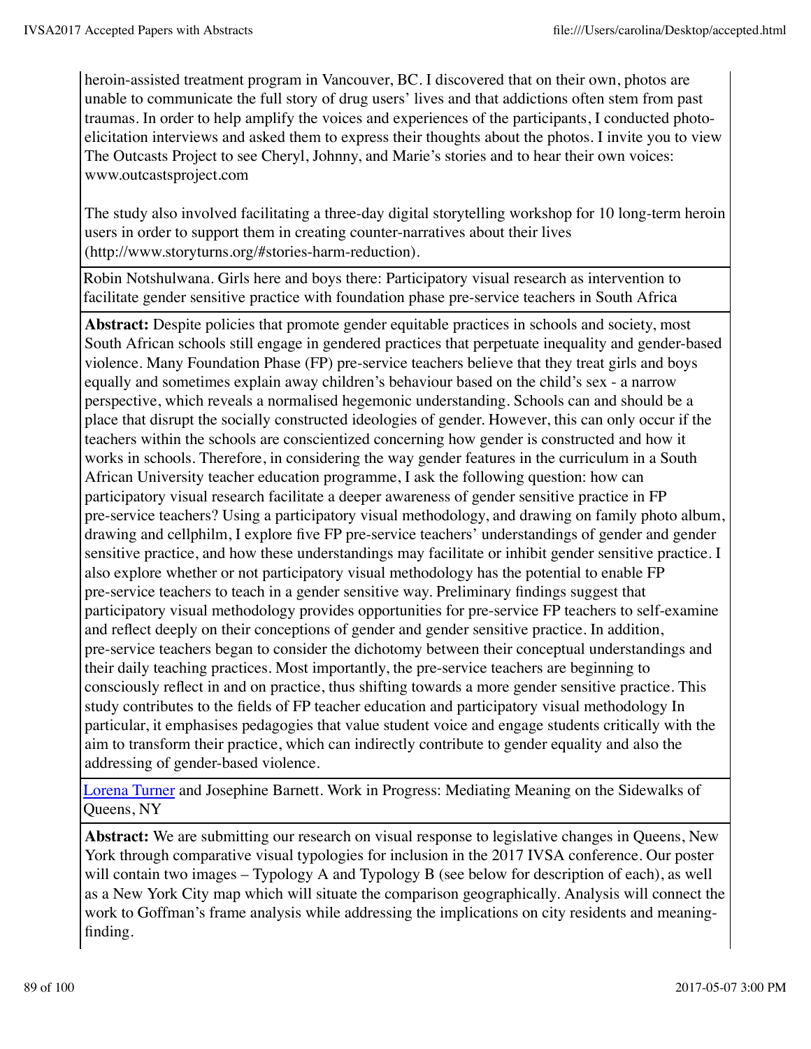heroin-assisted treatment program in Vancouver, BC. I discovered that on their own, photos are unable to communicate the full story of drug users' lives and that addictions often stem from past traumas. In order to help amplify the voices and experiences of the participants, I conducted photoelicitation interviews and asked them to express their thoughts about the photos. I invite you to view The Outcasts Project to see Cheryl, Johnny, and Marie's stories and to hear their own voices: www.outcastsproject.com

The study also involved facilitating a three-day digital storytelling workshop for 10 long-term heroin users in order to support them in creating counter-narratives about their lives (http://www.storyturns.org/#stories-harm-reduction).

Robin Notshulwana. Girls here and boys there: Participatory visual research as intervention to facilitate gender sensitive practice with foundation phase pre-service teachers in South Africa

**Abstract:** Despite policies that promote gender equitable practices in schools and society, most South African schools still engage in gendered practices that perpetuate inequality and gender-based violence. Many Foundation Phase (FP) pre-service teachers believe that they treat girls and boys equally and sometimes explain away children's behaviour based on the child's sex - a narrow perspective, which reveals a normalised hegemonic understanding. Schools can and should be a place that disrupt the socially constructed ideologies of gender. However, this can only occur if the teachers within the schools are conscientized concerning how gender is constructed and how it works in schools. Therefore, in considering the way gender features in the curriculum in a South African University teacher education programme, I ask the following question: how can participatory visual research facilitate a deeper awareness of gender sensitive practice in FP pre-service teachers? Using a participatory visual methodology, and drawing on family photo album, drawing and cellphilm, I explore five FP pre-service teachers' understandings of gender and gender sensitive practice, and how these understandings may facilitate or inhibit gender sensitive practice. I also explore whether or not participatory visual methodology has the potential to enable FP pre-service teachers to teach in a gender sensitive way. Preliminary findings suggest that participatory visual methodology provides opportunities for pre-service FP teachers to self-examine and reflect deeply on their conceptions of gender and gender sensitive practice. In addition, pre-service teachers began to consider the dichotomy between their conceptual understandings and their daily teaching practices. Most importantly, the pre-service teachers are beginning to consciously reflect in and on practice, thus shifting towards a more gender sensitive practice. This study contributes to the fields of FP teacher education and participatory visual methodology In particular, it emphasises pedagogies that value student voice and engage students critically with the aim to transform their practice, which can indirectly contribute to gender equality and also the addressing of gender-based violence.

Lorena Turner and Josephine Barnett. Work in Progress: Mediating Meaning on the Sidewalks of Queens, NY

**Abstract:** We are submitting our research on visual response to legislative changes in Queens, New York through comparative visual typologies for inclusion in the 2017 IVSA conference. Our poster will contain two images – Typology A and Typology B (see below for description of each), as well as a New York City map which will situate the comparison geographically. Analysis will connect the work to Goffman's frame analysis while addressing the implications on city residents and meaningfinding.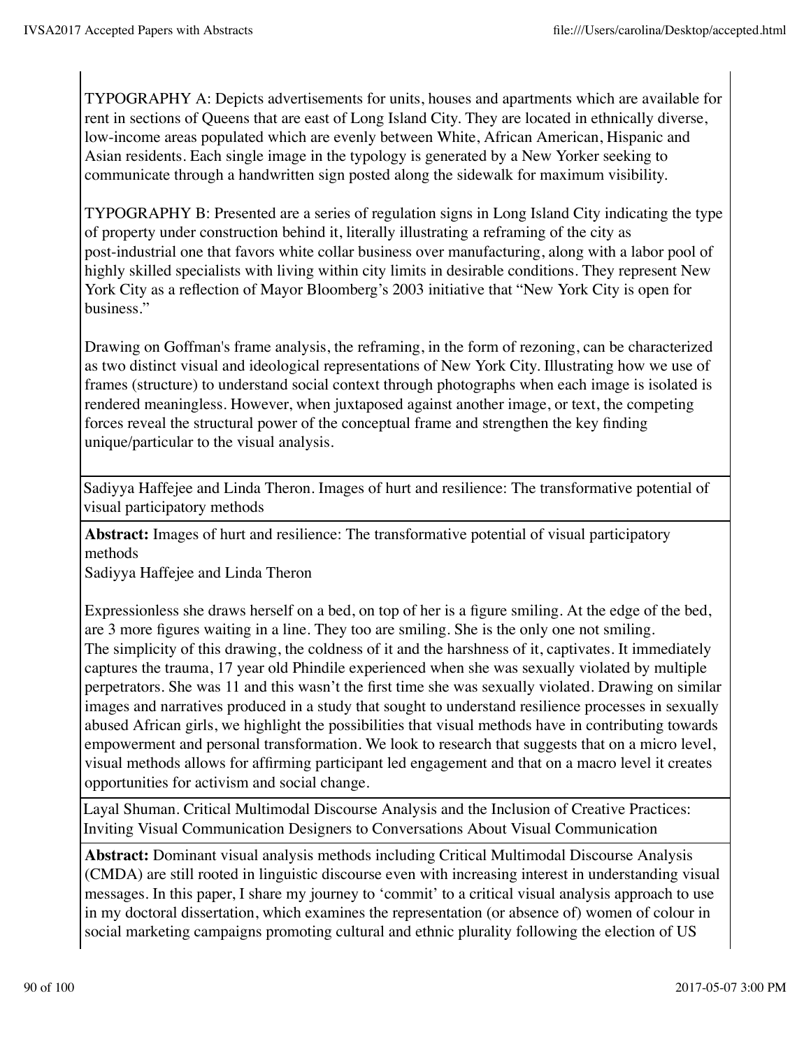TYPOGRAPHY A: Depicts advertisements for units, houses and apartments which are available for rent in sections of Queens that are east of Long Island City. They are located in ethnically diverse, low-income areas populated which are evenly between White, African American, Hispanic and Asian residents. Each single image in the typology is generated by a New Yorker seeking to communicate through a handwritten sign posted along the sidewalk for maximum visibility.

TYPOGRAPHY B: Presented are a series of regulation signs in Long Island City indicating the type of property under construction behind it, literally illustrating a reframing of the city as post-industrial one that favors white collar business over manufacturing, along with a labor pool of highly skilled specialists with living within city limits in desirable conditions. They represent New York City as a reflection of Mayor Bloomberg's 2003 initiative that "New York City is open for business."

Drawing on Goffman's frame analysis, the reframing, in the form of rezoning, can be characterized as two distinct visual and ideological representations of New York City. Illustrating how we use of frames (structure) to understand social context through photographs when each image is isolated is rendered meaningless. However, when juxtaposed against another image, or text, the competing forces reveal the structural power of the conceptual frame and strengthen the key finding unique/particular to the visual analysis.

Sadiyya Haffejee and Linda Theron. Images of hurt and resilience: The transformative potential of visual participatory methods

**Abstract:** Images of hurt and resilience: The transformative potential of visual participatory methods

Sadiyya Haffejee and Linda Theron

Expressionless she draws herself on a bed, on top of her is a figure smiling. At the edge of the bed, are 3 more figures waiting in a line. They too are smiling. She is the only one not smiling. The simplicity of this drawing, the coldness of it and the harshness of it, captivates. It immediately captures the trauma, 17 year old Phindile experienced when she was sexually violated by multiple perpetrators. She was 11 and this wasn't the first time she was sexually violated. Drawing on similar images and narratives produced in a study that sought to understand resilience processes in sexually abused African girls, we highlight the possibilities that visual methods have in contributing towards empowerment and personal transformation. We look to research that suggests that on a micro level, visual methods allows for affirming participant led engagement and that on a macro level it creates opportunities for activism and social change.

Layal Shuman. Critical Multimodal Discourse Analysis and the Inclusion of Creative Practices: Inviting Visual Communication Designers to Conversations About Visual Communication

**Abstract:** Dominant visual analysis methods including Critical Multimodal Discourse Analysis (CMDA) are still rooted in linguistic discourse even with increasing interest in understanding visual messages. In this paper, I share my journey to 'commit' to a critical visual analysis approach to use in my doctoral dissertation, which examines the representation (or absence of) women of colour in social marketing campaigns promoting cultural and ethnic plurality following the election of US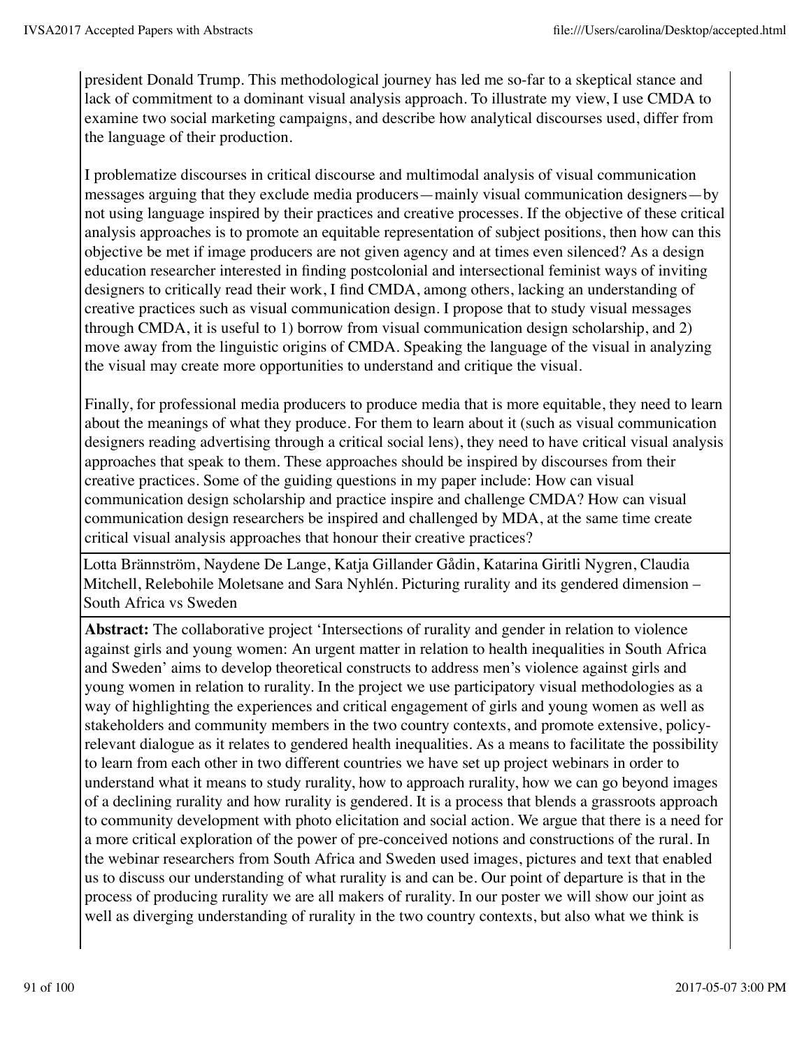president Donald Trump. This methodological journey has led me so-far to a skeptical stance and lack of commitment to a dominant visual analysis approach. To illustrate my view, I use CMDA to examine two social marketing campaigns, and describe how analytical discourses used, differ from the language of their production.

I problematize discourses in critical discourse and multimodal analysis of visual communication messages arguing that they exclude media producers—mainly visual communication designers—by not using language inspired by their practices and creative processes. If the objective of these critical analysis approaches is to promote an equitable representation of subject positions, then how can this objective be met if image producers are not given agency and at times even silenced? As a design education researcher interested in finding postcolonial and intersectional feminist ways of inviting designers to critically read their work, I find CMDA, among others, lacking an understanding of creative practices such as visual communication design. I propose that to study visual messages through CMDA, it is useful to 1) borrow from visual communication design scholarship, and 2) move away from the linguistic origins of CMDA. Speaking the language of the visual in analyzing the visual may create more opportunities to understand and critique the visual.

Finally, for professional media producers to produce media that is more equitable, they need to learn about the meanings of what they produce. For them to learn about it (such as visual communication designers reading advertising through a critical social lens), they need to have critical visual analysis approaches that speak to them. These approaches should be inspired by discourses from their creative practices. Some of the guiding questions in my paper include: How can visual communication design scholarship and practice inspire and challenge CMDA? How can visual communication design researchers be inspired and challenged by MDA, at the same time create critical visual analysis approaches that honour their creative practices?

Lotta Brännström, Naydene De Lange, Katja Gillander Gådin, Katarina Giritli Nygren, Claudia Mitchell, Relebohile Moletsane and Sara Nyhlén. Picturing rurality and its gendered dimension – South Africa vs Sweden

**Abstract:** The collaborative project 'Intersections of rurality and gender in relation to violence against girls and young women: An urgent matter in relation to health inequalities in South Africa and Sweden' aims to develop theoretical constructs to address men's violence against girls and young women in relation to rurality. In the project we use participatory visual methodologies as a way of highlighting the experiences and critical engagement of girls and young women as well as stakeholders and community members in the two country contexts, and promote extensive, policyrelevant dialogue as it relates to gendered health inequalities. As a means to facilitate the possibility to learn from each other in two different countries we have set up project webinars in order to understand what it means to study rurality, how to approach rurality, how we can go beyond images of a declining rurality and how rurality is gendered. It is a process that blends a grassroots approach to community development with photo elicitation and social action. We argue that there is a need for a more critical exploration of the power of pre-conceived notions and constructions of the rural. In the webinar researchers from South Africa and Sweden used images, pictures and text that enabled us to discuss our understanding of what rurality is and can be. Our point of departure is that in the process of producing rurality we are all makers of rurality. In our poster we will show our joint as well as diverging understanding of rurality in the two country contexts, but also what we think is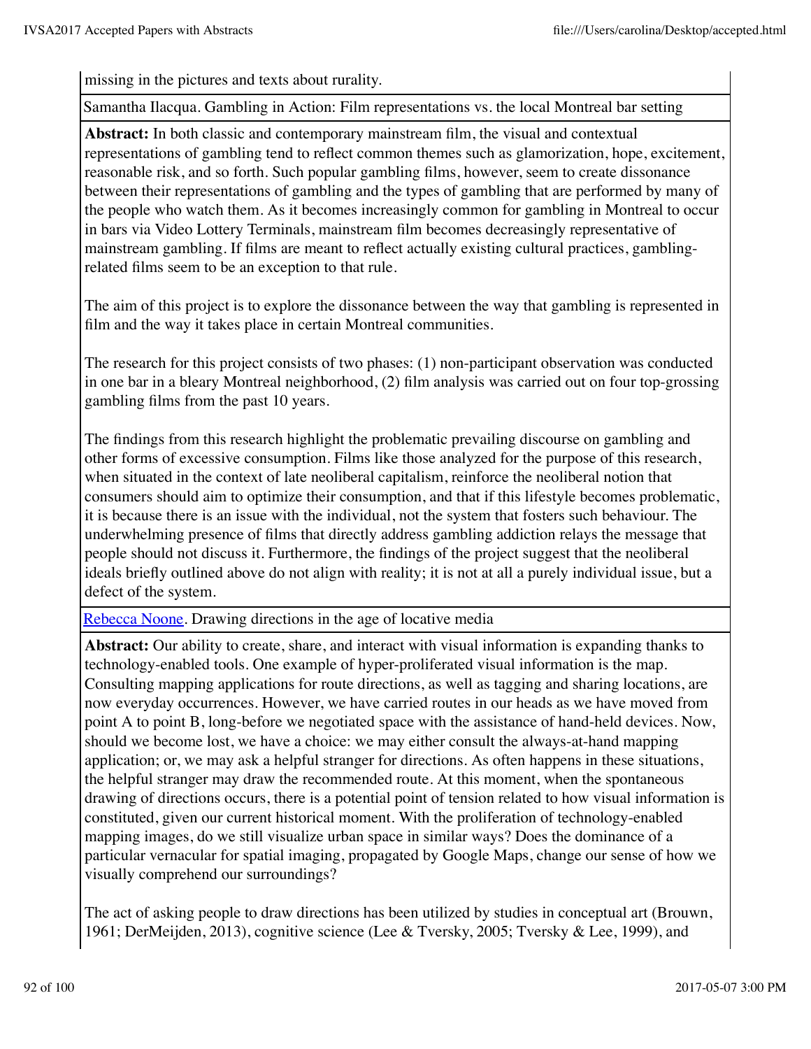missing in the pictures and texts about rurality.

Samantha Ilacqua. Gambling in Action: Film representations vs. the local Montreal bar setting

**Abstract:** In both classic and contemporary mainstream film, the visual and contextual representations of gambling tend to reflect common themes such as glamorization, hope, excitement, reasonable risk, and so forth. Such popular gambling films, however, seem to create dissonance between their representations of gambling and the types of gambling that are performed by many of the people who watch them. As it becomes increasingly common for gambling in Montreal to occur in bars via Video Lottery Terminals, mainstream film becomes decreasingly representative of mainstream gambling. If films are meant to reflect actually existing cultural practices, gamblingrelated films seem to be an exception to that rule.

The aim of this project is to explore the dissonance between the way that gambling is represented in film and the way it takes place in certain Montreal communities.

The research for this project consists of two phases: (1) non-participant observation was conducted in one bar in a bleary Montreal neighborhood, (2) film analysis was carried out on four top-grossing gambling films from the past 10 years.

The findings from this research highlight the problematic prevailing discourse on gambling and other forms of excessive consumption. Films like those analyzed for the purpose of this research, when situated in the context of late neoliberal capitalism, reinforce the neoliberal notion that consumers should aim to optimize their consumption, and that if this lifestyle becomes problematic, it is because there is an issue with the individual, not the system that fosters such behaviour. The underwhelming presence of films that directly address gambling addiction relays the message that people should not discuss it. Furthermore, the findings of the project suggest that the neoliberal ideals briefly outlined above do not align with reality; it is not at all a purely individual issue, but a defect of the system.

Rebecca Noone. Drawing directions in the age of locative media

**Abstract:** Our ability to create, share, and interact with visual information is expanding thanks to technology-enabled tools. One example of hyper-proliferated visual information is the map. Consulting mapping applications for route directions, as well as tagging and sharing locations, are now everyday occurrences. However, we have carried routes in our heads as we have moved from point A to point B, long-before we negotiated space with the assistance of hand-held devices. Now, should we become lost, we have a choice: we may either consult the always-at-hand mapping application; or, we may ask a helpful stranger for directions. As often happens in these situations, the helpful stranger may draw the recommended route. At this moment, when the spontaneous drawing of directions occurs, there is a potential point of tension related to how visual information is constituted, given our current historical moment. With the proliferation of technology-enabled mapping images, do we still visualize urban space in similar ways? Does the dominance of a particular vernacular for spatial imaging, propagated by Google Maps, change our sense of how we visually comprehend our surroundings?

The act of asking people to draw directions has been utilized by studies in conceptual art (Brouwn, 1961; DerMeijden, 2013), cognitive science (Lee & Tversky, 2005; Tversky & Lee, 1999), and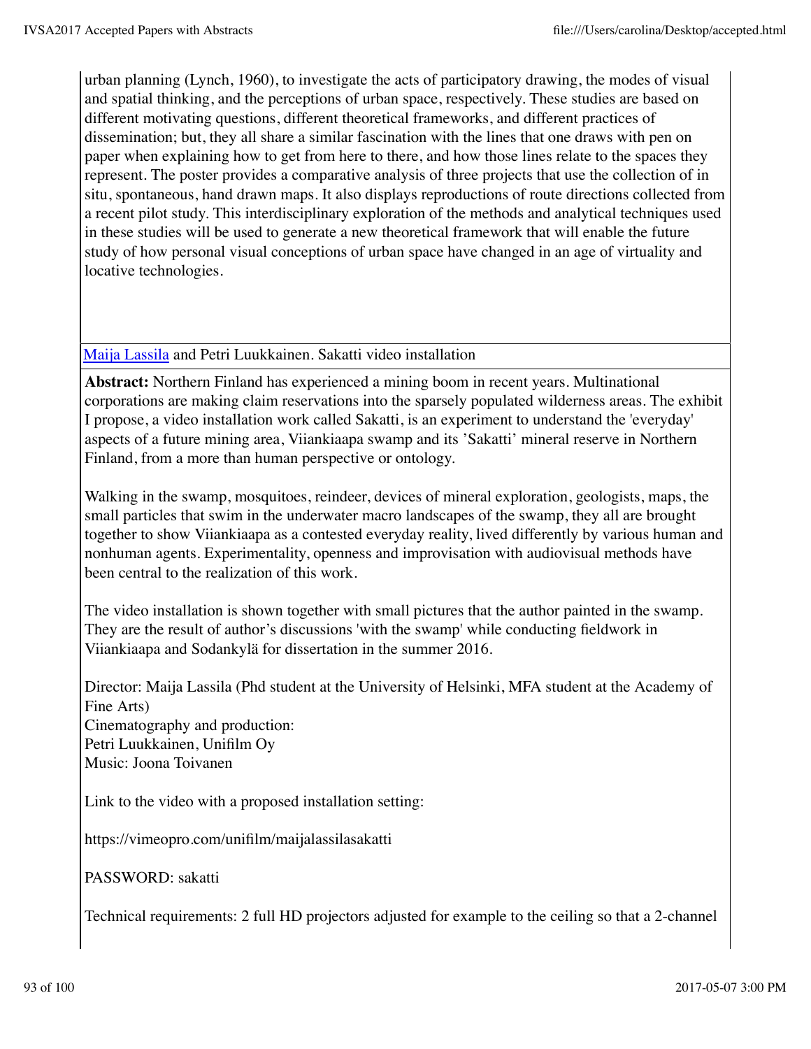urban planning (Lynch, 1960), to investigate the acts of participatory drawing, the modes of visual and spatial thinking, and the perceptions of urban space, respectively. These studies are based on different motivating questions, different theoretical frameworks, and different practices of dissemination; but, they all share a similar fascination with the lines that one draws with pen on paper when explaining how to get from here to there, and how those lines relate to the spaces they represent. The poster provides a comparative analysis of three projects that use the collection of in situ, spontaneous, hand drawn maps. It also displays reproductions of route directions collected from a recent pilot study. This interdisciplinary exploration of the methods and analytical techniques used in these studies will be used to generate a new theoretical framework that will enable the future study of how personal visual conceptions of urban space have changed in an age of virtuality and locative technologies.

# Maija Lassila and Petri Luukkainen. Sakatti video installation

**Abstract:** Northern Finland has experienced a mining boom in recent years. Multinational corporations are making claim reservations into the sparsely populated wilderness areas. The exhibit I propose, a video installation work called Sakatti, is an experiment to understand the 'everyday' aspects of a future mining area, Viiankiaapa swamp and its 'Sakatti' mineral reserve in Northern Finland, from a more than human perspective or ontology.

Walking in the swamp, mosquitoes, reindeer, devices of mineral exploration, geologists, maps, the small particles that swim in the underwater macro landscapes of the swamp, they all are brought together to show Viiankiaapa as a contested everyday reality, lived differently by various human and nonhuman agents. Experimentality, openness and improvisation with audiovisual methods have been central to the realization of this work.

The video installation is shown together with small pictures that the author painted in the swamp. They are the result of author's discussions 'with the swamp' while conducting fieldwork in Viiankiaapa and Sodankylä for dissertation in the summer 2016.

Director: Maija Lassila (Phd student at the University of Helsinki, MFA student at the Academy of Fine Arts) Cinematography and production:

Petri Luukkainen, Unifilm Oy Music: Joona Toivanen

Link to the video with a proposed installation setting:

https://vimeopro.com/unifilm/maijalassilasakatti

PASSWORD: sakatti

Technical requirements: 2 full HD projectors adjusted for example to the ceiling so that a 2-channel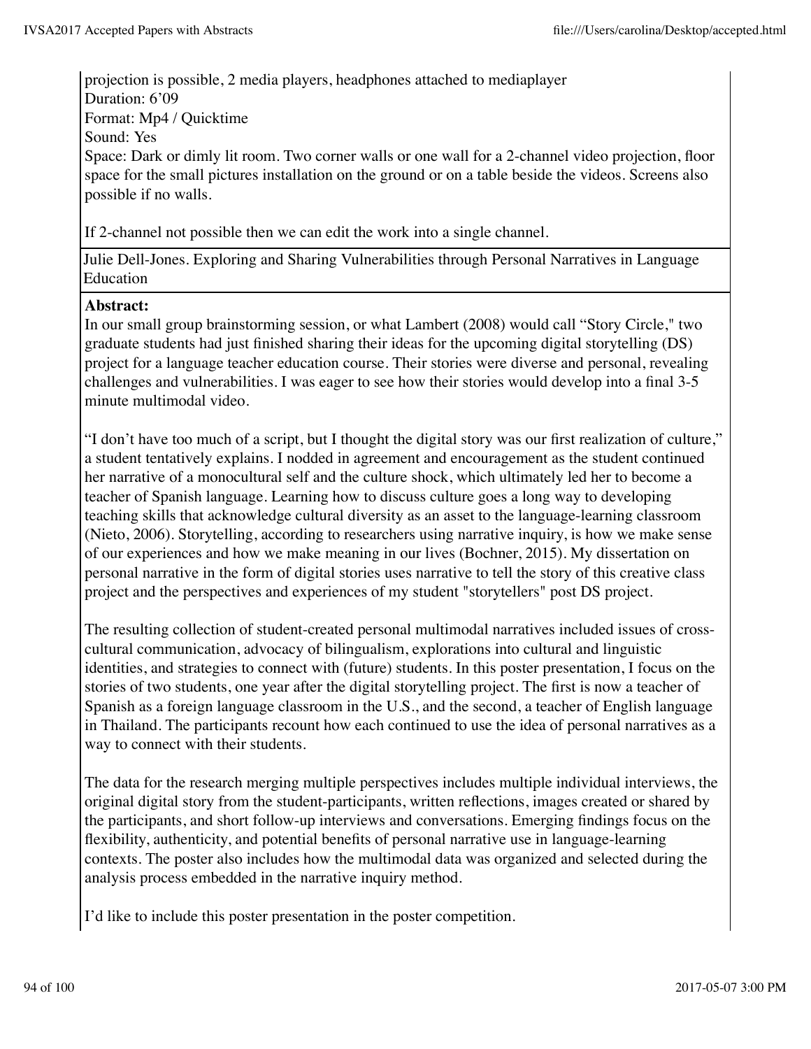projection is possible, 2 media players, headphones attached to mediaplayer Duration: 6'09 Format: Mp4 / Quicktime Sound: Yes Space: Dark or dimly lit room. Two corner walls or one wall for a 2-channel video projection, floor space for the small pictures installation on the ground or on a table beside the videos. Screens also possible if no walls.

If 2-channel not possible then we can edit the work into a single channel.

Julie Dell-Jones. Exploring and Sharing Vulnerabilities through Personal Narratives in Language Education

#### **Abstract:**

In our small group brainstorming session, or what Lambert (2008) would call "Story Circle," two graduate students had just finished sharing their ideas for the upcoming digital storytelling (DS) project for a language teacher education course. Their stories were diverse and personal, revealing challenges and vulnerabilities. I was eager to see how their stories would develop into a final 3-5 minute multimodal video.

"I don't have too much of a script, but I thought the digital story was our first realization of culture," a student tentatively explains. I nodded in agreement and encouragement as the student continued her narrative of a monocultural self and the culture shock, which ultimately led her to become a teacher of Spanish language. Learning how to discuss culture goes a long way to developing teaching skills that acknowledge cultural diversity as an asset to the language-learning classroom (Nieto, 2006). Storytelling, according to researchers using narrative inquiry, is how we make sense of our experiences and how we make meaning in our lives (Bochner, 2015). My dissertation on personal narrative in the form of digital stories uses narrative to tell the story of this creative class project and the perspectives and experiences of my student "storytellers" post DS project.

The resulting collection of student-created personal multimodal narratives included issues of crosscultural communication, advocacy of bilingualism, explorations into cultural and linguistic identities, and strategies to connect with (future) students. In this poster presentation, I focus on the stories of two students, one year after the digital storytelling project. The first is now a teacher of Spanish as a foreign language classroom in the U.S., and the second, a teacher of English language in Thailand. The participants recount how each continued to use the idea of personal narratives as a way to connect with their students.

The data for the research merging multiple perspectives includes multiple individual interviews, the original digital story from the student-participants, written reflections, images created or shared by the participants, and short follow-up interviews and conversations. Emerging findings focus on the flexibility, authenticity, and potential benefits of personal narrative use in language-learning contexts. The poster also includes how the multimodal data was organized and selected during the analysis process embedded in the narrative inquiry method.

I'd like to include this poster presentation in the poster competition.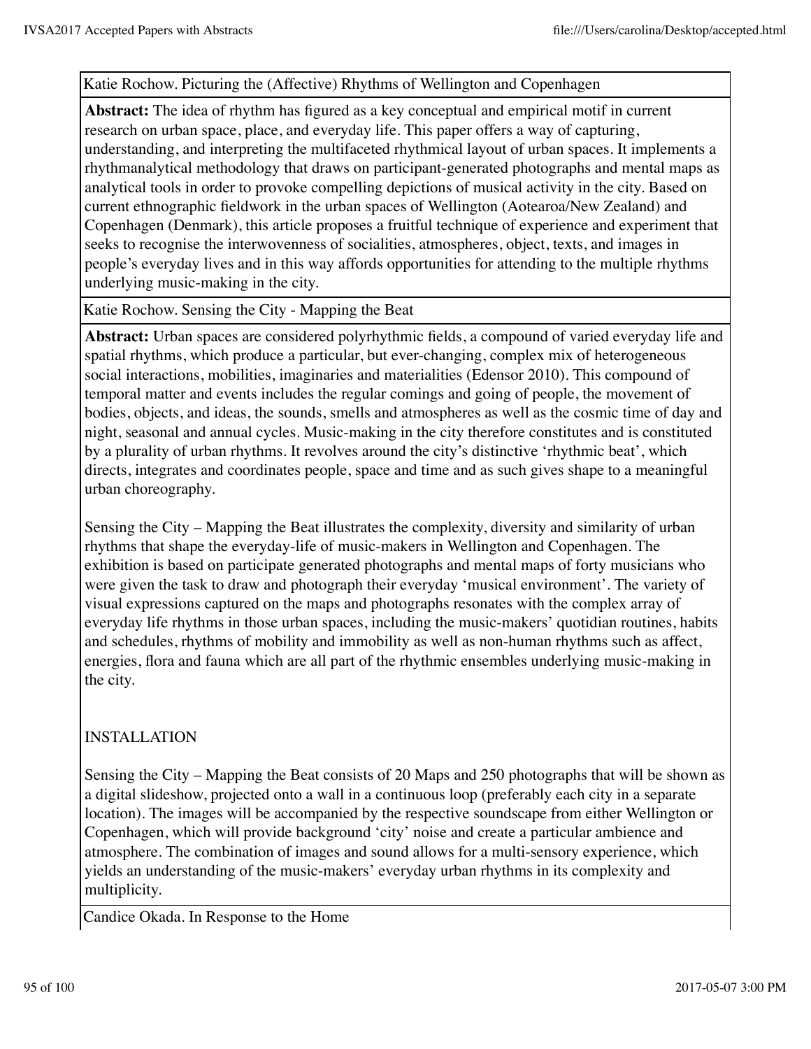# Katie Rochow. Picturing the (Affective) Rhythms of Wellington and Copenhagen

**Abstract:** The idea of rhythm has figured as a key conceptual and empirical motif in current research on urban space, place, and everyday life. This paper offers a way of capturing, understanding, and interpreting the multifaceted rhythmical layout of urban spaces. It implements a rhythmanalytical methodology that draws on participant-generated photographs and mental maps as analytical tools in order to provoke compelling depictions of musical activity in the city. Based on current ethnographic fieldwork in the urban spaces of Wellington (Aotearoa/New Zealand) and Copenhagen (Denmark), this article proposes a fruitful technique of experience and experiment that seeks to recognise the interwovenness of socialities, atmospheres, object, texts, and images in people's everyday lives and in this way affords opportunities for attending to the multiple rhythms underlying music-making in the city.

Katie Rochow. Sensing the City - Mapping the Beat

**Abstract:** Urban spaces are considered polyrhythmic fields, a compound of varied everyday life and spatial rhythms, which produce a particular, but ever-changing, complex mix of heterogeneous social interactions, mobilities, imaginaries and materialities (Edensor 2010). This compound of temporal matter and events includes the regular comings and going of people, the movement of bodies, objects, and ideas, the sounds, smells and atmospheres as well as the cosmic time of day and night, seasonal and annual cycles. Music-making in the city therefore constitutes and is constituted by a plurality of urban rhythms. It revolves around the city's distinctive 'rhythmic beat', which directs, integrates and coordinates people, space and time and as such gives shape to a meaningful urban choreography.

Sensing the City – Mapping the Beat illustrates the complexity, diversity and similarity of urban rhythms that shape the everyday-life of music-makers in Wellington and Copenhagen. The exhibition is based on participate generated photographs and mental maps of forty musicians who were given the task to draw and photograph their everyday 'musical environment'. The variety of visual expressions captured on the maps and photographs resonates with the complex array of everyday life rhythms in those urban spaces, including the music-makers' quotidian routines, habits and schedules, rhythms of mobility and immobility as well as non-human rhythms such as affect, energies, flora and fauna which are all part of the rhythmic ensembles underlying music-making in the city.

# INSTALLATION

Sensing the City – Mapping the Beat consists of 20 Maps and 250 photographs that will be shown as a digital slideshow, projected onto a wall in a continuous loop (preferably each city in a separate location). The images will be accompanied by the respective soundscape from either Wellington or Copenhagen, which will provide background 'city' noise and create a particular ambience and atmosphere. The combination of images and sound allows for a multi-sensory experience, which yields an understanding of the music-makers' everyday urban rhythms in its complexity and multiplicity.

Candice Okada. In Response to the Home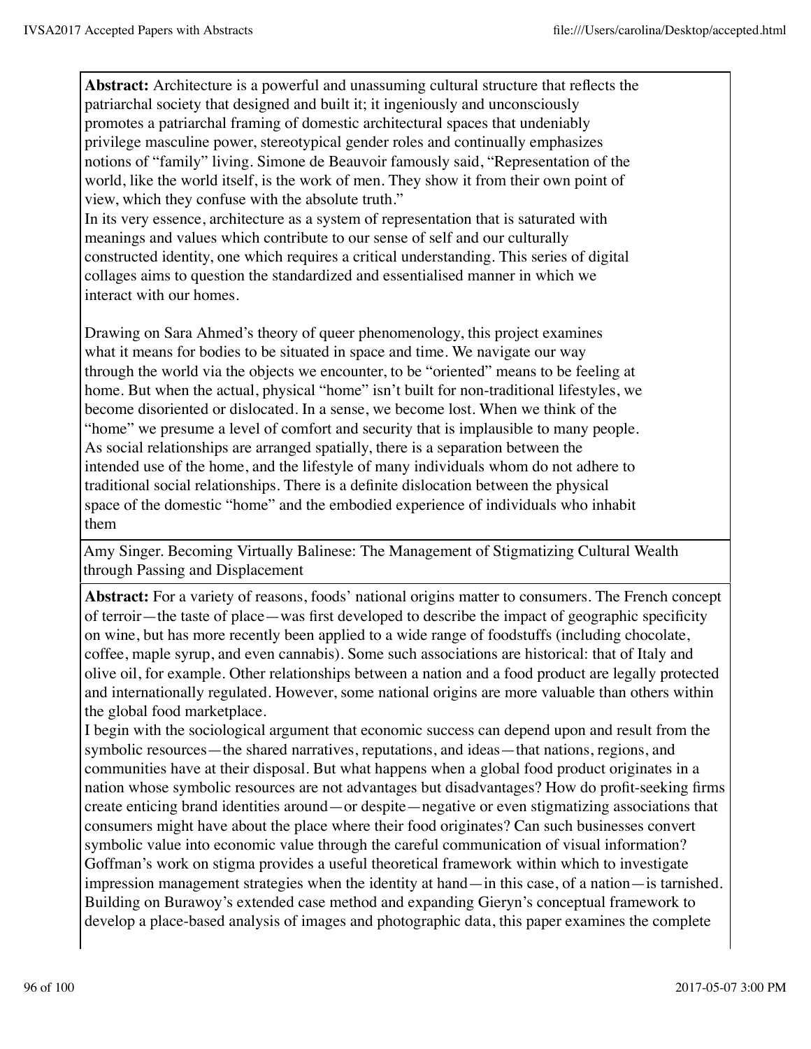**Abstract:** Architecture is a powerful and unassuming cultural structure that reflects the patriarchal society that designed and built it; it ingeniously and unconsciously promotes a patriarchal framing of domestic architectural spaces that undeniably privilege masculine power, stereotypical gender roles and continually emphasizes notions of "family" living. Simone de Beauvoir famously said, "Representation of the world, like the world itself, is the work of men. They show it from their own point of view, which they confuse with the absolute truth."

In its very essence, architecture as a system of representation that is saturated with meanings and values which contribute to our sense of self and our culturally constructed identity, one which requires a critical understanding. This series of digital collages aims to question the standardized and essentialised manner in which we interact with our homes.

Drawing on Sara Ahmed's theory of queer phenomenology, this project examines what it means for bodies to be situated in space and time. We navigate our way through the world via the objects we encounter, to be "oriented" means to be feeling at home. But when the actual, physical "home" isn't built for non-traditional lifestyles, we become disoriented or dislocated. In a sense, we become lost. When we think of the "home" we presume a level of comfort and security that is implausible to many people. As social relationships are arranged spatially, there is a separation between the intended use of the home, and the lifestyle of many individuals whom do not adhere to traditional social relationships. There is a definite dislocation between the physical space of the domestic "home" and the embodied experience of individuals who inhabit them

Amy Singer. Becoming Virtually Balinese: The Management of Stigmatizing Cultural Wealth through Passing and Displacement

**Abstract:** For a variety of reasons, foods' national origins matter to consumers. The French concept of terroir—the taste of place—was first developed to describe the impact of geographic specificity on wine, but has more recently been applied to a wide range of foodstuffs (including chocolate, coffee, maple syrup, and even cannabis). Some such associations are historical: that of Italy and olive oil, for example. Other relationships between a nation and a food product are legally protected and internationally regulated. However, some national origins are more valuable than others within the global food marketplace.

I begin with the sociological argument that economic success can depend upon and result from the symbolic resources—the shared narratives, reputations, and ideas—that nations, regions, and communities have at their disposal. But what happens when a global food product originates in a nation whose symbolic resources are not advantages but disadvantages? How do profit-seeking firms create enticing brand identities around—or despite—negative or even stigmatizing associations that consumers might have about the place where their food originates? Can such businesses convert symbolic value into economic value through the careful communication of visual information? Goffman's work on stigma provides a useful theoretical framework within which to investigate impression management strategies when the identity at hand—in this case, of a nation—is tarnished. Building on Burawoy's extended case method and expanding Gieryn's conceptual framework to develop a place-based analysis of images and photographic data, this paper examines the complete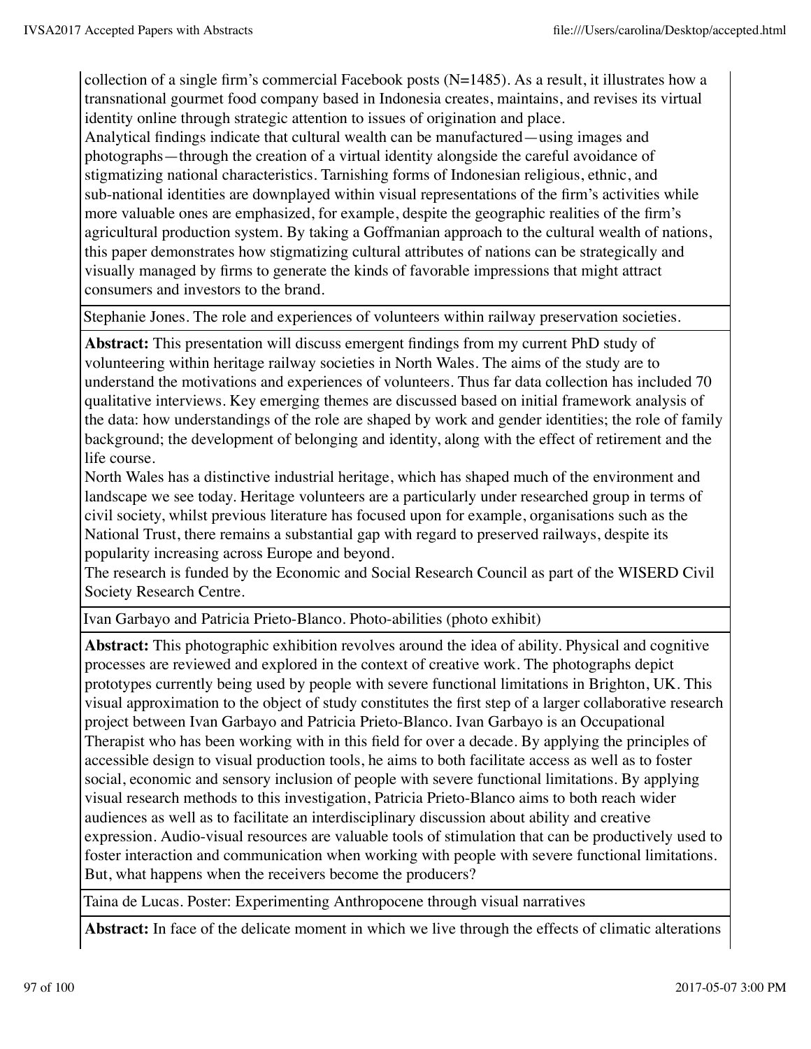collection of a single firm's commercial Facebook posts  $(N=1485)$ . As a result, it illustrates how a transnational gourmet food company based in Indonesia creates, maintains, and revises its virtual identity online through strategic attention to issues of origination and place.

Analytical findings indicate that cultural wealth can be manufactured—using images and photographs—through the creation of a virtual identity alongside the careful avoidance of stigmatizing national characteristics. Tarnishing forms of Indonesian religious, ethnic, and sub-national identities are downplayed within visual representations of the firm's activities while more valuable ones are emphasized, for example, despite the geographic realities of the firm's agricultural production system. By taking a Goffmanian approach to the cultural wealth of nations, this paper demonstrates how stigmatizing cultural attributes of nations can be strategically and visually managed by firms to generate the kinds of favorable impressions that might attract consumers and investors to the brand.

Stephanie Jones. The role and experiences of volunteers within railway preservation societies.

**Abstract:** This presentation will discuss emergent findings from my current PhD study of volunteering within heritage railway societies in North Wales. The aims of the study are to understand the motivations and experiences of volunteers. Thus far data collection has included 70 qualitative interviews. Key emerging themes are discussed based on initial framework analysis of the data: how understandings of the role are shaped by work and gender identities; the role of family background; the development of belonging and identity, along with the effect of retirement and the life course.

North Wales has a distinctive industrial heritage, which has shaped much of the environment and landscape we see today. Heritage volunteers are a particularly under researched group in terms of civil society, whilst previous literature has focused upon for example, organisations such as the National Trust, there remains a substantial gap with regard to preserved railways, despite its popularity increasing across Europe and beyond.

The research is funded by the Economic and Social Research Council as part of the WISERD Civil Society Research Centre.

Ivan Garbayo and Patricia Prieto-Blanco. Photo-abilities (photo exhibit)

**Abstract:** This photographic exhibition revolves around the idea of ability. Physical and cognitive processes are reviewed and explored in the context of creative work. The photographs depict prototypes currently being used by people with severe functional limitations in Brighton, UK. This visual approximation to the object of study constitutes the first step of a larger collaborative research project between Ivan Garbayo and Patricia Prieto-Blanco. Ivan Garbayo is an Occupational Therapist who has been working with in this field for over a decade. By applying the principles of accessible design to visual production tools, he aims to both facilitate access as well as to foster social, economic and sensory inclusion of people with severe functional limitations. By applying visual research methods to this investigation, Patricia Prieto-Blanco aims to both reach wider audiences as well as to facilitate an interdisciplinary discussion about ability and creative expression. Audio-visual resources are valuable tools of stimulation that can be productively used to foster interaction and communication when working with people with severe functional limitations. But, what happens when the receivers become the producers?

Taina de Lucas. Poster: Experimenting Anthropocene through visual narratives

**Abstract:** In face of the delicate moment in which we live through the effects of climatic alterations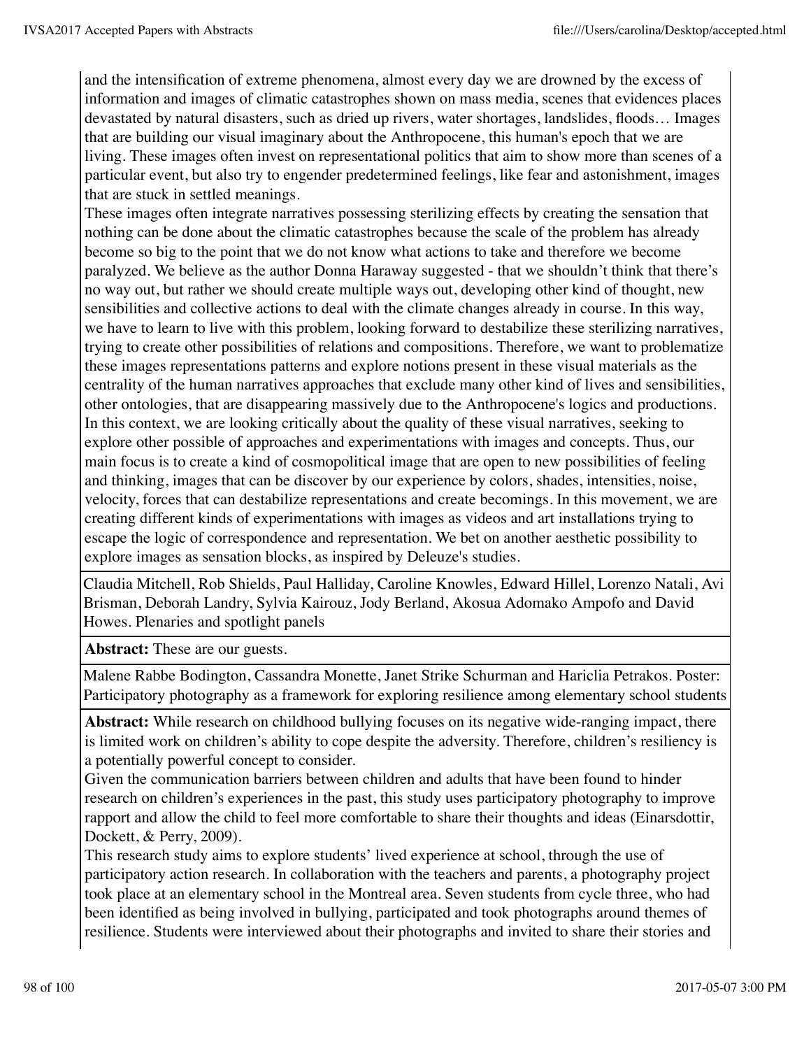and the intensification of extreme phenomena, almost every day we are drowned by the excess of information and images of climatic catastrophes shown on mass media, scenes that evidences places devastated by natural disasters, such as dried up rivers, water shortages, landslides, floods… Images that are building our visual imaginary about the Anthropocene, this human's epoch that we are living. These images often invest on representational politics that aim to show more than scenes of a particular event, but also try to engender predetermined feelings, like fear and astonishment, images that are stuck in settled meanings.

These images often integrate narratives possessing sterilizing effects by creating the sensation that nothing can be done about the climatic catastrophes because the scale of the problem has already become so big to the point that we do not know what actions to take and therefore we become paralyzed. We believe as the author Donna Haraway suggested - that we shouldn't think that there's no way out, but rather we should create multiple ways out, developing other kind of thought, new sensibilities and collective actions to deal with the climate changes already in course. In this way, we have to learn to live with this problem, looking forward to destabilize these sterilizing narratives, trying to create other possibilities of relations and compositions. Therefore, we want to problematize these images representations patterns and explore notions present in these visual materials as the centrality of the human narratives approaches that exclude many other kind of lives and sensibilities, other ontologies, that are disappearing massively due to the Anthropocene's logics and productions. In this context, we are looking critically about the quality of these visual narratives, seeking to explore other possible of approaches and experimentations with images and concepts. Thus, our main focus is to create a kind of cosmopolitical image that are open to new possibilities of feeling and thinking, images that can be discover by our experience by colors, shades, intensities, noise, velocity, forces that can destabilize representations and create becomings. In this movement, we are creating different kinds of experimentations with images as videos and art installations trying to escape the logic of correspondence and representation. We bet on another aesthetic possibility to explore images as sensation blocks, as inspired by Deleuze's studies.

Claudia Mitchell, Rob Shields, Paul Halliday, Caroline Knowles, Edward Hillel, Lorenzo Natali, Avi Brisman, Deborah Landry, Sylvia Kairouz, Jody Berland, Akosua Adomako Ampofo and David Howes. Plenaries and spotlight panels

**Abstract:** These are our guests.

Malene Rabbe Bodington, Cassandra Monette, Janet Strike Schurman and Hariclia Petrakos. Poster: Participatory photography as a framework for exploring resilience among elementary school students

Abstract: While research on childhood bullying focuses on its negative wide-ranging impact, there is limited work on children's ability to cope despite the adversity. Therefore, children's resiliency is a potentially powerful concept to consider.

Given the communication barriers between children and adults that have been found to hinder research on children's experiences in the past, this study uses participatory photography to improve rapport and allow the child to feel more comfortable to share their thoughts and ideas (Einarsdottir, Dockett, & Perry, 2009).

This research study aims to explore students' lived experience at school, through the use of participatory action research. In collaboration with the teachers and parents, a photography project took place at an elementary school in the Montreal area. Seven students from cycle three, who had been identified as being involved in bullying, participated and took photographs around themes of resilience. Students were interviewed about their photographs and invited to share their stories and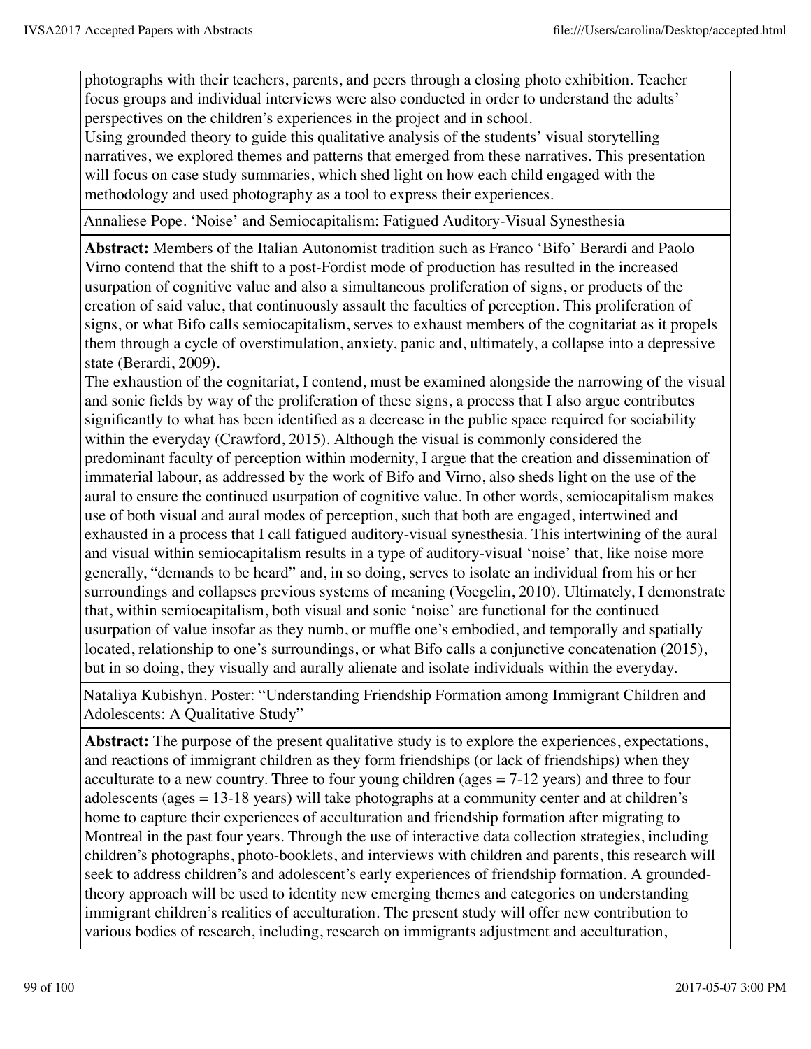photographs with their teachers, parents, and peers through a closing photo exhibition. Teacher focus groups and individual interviews were also conducted in order to understand the adults' perspectives on the children's experiences in the project and in school.

Using grounded theory to guide this qualitative analysis of the students' visual storytelling narratives, we explored themes and patterns that emerged from these narratives. This presentation will focus on case study summaries, which shed light on how each child engaged with the methodology and used photography as a tool to express their experiences.

Annaliese Pope. 'Noise' and Semiocapitalism: Fatigued Auditory-Visual Synesthesia

**Abstract:** Members of the Italian Autonomist tradition such as Franco 'Bifo' Berardi and Paolo Virno contend that the shift to a post-Fordist mode of production has resulted in the increased usurpation of cognitive value and also a simultaneous proliferation of signs, or products of the creation of said value, that continuously assault the faculties of perception. This proliferation of signs, or what Bifo calls semiocapitalism, serves to exhaust members of the cognitariat as it propels them through a cycle of overstimulation, anxiety, panic and, ultimately, a collapse into a depressive state (Berardi, 2009).

The exhaustion of the cognitariat, I contend, must be examined alongside the narrowing of the visual and sonic fields by way of the proliferation of these signs, a process that I also argue contributes significantly to what has been identified as a decrease in the public space required for sociability within the everyday (Crawford, 2015). Although the visual is commonly considered the predominant faculty of perception within modernity, I argue that the creation and dissemination of immaterial labour, as addressed by the work of Bifo and Virno, also sheds light on the use of the aural to ensure the continued usurpation of cognitive value. In other words, semiocapitalism makes use of both visual and aural modes of perception, such that both are engaged, intertwined and exhausted in a process that I call fatigued auditory-visual synesthesia. This intertwining of the aural and visual within semiocapitalism results in a type of auditory-visual 'noise' that, like noise more generally, "demands to be heard" and, in so doing, serves to isolate an individual from his or her surroundings and collapses previous systems of meaning (Voegelin, 2010). Ultimately, I demonstrate that, within semiocapitalism, both visual and sonic 'noise' are functional for the continued usurpation of value insofar as they numb, or muffle one's embodied, and temporally and spatially located, relationship to one's surroundings, or what Bifo calls a conjunctive concatenation (2015), but in so doing, they visually and aurally alienate and isolate individuals within the everyday.

Nataliya Kubishyn. Poster: "Understanding Friendship Formation among Immigrant Children and Adolescents: A Qualitative Study"

**Abstract:** The purpose of the present qualitative study is to explore the experiences, expectations, and reactions of immigrant children as they form friendships (or lack of friendships) when they acculturate to a new country. Three to four young children (ages = 7-12 years) and three to four adolescents (ages = 13-18 years) will take photographs at a community center and at children's home to capture their experiences of acculturation and friendship formation after migrating to Montreal in the past four years. Through the use of interactive data collection strategies, including children's photographs, photo-booklets, and interviews with children and parents, this research will seek to address children's and adolescent's early experiences of friendship formation. A groundedtheory approach will be used to identity new emerging themes and categories on understanding immigrant children's realities of acculturation. The present study will offer new contribution to various bodies of research, including, research on immigrants adjustment and acculturation,